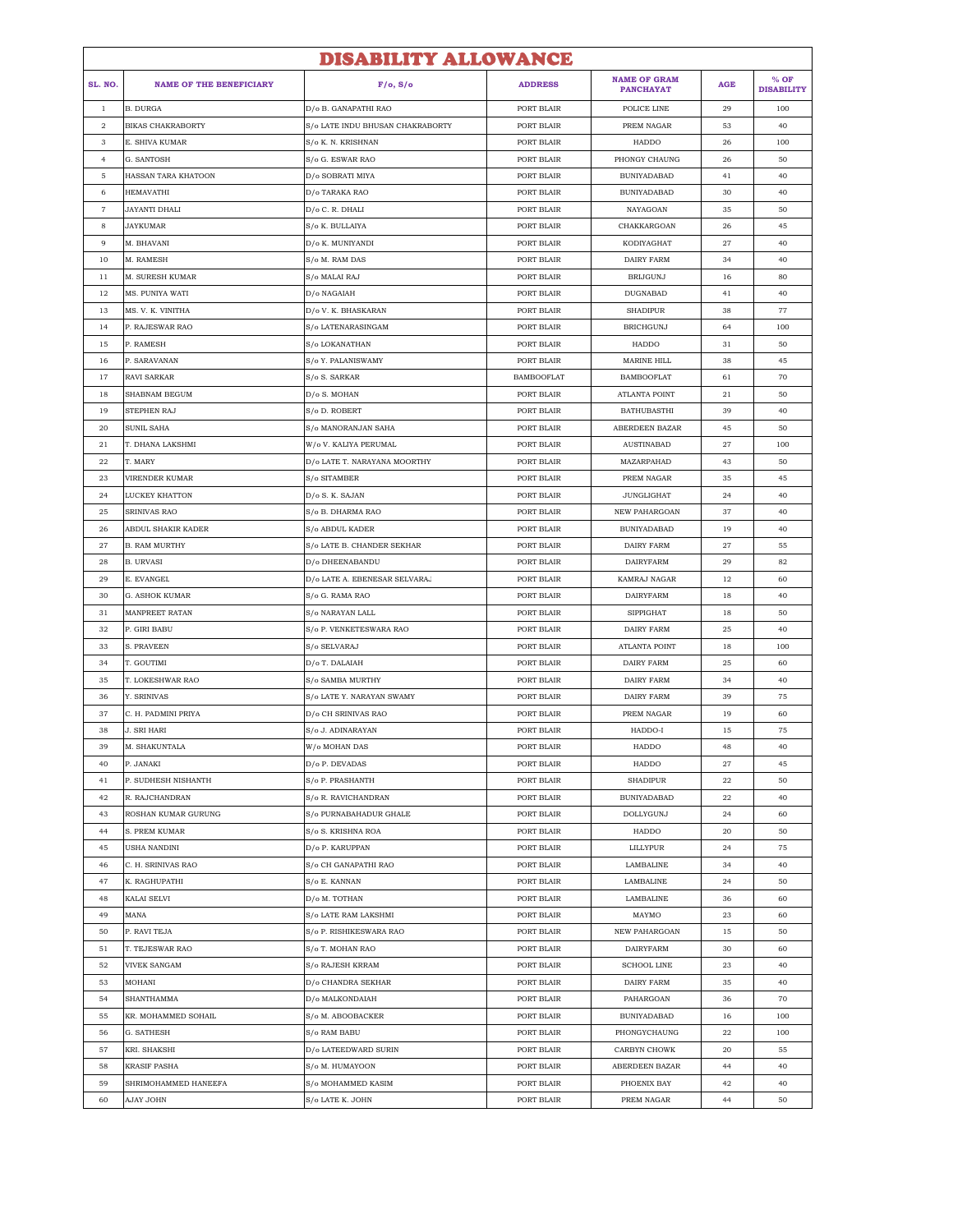|                   |                                | <b>DISABILITY ALLOWANCE</b>      |                          |                                         |            |                             |
|-------------------|--------------------------------|----------------------------------|--------------------------|-----------------------------------------|------------|-----------------------------|
| SL. NO.           | <b>NAME OF THE BENEFICIARY</b> | F/o, S/o                         | <b>ADDRESS</b>           | <b>NAME OF GRAM</b><br><b>PANCHAYAT</b> | <b>AGE</b> | $%$ OF<br><b>DISABILITY</b> |
| $\mathbf{1}$      | <b>B. DURGA</b>                | D/o B. GANAPATHI RAO             | PORT BLAIR               | POLICE LINE                             | 29         | 100                         |
| $\overline{2}$    | <b>BIKAS CHAKRABORTY</b>       | S/o LATE INDU BHUSAN CHAKRABORTY | PORT BLAIR               | PREM NAGAR                              | 53         | 40                          |
| 3                 | E. SHIVA KUMAR                 | S/o K. N. KRISHNAN               | PORT BLAIR               | HADDO                                   | 26         | 100                         |
| $\overline{4}$    | G. SANTOSH                     | S/o G. ESWAR RAO                 | PORT BLAIR               | PHONGY CHAUNG                           | 26         | 50                          |
| $\overline{5}$    | HASSAN TARA KHATOON            | D/o SOBRATI MIYA                 | PORT BLAIR               | <b>BUNIYADABAD</b>                      | 41         | 40                          |
| 6                 | HEMAVATHI                      | D/o TARAKA RAO                   | PORT BLAIR               | BUNIYADABAD                             | 30         | 40                          |
| $\scriptstyle{7}$ | JAYANTI DHALI                  | D/o C. R. DHALI                  | PORT BLAIR               | NAYAGOAN                                | 35         | 50                          |
| 8                 | JAYKUMAR                       | S/o K. BULLAIYA                  | PORT BLAIR               | CHAKKARGOAN                             | 26         | 45                          |
| 9                 | M. BHAVANI                     | D/o K. MUNIYANDI                 | PORT BLAIR               | KODIYAGHAT                              | 27         | 40                          |
| 10                | M. RAMESH                      | S/o M. RAM DAS                   | PORT BLAIR               | <b>DAIRY FARM</b>                       | 34         | 40                          |
| 11                | M. SURESH KUMAR                | S/o MALAI RAJ                    | PORT BLAIR               | <b>BRIJGUNJ</b>                         | 16         | 80                          |
| 12                | MS. PUNIYA WATI                | D/o NAGAIAH                      | PORT BLAIR               | DUGNABAD                                | 41         | 40                          |
| 13                | MS. V. K. VINITHA              | D/o V. K. BHASKARAN              | PORT BLAIR               | <b>SHADIPUR</b>                         | 38         | 77                          |
| 14                | P. RAJESWAR RAO                | S/o LATENARASINGAM               | PORT BLAIR               | <b>BRICHGUNJ</b>                        | 64         | 100                         |
| 15                | P. RAMESH                      | S/o LOKANATHAN                   | PORT BLAIR               | HADDO                                   | 31         | 50                          |
| 16                | P. SARAVANAN                   | S/o Y. PALANISWAMY               | PORT BLAIR               | <b>MARINE HILL</b>                      | 38         | 45                          |
| 17                | RAVI SARKAR                    | S/o S. SARKAR                    | <b>BAMBOOFLAT</b>        | <b>BAMBOOFLAT</b>                       | 61         | 70                          |
| 18                | SHABNAM BEGUM                  | D/o S. MOHAN                     | PORT BLAIR               | ATLANTA POINT                           | 21         | 50                          |
| 19                | STEPHEN RAJ                    | S/o D. ROBERT                    | PORT BLAIR               | <b>BATHUBASTHI</b>                      | 39         | 40                          |
| 20                | SUNIL SAHA                     | S/o MANORANJAN SAHA              | PORT BLAIR               | ABERDEEN BAZAR                          | 45         | 50                          |
| 21                | T. DHANA LAKSHMI               | W/o V. KALIYA PERUMAL            | PORT BLAIR               | <b>AUSTINABAD</b>                       | 27         | 100                         |
| 22                | T. MARY                        | D/o LATE T. NARAYANA MOORTHY     | PORT BLAIR               | MAZARPAHAD                              | 43         | 50                          |
| 23                | VIRENDER KUMAR                 | S/o SITAMBER                     | PORT BLAIR               | PREM NAGAR                              | 35         | 45                          |
| 24                | LUCKEY KHATTON                 | D/o S. K. SAJAN                  | PORT BLAIR               | <b>JUNGLIGHAT</b>                       | 24         | 40                          |
| 25                | SRINIVAS RAO                   | S/o B. DHARMA RAO                | PORT BLAIR               | NEW PAHARGOAN                           | 37         | 40                          |
| 26                | ABDUL SHAKIR KADER             | S/o ABDUL KADER                  | PORT BLAIR               | BUNIYADABAD                             | 19         | 40                          |
| 27                | <b>B. RAM MURTHY</b>           | S/o LATE B. CHANDER SEKHAR       | PORT BLAIR               | <b>DAIRY FARM</b>                       | 27         | 55                          |
| 28                | <b>B. URVASI</b>               | D/o DHEENABANDU                  | PORT BLAIR               | <b>DAIRYFARM</b>                        | 29         | 82                          |
| 29                | E. EVANGEL                     | D/o LATE A. EBENESAR SELVARA.    | PORT BLAIR               | KAMRAJ NAGAR                            | 12         | 60                          |
| 30                | G. ASHOK KUMAR                 | S/o G. RAMA RAO                  | PORT BLAIR               | <b>DAIRYFARM</b>                        | 18         | 40                          |
| 31                | MANPREET RATAN                 | S/o NARAYAN LALL                 | PORT BLAIR               | <b>SIPPIGHAT</b>                        | 18         | 50                          |
| 32                | P. GIRI BABU                   | S/o P. VENKETESWARA RAO          | PORT BLAIR               | <b>DAIRY FARM</b>                       | 25         | 40                          |
| 33                | S. PRAVEEN                     | S/o SELVARAJ                     | PORT BLAIR               | <b>ATLANTA POINT</b>                    | 18         | 100                         |
| 34                | T. GOUTIMI                     | D/o T. DALAIAH                   | PORT BLAIR               | <b>DAIRY FARM</b>                       | 25         | 60                          |
| 35                | T. LOKESHWAR RAO               | S/o SAMBA MURTHY                 | PORT BLAIR               | DAIRY FARM                              | 34         | 40                          |
| 36                | Y. SRINIVAS                    | S/o LATE Y. NARAYAN SWAMY        | PORT BLAIR               | DAIRY FARM                              | 39         | 75                          |
| 37                | C. H. PADMINI PRIYA            | D/o CH SRINIVAS RAO              | PORT BLAIR               | PREM NAGAR                              | 19         | 60                          |
| 38                | J. SRI HARI                    | S/o J. ADINARAYAN                | PORT BLAIR               | HADDO-I                                 | 15         | 75                          |
| 39                | M. SHAKUNTALA                  | W/o MOHAN DAS                    | PORT BLAIR               | HADDO                                   | 48         | 40                          |
| 40                | P. JANAKI                      | D/o P. DEVADAS                   | PORT BLAIR               | HADDO                                   | 27         | 45                          |
| 41                | P. SUDHESH NISHANTH            | S/o P. PRASHANTH                 | PORT BLAIR               | <b>SHADIPUR</b>                         | 22         | 50                          |
| 42                | R. RAJCHANDRAN                 | S/o R. RAVICHANDRAN              | PORT BLAIR               | <b>BUNIYADABAD</b>                      | 22         | 40                          |
| 43                | ROSHAN KUMAR GURUNG            | S/o PURNABAHADUR GHALE           | PORT BLAIR               | DOLLYGUNJ                               | 24         | 60                          |
| 44                | S. PREM KUMAR                  | S/o S. KRISHNA ROA               | PORT BLAIR               | HADDO                                   | 20         | 50                          |
| 45                | USHA NANDINI                   | D/o P. KARUPPAN                  | PORT BLAIR               | LILLYPUR                                | 24         | 75                          |
| 46                | C. H. SRINIVAS RAO             | S/o CH GANAPATHI RAO             | PORT BLAIR               | LAMBALINE                               | 34         | 40                          |
| 47                | K. RAGHUPATHI                  | S/o E. KANNAN                    | PORT BLAIR               | LAMBALINE                               | 24         | 50                          |
| 48                | KALAI SELVI                    | D/o M. TOTHAN                    | PORT BLAIR               | LAMBALINE                               |            | 60                          |
|                   |                                | S/o LATE RAM LAKSHMI             |                          |                                         | 36         | 60                          |
| 49<br>50          | MANA<br>P. RAVI TEJA           |                                  | PORT BLAIR<br>PORT BLAIR | MAYMO<br>NEW PAHARGOAN                  | 23         | 50                          |
|                   |                                | S/o P. RISHIKESWARA RAO          |                          |                                         | 15         |                             |
| 51                | T. TEJESWAR RAO                | S/o T. MOHAN RAO                 | PORT BLAIR               | DAIRYFARM                               | 30         | 60                          |
| 52                | <b>VIVEK SANGAM</b>            | S/o RAJESH KRRAM                 | PORT BLAIR               | <b>SCHOOL LINE</b>                      | 23         | 40                          |
| 53                | MOHANI                         | D/o CHANDRA SEKHAR               | PORT BLAIR               | DAIRY FARM                              | 35         | 40                          |
| 54                | SHANTHAMMA                     | D/o MALKONDAIAH                  | PORT BLAIR               | PAHARGOAN                               | 36         | 70                          |
| 55                | KR. MOHAMMED SOHAIL            | S/o M. ABOOBACKER                | PORT BLAIR               | <b>BUNIYADABAD</b>                      | 16         | 100                         |
| 56                | G. SATHESH                     | S/o RAM BABU                     | PORT BLAIR               | PHONGYCHAUNG                            | 22         | 100                         |
| 57                | KRI. SHAKSHI                   | D/o LATEEDWARD SURIN             | PORT BLAIR               | CARBYN CHOWK                            | 20         | 55                          |
| 58                | KRASIF PASHA                   | S/o M. HUMAYOON                  | PORT BLAIR               | ABERDEEN BAZAR                          | 44         | 40                          |
| 59                | SHRIMOHAMMED HANEEFA           | S/o MOHAMMED KASIM               | PORT BLAIR               | PHOENIX BAY                             | 42         | 40                          |
| 60                | AJAY JOHN                      | S/o LATE K. JOHN                 | PORT BLAIR               | PREM NAGAR                              | 44         | 50                          |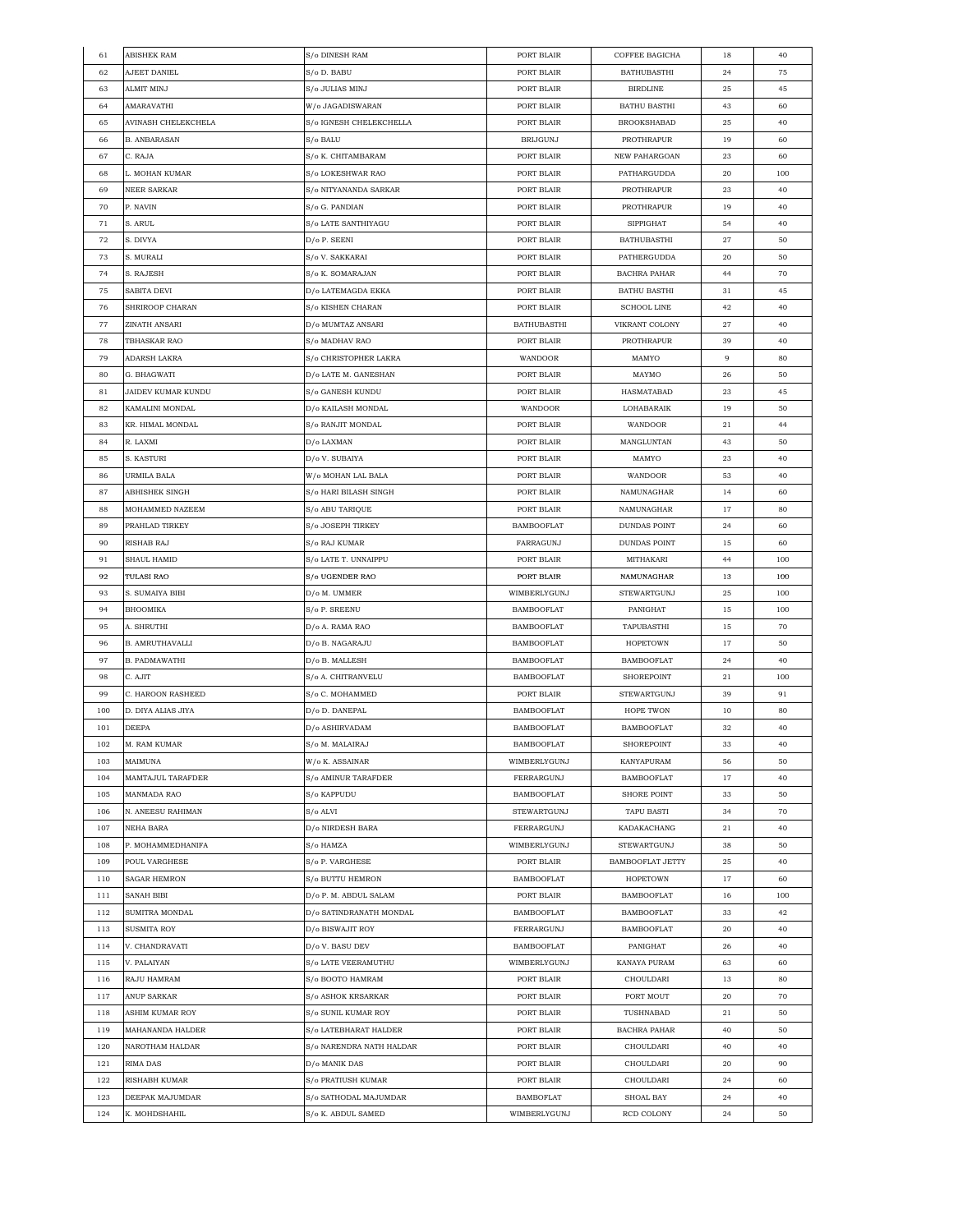| 61         | <b>ABISHEK RAM</b>  | S/o DINESH RAM                              | PORT BLAIR         | COFFEE BAGICHA                         | 18             | 40  |
|------------|---------------------|---------------------------------------------|--------------------|----------------------------------------|----------------|-----|
| 62         | AJEET DANIEL        | S/o D. BABU                                 | PORT BLAIR         | <b>BATHUBASTHI</b>                     | 24             | 75  |
| 63         | ALMIT MINJ          | S/o JULIAS MINJ                             | PORT BLAIR         | <b>BIRDLINE</b>                        | 25             | 45  |
| 64         | AMARAVATHI          | W/o JAGADISWARAN                            | PORT BLAIR         | <b>BATHU BASTHI</b>                    | 43             | 60  |
| 65         | AVINASH CHELEKCHELA | S/o IGNESH CHELEKCHELLA                     | PORT BLAIR         | <b>BROOKSHABAD</b>                     | 25             | 40  |
| 66         | <b>B. ANBARASAN</b> | S/o BALU                                    | <b>BRIJGUNJ</b>    | PROTHRAPUR                             | 19             | 60  |
| 67         | C. RAJA             | S/o K. CHITAMBARAM                          | PORT BLAIR         | NEW PAHARGOAN                          | 23             | 60  |
| 68         | L. MOHAN KUMAR      | S/o LOKESHWAR RAO                           | PORT BLAIR         | PATHARGUDDA                            | 20             | 100 |
| 69         | NEER SARKAR         | S/o NITYANANDA SARKAR                       | PORT BLAIR         | PROTHRAPUR                             | 23             | 40  |
| 70         | P. NAVIN            | S/o G. PANDIAN                              | PORT BLAIR         | PROTHRAPUR                             | 19             | 40  |
| 71         | S. ARUL             | S/o LATE SANTHIYAGU                         | PORT BLAIR         | SIPPIGHAT                              | 54             | 40  |
| 72         | S. DIVYA            | D/o P. SEENI                                | PORT BLAIR         | <b>BATHUBASTHI</b>                     | 27             | 50  |
| 73         | S. MURALI           | S/o V. SAKKARAI                             | PORT BLAIR         | PATHERGUDDA                            | 20             | 50  |
| 74         | S. RAJESH           | S/o K. SOMARAJAN                            | PORT BLAIR         | BACHRA PAHAR                           | 44             | 70  |
|            |                     |                                             |                    |                                        |                |     |
| 75         | SABITA DEVI         | D/o LATEMAGDA EKKA                          | PORT BLAIR         | <b>BATHU BASTHI</b>                    | 31             | 45  |
| 76         | SHRIROOP CHARAN     | S/o KISHEN CHARAN                           | PORT BLAIR         | <b>SCHOOL LINE</b>                     | 42             | 40  |
| 77         | ZINATH ANSARI       | D/o MUMTAZ ANSARI                           | <b>BATHUBASTHI</b> | VIKRANT COLONY                         | 27             | 40  |
| 78         | TBHASKAR RAO        | S/o MADHAV RAO                              | PORT BLAIR         | PROTHRAPUR                             | 39             | 40  |
| 79         | ADARSH LAKRA        | S/o CHRISTOPHER LAKRA                       | WANDOOR            | MAMYO                                  | $\overline{9}$ | 80  |
| 80         | G. BHAGWATI         | D/o LATE M. GANESHAN                        | PORT BLAIR         | MAYMO                                  | 26             | 50  |
| 81         | JAIDEV KUMAR KUNDU  | S/o GANESH KUNDU                            | PORT BLAIR         | HASMATABAD                             | 23             | 45  |
| 82         | KAMALINI MONDAL     | D/o KAILASH MONDAL                          | WANDOOR            | LOHABARAIK                             | 19             | 50  |
| 83         | KR. HIMAL MONDAL    | S/o RANJIT MONDAL                           | PORT BLAIR         | WANDOOR                                | 21             | 44  |
| 84         | R. LAXMI            | D/o LAXMAN                                  | PORT BLAIR         | MANGLUNTAN                             | 43             | 50  |
| 85         | S. KASTURI          | D/o V. SUBAIYA                              | PORT BLAIR         | MAMYO                                  | 23             | 40  |
| 86         | URMILA BALA         | W/o MOHAN LAL BALA                          | PORT BLAIR         | WANDOOR                                | 53             | 40  |
| 87         | ABHISHEK SINGH      | S/o HARI BILASH SINGH                       | PORT BLAIR         | NAMUNAGHAR                             | 14             | 60  |
| 88         | MOHAMMED NAZEEM     | S/o ABU TARIQUE                             | PORT BLAIR         | NAMUNAGHAR                             | 17             | 80  |
| 89         | PRAHLAD TIRKEY      | S/o JOSEPH TIRKEY                           | <b>BAMBOOFLAT</b>  | DUNDAS POINT                           | 24             | 60  |
| 90         | RISHAB RAJ          | S/o RAJ KUMAR                               | FARRAGUNJ          | DUNDAS POINT                           | 15             | 60  |
| 91         | SHAUL HAMID         | S/o LATE T. UNNAIPPU                        | PORT BLAIR         | MITHAKARI                              | 44             | 100 |
| 92         | TULASI RAO          | S/o UGENDER RAO                             | PORT BLAIR         | NAMUNAGHAR                             | 13             | 100 |
| 93         | S. SUMAIYA BIBI     | D/o M. UMMER                                | WIMBERLYGUNJ       | STEWARTGUNJ                            | 25             | 100 |
| 94         | BHOOMIKA            | S/o P. SREENU                               | BAMBOOFLAT         | PANIGHAT                               | 15             | 100 |
| 95         | A. SHRUTHI          | D/o A. RAMA RAO                             | <b>BAMBOOFLAT</b>  | TAPUBASTHI                             | 15             | 70  |
| 96         | B. AMRUTHAVALLI     | D/o B. NAGARAJU                             | <b>BAMBOOFLAT</b>  | <b>HOPETOWN</b>                        | 17             | 50  |
| 97         | B. PADMAWATHI       | D/o B. MALLESH                              | <b>BAMBOOFLAT</b>  | <b>BAMBOOFLAT</b>                      | 24             | 40  |
| 98         | C. AJIT             | S/o A. CHITRANVELU                          | <b>BAMBOOFLAT</b>  | SHOREPOINT                             | 21             | 100 |
| 99         | C. HAROON RASHEED   | S/o C. MOHAMMED                             | PORT BLAIR         | STEWARTGUNJ                            | 39             | 91  |
| 100        | D. DIYA ALIAS JIYA  | D/o D. DANEPAL                              | <b>BAMBOOFLAT</b>  | HOPE TWON                              | 10             | 80  |
| 101        | DEEPA               | D/o ASHIRVADAM                              | <b>BAMBOOFLAT</b>  | <b>BAMBOOFLAT</b>                      | 32             | 40  |
| 102        | M. RAM KUMAR        | $\mathrm{S}/\mathrm{o}$ M. MALAIRAJ         | <b>BAMBOOFLAT</b>  | <b>SHOREPOINT</b>                      | 33             | 40  |
| 103        | MAIMUNA             | W/o K. ASSAINAR                             | WIMBERLYGUNJ       | KANYAPURAM                             | 56             | 50  |
| 104        | MAMTAJUL TARAFDER   | S/o AMINUR TARAFDER                         | FERRARGUNJ         | <b>BAMBOOFLAT</b>                      | 17             | 40  |
| 105        | MANMADA RAO         | S/o KAPPUDU                                 | <b>BAMBOOFLAT</b>  | <b>SHORE POINT</b>                     | 33             | 50  |
| 106        | N. ANEESU RAHIMAN   | S/o ALVI                                    | STEWARTGUNJ        | TAPU BASTI                             | 34             | 70  |
| 107        | NEHA BARA           | D/o NIRDESH BARA                            | FERRARGUNJ         | KADAKACHANG                            | 21             | 40  |
| 108        | P. MOHAMMEDHANIFA   | S/o HAMZA                                   | WIMBERLYGUNJ       | STEWARTGUNJ                            | 38             | 50  |
| 109        | POUL VARGHESE       | S/o P. VARGHESE                             | PORT BLAIR         | BAMBOOFLAT JETTY                       | 25             | 40  |
| 110        | <b>SAGAR HEMRON</b> | S/o BUTTU HEMRON                            | <b>BAMBOOFLAT</b>  | <b>HOPETOWN</b>                        | 17             | 60  |
| 111        | SANAH BIBI          | D/o P. M. ABDUL SALAM                       | PORT BLAIR         | <b>BAMBOOFLAT</b>                      | 16             | 100 |
|            | SUMITRA MONDAL      |                                             | <b>BAMBOOFLAT</b>  |                                        |                | 42  |
| 112<br>113 | SUSMITA ROY         | D/o SATINDRANATH MONDAL<br>D/o BISWAJIT ROY | FERRARGUNJ         | <b>BAMBOOFLAT</b><br><b>BAMBOOFLAT</b> | 33<br>20       | 40  |
|            |                     |                                             |                    |                                        |                |     |
| 114        | V. CHANDRAVATI      | D/o V. BASU DEV                             | <b>BAMBOOFLAT</b>  | PANIGHAT                               | 26             | 40  |
| 115        | V. PALAIYAN         | S/o LATE VEERAMUTHU                         | WIMBERLYGUNJ       | KANAYA PURAM                           | 63             | 60  |
| 116        | RAJU HAMRAM         | S/o BOOTO HAMRAM                            | PORT BLAIR         | CHOULDARI                              | 13             | 80  |
| 117        | ANUP SARKAR         | S/o ASHOK KRSARKAR                          | PORT BLAIR         | PORT MOUT                              | 20             | 70  |
| 118        | ASHIM KUMAR ROY     | S/o SUNIL KUMAR ROY                         | PORT BLAIR         | TUSHNABAD                              | 21             | 50  |
| 119        | MAHANANDA HALDER    | S/o LATEBHARAT HALDER                       | PORT BLAIR         | <b>BACHRA PAHAR</b>                    | 40             | 50  |
| 120        | NAROTHAM HALDAR     | S/o NARENDRA NATH HALDAR                    | PORT BLAIR         | CHOULDARI                              | 40             | 40  |
| 121        | RIMA DAS            | D/o MANIK DAS                               | PORT BLAIR         | CHOULDARI                              | 20             | 90  |
| 122        | RISHABH KUMAR       | S/o PRATIUSH KUMAR                          | PORT BLAIR         | CHOULDARI                              | 24             | 60  |
| 123        | DEEPAK MAJUMDAR     | S/o SATHODAL MAJUMDAR                       | <b>BAMBOFLAT</b>   | SHOAL BAY                              | 24             | 40  |
| 124        | K. MOHDSHAHIL       | S/o K. ABDUL SAMED                          | WIMBERLYGUNJ       | RCD COLONY                             | 24             | 50  |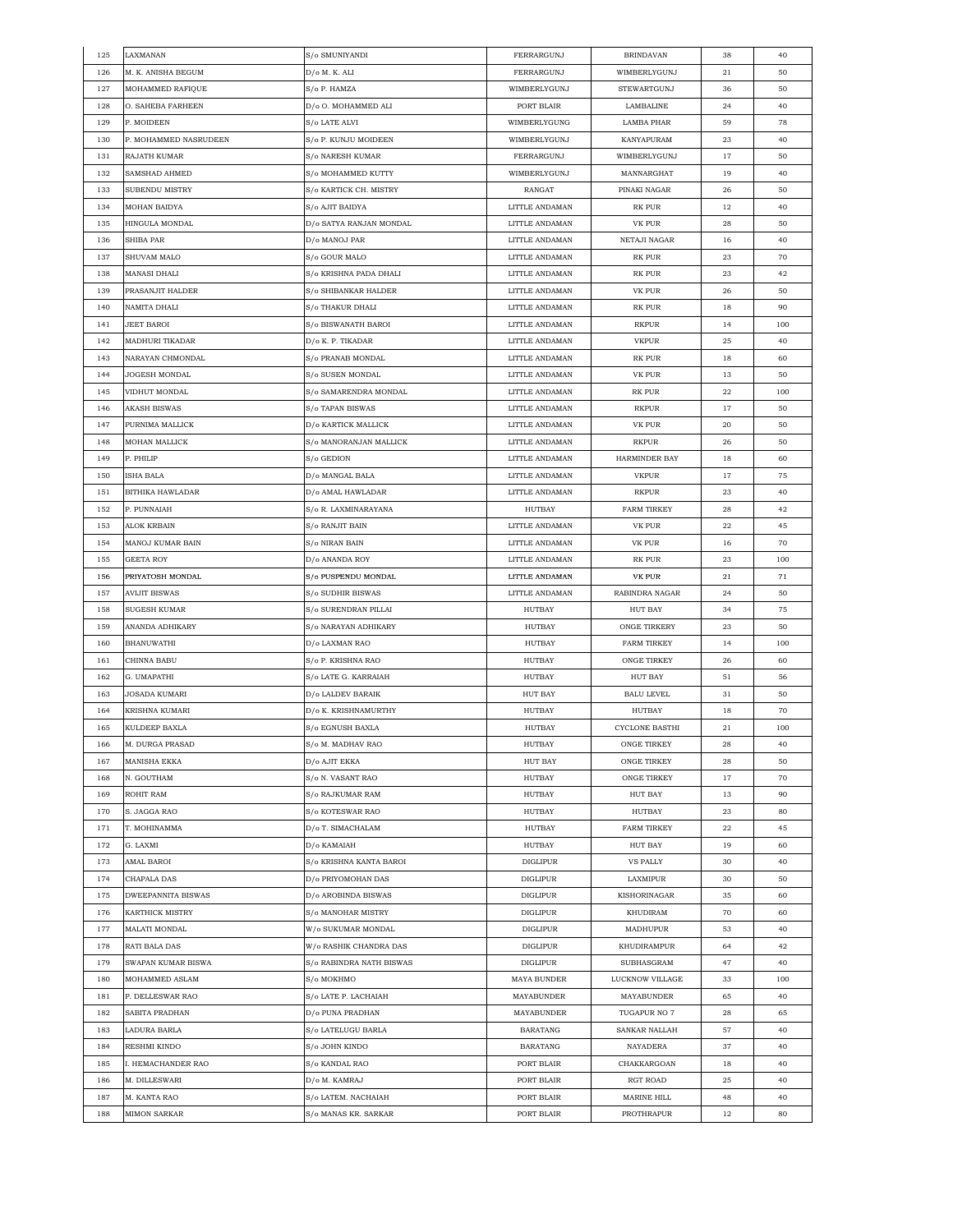| 125 | LAXMANAN              | S/o SMUNIYANDI           | FERRARGUNJ         | <b>BRINDAVAN</b>    | 38       | 40  |
|-----|-----------------------|--------------------------|--------------------|---------------------|----------|-----|
| 126 | M. K. ANISHA BEGUM    | D/o M. K. ALI            | FERRARGUNJ         | WIMBERLYGUNJ        | 21       | 50  |
| 127 | MOHAMMED RAFIQUE      | S/o P. HAMZA             | WIMBERLYGUNJ       | <b>STEWARTGUNJ</b>  | 36       | 50  |
| 128 | O. SAHEBA FARHEEN     | D/o O. MOHAMMED ALI      | PORT BLAIR         | LAMBALINE           | 24       | 40  |
| 129 | P. MOIDEEN            | S/o LATE ALVI            | WIMBERLYGUNG       | <b>LAMBA PHAR</b>   | 59       | 78  |
| 130 | P. MOHAMMED NASRUDEEN | S/o P. KUNJU MOIDEEN     | WIMBERLYGUNJ       | KANYAPURAM          | 23       | 40  |
| 131 | RAJATH KUMAR          | S/o NARESH KUMAR         | FERRARGUNJ         | WIMBERLYGUNJ        | 17       | 50  |
| 132 | SAMSHAD AHMED         | S/o MOHAMMED KUTTY       | WIMBERLYGUNJ       | MANNARGHAT          | 19       | 40  |
| 133 | SUBENDU MISTRY        | S/o KARTICK CH. MISTRY   | RANGAT             | PINAKI NAGAR        | 26       | 50  |
| 134 | MOHAN BAIDYA          | S/o AJIT BAIDYA          | LITTLE ANDAMAN     | RK PUR              | 12       | 40  |
| 135 | HINGULA MONDAL        | D/o SATYA RANJAN MONDAL  | LITTLE ANDAMAN     | VK PUR              | 28       | 50  |
| 136 | SHIBA PAR             | D/o MANOJ PAR            | LITTLE ANDAMAN     | NETAJI NAGAR        | 16       | 40  |
| 137 | SHUVAM MALO           | S/o GOUR MALO            | LITTLE ANDAMAN     | RK PUR              | 23       | 70  |
| 138 | MANASI DHALI          | S/o KRISHNA PADA DHALI   | LITTLE ANDAMAN     | <b>RK PUR</b>       | 23       | 42  |
| 139 | PRASANJIT HALDER      | S/o SHIBANKAR HALDER     | LITTLE ANDAMAN     | VK PUR              | 26       | 50  |
| 140 | NAMITA DHALI          | S/o THAKUR DHALI         | LITTLE ANDAMAN     | RK PUR              | 18       | 90  |
| 141 | JEET BAROI            | S/o BISWANATH BAROI      | LITTLE ANDAMAN     | <b>RKPUR</b>        | 14       | 100 |
| 142 | MADHURI TIKADAR       | D/o K. P. TIKADAR        | LITTLE ANDAMAN     | <b>VKPUR</b>        | 25       | 40  |
| 143 | NARAYAN CHMONDAL      | S/o PRANAB MONDAL        | LITTLE ANDAMAN     | <b>RK PUR</b>       | 18       | 60  |
| 144 | JOGESH MONDAL         | S/o SUSEN MONDAL         | LITTLE ANDAMAN     | <b>VK PUR</b>       | 13       | 50  |
| 145 | VIDHUT MONDAL         | S/o SAMARENDRA MONDAL    | LITTLE ANDAMAN     | RK PUR              | 22       | 100 |
| 146 | AKASH BISWAS          | S/o TAPAN BISWAS         | LITTLE ANDAMAN     | <b>RKPUR</b>        | 17       | 50  |
| 147 | PURNIMA MALLICK       | D/o KARTICK MALLICK      | LITTLE ANDAMAN     | VK PUR              | 20       | 50  |
| 148 | MOHAN MALLICK         | S/o MANORANJAN MALLICK   | LITTLE ANDAMAN     | RKPUR               | 26       | 50  |
| 149 | P. PHILIP             | S/o GEDION               | LITTLE ANDAMAN     | HARMINDER BAY       | 18       | 60  |
| 150 | ISHA BALA             | D/o MANGAL BALA          | LITTLE ANDAMAN     | <b>VKPUR</b>        | 17       | 75  |
| 151 | BITHIKA HAWLADAR      | D/o AMAL HAWLADAR        | LITTLE ANDAMAN     | RKPUR               | 23       | 40  |
| 152 | P. PUNNAIAH           | S/o R. LAXMINARAYANA     | HUTBAY             | <b>FARM TIRKEY</b>  | 28       | 42  |
| 153 | ALOK KRBAIN           | S/o RANJIT BAIN          | LITTLE ANDAMAN     | VK PUR              | 22       | 45  |
| 154 | MANOJ KUMAR BAIN      | S/o NIRAN BAIN           | LITTLE ANDAMAN     | VK PUR              | 16       | 70  |
| 155 | GEETA ROY             | D/o ANANDA ROY           | LITTLE ANDAMAN     | RK PUR              | 23       | 100 |
| 156 | PRIYATOSH MONDAL      | S/o PUSPENDU MONDAL      | LITTLE ANDAMAN     | VK PUR              | $^{21}$  | 71  |
| 157 | <b>AVIJIT BISWAS</b>  | S/o SUDHIR BISWAS        | LITTLE ANDAMAN     | RABINDRA NAGAR      | 24       | 50  |
| 158 | SUGESH KUMAR          | S/o SURENDRAN PILLAI     | HUTBAY             | HUT BAY             | 34       | 75  |
| 159 | ANANDA ADHIKARY       | S/o NARAYAN ADHIKARY     | HUTBAY             | <b>ONGE TIRKERY</b> | 23       | 50  |
| 160 | BHANUWATHI            | D/o LAXMAN RAO           | HUTBAY             | <b>FARM TIRKEY</b>  | 14       | 100 |
| 161 | CHINNA BABU           | S/o P. KRISHNA RAO       | HUTBAY             | ONGE TIRKEY         | 26       | 60  |
| 162 | G. UMAPATHI           | S/o LATE G. KARRAIAH     | HUTBAY             | <b>HUT BAY</b>      | 51       | 56  |
| 163 | JOSADA KUMARI         | D/o LALDEV BARAIK        | HUT BAY            | <b>BALU LEVEL</b>   | 31       | 50  |
| 164 | KRISHNA KUMARI        | D/o K. KRISHNAMURTHY     | HUTBAY             | <b>HUTBAY</b>       | 18       | 70  |
| 165 | KULDEEP BAXLA         | S/o EGNUSH BAXLA         | <b>HUTBAY</b>      | CYCLONE BASTHI      | 21       | 100 |
| 166 | M. DURGA PRASAD       | S/o M. MADHAV RAO        | HUTBAY             | ONGE TIRKEY         | $\bf 28$ | 40  |
| 167 | MANISHA EKKA          | D/o AJIT EKKA            | <b>HUT BAY</b>     | ONGE TIRKEY         | 28       | 50  |
| 168 | N. GOUTHAM            | S/o N. VASANT RAO        | HUTBAY             | ONGE TIRKEY         | 17       | 70  |
| 169 | ROHIT RAM             | S/o RAJKUMAR RAM         | HUTBAY             | HUT BAY             | 13       | 90  |
| 170 | S. JAGGA RAO          | S/o KOTESWAR RAO         | HUTBAY             | HUTBAY              | 23       | 80  |
| 171 | T. MOHINAMMA          | D/o T. SIMACHALAM        | HUTBAY             | FARM TIRKEY         | 22       | 45  |
| 172 | G. LAXMI              | D/o KAMAIAH              | HUTBAY             | HUT BAY             | 19       | 60  |
| 173 | AMAL BAROI            | S/o KRISHNA KANTA BAROI  | <b>DIGLIPUR</b>    | <b>VS PALLY</b>     | 30       | 40  |
| 174 | CHAPALA DAS           | D/o PRIYOMOHAN DAS       | <b>DIGLIPUR</b>    | <b>LAXMIPUR</b>     | 30       | 50  |
| 175 | DWEEPANNITA BISWAS    | D/o AROBINDA BISWAS      | <b>DIGLIPUR</b>    | KISHORINAGAR        | 35       | 60  |
| 176 | KARTHICK MISTRY       | S/o MANOHAR MISTRY       | <b>DIGLIPUR</b>    | KHUDIRAM            | 70       | 60  |
| 177 | MALATI MONDAL         | W/o SUKUMAR MONDAL       | DIGLIPUR           | MADHUPUR            | 53       | 40  |
| 178 | RATI BALA DAS         | W/o RASHIK CHANDRA DAS   | DIGLIPUR           | KHUDIRAMPUR         | 64       | 42  |
| 179 | SWAPAN KUMAR BISWA    | S/o RABINDRA NATH BISWAS | DIGLIPUR           | SUBHASGRAM          | 47       | 40  |
| 180 | MOHAMMED ASLAM        | S/o MOKHMO               | <b>MAYA BUNDER</b> | LUCKNOW VILLAGE     | 33       | 100 |
| 181 | P. DELLESWAR RAO      | S/o LATE P. LACHAIAH     | MAYABUNDER         | MAYABUNDER          | 65       | 40  |
| 182 | SABITA PRADHAN        | D/o PUNA PRADHAN         | MAYABUNDER         | TUGAPUR NO 7        | 28       | 65  |
| 183 | LADURA BARLA          | S/o LATELUGU BARLA       | BARATANG           | SANKAR NALLAH       | 57       | 40  |
| 184 | RESHMI KINDO          | S/o JOHN KINDO           | <b>BARATANG</b>    | NAYADERA            | 37       | 40  |
| 185 | . HEMACHANDER RAO     | S/o KANDAL RAO           | PORT BLAIR         | CHAKKARGOAN         | 18       | 40  |
| 186 | M. DILLESWARI         | D/o M. KAMRAJ            | PORT BLAIR         | RGT ROAD            | 25       | 40  |
| 187 | M. KANTA RAO          | S/o LATEM. NACHAIAH      | PORT BLAIR         | MARINE HILL         | 48       | 40  |
| 188 | <b>MIMON SARKAR</b>   | S/o MANAS KR. SARKAR     | PORT BLAIR         | PROTHRAPUR          | 12       | 80  |
|     |                       |                          |                    |                     |          |     |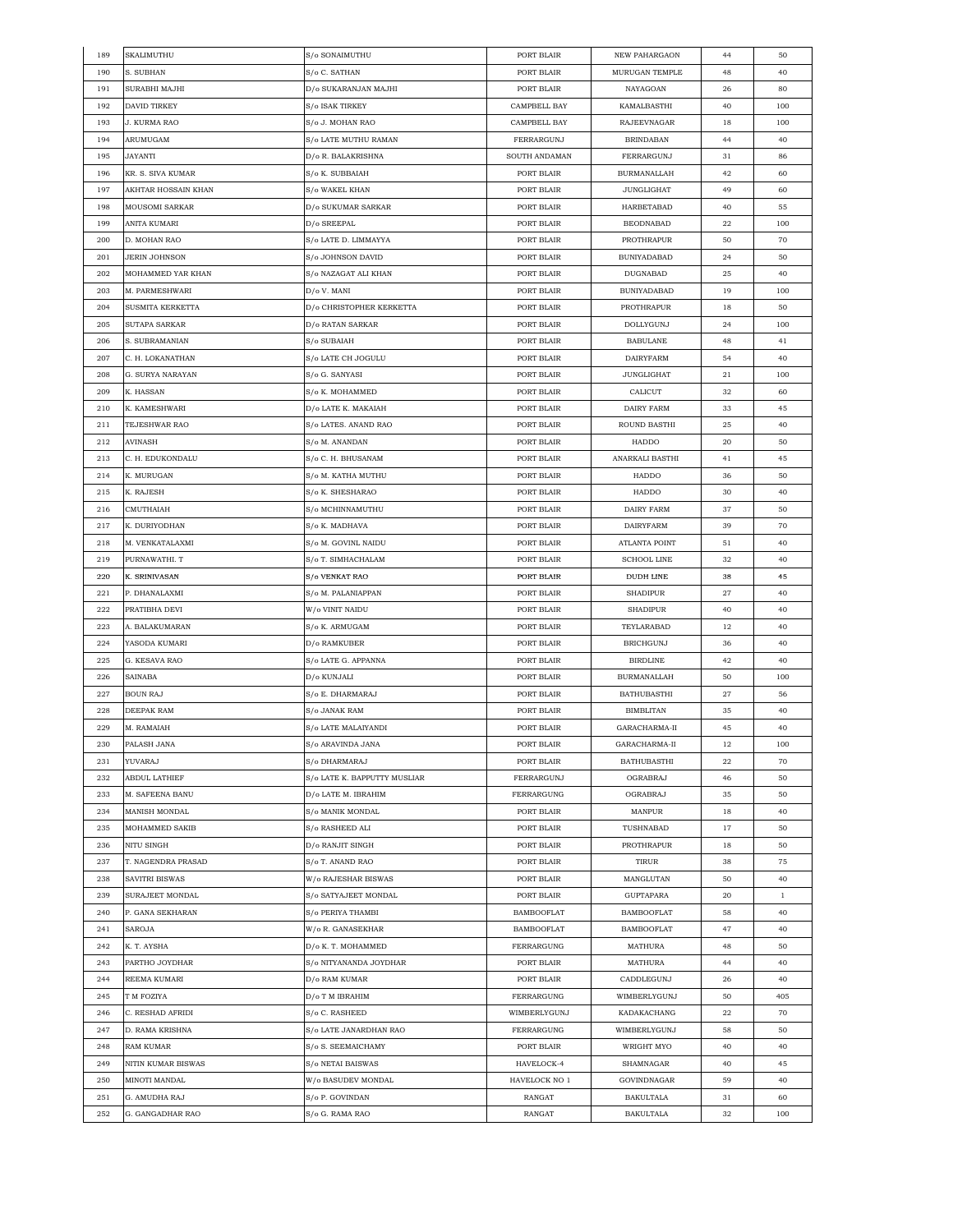| 189 | SKALIMUTHU           | S/o SONAIMUTHU               | PORT BLAIR          | NEW PAHARGAON        | 44 | 50           |
|-----|----------------------|------------------------------|---------------------|----------------------|----|--------------|
| 190 | S. SUBHAN            | S/o C. SATHAN                | PORT BLAIR          | MURUGAN TEMPLE       | 48 | 40           |
| 191 | SURABHI MAJHI        | D/o SUKARANJAN MAJHI         | PORT BLAIR          | NAYAGOAN             | 26 | 80           |
| 192 | <b>DAVID TIRKEY</b>  | S/o ISAK TIRKEY              | <b>CAMPBELL BAY</b> | KAMALBASTHI          | 40 | 100          |
| 193 | J. KURMA RAO         | S/o J. MOHAN RAO             | CAMPBELL BAY        | RAJEEVNAGAR          | 18 | 100          |
| 194 | ARUMUGAM             | S/o LATE MUTHU RAMAN         | FERRARGUNJ          | <b>BRINDABAN</b>     | 44 | 40           |
| 195 | JAYANTI              | D/o R. BALAKRISHNA           | SOUTH ANDAMAN       | FERRARGUNJ           | 31 | 86           |
| 196 | KR. S. SIVA KUMAR    | S/o K. SUBBAIAH              | PORT BLAIR          | <b>BURMANALLAH</b>   | 42 | 60           |
| 197 | AKHTAR HOSSAIN KHAN  | S/o WAKEL KHAN               | PORT BLAIR          | JUNGLIGHAT           | 49 | 60           |
| 198 | MOUSOMI SARKAR       | D/0 SUKUMAR SARKAR           | PORT BLAIR          | HARBETABAD           | 40 | 55           |
|     |                      |                              | PORT BLAIR          |                      |    | 100          |
| 199 | ANITA KUMARI         | D/o SREEPAL                  |                     | <b>BEODNABAD</b>     | 22 |              |
| 200 | D. MOHAN RAO         | S/o LATE D. LIMMAYYA         | PORT BLAIR          | PROTHRAPUR           | 50 | 70           |
| 201 | <b>JERIN JOHNSON</b> | S/o JOHNSON DAVID            | PORT BLAIR          | <b>BUNIYADABAD</b>   | 24 | 50           |
| 202 | MOHAMMED YAR KHAN    | S/o NAZAGAT ALI KHAN         | PORT BLAIR          | DUGNABAD             | 25 | 40           |
| 203 | M. PARMESHWARI       | D/o V. MANI                  | PORT BLAIR          | BUNIYADABAD          | 19 | 100          |
| 204 | SUSMITA KERKETTA     | D/o CHRISTOPHER KERKETTA     | PORT BLAIR          | PROTHRAPUR           | 18 | 50           |
| 205 | SUTAPA SARKAR        | D/o RATAN SARKAR             | PORT BLAIR          | DOLLYGUNJ            | 24 | 100          |
| 206 | S. SUBRAMANIAN       | S/o SUBAIAH                  | PORT BLAIR          | <b>BABULANE</b>      | 48 | 41           |
| 207 | C. H. LOKANATHAN     | S/o LATE CH JOGULU           | PORT BLAIR          | <b>DAIRYFARM</b>     | 54 | 40           |
| 208 | G. SURYA NARAYAN     | S/o G. SANYASI               | PORT BLAIR          | <b>JUNGLIGHAT</b>    | 21 | 100          |
| 209 | K. HASSAN            | S/o K. MOHAMMED              | PORT BLAIR          | CALICUT              | 32 | 60           |
| 210 | K. KAMESHWARI        | D/o LATE K. MAKAIAH          | PORT BLAIR          | DAIRY FARM           | 33 | 45           |
| 211 | <b>TEJESHWAR RAO</b> | S/o LATES. ANAND RAO         | PORT BLAIR          | ROUND BASTHI         | 25 | 40           |
| 212 | AVINASH              | S/o M. ANANDAN               | PORT BLAIR          | HADDO                | 20 | 50           |
| 213 | C. H. EDUKONDALU     | S/o C. H. BHUSANAM           | PORT BLAIR          | ANARKALI BASTHI      | 41 | 45           |
| 214 | K. MURUGAN           | S/o M. KATHA MUTHU           | PORT BLAIR          | HADDO                | 36 | 50           |
| 215 |                      | S/o K. SHESHARAO             | PORT BLAIR          | HADDO                | 30 | 40           |
|     | K. RAJESH            |                              |                     |                      |    |              |
| 216 | CMUTHAIAH            | S/o MCHINNAMUTHU             | PORT BLAIR          | DAIRY FARM           | 37 | 50           |
| 217 | K. DURIYODHAN        | S/o K. MADHAVA               | PORT BLAIR          | DAIRYFARM            | 39 | 70           |
| 218 | M. VENKATALAXMI      | S/o M. GOVINL NAIDU          | PORT BLAIR          | <b>ATLANTA POINT</b> | 51 | 40           |
| 219 | PURNAWATHI. T        | S/o T. SIMHACHALAM           | PORT BLAIR          | <b>SCHOOL LINE</b>   | 32 | 40           |
| 220 | K. SRINIVASAN        | S/o VENKAT RAO               | PORT BLAIR          | <b>DUDH LINE</b>     | 38 | 45           |
| 221 | P. DHANALAXMI        | S/o M. PALANIAPPAN           | PORT BLAIR          | <b>SHADIPUR</b>      | 27 | 40           |
| 222 | PRATIBHA DEVI        | W/o VINIT NAIDU              | PORT BLAIR          | SHADIPUR             | 40 | 40           |
| 223 | A. BALAKUMARAN       | S/o K. ARMUGAM               | PORT BLAIR          | TEYLARABAD           | 12 | 40           |
| 224 | YASODA KUMARI        | D/o RAMKUBER                 | PORT BLAIR          | <b>BRICHGUNJ</b>     | 36 | 40           |
| 225 | G. KESAVA RAO        | S/o LATE G. APPANNA          | PORT BLAIR          | <b>BIRDLINE</b>      | 42 | 40           |
| 226 | SAINABA              | D/o KUNJALI                  | PORT BLAIR          | <b>BURMANALLAH</b>   | 50 | 100          |
| 227 | BOUN RAJ             | S/o E. DHARMARAJ             | PORT BLAIR          | BATHUBASTHI          | 27 | 56           |
| 228 | DEEPAK RAM           | S/o JANAK RAM                | PORT BLAIR          | <b>BIMBLITAN</b>     | 35 | 40           |
| 229 | M. RAMAIAH           | S/o LATE MALAIYANDI          | PORT BLAIR          | GARACHARMA-II        | 45 | 40           |
| 230 | PALASH JANA          | S/o ARAVINDA JANA            | PORT BLAIR          | GARACHARMA-II        | 12 | 100          |
| 231 | YUVARAJ              | S/o DHARMARAJ                | PORT BLAIR          | <b>BATHUBASTHI</b>   | 22 | 70           |
| 232 | ABDUL LATHIEF        | S/o LATE K. BAPPUTTY MUSLIAR | FERRARGUNJ          | OGRABRAJ             | 46 | 50           |
| 233 | M. SAFEENA BANU      | D/o LATE M. IBRAHIM          | FERRARGUNG          | OGRABRAJ             | 35 | 50           |
| 234 | <b>MANISH MONDAL</b> | S/o MANIK MONDAL             | PORT BLAIR          | MANPUR               | 18 | 40           |
| 235 | MOHAMMED SAKIB       | S/o RASHEED ALI              | PORT BLAIR          | TUSHNABAD            | 17 | 50           |
|     |                      | D/o RANJIT SINGH             |                     |                      |    | 50           |
| 236 | NITU SINGH           |                              | PORT BLAIR          | PROTHRAPUR           | 18 |              |
| 237 | T. NAGENDRA PRASAD   | S/o T. ANAND RAO             | PORT BLAIR          | TIRUR                | 38 | 75           |
| 238 | SAVITRI BISWAS       | W/o RAJESHAR BISWAS          | PORT BLAIR          | MANGLUTAN            | 50 | 40           |
| 239 | SURAJEET MONDAL      | S/o SATYAJEET MONDAL         | PORT BLAIR          | GUPTAPARA            | 20 | $\mathbf{1}$ |
| 240 | P. GANA SEKHARAN     | S/o PERIYA THAMBI            | <b>BAMBOOFLAT</b>   | <b>BAMBOOFLAT</b>    | 58 | 40           |
| 241 | SAROJA               | W/o R. GANASEKHAR            | <b>BAMBOOFLAT</b>   | <b>BAMBOOFLAT</b>    | 47 | 40           |
| 242 | K. T. AYSHA          | D/o K. T. MOHAMMED           | FERRARGUNG          | MATHURA              | 48 | 50           |
| 243 | PARTHO JOYDHAR       | S/o NITYANANDA JOYDHAR       | PORT BLAIR          | MATHURA              | 44 | 40           |
| 244 | REEMA KUMARI         | D/o RAM KUMAR                | PORT BLAIR          | CADDLEGUNJ           | 26 | 40           |
| 245 | T M FOZIYA           | D/o T M IBRAHIM              | FERRARGUNG          | WIMBERLYGUNJ         | 50 | 405          |
| 246 | C. RESHAD AFRIDI     | S/o C. RASHEED               | WIMBERLYGUNJ        | KADAKACHANG          | 22 | 70           |
| 247 | D. RAMA KRISHNA      | S/o LATE JANARDHAN RAO       | FERRARGUNG          | WIMBERLYGUNJ         | 58 | 50           |
| 248 | RAM KUMAR            | S/o S. SEEMAICHAMY           | PORT BLAIR          | WRIGHT MYO           | 40 | 40           |
| 249 | NITIN KUMAR BISWAS   | S/o NETAI BAISWAS            | HAVELOCK-4          | SHAMNAGAR            | 40 | 45           |
| 250 | MINOTI MANDAL        | W/o BASUDEV MONDAL           | HAVELOCK NO 1       | GOVINDNAGAR          | 59 | 40           |
|     |                      |                              |                     |                      |    | 60           |
| 251 | G. AMUDHA RAJ        | S/o P. GOVINDAN              | RANGAT              | <b>BAKULTALA</b>     | 31 |              |
| 252 | G. GANGADHAR RAO     | S/o G. RAMA RAO              | RANGAT              | <b>BAKULTALA</b>     | 32 | 100          |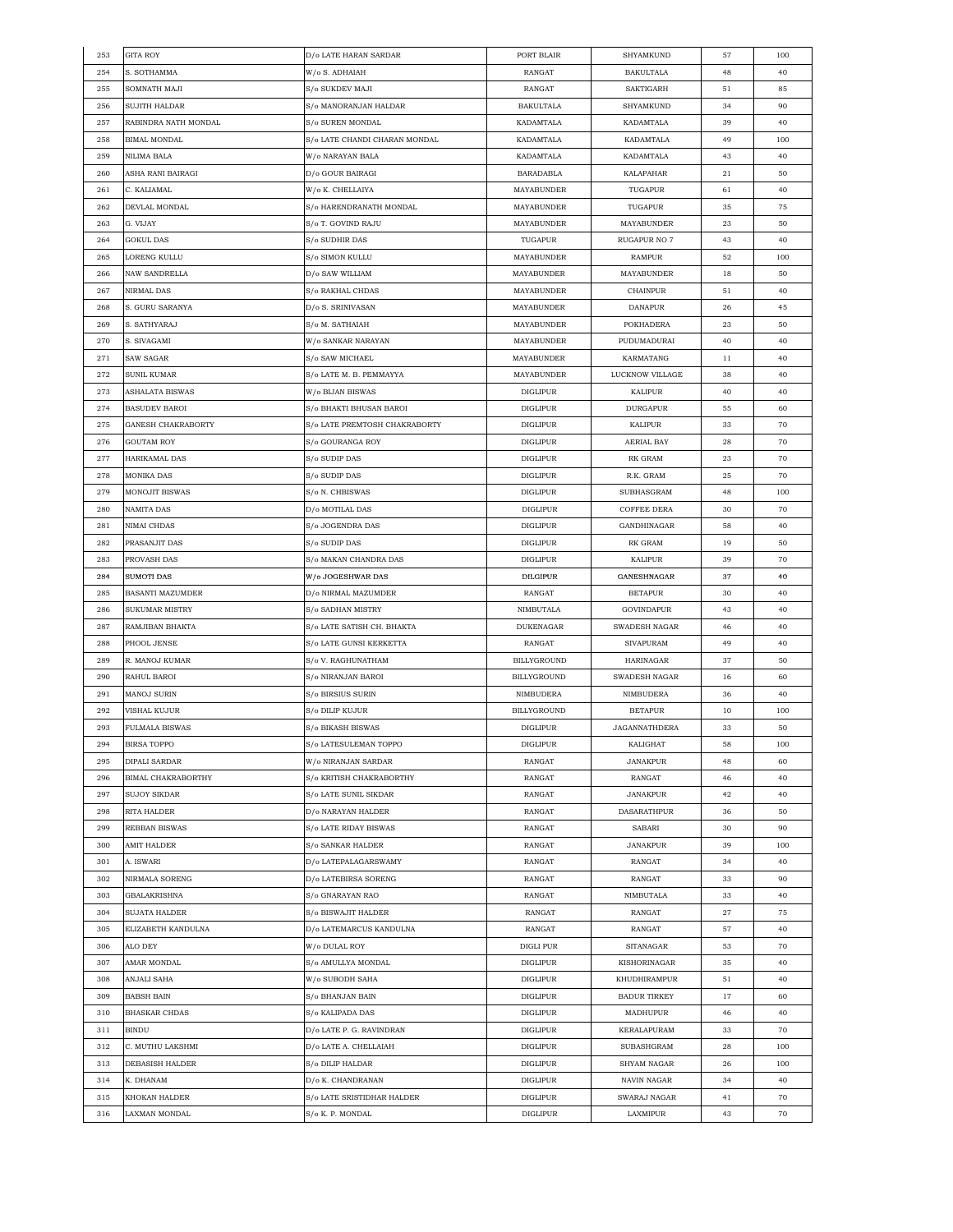| 253 | <b>GITA ROY</b>         | D/o LATE HARAN SARDAR         | PORT BLAIR        | <b>SHYAMKUND</b>     | 57          | 100 |
|-----|-------------------------|-------------------------------|-------------------|----------------------|-------------|-----|
| 254 | S. SOTHAMMA             | W/o S. ADHAIAH                | <b>RANGAT</b>     | <b>BAKULTALA</b>     | 48          | 40  |
| 255 | SOMNATH MAJI            | S/o SUKDEV MAJI               | <b>RANGAT</b>     | <b>SAKTIGARH</b>     | 51          | 85  |
| 256 | SUJITH HALDAR           | S/o MANORANJAN HALDAR         | <b>BAKULTALA</b>  | SHYAMKUND            | 34          | 90  |
| 257 | RABINDRA NATH MONDAL    | S/o SUREN MONDAL              | KADAMTALA         | KADAMTALA            | 39          | 40  |
| 258 | <b>BIMAL MONDAL</b>     | S/o LATE CHANDI CHARAN MONDAL | KADAMTALA         | KADAMTALA            | 49          | 100 |
| 259 | NILIMA BALA             | W/o NARAYAN BALA              | KADAMTALA         | KADAMTALA            | 43          | 40  |
| 260 | ASHA RANI BAIRAGI       | D/o GOUR BAIRAGI              | <b>BARADABLA</b>  | KALAPAHAR            | 21          | 50  |
| 261 | C. KALIAMAL             | W/o K. CHELLAIYA              | <b>MAYABUNDER</b> | TUGAPUR              | 61          | 40  |
| 262 | DEVLAL MONDAL           | S/o HARENDRANATH MONDAL       | MAYABUNDER        | TUGAPUR              | 35          | 75  |
|     |                         |                               | <b>MAYABUNDER</b> |                      |             |     |
| 263 | G. VIJAY                | S/o T. GOVIND RAJU            |                   | MAYABUNDER           | 23          | 50  |
| 264 | <b>GOKUL DAS</b>        | S/o SUDHIR DAS                | TUGAPUR           | <b>RUGAPUR NO 7</b>  | 43          | 40  |
| 265 | LORENG KULLU            | S/o SIMON KULLU               | MAYABUNDER        | RAMPUR               | 52          | 100 |
| 266 | <b>NAW SANDRELLA</b>    | D/o SAW WILLIAM               | MAYABUNDER        | MAYABUNDER           | 18          | 50  |
| 267 | NIRMAL DAS              | S/o RAKHAL CHDAS              | MAYABUNDER        | CHAINPUR             | 51          | 40  |
| 268 | S. GURU SARANYA         | D/o S. SRINIVASAN             | MAYABUNDER        | <b>DANAPUR</b>       | 26          | 45  |
| 269 | S. SATHYARAJ            | S/o M. SATHAIAH               | MAYABUNDER        | POKHADERA            | 23          | 50  |
| 270 | S. SIVAGAMI             | W/o SANKAR NARAYAN            | MAYABUNDER        | PUDUMADURAI          | 40          | 40  |
| 271 | SAW SAGAR               | S/o SAW MICHAEL               | MAYABUNDER        | KARMATANG            | 11          | 40  |
| 272 | SUNIL KUMAR             | S/o LATE M. B. PEMMAYYA       | MAYABUNDER        | LUCKNOW VILLAGE      | 38          | 40  |
| 273 | ASHALATA BISWAS         | W/o BIJAN BISWAS              | <b>DIGLIPUR</b>   | KALIPUR              | 40          | 40  |
| 274 | <b>BASUDEV BAROI</b>    | S/o BHAKTI BHUSAN BAROI       | <b>DIGLIPUR</b>   | <b>DURGAPUR</b>      | 55          | 60  |
| 275 | GANESH CHAKRABORTY      | S/o LATE PREMTOSH CHAKRABORTY | <b>DIGLIPUR</b>   | KALIPUR              | 33          | 70  |
| 276 | <b>GOUTAM ROY</b>       | S/o GOURANGA ROY              | <b>DIGLIPUR</b>   | AERIAL BAY           | 28          | 70  |
| 277 | HARIKAMAL DAS           | S/o SUDIP DAS                 | DIGLIPUR          | RK GRAM              | 23          | 70  |
| 278 | <b>MONIKA DAS</b>       | S/o SUDIP DAS                 | <b>DIGLIPUR</b>   | R.K. GRAM            | 25          | 70  |
| 279 | MONOJIT BISWAS          | S/o N. CHBISWAS               | <b>DIGLIPUR</b>   | SUBHASGRAM           | 48          | 100 |
|     |                         |                               |                   |                      |             |     |
| 280 | NAMITA DAS              | D/o MOTILAL DAS               | <b>DIGLIPUR</b>   | <b>COFFEE DERA</b>   | 30          | 70  |
| 281 | NIMAI CHDAS             | S/o JOGENDRA DAS              | DIGLIPUR          | GANDHINAGAR          | 58          | 40  |
| 282 | PRASANJIT DAS           | S/o SUDIP DAS                 | DIGLIPUR          | RK GRAM              | 19          | 50  |
| 283 | PROVASH DAS             | S/o MAKAN CHANDRA DAS         | <b>DIGLIPUR</b>   | KALIPUR              | 39          | 70  |
| 284 | SUMOTI DAS              | W/o JOGESHWAR DAS             | <b>DILGIPUR</b>   | GANESHNAGAR          | 37          | 40  |
| 285 | <b>BASANTI MAZUMDER</b> | D/o NIRMAL MAZUMDER           | RANGAT            | <b>BETAPUR</b>       | 30          | 40  |
| 286 | <b>SUKUMAR MISTRY</b>   | S/o SADHAN MISTRY             | NIMBUTALA         | GOVINDAPUR           | 43          | 40  |
| 287 | RAMJIBAN BHAKTA         | S/o LATE SATISH CH. BHAKTA    | DUKENAGAR         | SWADESH NAGAR        | 46          | 40  |
| 288 | PHOOL JENSE             | S/o LATE GUNSI KERKETTA       | RANGAT            | <b>SIVAPURAM</b>     | 49          | 40  |
| 289 | R. MANOJ KUMAR          | S/o V. RAGHUNATHAM            | BILLYGROUND       | HARINAGAR            | 37          | 50  |
| 290 | RAHUL BAROI             | S/o NIRANJAN BAROI            | BILLYGROUND       | SWADESH NAGAR        | 16          | 60  |
| 291 | MANOJ SURIN             | S/o BIRSIUS SURIN             | NIMBUDERA         | NIMBUDERA            | 36          | 40  |
| 292 | VISHAL KUJUR            | S/o DILIP KUJUR               | BILLYGROUND       | <b>BETAPUR</b>       | 10          | 100 |
| 293 | <b>FULMALA BISWAS</b>   | S/o BIKASH BISWAS             | <b>DIGLIPUR</b>   | <b>JAGANNATHDERA</b> | 33          | 50  |
| 294 | BIRSA TOPPO             | S/o LATESULEMAN TOPPO         | <b>DIGLIPUR</b>   | <b>KALIGHAT</b>      | 58          | 100 |
| 295 | <b>DIPALI SARDAR</b>    | W/o NIRANJAN SARDAR           | RANGAT            | <b>JANAKPUR</b>      | 48          | 60  |
| 296 | BIMAL CHAKRABORTHY      | S/o KRITISH CHAKRABORTHY      | RANGAT            | RANGAT               | 46          | 40  |
| 297 | <b>SUJOY SIKDAR</b>     | S/o LATE SUNIL SIKDAR         | RANGAT            | JANAKPUR             | 42          | 40  |
| 298 | RITA HALDER             | D/o NARAYAN HALDER            | RANGAT            | DASARATHPUR          | 36          | 50  |
| 299 | <b>REBBAN BISWAS</b>    | S/o LATE RIDAY BISWAS         | RANGAT            | SABARI               | 30          | 90  |
| 300 |                         |                               | RANGAT            | <b>JANAKPUR</b>      | 39          | 100 |
|     | AMIT HALDER             | S/o SANKAR HALDER             |                   |                      |             |     |
| 301 | A. ISWARI               | D/o LATEPALAGARSWAMY          | RANGAT            | RANGAT               | 34          | 40  |
| 302 | NIRMALA SORENG          | D/o LATEBIRSA SORENG          | RANGAT            | RANGAT               | 33          | 90  |
| 303 | GBALAKRISHNA            | S/o GNARAYAN RAO              | RANGAT            | NIMBUTALA            | 33          | 40  |
| 304 | <b>SUJATA HALDER</b>    | S/o BISWAJIT HALDER           | RANGAT            | RANGAT               | $\sqrt{27}$ | 75  |
| 305 | ELIZABETH KANDULNA      | D/o LATEMARCUS KANDULNA       | RANGAT            | RANGAT               | 57          | 40  |
| 306 | ALO DEY                 | W/o DULAL ROY                 | DIGLI PUR         | SITANAGAR            | 53          | 70  |
| 307 | AMAR MONDAL             | S/o AMULLYA MONDAL            | DIGLIPUR          | KISHORINAGAR         | 35          | 40  |
| 308 | ANJALI SAHA             | W/o SUBODH SAHA               | <b>DIGLIPUR</b>   | KHUDHIRAMPUR         | 51          | 40  |
| 309 | <b>BABSH BAIN</b>       | S/o BHANJAN BAIN              | <b>DIGLIPUR</b>   | <b>BADUR TIRKEY</b>  | 17          | 60  |
| 310 | <b>BHASKAR CHDAS</b>    | S/o KALIPADA DAS              | <b>DIGLIPUR</b>   | MADHUPUR             | 46          | 40  |
| 311 | <b>BINDU</b>            | D/o LATE P. G. RAVINDRAN      | DIGLIPUR          | KERALAPURAM          | 33          | 70  |
| 312 | C. MUTHU LAKSHMI        | D/o LATE A. CHELLAIAH         | DIGLIPUR          | SUBASHGRAM           | 28          | 100 |
| 313 | DEBASISH HALDER         | S/o DILIP HALDAR              | <b>DIGLIPUR</b>   | SHYAM NAGAR          | 26          | 100 |
| 314 | K. DHANAM               | D/o K. CHANDRANAN             | <b>DIGLIPUR</b>   | NAVIN NAGAR          | 34          | 40  |
| 315 | KHOKAN HALDER           | S/o LATE SRISTIDHAR HALDER    | <b>DIGLIPUR</b>   | SWARAJ NAGAR         | 41          | 70  |
|     |                         | S/o K. P. MONDAL              |                   |                      |             |     |
| 316 | LAXMAN MONDAL           |                               | <b>DIGLIPUR</b>   | LAXMIPUR             | 43          | 70  |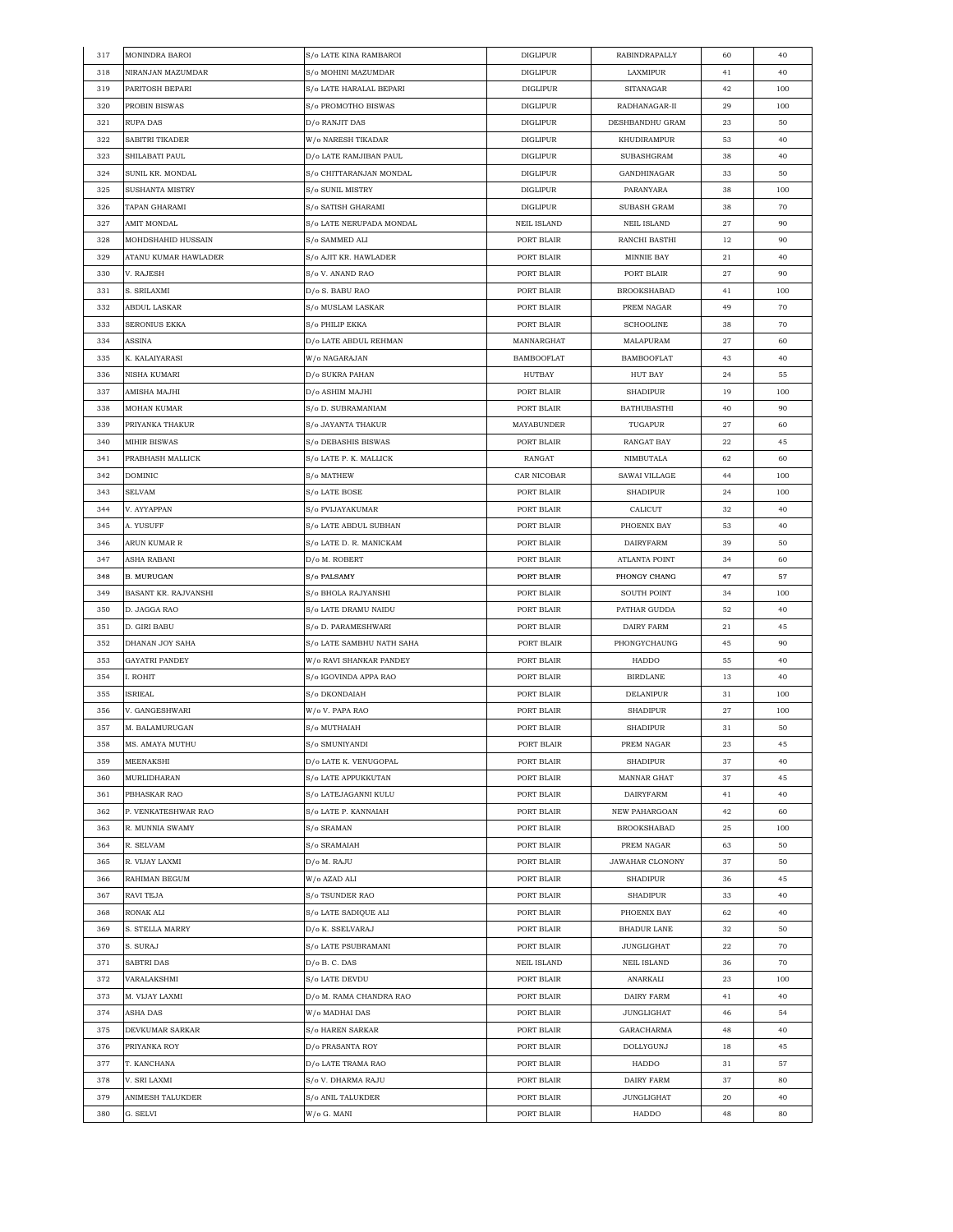| 317 | MONINDRA BAROI       | S/o LATE KINA RAMBAROI    | <b>DIGLIPUR</b>    | RABINDRAPALLY                 | 60 | 40  |
|-----|----------------------|---------------------------|--------------------|-------------------------------|----|-----|
| 318 | NIRANJAN MAZUMDAR    | S/o MOHINI MAZUMDAR       | <b>DIGLIPUR</b>    | LAXMIPUR                      | 41 | 40  |
| 319 | PARITOSH BEPARI      | S/o LATE HARALAL BEPARI   | <b>DIGLIPUR</b>    | SITANAGAR                     | 42 | 100 |
| 320 | PROBIN BISWAS        | S/o PROMOTHO BISWAS       | <b>DIGLIPUR</b>    | RADHANAGAR-II                 | 29 | 100 |
| 321 | RUPA DAS             | D/o RANJIT DAS            | <b>DIGLIPUR</b>    | DESHBANDHU GRAM               | 23 | 50  |
| 322 | SABITRI TIKADER      | W/o NARESH TIKADAR        | <b>DIGLIPUR</b>    | KHUDIRAMPUR                   | 53 | 40  |
| 323 | SHILABATI PAUL       | D/o LATE RAMJIBAN PAUL    | <b>DIGLIPUR</b>    | SUBASHGRAM                    | 38 | 40  |
| 324 | SUNIL KR. MONDAL     | S/o CHITTARANJAN MONDAL   | <b>DIGLIPUR</b>    | GANDHINAGAR                   | 33 | 50  |
| 325 | SUSHANTA MISTRY      | S/o SUNIL MISTRY          | <b>DIGLIPUR</b>    | PARANYARA                     | 38 | 100 |
| 326 | TAPAN GHARAMI        | S/o SATISH GHARAMI        | <b>DIGLIPUR</b>    | <b>SUBASH GRAM</b>            | 38 | 70  |
| 327 | AMIT MONDAL          | S/o LATE NERUPADA MONDAL  | <b>NEIL ISLAND</b> | NEIL ISLAND                   | 27 | 90  |
| 328 | MOHDSHAHID HUSSAIN   | S/o SAMMED ALI            | PORT BLAIR         | RANCHI BASTHI                 | 12 | 90  |
|     |                      |                           |                    |                               |    |     |
| 329 | ATANU KUMAR HAWLADER | S/o AJIT KR. HAWLADER     | PORT BLAIR         | MINNIE BAY                    | 21 | 40  |
| 330 | V. RAJESH            | S/o V. ANAND RAO          | PORT BLAIR         | PORT BLAIR                    | 27 | 90  |
| 331 | S. SRILAXMI          | D/o S. BABU RAO           | PORT BLAIR         | <b>BROOKSHABAD</b>            | 41 | 100 |
| 332 | ABDUL LASKAR         | S/o MUSLAM LASKAR         | PORT BLAIR         | PREM NAGAR                    | 49 | 70  |
| 333 | SERONIUS EKKA        | S/o PHILIP EKKA           | PORT BLAIR         | <b>SCHOOLINE</b>              | 38 | 70  |
| 334 | ASSINA               | D/o LATE ABDUL REHMAN     | MANNARGHAT         | MALAPURAM                     | 27 | 60  |
| 335 | K. KALAIYARASI       | W/o NAGARAJAN             | <b>BAMBOOFLAT</b>  | <b>BAMBOOFLAT</b>             | 43 | 40  |
| 336 | NISHA KUMARI         | D/o SUKRA PAHAN           | HUTBAY             | <b>HUT BAY</b>                | 24 | 55  |
| 337 | AMISHA MAJHI         | D/o ASHIM MAJHI           | PORT BLAIR         | <b>SHADIPUR</b>               | 19 | 100 |
| 338 | MOHAN KUMAR          | S/o D. SUBRAMANIAM        | PORT BLAIR         | <b>BATHUBASTHI</b>            | 40 | 90  |
| 339 | PRIYANKA THAKUR      | S/o JAYANTA THAKUR        | <b>MAYABUNDER</b>  | TUGAPUR                       | 27 | 60  |
| 340 | <b>MIHIR BISWAS</b>  | S/o DEBASHIS BISWAS       | PORT BLAIR         | <b>RANGAT BAY</b>             | 22 | 45  |
| 341 | PRABHASH MALLICK     | S/o LATE P. K. MALLICK    | RANGAT             | NIMBUTALA                     | 62 | 60  |
| 342 | DOMINIC              | S/o MATHEW                | CAR NICOBAR        | SAWAI VILLAGE                 | 44 | 100 |
| 343 | SELVAM               | S/o LATE BOSE             | PORT BLAIR         | <b>SHADIPUR</b>               | 24 | 100 |
| 344 | V. AYYAPPAN          | S/o PVIJAYAKUMAR          | PORT BLAIR         | CALICUT                       | 32 | 40  |
| 345 | A. YUSUFF            | S/o LATE ABDUL SUBHAN     | PORT BLAIR         | PHOENIX BAY                   | 53 | 40  |
| 346 | ARUN KUMAR R         | S/o LATE D. R. MANICKAM   | PORT BLAIR         | <b>DAIRYFARM</b>              | 39 | 50  |
| 347 | ASHA RABANI          | D/o M. ROBERT             | PORT BLAIR         | ATLANTA POINT                 | 34 | 60  |
| 348 | B. MURUGAN           | S/o PALSAMY               | PORT BLAIR         | PHONGY CHANG                  | 47 | 57  |
| 349 | BASANT KR. RAJVANSHI | S/o BHOLA RAJYANSHI       | PORT BLAIR         | SOUTH POINT                   | 34 | 100 |
| 350 | D. JAGGA RAO         | S/o LATE DRAMU NAIDU      | PORT BLAIR         | PATHAR GUDDA                  | 52 | 40  |
| 351 | D. GIRI BABU         | S/o D. PARAMESHWARI       | PORT BLAIR         | DAIRY FARM                    | 21 | 45  |
| 352 | DHANAN JOY SAHA      | S/o LATE SAMBHU NATH SAHA | PORT BLAIR         | PHONGYCHAUNG                  | 45 | 90  |
| 353 | GAYATRI PANDEY       | W/o RAVI SHANKAR PANDEY   | PORT BLAIR         | HADDO                         | 55 | 40  |
| 354 | . ROHIT              | S/o IGOVINDA APPA RAO     | PORT BLAIR         | <b>BIRDLANE</b>               | 13 | 40  |
| 355 | ISRIEAL              | S/o DKONDAIAH             | PORT BLAIR         | DELANIPUR                     | 31 | 100 |
| 356 | V. GANGESHWARI       | W/o V. PAPA RAO           | PORT BLAIR         | <b>SHADIPUR</b>               | 27 | 100 |
|     | M. BALAMURUGAN       |                           | PORT BLAIR         |                               |    | 50  |
| 357 | MS. AMAYA MUTHU      | S/o MUTHAIAH              | PORT BLAIR         | <b>SHADIPUR</b><br>PREM NAGAR | 31 |     |
| 358 |                      | S/o SMUNIYANDI            |                    |                               | 23 | 45  |
| 359 | MEENAKSHI            | D/o LATE K. VENUGOPAL     | PORT BLAIR         | <b>SHADIPUR</b>               | 37 | 40  |
| 360 | MURLIDHARAN          | S/o LATE APPUKKUTAN       | PORT BLAIR         | <b>MANNAR GHAT</b>            | 37 | 45  |
| 361 | PBHASKAR RAO         | S/o LATEJAGANNI KULU      | PORT BLAIR         | <b>DAIRYFARM</b>              | 41 | 40  |
| 362 | P. VENKATESHWAR RAO  | S/o LATE P. KANNAIAH      | PORT BLAIR         | <b>NEW PAHARGOAN</b>          | 42 | 60  |
| 363 | R. MUNNIA SWAMY      | S/o SRAMAN                | PORT BLAIR         | <b>BROOKSHABAD</b>            | 25 | 100 |
| 364 | R. SELVAM            | S/o SRAMAIAH              | PORT BLAIR         | PREM NAGAR                    | 63 | 50  |
| 365 | R. VIJAY LAXMI       | D/o M. RAJU               | PORT BLAIR         | <b>JAWAHAR CLONONY</b>        | 37 | 50  |
| 366 | RAHIMAN BEGUM        | W/o AZAD ALI              | PORT BLAIR         | <b>SHADIPUR</b>               | 36 | 45  |
| 367 | RAVI TEJA            | S/o TSUNDER RAO           | PORT BLAIR         | <b>SHADIPUR</b>               | 33 | 40  |
| 368 | RONAK ALI            | S/o LATE SADIQUE ALI      | PORT BLAIR         | PHOENIX BAY                   | 62 | 40  |
| 369 | S. STELLA MARRY      | D/o K. SSELVARAJ          | PORT BLAIR         | <b>BHADUR LANE</b>            | 32 | 50  |
| 370 | S. SURAJ             | S/o LATE PSUBRAMANI       | PORT BLAIR         | <b>JUNGLIGHAT</b>             | 22 | 70  |
| 371 | SABTRI DAS           | D/o B. C. DAS             | <b>NEIL ISLAND</b> | <b>NEIL ISLAND</b>            | 36 | 70  |
| 372 | VARALAKSHMI          | S/o LATE DEVDU            | PORT BLAIR         | ANARKALI                      | 23 | 100 |
| 373 | M. VIJAY LAXMI       | D/o M. RAMA CHANDRA RAO   | PORT BLAIR         | DAIRY FARM                    | 41 | 40  |
| 374 | ASHA DAS             | W/o MADHAI DAS            | PORT BLAIR         | JUNGLIGHAT                    | 46 | 54  |
| 375 | DEVKUMAR SARKAR      | S/o HAREN SARKAR          | PORT BLAIR         | GARACHARMA                    | 48 | 40  |
| 376 | PRIYANKA ROY         | D/o PRASANTA ROY          | PORT BLAIR         | DOLLYGUNJ                     | 18 | 45  |
| 377 | T. KANCHANA          | D/o LATE TRAMA RAO        | PORT BLAIR         | HADDO                         | 31 | 57  |
| 378 | V. SRI LAXMI         | S/o V. DHARMA RAJU        | PORT BLAIR         | DAIRY FARM                    | 37 | 80  |
| 379 | ANIMESH TALUKDER     | S/o ANIL TALUKDER         | PORT BLAIR         | <b>JUNGLIGHAT</b>             | 20 | 40  |
| 380 | G. SELVI             | W/o G. MANI               | PORT BLAIR         | HADDO                         | 48 | 80  |
|     |                      |                           |                    |                               |    |     |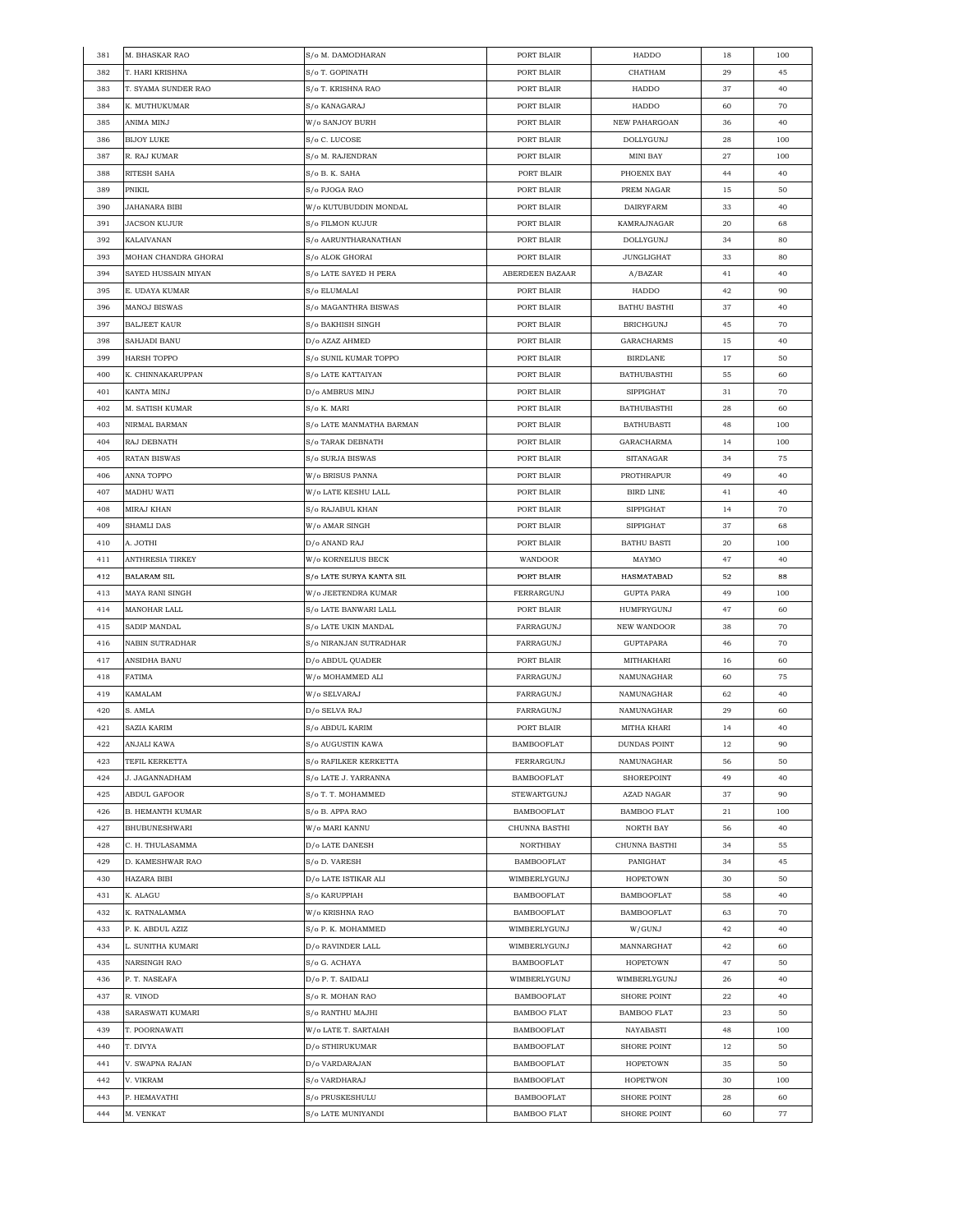| 381 | M. BHASKAR RAO          | S/o M. DAMODHARAN        | PORT BLAIR         | HADDO               | 18 | 100 |
|-----|-------------------------|--------------------------|--------------------|---------------------|----|-----|
| 382 | T. HARI KRISHNA         | S/o T. GOPINATH          | PORT BLAIR         | CHATHAM             | 29 | 45  |
| 383 | T. SYAMA SUNDER RAO     | S/o T. KRISHNA RAO       | PORT BLAIR         | HADDO               | 37 | 40  |
| 384 | K. MUTHUKUMAR           | S/o KANAGARAJ            | PORT BLAIR         | HADDO               | 60 | 70  |
| 385 | ANIMA MINJ              | W/o SANJOY BURH          | PORT BLAIR         | NEW PAHARGOAN       | 36 | 40  |
| 386 | <b>BIJOY LUKE</b>       | S/o C. LUCOSE            | PORT BLAIR         | DOLLYGUNJ           | 28 | 100 |
| 387 | R. RAJ KUMAR            | S/o M. RAJENDRAN         | PORT BLAIR         | <b>MINI BAY</b>     | 27 | 100 |
| 388 | RITESH SAHA             | S/o B. K. SAHA           | PORT BLAIR         | PHOENIX BAY         | 44 | 40  |
| 389 | PNIKIL                  | S/o PJOGA RAO            | PORT BLAIR         | PREM NAGAR          | 15 | 50  |
| 390 | JAHANARA BIBI           | W/o KUTUBUDDIN MONDAL    | PORT BLAIR         | <b>DAIRYFARM</b>    | 33 | 40  |
| 391 | JACSON KUJUR            | S/o FILMON KUJUR         | PORT BLAIR         | KAMRAJNAGAR         | 20 | 68  |
|     |                         |                          |                    |                     |    |     |
| 392 | KALAIVANAN              | S/o AARUNTHARANATHAN     | PORT BLAIR         | DOLLYGUNJ           | 34 | 80  |
| 393 | MOHAN CHANDRA GHORAI    | S/o ALOK GHORAI          | PORT BLAIR         | <b>JUNGLIGHAT</b>   | 33 | 80  |
| 394 | SAYED HUSSAIN MIYAN     | S/o LATE SAYED H PERA    | ABERDEEN BAZAAR    | A/BAZAR             | 41 | 40  |
| 395 | E. UDAYA KUMAR          | S/o ELUMALAI             | PORT BLAIR         | HADDO               | 42 | 90  |
| 396 | MANOJ BISWAS            | S/o MAGANTHRA BISWAS     | PORT BLAIR         | <b>BATHU BASTHI</b> | 37 | 40  |
| 397 | <b>BALJEET KAUR</b>     | S/o BAKHISH SINGH        | PORT BLAIR         | <b>BRICHGUNJ</b>    | 45 | 70  |
| 398 | SAHJADI BANU            | D/o AZAZ AHMED           | PORT BLAIR         | <b>GARACHARMS</b>   | 15 | 40  |
| 399 | <b>HARSH TOPPO</b>      | S/o SUNIL KUMAR TOPPO    | PORT BLAIR         | <b>BIRDLANE</b>     | 17 | 50  |
| 400 | K. CHINNAKARUPPAN       | S/o LATE KATTAIYAN       | PORT BLAIR         | <b>BATHUBASTHI</b>  | 55 | 60  |
| 401 | KANTA MINJ              | D/o AMBRUS MINJ          | PORT BLAIR         | <b>SIPPIGHAT</b>    | 31 | 70  |
| 402 | M. SATISH KUMAR         | S/o K. MARI              | PORT BLAIR         | <b>BATHUBASTHI</b>  | 28 | 60  |
| 403 | NIRMAL BARMAN           | S/o LATE MANMATHA BARMAN | PORT BLAIR         | <b>BATHUBASTI</b>   | 48 | 100 |
| 404 | RAJ DEBNATH             | S/o TARAK DEBNATH        | PORT BLAIR         | GARACHARMA          | 14 | 100 |
| 405 | RATAN BISWAS            | S/o SURJA BISWAS         | PORT BLAIR         | SITANAGAR           | 34 | 75  |
| 406 | ANNA TOPPO              | W/o BRISUS PANNA         | PORT BLAIR         | PROTHRAPUR          | 49 | 40  |
| 407 | MADHU WATI              | W/o LATE KESHU LALL      | PORT BLAIR         | <b>BIRD LINE</b>    | 41 | 40  |
| 408 | MIRAJ KHAN              | S/o RAJABUL KHAN         | PORT BLAIR         | <b>SIPPIGHAT</b>    | 14 | 70  |
| 409 | SHAMLI DAS              | W/o AMAR SINGH           | PORT BLAIR         | <b>SIPPIGHAT</b>    | 37 | 68  |
|     |                         |                          |                    |                     |    | 100 |
| 410 | A. JOTHI                | D/o ANAND RAJ            | PORT BLAIR         | <b>BATHU BASTI</b>  | 20 |     |
| 411 | ANTHRESIA TIRKEY        | W/o KORNELIUS BECK       | WANDOOR            | MAYMO               | 47 | 40  |
| 412 | <b>BALARAM SIL</b>      | S/o LATE SURYA KANTA SIL | PORT BLAIR         | HASMATABAD          | 52 | 88  |
| 413 | MAYA RANI SINGH         | W/o JEETENDRA KUMAR      | FERRARGUNJ         | <b>GUPTA PARA</b>   | 49 | 100 |
| 414 | MANOHAR LALL            | S/o LATE BANWARI LALL    | PORT BLAIR         | HUMFRYGUNJ          | 47 | 60  |
| 415 | SADIP MANDAL            | S/o LATE UKIN MANDAL     | FARRAGUNJ          | NEW WANDOOR         | 38 | 70  |
| 416 | NABIN SUTRADHAR         | S/o NIRANJAN SUTRADHAR   | FARRAGUNJ          | <b>GUPTAPARA</b>    | 46 | 70  |
| 417 | ANSIDHA BANU            | D/o ABDUL QUADER         | PORT BLAIR         | MITHAKHARI          | 16 | 60  |
| 418 | <b>FATIMA</b>           | W/o MOHAMMED ALI         | FARRAGUNJ          | NAMUNAGHAR          | 60 | 75  |
| 419 | <b>KAMALAM</b>          | W/o SELVARAJ             | FARRAGUNJ          | NAMUNAGHAR          | 62 | 40  |
| 420 | S. AMLA                 | D/o SELVA RAJ            | FARRAGUNJ          | NAMUNAGHAR          | 29 | 60  |
| 421 | SAZIA KARIM             | S/o ABDUL KARIM          | PORT BLAIR         | MITHA KHARI         | 14 | 40  |
| 422 | ANJALI KAWA             | S/o AUGUSTIN KAWA        | <b>BAMBOOFLAT</b>  | <b>DUNDAS POINT</b> | 12 | 90  |
| 423 | TEFIL KERKETTA          | S/o RAFILKER KERKETTA    | FERRARGUNJ         | NAMUNAGHAR          | 56 | 50  |
| 424 | J. JAGANNADHAM          | S/o LATE J. YARRANNA     | <b>BAMBOOFLAT</b>  | SHOREPOINT          | 49 | 40  |
| 425 | ABDUL GAFOOR            | S/o T. T. MOHAMMED       | STEWARTGUNJ        | AZAD NAGAR          | 37 | 90  |
| 426 | <b>B. HEMANTH KUMAR</b> | S/o B. APPA RAO          | <b>BAMBOOFLAT</b>  | <b>BAMBOO FLAT</b>  | 21 | 100 |
| 427 | <b>BHUBUNESHWARI</b>    | W/o MARI KANNU           | CHUNNA BASTHI      | NORTH BAY           | 56 | 40  |
| 428 | C. H. THULASAMMA        | D/o LATE DANESH          | NORTHBAY           | CHUNNA BASTHI       | 34 | 55  |
| 429 | D. KAMESHWAR RAO        | S/o D. VARESH            | <b>BAMBOOFLAT</b>  | PANIGHAT            | 34 | 45  |
| 430 | HAZARA BIBI             | D/o LATE ISTIKAR ALI     | WIMBERLYGUNJ       | <b>HOPETOWN</b>     | 30 | 50  |
| 431 | K. ALAGU                | S/o KARUPPIAH            | <b>BAMBOOFLAT</b>  | <b>BAMBOOFLAT</b>   | 58 | 40  |
| 432 | K. RATNALAMMA           | W/o KRISHNA RAO          | <b>BAMBOOFLAT</b>  | <b>BAMBOOFLAT</b>   | 63 | 70  |
| 433 | P. K. ABDUL AZIZ        | S/o P. K. MOHAMMED       | WIMBERLYGUNJ       | W/GUNJ              | 42 | 40  |
| 434 | L. SUNITHA KUMARI       | D/o RAVINDER LALL        | WIMBERLYGUNJ       | MANNARGHAT          | 42 | 60  |
|     |                         |                          |                    | <b>HOPETOWN</b>     |    | 50  |
| 435 | NARSINGH RAO            | S/o G. ACHAYA            | <b>BAMBOOFLAT</b>  |                     | 47 |     |
| 436 | P. T. NASEAFA           | D/o P. T. SAIDALI        | WIMBERLYGUNJ       | WIMBERLYGUNJ        | 26 | 40  |
| 437 | R. VINOD                | S/o R. MOHAN RAO         | <b>BAMBOOFLAT</b>  | <b>SHORE POINT</b>  | 22 | 40  |
| 438 | SARASWATI KUMARI        | S/o RANTHU MAJHI         | BAMBOO FLAT        | <b>BAMBOO FLAT</b>  | 23 | 50  |
| 439 | T. POORNAWATI           | W/o LATE T. SARTAIAH     | <b>BAMBOOFLAT</b>  | NAYABASTI           | 48 | 100 |
| 440 | T. DIVYA                | D/o STHIRUKUMAR          | BAMBOOFLAT         | SHORE POINT         | 12 | 50  |
| 441 | V. SWAPNA RAJAN         | D/o VARDARAJAN           | <b>BAMBOOFLAT</b>  | <b>HOPETOWN</b>     | 35 | 50  |
| 442 | V. VIKRAM               | S/o VARDHARAJ            | <b>BAMBOOFLAT</b>  | <b>HOPETWON</b>     | 30 | 100 |
| 443 | P. HEMAVATHI            | S/o PRUSKESHULU          | <b>BAMBOOFLAT</b>  | <b>SHORE POINT</b>  | 28 | 60  |
| 444 | M. VENKAT               | S/o LATE MUNIYANDI       | <b>BAMBOO FLAT</b> | <b>SHORE POINT</b>  | 60 | 77  |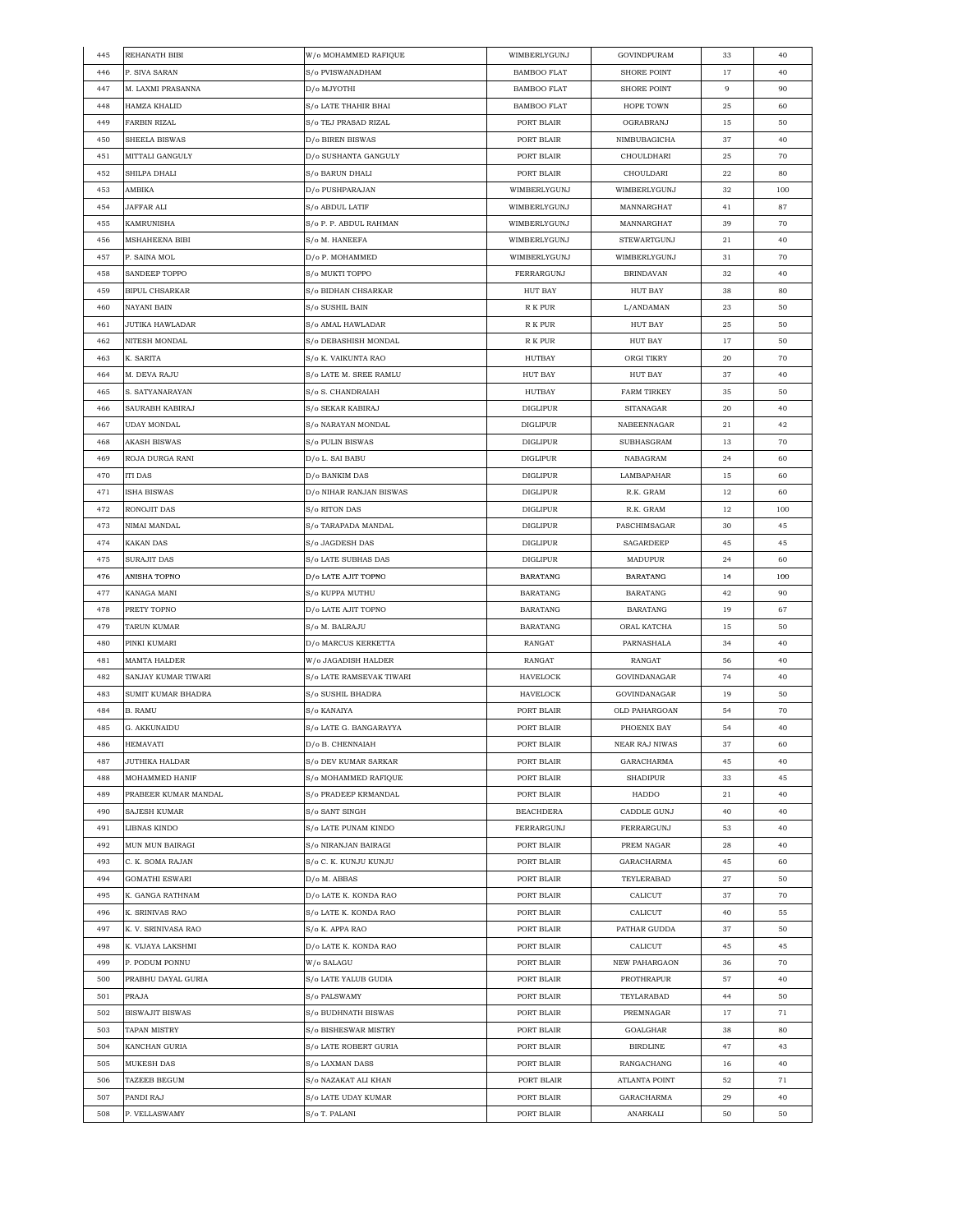| 445 | REHANATH BIBI          | W/o MOHAMMED RAFIQUE        | WIMBERLYGUNJ       | GOVINDPURAM        | 33 | 40  |
|-----|------------------------|-----------------------------|--------------------|--------------------|----|-----|
| 446 | P. SIVA SARAN          | S/o PVISWANADHAM            | <b>BAMBOO FLAT</b> | <b>SHORE POINT</b> | 17 | 40  |
| 447 | M. LAXMI PRASANNA      | D/o MJYOTHI                 | <b>BAMBOO FLAT</b> | <b>SHORE POINT</b> | 9  | 90  |
| 448 | <b>HAMZA KHALID</b>    | S/o LATE THAHIR BHAI        | <b>BAMBOO FLAT</b> | HOPE TOWN          | 25 | 60  |
| 449 | FARBIN RIZAL           | S/o TEJ PRASAD RIZAL        | PORT BLAIR         | OGRABRANJ          | 15 | 50  |
| 450 | SHEELA BISWAS          | D/o BIREN BISWAS            | PORT BLAIR         | NIMBUBAGICHA       | 37 | 40  |
| 451 | MITTALI GANGULY        | D/o SUSHANTA GANGULY        | PORT BLAIR         | CHOULDHARI         | 25 | 70  |
| 452 | SHILPA DHALI           | S/o BARUN DHALI             | PORT BLAIR         | CHOULDARI          | 22 | 80  |
| 453 | AMBIKA                 | D/o PUSHPARAJAN             | WIMBERLYGUNJ       | WIMBERLYGUNJ       | 32 | 100 |
| 454 | JAFFAR ALI             | S/o ABDUL LATIF             | WIMBERLYGUNJ       | MANNARGHAT         | 41 | 87  |
| 455 | <b>KAMRUNISHA</b>      | S/o P. P. ABDUL RAHMAN      | WIMBERLYGUNJ       | MANNARGHAT         | 39 | 70  |
| 456 | <b>MSHAHEENA BIBI</b>  | S/o M. HANEEFA              | WIMBERLYGUNJ       | STEWARTGUNJ        | 21 | 40  |
| 457 | P. SAINA MOL           | D/o P. MOHAMMED             | WIMBERLYGUNJ       | WIMBERLYGUNJ       | 31 | 70  |
| 458 | SANDEEP TOPPO          | S/o MUKTI TOPPO             | FERRARGUNJ         | <b>BRINDAVAN</b>   | 32 | 40  |
|     |                        |                             |                    |                    |    | 80  |
| 459 | <b>BIPUL CHSARKAR</b>  | S/o BIDHAN CHSARKAR         | HUT BAY            | HUT BAY            | 38 |     |
| 460 | NAYANI BAIN            | S/o SUSHIL BAIN             | R K PUR            | L/ANDAMAN          | 23 | 50  |
| 461 | JUTIKA HAWLADAR        | S/o AMAL HAWLADAR           | R K PUR            | <b>HUT BAY</b>     | 25 | 50  |
| 462 | NITESH MONDAL          | S/o DEBASHISH MONDAL        | R K PUR            | HUT BAY            | 17 | 50  |
| 463 | K. SARITA              | S/o K. VAIKUNTA RAO         | <b>HUTBAY</b>      | ORGI TIKRY         | 20 | 70  |
| 464 | M. DEVA RAJU           | S/o LATE M. SREE RAMLU      | HUT BAY            | HUT BAY            | 37 | 40  |
| 465 | S. SATYANARAYAN        | S/o S. CHANDRAIAH           | HUTBAY             | <b>FARM TIRKEY</b> | 35 | 50  |
| 466 | SAURABH KABIRAJ        | S/o SEKAR KABIRAJ           | <b>DIGLIPUR</b>    | SITANAGAR          | 20 | 40  |
| 467 | UDAY MONDAL            | S/o NARAYAN MONDAL          | <b>DIGLIPUR</b>    | NABEENNAGAR        | 21 | 42  |
| 468 | <b>AKASH BISWAS</b>    | S/o PULIN BISWAS            | <b>DIGLIPUR</b>    | SUBHASGRAM         | 13 | 70  |
| 469 | ROJA DURGA RANI        | D/o L. SAI BABU             | DIGLIPUR           | NABAGRAM           | 24 | 60  |
| 470 | <b>ITI DAS</b>         | D/o BANKIM DAS              | <b>DIGLIPUR</b>    | LAMBAPAHAR         | 15 | 60  |
| 471 | ISHA BISWAS            | D/o NIHAR RANJAN BISWAS     | <b>DIGLIPUR</b>    | R.K. GRAM          | 12 | 60  |
| 472 | RONOJIT DAS            | S/o RITON DAS               | <b>DIGLIPUR</b>    | R.K. GRAM          | 12 | 100 |
| 473 | NIMAI MANDAL           | S/o TARAPADA MANDAL         | <b>DIGLIPUR</b>    | PASCHIMSAGAR       | 30 | 45  |
| 474 | KAKAN DAS              | S/o JAGDESH DAS             | DIGLIPUR           | SAGARDEEP          | 45 | 45  |
| 475 | SURAJIT DAS            | S/o LATE SUBHAS DAS         | <b>DIGLIPUR</b>    | MADUPUR            | 24 | 60  |
| 476 | ANISHA TOPNO           | D/o LATE AJIT TOPNO         | <b>BARATANG</b>    | <b>BARATANG</b>    | 14 | 100 |
| 477 | KANAGA MANI            | S/o KUPPA MUTHU             | <b>BARATANG</b>    | <b>BARATANG</b>    | 42 | 90  |
| 478 | PRETY TOPNO            | D/o LATE AJIT TOPNO         | BARATANG           | BARATANG           | 19 | 67  |
| 479 | TARUN KUMAR            | S/o M. BALRAJU              | BARATANG           | ORAL KATCHA        | 15 | 50  |
| 480 | PINKI KUMARI           | D/o MARCUS KERKETTA         | RANGAT             | PARNASHALA         | 34 | 40  |
| 481 | MAMTA HALDER           | W/o JAGADISH HALDER         | RANGAT             | RANGAT             | 56 | 40  |
| 482 | SANJAY KUMAR TIWARI    | S/o LATE RAMSEVAK TIWARI    | HAVELOCK           | GOVINDANAGAR       | 74 | 40  |
| 483 | SUMIT KUMAR BHADRA     | S/o SUSHIL BHADRA           | HAVELOCK           | GOVINDANAGAR       | 19 | 50  |
| 484 | B. RAMU                | S/o KANAIYA                 | PORT BLAIR         | OLD PAHARGOAN      | 54 | 70  |
| 485 | G. AKKUNAIDU           | S/o LATE G. BANGARAYYA      | PORT BLAIR         | PHOENIX BAY        | 54 | 40  |
| 486 | <b>HEMAVATI</b>        | $D/\mathrm{o}$ B. CHENNAIAH | PORT BLAIR         | NEAR RAJ NIWAS     | 37 | 60  |
| 487 | JUTHIKA HALDAR         | S/o DEV KUMAR SARKAR        | PORT BLAIR         | GARACHARMA         | 45 | 40  |
| 488 | MOHAMMED HANIF         | S/o MOHAMMED RAFIQUE        | PORT BLAIR         | <b>SHADIPUR</b>    | 33 | 45  |
| 489 | PRABEER KUMAR MANDAL   | S/o PRADEEP KRMANDAL        | PORT BLAIR         | HADDO              | 21 | 40  |
| 490 | SAJESH KUMAR           | S/o SANT SINGH              | <b>BEACHDERA</b>   | CADDLE GUNJ        | 40 | 40  |
| 491 | LIBNAS KINDO           | S/o LATE PUNAM KINDO        | FERRARGUNJ         | FERRARGUNJ         | 53 | 40  |
| 492 | MUN MUN BAIRAGI        | S/o NIRANJAN BAIRAGI        | PORT BLAIR         | PREM NAGAR         | 28 | 40  |
| 493 | C. K. SOMA RAJAN       | S/o C. K. KUNJU KUNJU       | PORT BLAIR         | GARACHARMA         | 45 | 60  |
| 494 | <b>GOMATHI ESWARI</b>  | D/o M. ABBAS                | PORT BLAIR         | TEYLERABAD         | 27 | 50  |
| 495 | K. GANGA RATHNAM       | D/o LATE K. KONDA RAO       | PORT BLAIR         | CALICUT            | 37 | 70  |
| 496 | K. SRINIVAS RAO        | S/o LATE K. KONDA RAO       | PORT BLAIR         | CALICUT            | 40 | 55  |
| 497 | K. V. SRINIVASA RAO    | S/o K. APPA RAO             | PORT BLAIR         | PATHAR GUDDA       | 37 | 50  |
|     |                        |                             |                    |                    |    |     |
| 498 | K. VIJAYA LAKSHMI      | D/o LATE K. KONDA RAO       | PORT BLAIR         | CALICUT            | 45 | 45  |
| 499 | P. PODUM PONNU         | W/o SALAGU                  | PORT BLAIR         | NEW PAHARGAON      | 36 | 70  |
| 500 | PRABHU DAYAL GURIA     | S/o LATE YALUB GUDIA        | PORT BLAIR         | PROTHRAPUR         | 57 | 40  |
| 501 | PRAJA                  | S/o PALSWAMY                | PORT BLAIR         | TEYLARABAD         | 44 | 50  |
| 502 | <b>BISWAJIT BISWAS</b> | S/o BUDHNATH BISWAS         | PORT BLAIR         | PREMNAGAR          | 17 | 71  |
| 503 | TAPAN MISTRY           | S/o BISHESWAR MISTRY        | PORT BLAIR         | GOALGHAR           | 38 | 80  |
| 504 | KANCHAN GURIA          | S/o LATE ROBERT GURIA       | PORT BLAIR         | BIRDLINE           | 47 | 43  |
| 505 | MUKESH DAS             | S/o LAXMAN DASS             | PORT BLAIR         | RANGACHANG         | 16 | 40  |
| 506 | TAZEEB BEGUM           | S/o NAZAKAT ALI KHAN        | PORT BLAIR         | ATLANTA POINT      | 52 | 71  |
| 507 | PANDI RAJ              | S/o LATE UDAY KUMAR         | PORT BLAIR         | GARACHARMA         | 29 | 40  |
| 508 | P. VELLASWAMY          | S/o T. PALANI               | PORT BLAIR         | ANARKALI           | 50 | 50  |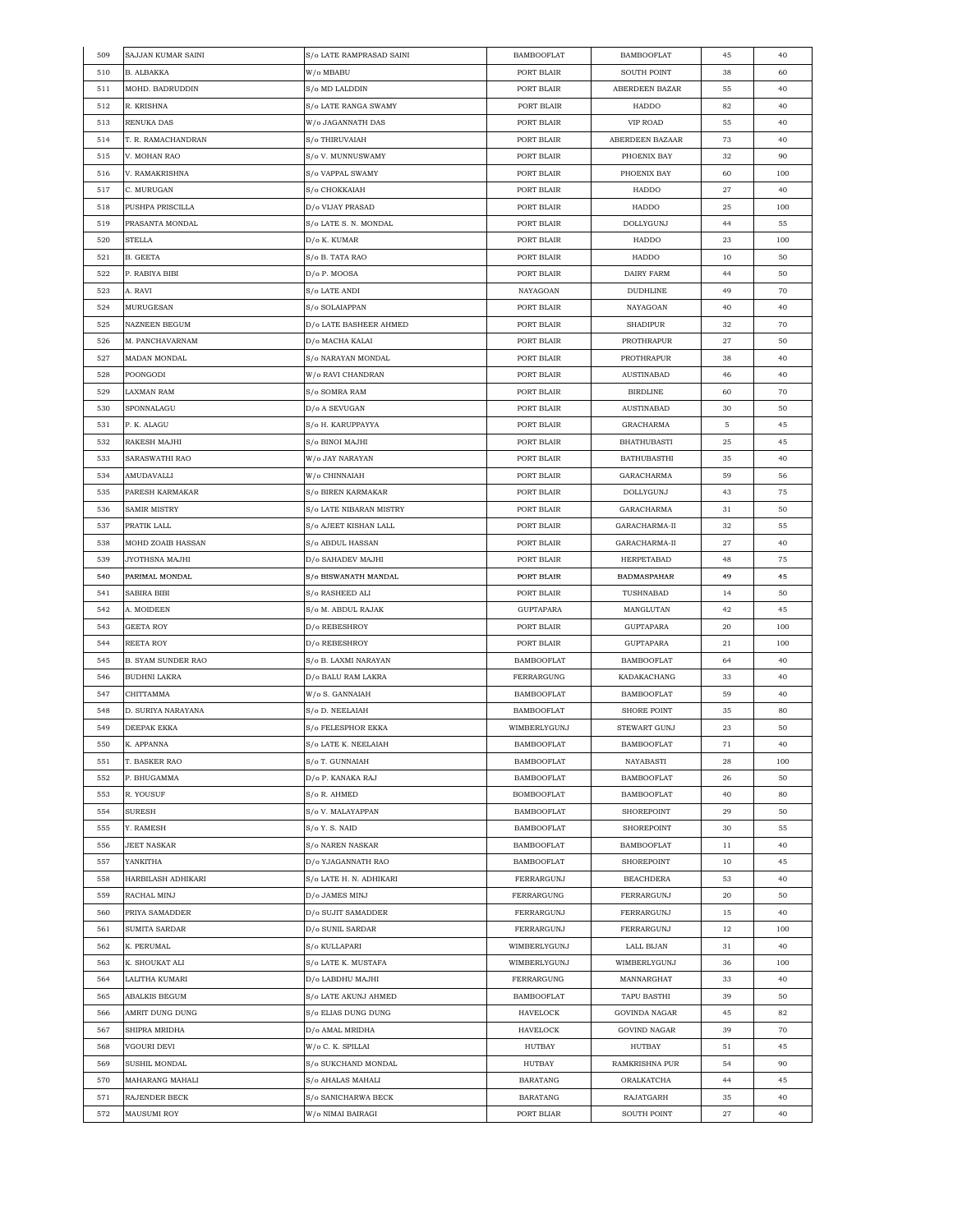| 509 | SAJJAN KUMAR SAINI        | S/o LATE RAMPRASAD SAINI | <b>BAMBOOFLAT</b> | <b>BAMBOOFLAT</b>   | 45 | 40  |
|-----|---------------------------|--------------------------|-------------------|---------------------|----|-----|
| 510 | B. ALBAKKA                | W/o MBABU                | PORT BLAIR        | <b>SOUTH POINT</b>  | 38 | 60  |
| 511 | MOHD. BADRUDDIN           | S/o MD LALDDIN           | PORT BLAIR        | ABERDEEN BAZAR      | 55 | 40  |
| 512 | R. KRISHNA                | S/o LATE RANGA SWAMY     | PORT BLAIR        | HADDO               | 82 | 40  |
| 513 | RENUKA DAS                | W/o JAGANNATH DAS        | PORT BLAIR        | <b>VIP ROAD</b>     | 55 | 40  |
| 514 | T. R. RAMACHANDRAN        | S/o THIRUVAIAH           | PORT BLAIR        | ABERDEEN BAZAAR     | 73 | 40  |
| 515 | V. MOHAN RAO              | S/o V. MUNNUSWAMY        | PORT BLAIR        | PHOENIX BAY         | 32 | 90  |
| 516 | V. RAMAKRISHNA            | S/o VAPPAL SWAMY         | PORT BLAIR        | PHOENIX BAY         | 60 | 100 |
| 517 | C. MURUGAN                | S/o CHOKKAIAH            | PORT BLAIR        | HADDO               | 27 | 40  |
| 518 | PUSHPA PRISCILLA          | D/o VIJAY PRASAD         | PORT BLAIR        | HADDO               | 25 | 100 |
| 519 | PRASANTA MONDAL           | S/o LATE S. N. MONDAL    | PORT BLAIR        | DOLLYGUNJ           | 44 | 55  |
| 520 | STELLA                    |                          | PORT BLAIR        | HADDO               | 23 | 100 |
|     |                           | D/o K. KUMAR             | PORT BLAIR        |                     |    |     |
| 521 | B. GEETA                  | S/o B. TATA RAO          |                   | HADDO               | 10 | 50  |
| 522 | P. RABIYA BIBI            | D/o P. MOOSA             | PORT BLAIR        | DAIRY FARM          | 44 | 50  |
| 523 | A. RAVI                   | S/o LATE ANDI            | NAYAGOAN          | <b>DUDHLINE</b>     | 49 | 70  |
| 524 | MURUGESAN                 | S/o SOLAIAPPAN           | PORT BLAIR        | NAYAGOAN            | 40 | 40  |
| 525 | NAZNEEN BEGUM             | D/o LATE BASHEER AHMED   | PORT BLAIR        | <b>SHADIPUR</b>     | 32 | 70  |
| 526 | M. PANCHAVARNAM           | D/0 MACHA KALAI          | PORT BLAIR        | PROTHRAPUR          | 27 | 50  |
| 527 | <b>MADAN MONDAL</b>       | S/o NARAYAN MONDAL       | PORT BLAIR        | PROTHRAPUR          | 38 | 40  |
| 528 | POONGODI                  | W/o RAVI CHANDRAN        | PORT BLAIR        | <b>AUSTINABAD</b>   | 46 | 40  |
| 529 | LAXMAN RAM                | S/o SOMRA RAM            | PORT BLAIR        | <b>BIRDLINE</b>     | 60 | 70  |
| 530 | SPONNALAGU                | D/o A SEVUGAN            | PORT BLAIR        | <b>AUSTINABAD</b>   | 30 | 50  |
| 531 | P. K. ALAGU               | S/o H. KARUPPAYYA        | PORT BLAIR        | GRACHARMA           | 5  | 45  |
| 532 | RAKESH MAJHI              | S/o BINOI MAJHI          | PORT BLAIR        | <b>BHATHUBASTI</b>  | 25 | 45  |
| 533 | SARASWATHI RAO            | W/o JAY NARAYAN          | PORT BLAIR        | <b>BATHUBASTHI</b>  | 35 | 40  |
| 534 | AMUDAVALLI                | W/o CHINNAIAH            | PORT BLAIR        | GARACHARMA          | 59 | 56  |
| 535 | PARESH KARMAKAR           | S/o BIREN KARMAKAR       | PORT BLAIR        | DOLLYGUNJ           | 43 | 75  |
| 536 | SAMIR MISTRY              | S/o LATE NIBARAN MISTRY  | PORT BLAIR        | GARACHARMA          | 31 | 50  |
| 537 | PRATIK LALL               | S/o AJEET KISHAN LALL    | PORT BLAIR        | GARACHARMA-II       | 32 | 55  |
| 538 | MOHD ZOAIB HASSAN         | S/o ABDUL HASSAN         | PORT BLAIR        | GARACHARMA-II       | 27 | 40  |
| 539 | JYOTHSNA MAJHI            | D/o SAHADEV MAJHI        | PORT BLAIR        | HERPETABAD          | 48 | 75  |
| 540 | PARIMAL MONDAL            | S/o BISWANATH MANDAL     | PORT BLAIR        | <b>BADMASPAHAR</b>  | 49 | 45  |
| 541 | SABIRA BIBI               | S/o RASHEED ALI          | PORT BLAIR        | TUSHNABAD           | 14 | 50  |
| 542 | A. MOIDEEN                | S/o M. ABDUL RAJAK       | <b>GUPTAPARA</b>  | MANGLUTAN           | 42 | 45  |
| 543 | GEETA ROY                 | D/o REBESHROY            | PORT BLAIR        | GUPTAPARA           | 20 | 100 |
| 544 | REETA ROY                 | D/o REBESHROY            | PORT BLAIR        | GUPTAPARA           | 21 | 100 |
| 545 | <b>B. SYAM SUNDER RAO</b> | S/o B. LAXMI NARAYAN     | <b>BAMBOOFLAT</b> | <b>BAMBOOFLAT</b>   | 64 | 40  |
| 546 | BUDHNI LAKRA              | D/o BALU RAM LAKRA       | FERRARGUNG        | KADAKACHANG         | 33 | 40  |
| 547 | CHITTAMMA                 |                          | <b>BAMBOOFLAT</b> | <b>BAMBOOFLAT</b>   | 59 | 40  |
|     |                           | W/o S. GANNAIAH          |                   |                     |    |     |
| 548 | D. SURIYA NARAYANA        | S/o D. NEELAIAH          | <b>BAMBOOFLAT</b> | SHORE POINT         | 35 | 80  |
| 549 | DEEPAK EKKA               | S/o FELESPHOR EKKA       | WIMBERLYGUNJ      | STEWART GUNJ        | 23 | 50  |
| 550 | K. APPANNA                | S/o LATE K. NEELAIAH     | <b>BAMBOOFLAT</b> | <b>BAMBOOFLAT</b>   | 71 | 40  |
| 551 | T. BASKER RAO             | S/o T. GUNNAIAH          | <b>BAMBOOFLAT</b> | NAYABASTI           | 28 | 100 |
| 552 | P. BHUGAMMA               | D/o P. KANAKA RAJ        | <b>BAMBOOFLAT</b> | <b>BAMBOOFLAT</b>   | 26 | 50  |
| 553 | R. YOUSUF                 | S/o R. AHMED             | <b>BOMBOOFLAT</b> | <b>BAMBOOFLAT</b>   | 40 | 80  |
| 554 | SURESH                    | S/o V. MALAYAPPAN        | <b>BAMBOOFLAT</b> | SHOREPOINT          | 29 | 50  |
| 555 | Y. RAMESH                 | S/o Y. S. NAID           | <b>BAMBOOFLAT</b> | SHOREPOINT          | 30 | 55  |
| 556 | <b>JEET NASKAR</b>        | S/o NAREN NASKAR         | <b>BAMBOOFLAT</b> | <b>BAMBOOFLAT</b>   | 11 | 40  |
| 557 | YANKITHA                  | D/o YJAGANNATH RAO       | <b>BAMBOOFLAT</b> | SHOREPOINT          | 10 | 45  |
| 558 | HARBILASH ADHIKARI        | S/o LATE H. N. ADHIKARI  | FERRARGUNJ        | <b>BEACHDERA</b>    | 53 | 40  |
| 559 | RACHAL MINJ               | D/o JAMES MINJ           | FERRARGUNG        | FERRARGUNJ          | 20 | 50  |
| 560 | PRIYA SAMADDER            | D/o SUJIT SAMADDER       | FERRARGUNJ        | FERRARGUNJ          | 15 | 40  |
| 561 | <b>SUMITA SARDAR</b>      | D/o SUNIL SARDAR         | FERRARGUNJ        | FERRARGUNJ          | 12 | 100 |
| 562 | K. PERUMAL                | S/o KULLAPARI            | WIMBERLYGUNJ      | LALL BIJAN          | 31 | 40  |
| 563 | K. SHOUKAT ALI            | S/o LATE K. MUSTAFA      | WIMBERLYGUNJ      | WIMBERLYGUNJ        | 36 | 100 |
| 564 | LALITHA KUMARI            | D/o LABDHU MAJHI         | FERRARGUNG        | MANNARGHAT          | 33 | 40  |
| 565 | ABALKIS BEGUM             | S/o LATE AKUNJ AHMED     | <b>BAMBOOFLAT</b> | TAPU BASTHI         | 39 | 50  |
| 566 | AMRIT DUNG DUNG           | S/o ELIAS DUNG DUNG      | HAVELOCK          | GOVINDA NAGAR       | 45 | 82  |
| 567 | SHIPRA MRIDHA             | D/o AMAL MRIDHA          | HAVELOCK          | <b>GOVIND NAGAR</b> | 39 | 70  |
| 568 | VGOURI DEVI               | W/o C. K. SPILLAI        | HUTBAY            | HUTBAY              | 51 | 45  |
| 569 | SUSHIL MONDAL             | S/o SUKCHAND MONDAL      | HUTBAY            | RAMKRISHNA PUR      | 54 | 90  |
| 570 | MAHARANG MAHALI           | S/o AHALAS MAHALI        | <b>BARATANG</b>   | ORALKATCHA          | 44 | 45  |
| 571 | RAJENDER BECK             | S/o SANICHARWA BECK      | <b>BARATANG</b>   | RAJATGARH           | 35 | 40  |
| 572 | <b>MAUSUMI ROY</b>        | W/o NIMAI BAIRAGI        | PORT BLIAR        | SOUTH POINT         | 27 | 40  |
|     |                           |                          |                   |                     |    |     |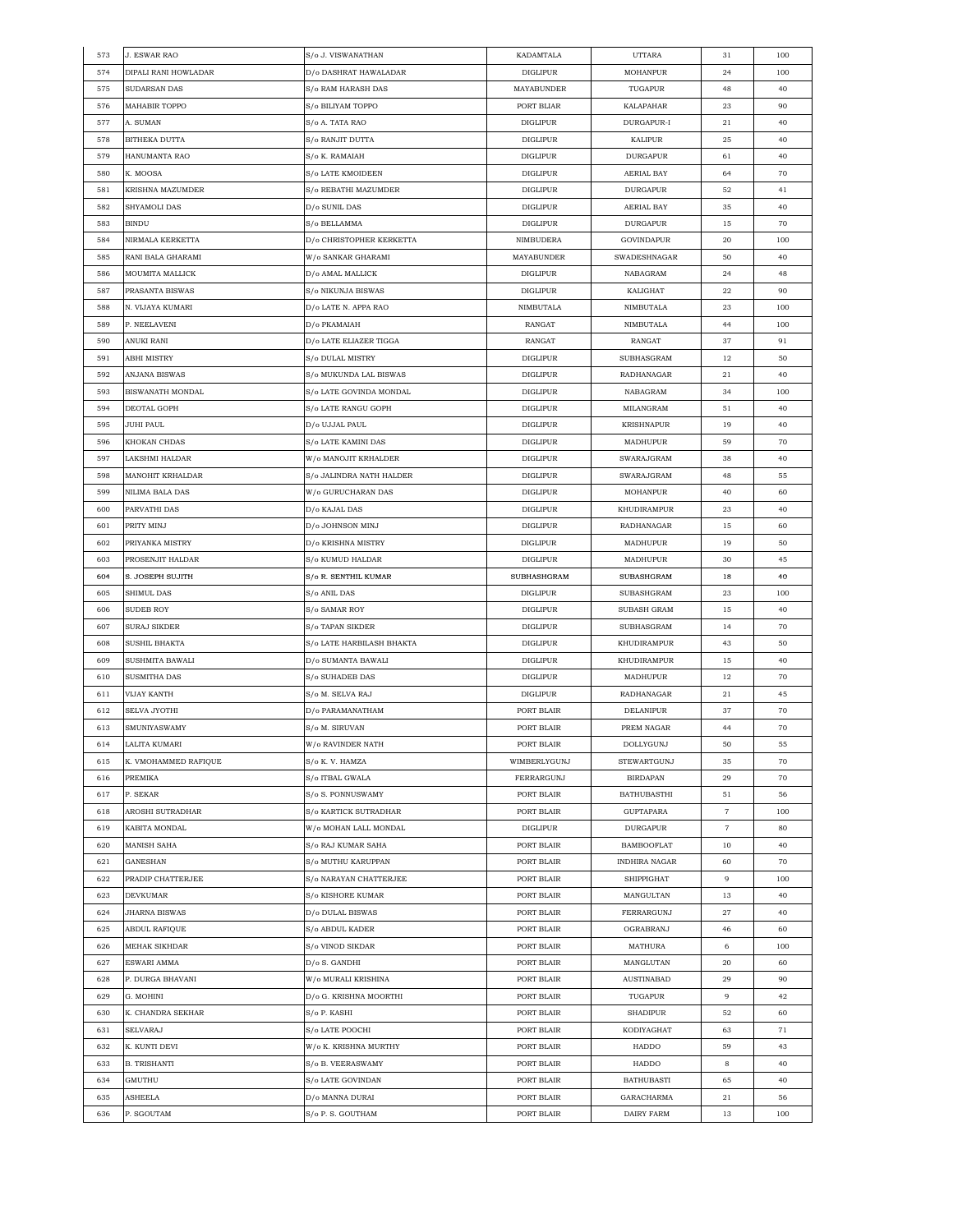| 573 | J. ESWAR RAO         | S/o J. VISWANATHAN                 | KADAMTALA       | <b>UTTARA</b>        | 31                  | 100 |
|-----|----------------------|------------------------------------|-----------------|----------------------|---------------------|-----|
| 574 | DIPALI RANI HOWLADAR | D/o DASHRAT HAWALADAR              | <b>DIGLIPUR</b> | <b>MOHANPUR</b>      | 24                  | 100 |
| 575 | SUDARSAN DAS         | S/o RAM HARASH DAS                 | MAYABUNDER      | TUGAPUR              | 48                  | 40  |
| 576 | <b>MAHABIR TOPPO</b> | S/o BILIYAM TOPPO                  | PORT BLIAR      | KALAPAHAR            | 23                  | 90  |
| 577 | A. SUMAN             | S/o A. TATA RAO                    | <b>DIGLIPUR</b> | DURGAPUR-I           | 21                  | 40  |
| 578 | <b>BITHEKA DUTTA</b> | S/o RANJIT DUTTA                   | <b>DIGLIPUR</b> | KALIPUR              | 25                  | 40  |
| 579 | HANUMANTA RAO        | S/o K. RAMAIAH                     | <b>DIGLIPUR</b> | <b>DURGAPUR</b>      | 61                  | 40  |
| 580 | K. MOOSA             | S/o LATE KMOIDEEN                  | <b>DIGLIPUR</b> | AERIAL BAY           | 64                  | 70  |
| 581 | KRISHNA MAZUMDER     | S/o REBATHI MAZUMDER               | DIGLIPUR        | <b>DURGAPUR</b>      | 52                  | 41  |
| 582 | SHYAMOLI DAS         | D/o SUNIL DAS                      | <b>DIGLIPUR</b> | AERIAL BAY           | 35                  | 40  |
| 583 | <b>BINDU</b>         | S/o BELLAMMA                       | <b>DIGLIPUR</b> | <b>DURGAPUR</b>      | 15                  | 70  |
| 584 | NIRMALA KERKETTA     | D/o CHRISTOPHER KERKETTA           | NIMBUDERA       | GOVINDAPUR           | 20                  | 100 |
| 585 | RANI BALA GHARAMI    | W/o SANKAR GHARAMI                 | MAYABUNDER      | SWADESHNAGAR         | 50                  | 40  |
| 586 | MOUMITA MALLICK      | D/o AMAL MALLICK                   | <b>DIGLIPUR</b> | NABAGRAM             | 24                  | 48  |
| 587 |                      |                                    |                 |                      | 22                  | 90  |
|     | PRASANTA BISWAS      | S/o NIKUNJA BISWAS                 | <b>DIGLIPUR</b> | KALIGHAT             |                     |     |
| 588 | N. VIJAYA KUMARI     | D/o LATE N. APPA RAO               | NIMBUTALA       | NIMBUTALA            | 23                  | 100 |
| 589 | P. NEELAVENI         | D/o PKAMAIAH                       | RANGAT          | NIMBUTALA            | 44                  | 100 |
| 590 | ANUKI RANI           | D/o LATE ELIAZER TIGGA             | RANGAT          | RANGAT               | 37                  | 91  |
| 591 | ABHI MISTRY          | S/o DULAL MISTRY                   | <b>DIGLIPUR</b> | SUBHASGRAM           | 12                  | 50  |
| 592 | ANJANA BISWAS        | S/o MUKUNDA LAL BISWAS             | <b>DIGLIPUR</b> | RADHANAGAR           | 21                  | 40  |
| 593 | BISWANATH MONDAL     | S/o LATE GOVINDA MONDAL            | <b>DIGLIPUR</b> | NABAGRAM             | 34                  | 100 |
| 594 | DEOTAL GOPH          | S/o LATE RANGU GOPH                | <b>DIGLIPUR</b> | MILANGRAM            | 51                  | 40  |
| 595 | JUHI PAUL            | $\mathbf{D}/\mathbf{o}$ UJJAL PAUL | <b>DIGLIPUR</b> | <b>KRISHNAPUR</b>    | 19                  | 40  |
| 596 | KHOKAN CHDAS         | S/o LATE KAMINI DAS                | DIGLIPUR        | MADHUPUR             | 59                  | 70  |
| 597 | LAKSHMI HALDAR       | W/o MANOJIT KRHALDER               | <b>DIGLIPUR</b> | SWARAJGRAM           | 38                  | 40  |
| 598 | MANOHIT KRHALDAR     | S/o JALINDRA NATH HALDER           | <b>DIGLIPUR</b> | SWARAJGRAM           | 48                  | 55  |
| 599 | NILIMA BALA DAS      | W/o GURUCHARAN DAS                 | <b>DIGLIPUR</b> | <b>MOHANPUR</b>      | 40                  | 60  |
| 600 | PARVATHI DAS         | D/o KAJAL DAS                      | <b>DIGLIPUR</b> | KHUDIRAMPUR          | 23                  | 40  |
| 601 | PRITY MINJ           | D/o JOHNSON MINJ                   | DIGLIPUR        | RADHANAGAR           | 15                  | 60  |
| 602 | PRIYANKA MISTRY      | D/o KRISHNA MISTRY                 | <b>DIGLIPUR</b> | MADHUPUR             | 19                  | 50  |
| 603 | PROSENJIT HALDAR     | S/o KUMUD HALDAR                   | <b>DIGLIPUR</b> | MADHUPUR             | 30                  | 45  |
| 604 | S. JOSEPH SUJITH     | S/o R. SENTHIL KUMAR               | SUBHASHGRAM     | SUBASHGRAM           | 18                  | 40  |
| 605 | SHIMUL DAS           | S/o ANIL DAS                       | <b>DIGLIPUR</b> | SUBASHGRAM           | 23                  | 100 |
| 606 | <b>SUDEB ROY</b>     | S/o SAMAR ROY                      | DIGLIPUR        | <b>SUBASH GRAM</b>   | 15                  | 40  |
| 607 | SURAJ SIKDER         | S/o TAPAN SIKDER                   | <b>DIGLIPUR</b> | SUBHASGRAM           | 14                  | 70  |
| 608 | SUSHIL BHAKTA        | S/o LATE HARBILASH BHAKTA          | <b>DIGLIPUR</b> | KHUDIRAMPUR          | 43                  | 50  |
|     |                      | D/o SUMANTA BAWALI                 | <b>DIGLIPUR</b> | KHUDIRAMPUR          | 15                  | 40  |
|     | SUSHMITA BAWALI      |                                    |                 |                      |                     |     |
| 609 |                      |                                    |                 |                      |                     | 70  |
| 610 | SUSMITHA DAS         | S/o SUHADEB DAS                    | DIGLIPUR        | $\rm MAD HUPUR$      | 12                  |     |
| 611 | VIJAY KANTH          | S/o M. SELVA RAJ                   | <b>DIGLIPUR</b> | RADHANAGAR           | 21                  | 45  |
| 612 | <b>SELVA JYOTHI</b>  | D/o PARAMANATHAM                   | PORT BLAIR      | DELANIPUR            | 37                  | 70  |
| 613 | <b>SMUNIYASWAMY</b>  | S/o M. SIRUVAN                     | PORT BLAIR      | PREM NAGAR           | 44                  | 70  |
| 614 | ALITA KUMARI         | W/o RAVINDER NATH                  | PORT BLAIR      | DOLLYGUNJ            | $50\,$              | 55  |
| 615 | K. VMOHAMMED RAFIQUE | S/o K. V. HAMZA                    | WIMBERLYGUNJ    | STEWARTGUNJ          | 35                  | 70  |
| 616 | PREMIKA              | S/o ITBAL GWALA                    | FERRARGUNJ      | <b>BIRDAPAN</b>      | 29                  | 70  |
| 617 | P. SEKAR             | S/o S. PONNUSWAMY                  | PORT BLAIR      | <b>BATHUBASTHI</b>   | 51                  | 56  |
| 618 | AROSHI SUTRADHAR     | S/o KARTICK SUTRADHAR              | PORT BLAIR      | <b>GUPTAPARA</b>     | $\overline{7}$      | 100 |
| 619 | KABITA MONDAL        | W/o MOHAN LALL MONDAL              | <b>DIGLIPUR</b> | <b>DURGAPUR</b>      | $\scriptstyle\rm 7$ | 80  |
| 620 | MANISH SAHA          | S/o RAJ KUMAR SAHA                 | PORT BLAIR      | <b>BAMBOOFLAT</b>    | 10                  | 40  |
| 621 | GANESHAN             | S/o MUTHU KARUPPAN                 | PORT BLAIR      | <b>INDHIRA NAGAR</b> | 60                  | 70  |
| 622 | PRADIP CHATTERJEE    | S/o NARAYAN CHATTERJEE             | PORT BLAIR      | SHIPPIGHAT           | 9                   | 100 |
| 623 | DEVKUMAR             | S/o KISHORE KUMAR                  | PORT BLAIR      | MANGULTAN            | 13                  | 40  |
| 624 | JHARNA BISWAS        | D/o DULAL BISWAS                   | PORT BLAIR      | FERRARGUNJ           | 27                  | 40  |
| 625 | ABDUL RAFIQUE        | S/o ABDUL KADER                    | PORT BLAIR      | OGRABRANJ            | 46                  | 60  |
| 626 | MEHAK SIKHDAR        | S/o VINOD SIKDAR                   | PORT BLAIR      | MATHURA              | 6                   | 100 |
| 627 | ESWARI AMMA          | D/o S. GANDHI                      | PORT BLAIR      | MANGLUTAN            | 20                  | 60  |
| 628 | P. DURGA BHAVANI     | W/o MURALI KRISHINA                | PORT BLAIR      | <b>AUSTINABAD</b>    | 29                  | 90  |
| 629 | G. MOHINI            | D/o G. KRISHNA MOORTHI             | PORT BLAIR      | TUGAPUR              | 9                   | 42  |
| 630 | K. CHANDRA SEKHAR    | S/o P. KASHI                       | PORT BLAIR      | SHADIPUR             | 52                  | 60  |
| 631 | SELVARAJ             | S/o LATE POOCHI                    | PORT BLAIR      | KODIYAGHAT           | 63                  | 71  |
| 632 | K. KUNTI DEVI        | W/o K. KRISHNA MURTHY              | PORT BLAIR      | HADDO                | 59                  | 43  |
| 633 | <b>B. TRISHANTI</b>  | S/o B. VEERASWAMY                  | PORT BLAIR      | HADDO                | 8                   | 40  |
| 634 | GMUTHU               | S/o LATE GOVINDAN                  | PORT BLAIR      | <b>BATHUBASTI</b>    | 65                  | 40  |
| 635 | ASHEELA              | D/o MANNA DURAI                    | PORT BLAIR      | GARACHARMA           | 21                  | 56  |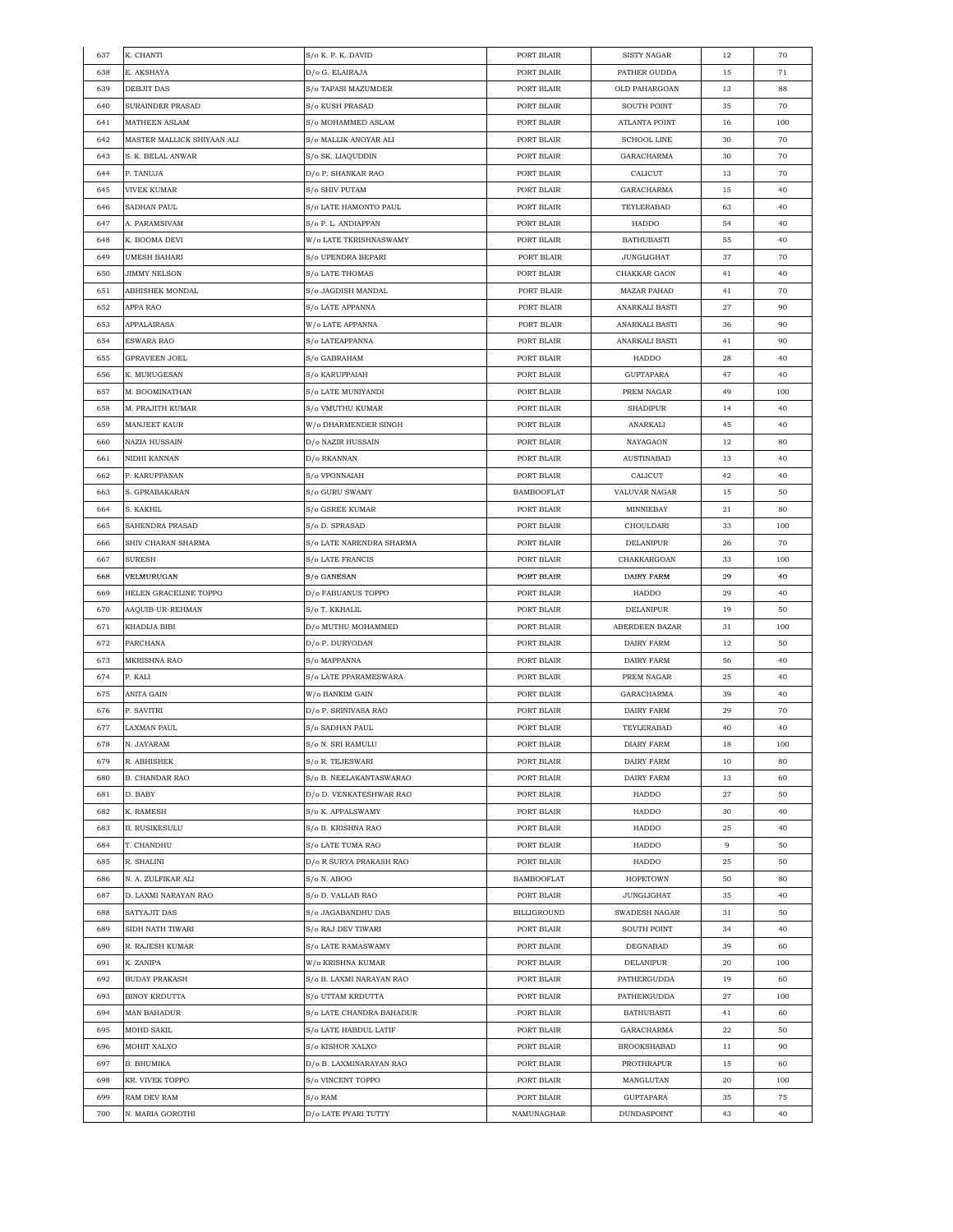| 637        | K. CHANTI                  | S/o K. P. K. DAVID       | PORT BLAIR                      | SISTY NAGAR                | 12       | 70  |
|------------|----------------------------|--------------------------|---------------------------------|----------------------------|----------|-----|
| 638        | E. AKSHAYA                 | D/o G. ELAIRAJA          | PORT BLAIR                      | PATHER GUDDA               | 15       | 71  |
| 639        | <b>DEBJIT DAS</b>          | S/o TAPASI MAZUMDER      | PORT BLAIR                      | OLD PAHARGOAN              | 13       | 88  |
| 640        | <b>SURAINDER PRASAD</b>    | S/o KUSH PRASAD          | PORT BLAIR                      | <b>SOUTH POINT</b>         | 35       | 70  |
| 641        | MATHEEN ASLAM              | S/o MOHAMMED ASLAM       | PORT BLAIR                      | ATLANTA POINT              | 16       | 100 |
| 642        | MASTER MALLICK SHIYAAN ALI | S/o MALLIK ANOYAR ALI    | PORT BLAIR                      | <b>SCHOOL LINE</b>         | 30       | 70  |
| 643        | S. K. BELAL ANWAR          | S/o SK. LIAQUDDIN        | PORT BLAIR                      | GARACHARMA                 | 30       | 70  |
| 644        | P. TANUJA                  | D/o P. SHANKAR RAO       | PORT BLAIR                      | CALICUT                    | 13       | 70  |
| 645        | <b>VIVEK KUMAR</b>         | S/o SHIV PUTAM           | PORT BLAIR                      | GARACHARMA                 | 15       | 40  |
| 646        | SADHAN PAUL                | S/o LATE HAMONTO PAUL    | PORT BLAIR                      | TEYLERABAD                 | 63       | 40  |
|            |                            |                          |                                 |                            |          |     |
| 647        | A. PARAMSIVAM              | S/o P. L. ANDIAPPAN      | PORT BLAIR                      | HADDO                      | 54       | 40  |
| 648        | K. BOOMA DEVI              | W/o LATE TKRISHNASWAMY   | PORT BLAIR                      | <b>BATHUBASTI</b>          | 55       | 40  |
| 649        | <b>UMESH BAHARI</b>        | S/o UPENDRA BEPARI       | PORT BLAIR                      | <b>JUNGLIGHAT</b>          | 37       | 70  |
| 650        | JIMMY NELSON               | S/o LATE THOMAS          | PORT BLAIR                      | CHAKKAR GAON               | 41       | 40  |
| 651        | ABHISHEK MONDAL            | S/o JAGDISH MANDAL       | PORT BLAIR                      | <b>MAZAR PAHAD</b>         | 41       | 70  |
| 652        | APPA RAO                   | S/o LATE APPANNA         | PORT BLAIR                      | ANARKALI BASTI             | 27       | 90  |
| 653        | APPALAIRASA                | W/o LATE APPANNA         | PORT BLAIR                      | ANARKALI BASTI             | 36       | 90  |
| 654        | ESWARA RAO                 | S/o LATEAPPANNA          | PORT BLAIR                      | ANARKALI BASTI             | 41       | 90  |
| 655        | <b>GPRAVEEN JOEL</b>       | S/o GABRAHAM             | PORT BLAIR                      | HADDO                      | 28       | 40  |
| 656        | K. MURUGESAN               | S/o KARUPPAIAH           | PORT BLAIR                      | GUPTAPARA                  | 47       | 40  |
| 657        | M. BOOMINATHAN             | S/o LATE MUNIYANDI       | PORT BLAIR                      | PREM NAGAR                 | 49       | 100 |
| 658        | M. PRAJITH KUMAR           | S/o VMUTHU KUMAR         | PORT BLAIR                      | <b>SHADIPUR</b>            | 14       | 40  |
| 659        | MANJEET KAUR               | W/o DHARMENDER SINGH     | PORT BLAIR                      | ANARKALI                   | 45       | 40  |
| 660        | <b>NAZIA HUSSAIN</b>       | D/o NAZIR HUSSAIN        | PORT BLAIR                      | NAYAGAON                   | 12       | 80  |
| 661        | NIDHI KANNAN               | D/o RKANNAN              | PORT BLAIR                      | AUSTINABAD                 | 13       | 40  |
| 662        | P. KARUPPANAN              | S/o VPONNAIAH            | PORT BLAIR                      | CALICUT                    | 42       | 40  |
| 663        | S. GPRABAKARAN             | S/o GURU SWAMY           | <b>BAMBOOFLAT</b>               | VALUVAR NAGAR              | 15       | 50  |
| 664        |                            |                          |                                 |                            |          | 80  |
|            | S. KAKHIL                  | S/o GSREE KUMAR          | PORT BLAIR                      | MINNIEBAY                  | 21       |     |
| 665        | SAHENDRA PRASAD            | S/o D. SPRASAD           | PORT BLAIR                      | CHOULDARI                  | 33       | 100 |
| 666        | SHIV CHARAN SHARMA         | S/o LATE NARENDRA SHARMA | PORT BLAIR                      | DELANIPUR                  | 26       | 70  |
| 667        | SURESH                     | S/o LATE FRANCIS         | PORT BLAIR                      | CHAKKARGOAN                | 33       | 100 |
| 668        | VELMURUGAN                 | S/o GANESAN              | PORT BLAIR                      | DAIRY FARM                 | 29       | 40  |
| 669        | HELEN GRACELINE TOPPO      | D/o FABUANUS TOPPO       | PORT BLAIR                      | HADDO                      | 29       | 40  |
| 670        | AAQUIB-UR-REHMAN           | S/o T. KKHALIL           | PORT BLAIR                      | $\operatorname{DELANIPUR}$ | 19       | 50  |
| 671        | KHADIJA BIBI               | D/o MUTHU MOHAMMED       | PORT BLAIR                      | ABERDEEN BAZAR             | 31       | 100 |
| 672        | PARCHANA                   | D/o P. DURYODAN          | PORT BLAIR                      | <b>DAIRY FARM</b>          | 12       | 50  |
| 673        | MKRISHNA RAO               | S/o MAPPANNA             | PORT BLAIR                      | DAIRY FARM                 | 56       | 40  |
| 674        | P. KALI                    | S/o LATE PPARAMESWARA    | PORT BLAIR                      | PREM NAGAR                 | 25       | 40  |
| 675        | ANITA GAIN                 | W/o BANKIM GAIN          | PORT BLAIR                      | GARACHARMA                 | 39       | 40  |
| 676        | P. SAVITRI                 | D/o P. SRINIVASA RAO     | PORT BLAIR                      | DAIRY FARM                 | 29       | 70  |
| 677        | <b>LAXMAN PAUL</b>         | S/o SADHAN PAUL          | PORT BLAIR                      | TEYLERABAD                 | 40       | 40  |
| 678        | N. JAYARAM                 | S/o N. SRI RAMULU        | PORT BLAIR                      | DIARY FARM                 | 18       | 100 |
| 679        | R. ABHISHEK                | S/o R. TEJESWARI         | PORT BLAIR                      | DAIRY FARM                 | 10       | 80  |
| 680        | <b>B. CHANDAR RAO</b>      | S/o B. NEELAKANTASWARAO  | PORT BLAIR                      | DAIRY FARM                 | 13       | 60  |
| 681        | D. BABY                    | D/o D. VENKATESHWAR RAO  | PORT BLAIR                      | HADDO                      | 27       | 50  |
| 682        | K. RAMESH                  | S/o K. APPALSWAMY        | PORT BLAIR                      | HADDO                      | 30       | 40  |
| 683        | <b>B. RUSIKESULU</b>       | S/o B. KRISHNA RAO       | PORT BLAIR                      | HADDO                      | 25       | 40  |
| 684        | T. CHANDHU                 | S/o LATE TUMA RAO        | PORT BLAIR                      | HADDO                      | 9        | 50  |
|            | R. SHALINI                 | D/o R SURYA PRAKASH RAO  |                                 | HADDO                      |          | 50  |
| 685<br>686 | N. A. ZULFIKAR ALI         |                          | PORT BLAIR<br><b>BAMBOOFLAT</b> | <b>HOPETOWN</b>            | 25<br>50 | 80  |
|            |                            | S/o N. ABOO              |                                 |                            |          |     |
| 687        | D. LAXMI NARAYAN RAO       | S/o D. VALLAB RAO        | PORT BLAIR                      | <b>JUNGLIGHAT</b>          | 35       | 40  |
| 688        | <b>SATYAJIT DAS</b>        | S/o JAGABANDHU DAS       | <b>BILLIGROUND</b>              | SWADESH NAGAR              | 31       | 50  |
| 689        | SIDH NATH TIWARI           | S/o RAJ DEV TIWARI       | PORT BLAIR                      | SOUTH POINT                | 34       | 40  |
| 690        | R. RAJESH KUMAR            | S/o LATE RAMASWAMY       | PORT BLAIR                      | $\mathtt{DEGNABAD}$        | 39       | 60  |
| 691        | K. ZANIPA                  | W/o KRISHNA KUMAR        | PORT BLAIR                      | DELANIPUR                  | 20       | 100 |
| 692        | <b>BUDAY PRAKASH</b>       | S/o B. LAXMI NARAYAN RAO | PORT BLAIR                      | PATHERGUDDA                | 19       | 60  |
| 693        | <b>BINOY KRDUTTA</b>       | S/o UTTAM KRDUTTA        | PORT BLAIR                      | PATHERGUDDA                | 27       | 100 |
| 694        | MAN BAHADUR                | S/o LATE CHANDRA BAHADUR | PORT BLAIR                      | <b>BATHUBASTI</b>          | 41       | 60  |
| 695        | MOHD SAKIL                 | S/o LATE HABDUL LATIF    | PORT BLAIR                      | GARACHARMA                 | 22       | 50  |
| 696        | MOHIT XALXO                | S/o KISHOR XALXO         | PORT BLAIR                      | <b>BROOKSHABAD</b>         | 11       | 90  |
| 697        | B. BHUMIKA                 | D/o B. LAXMINARAYAN RAO  | PORT BLAIR                      | PROTHRAPUR                 | 15       | 60  |
| 698        | KR. VIVEK TOPPO            | S/o VINCENT TOPPO        | PORT BLAIR                      | MANGLUTAN                  | 20       | 100 |
| 699        | RAM DEV RAM                | S/o RAM                  | PORT BLAIR                      | GUPTAPARA                  | 35       | 75  |
| 700        | N. MARIA GOROTHI           | D/o LATE PYARI TUTTY     | NAMUNAGHAR                      | <b>DUNDASPOINT</b>         | 43       | 40  |
|            |                            |                          |                                 |                            |          |     |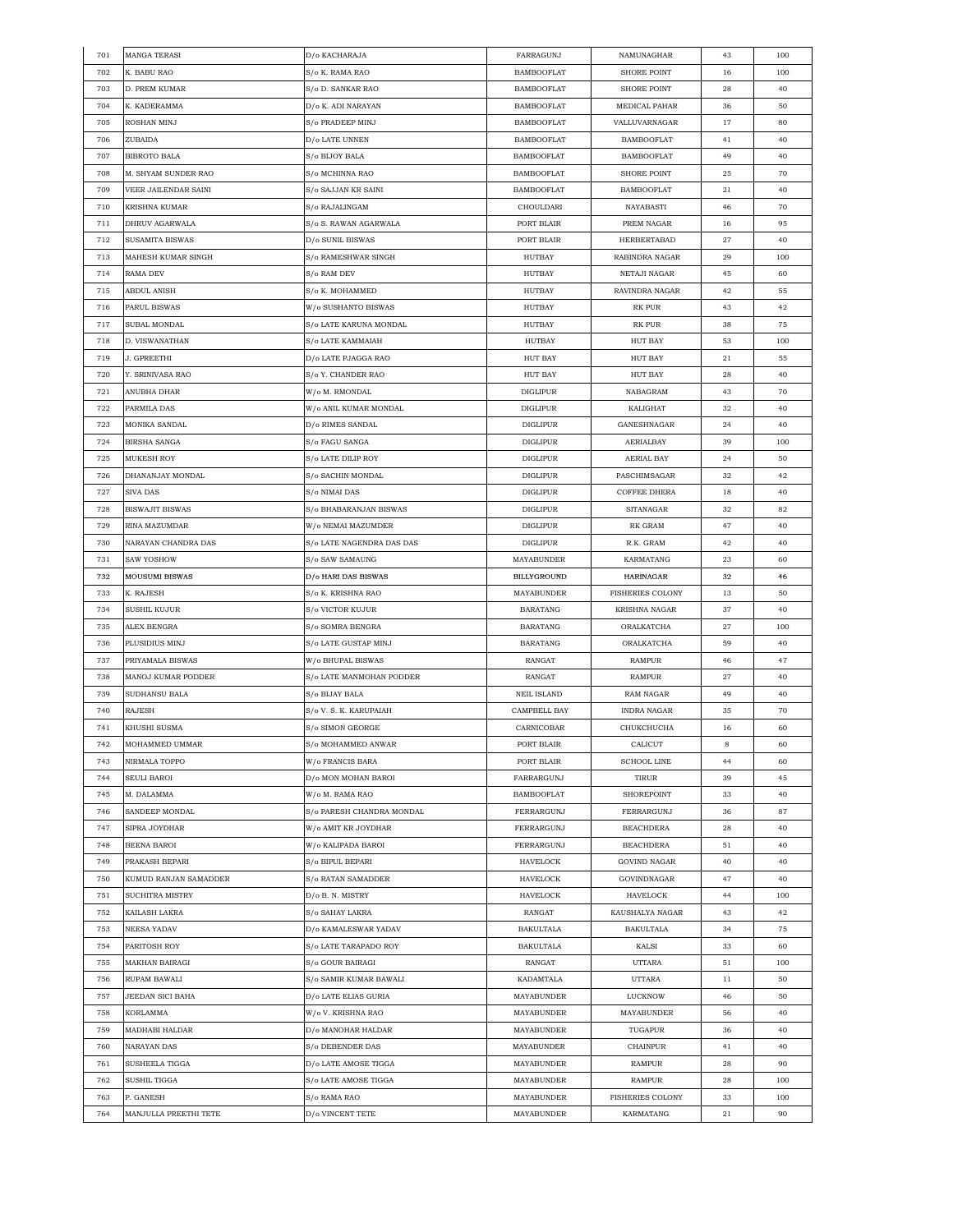| 701 | <b>MANGA TERASI</b>    | D/o KACHARAJA             | FARRAGUNJ          | NAMUNAGHAR              | 43 | 100 |
|-----|------------------------|---------------------------|--------------------|-------------------------|----|-----|
| 702 | K. BABU RAO            | S/o K. RAMA RAO           | <b>BAMBOOFLAT</b>  | <b>SHORE POINT</b>      | 16 | 100 |
| 703 | D. PREM KUMAR          | S/o D. SANKAR RAO         | <b>BAMBOOFLAT</b>  | SHORE POINT             | 28 | 40  |
| 704 | K. KADERAMMA           | D/o K. ADI NARAYAN        | <b>BAMBOOFLAT</b>  | MEDICAL PAHAR           | 36 | 50  |
| 705 | ROSHAN MINJ            | S/o PRADEEP MINJ          | <b>BAMBOOFLAT</b>  | VALLUVARNAGAR           | 17 | 80  |
| 706 | ZUBAIDA                | D/o LATE UNNEN            | <b>BAMBOOFLAT</b>  | <b>BAMBOOFLAT</b>       | 41 | 40  |
| 707 | BIBROTO BALA           | S/o BIJOY BALA            | <b>BAMBOOFLAT</b>  | <b>BAMBOOFLAT</b>       | 49 | 40  |
| 708 | M. SHYAM SUNDER RAO    | S/o MCHINNA RAO           | <b>BAMBOOFLAT</b>  | SHORE POINT             | 25 | 70  |
| 709 | VEER JAILENDAR SAINI   | S/o SAJJAN KR SAINI       | <b>BAMBOOFLAT</b>  | <b>BAMBOOFLAT</b>       | 21 | 40  |
| 710 | KRISHNA KUMAR          | S/o RAJALINGAM            | CHOULDARI          | NAYABASTI               | 46 | 70  |
| 711 |                        |                           | PORT BLAIR         | PREM NAGAR              | 16 | 95  |
|     | DHRUV AGARWALA         | S/o S. RAWAN AGARWALA     | PORT BLAIR         |                         |    |     |
| 712 | SUSAMITA BISWAS        | D/o SUNIL BISWAS          |                    | HERBERTABAD             | 27 | 40  |
| 713 | MAHESH KUMAR SINGH     | S/o RAMESHWAR SINGH       | HUTBAY             | RABINDRA NAGAR          | 29 | 100 |
| 714 | RAMA DEV               | S/o RAM DEV               | HUTBAY             | NETAJI NAGAR            | 45 | 60  |
| 715 | ABDUL ANISH            | S/o K. MOHAMMED           | HUTBAY             | RAVINDRA NAGAR          | 42 | 55  |
| 716 | PARUL BISWAS           | W/o SUSHANTO BISWAS       | HUTBAY             | RK PUR                  | 43 | 42  |
| 717 | SUBAL MONDAL           | S/o LATE KARUNA MONDAL    | HUTBAY             | RK PUR                  | 38 | 75  |
| 718 | D. VISWANATHAN         | S/o LATE KAMMAIAH         | HUTBAY             | <b>HUT BAY</b>          | 53 | 100 |
| 719 | J. GPREETHI            | D/o LATE PJAGGA RAO       | <b>HUT BAY</b>     | <b>HUT BAY</b>          | 21 | 55  |
| 720 | Y. SRINIVASA RAO       | S/o Y. CHANDER RAO        | <b>HUT BAY</b>     | <b>HUT BAY</b>          | 28 | 40  |
| 721 | ANUBHA DHAR            | W/o M. RMONDAL            | <b>DIGLIPUR</b>    | NABAGRAM                | 43 | 70  |
| 722 | PARMILA DAS            | W/o ANIL KUMAR MONDAL     | <b>DIGLIPUR</b>    | KALIGHAT                | 32 | 40  |
| 723 | MONIKA SANDAL          | D/o RIMES SANDAL          | <b>DIGLIPUR</b>    | GANESHNAGAR             | 24 | 40  |
| 724 | BIRSHA SANGA           | S/o FAGU SANGA            | DIGLIPUR           | AERIALBAY               | 39 | 100 |
| 725 | MUKESH ROY             | S/o LATE DILIP ROY        | DIGLIPUR           | AERIAL BAY              | 24 | 50  |
| 726 | DHANANJAY MONDAL       | S/o SACHIN MONDAL         | <b>DIGLIPUR</b>    | PASCHIMSAGAR            | 32 | 42  |
| 727 | SIVA DAS               | S/o NIMAI DAS             | DIGLIPUR           | <b>COFFEE DHERA</b>     | 18 | 40  |
| 728 | <b>BISWAJIT BISWAS</b> | S/o BHABARANJAN BISWAS    | <b>DIGLIPUR</b>    | SITANAGAR               | 32 | 82  |
| 729 | RINA MAZUMDAR          | W/o NEMAI MAZUMDER        | DIGLIPUR           | RK GRAM                 | 47 | 40  |
| 730 | NARAYAN CHANDRA DAS    | S/o LATE NAGENDRA DAS DAS | <b>DIGLIPUR</b>    | R.K. GRAM               | 42 | 40  |
| 731 | SAW YOSHOW             | S/o SAW SAMAUNG           | MAYABUNDER         | KARMATANG               | 23 | 60  |
|     |                        |                           |                    |                         |    |     |
| 732 | <b>MOUSUMI BISWAS</b>  | D/o HARI DAS BISWAS       | BILLYGROUND        | HARINAGAR               | 32 | 46  |
| 733 | K. RAJESH              | S/o K. KRISHNA RAO        | MAYABUNDER         | FISHERIES COLONY        | 13 | 50  |
| 734 | SUSHIL KUJUR           | S/o VICTOR KUJUR          | <b>BARATANG</b>    | KRISHNA NAGAR           | 37 | 40  |
| 735 | ALEX BENGRA            | S/o SOMRA BENGRA          | BARATANG           | ORALKATCHA              | 27 | 100 |
| 736 | PLUSIDIUS MINJ         | S/o LATE GUSTAP MINJ      | BARATANG           | ORALKATCHA              | 59 | 40  |
| 737 | PRIYAMALA BISWAS       | W/o BHUPAL BISWAS         | RANGAT             | RAMPUR                  | 46 | 47  |
| 738 | MANOJ KUMAR PODDER     | S/o LATE MANMOHAN PODDER  | RANGAT             | RAMPUR                  | 27 | 40  |
| 739 | SUDHANSU BALA          | S/o BIJAY BALA            | <b>NEIL ISLAND</b> | RAM NAGAR               | 49 | 40  |
| 740 | RAJESH                 | S/o V. S. K. KARUPAIAH    | CAMPBELL BAY       | <b>INDRA NAGAR</b>      | 35 | 70  |
| 741 | KHUSHI SUSMA           | S/o SIMON GEORGE          | CARNICOBAR         | CHUKCHUCHA              | 16 | 60  |
| 742 | MOHAMMED UMMAR         | S/o MOHAMMED ANWAR        | PORT BLAIR         | CALICUT                 | 8  | 60  |
| 743 | NIRMALA TOPPO          | W/o FRANCIS BARA          | PORT BLAIR         | <b>SCHOOL LINE</b>      | 44 | 60  |
| 744 | SEULI BAROI            | D/o MON MOHAN BAROI       | FARRARGUNJ         | TIRUR                   | 39 | 45  |
| 745 | M. DALAMMA             | W/o M. RAMA RAO           | <b>BAMBOOFLAT</b>  | SHOREPOINT              | 33 | 40  |
| 746 | SANDEEP MONDAL         | S/o PARESH CHANDRA MONDAL | FERRARGUNJ         | FERRARGUNJ              | 36 | 87  |
| 747 | SIPRA JOYDHAR          | W/o AMIT KR JOYDHAR       | FERRARGUNJ         | <b>BEACHDERA</b>        | 28 | 40  |
| 748 | BEENA BAROI            | W/o KALIPADA BAROI        | FERRARGUNJ         | <b>BEACHDERA</b>        | 51 | 40  |
| 749 | PRAKASH BEPARI         | S/o BIPUL BEPARI          | <b>HAVELOCK</b>    | <b>GOVIND NAGAR</b>     | 40 | 40  |
| 750 | KUMUD RANJAN SAMADDER  | S/o RATAN SAMADDER        | HAVELOCK           | GOVINDNAGAR             | 47 | 40  |
| 751 | SUCHITRA MISTRY        | D/o B. N. MISTRY          | HAVELOCK           | HAVELOCK                | 44 | 100 |
| 752 | KAILASH LAKRA          | S/o SAHAY LAKRA           | RANGAT             | KAUSHALYA NAGAR         | 43 | 42  |
| 753 | NEESA YADAV            | D/o KAMALESWAR YADAV      | <b>BAKULTALA</b>   | <b>BAKULTALA</b>        | 34 | 75  |
| 754 | PARITOSH ROY           | S/o LATE TARAPADO ROY     | <b>BAKULTALA</b>   | KALSI                   | 33 | 60  |
| 755 | MAKHAN BAIRAGI         | S/o GOUR BAIRAGI          | RANGAT             | UTTARA                  | 51 | 100 |
|     |                        |                           |                    |                         |    |     |
| 756 | RUPAM BAWALI           | S/o SAMIR KUMAR BAWALI    | KADAMTALA          | UTTARA                  | 11 | 50  |
| 757 | JEEDAN SICI BAHA       | D/o LATE ELIAS GURIA      | MAYABUNDER         | LUCKNOW                 | 46 | 50  |
| 758 | KORLAMMA               | W/o V. KRISHNA RAO        | MAYABUNDER         | MAYABUNDER              | 56 | 40  |
| 759 | MADHABI HALDAR         | D/o MANOHAR HALDAR        | MAYABUNDER         | TUGAPUR                 | 36 | 40  |
| 760 | NARAYAN DAS            | S/o DEBENDER DAS          | MAYABUNDER         | CHAINPUR                | 41 | 40  |
| 761 | SUSHEELA TIGGA         | D/o LATE AMOSE TIGGA      | MAYABUNDER         | RAMPUR                  | 28 | 90  |
| 762 | SUSHIL TIGGA           | S/o LATE AMOSE TIGGA      | MAYABUNDER         | RAMPUR                  | 28 | 100 |
| 763 | P. GANESH              | S/o RAMA RAO              | MAYABUNDER         | <b>FISHERIES COLONY</b> | 33 | 100 |
| 764 | MANJULLA PREETHI TETE  | D/o VINCENT TETE          | <b>MAYABUNDER</b>  | KARMATANG               | 21 | 90  |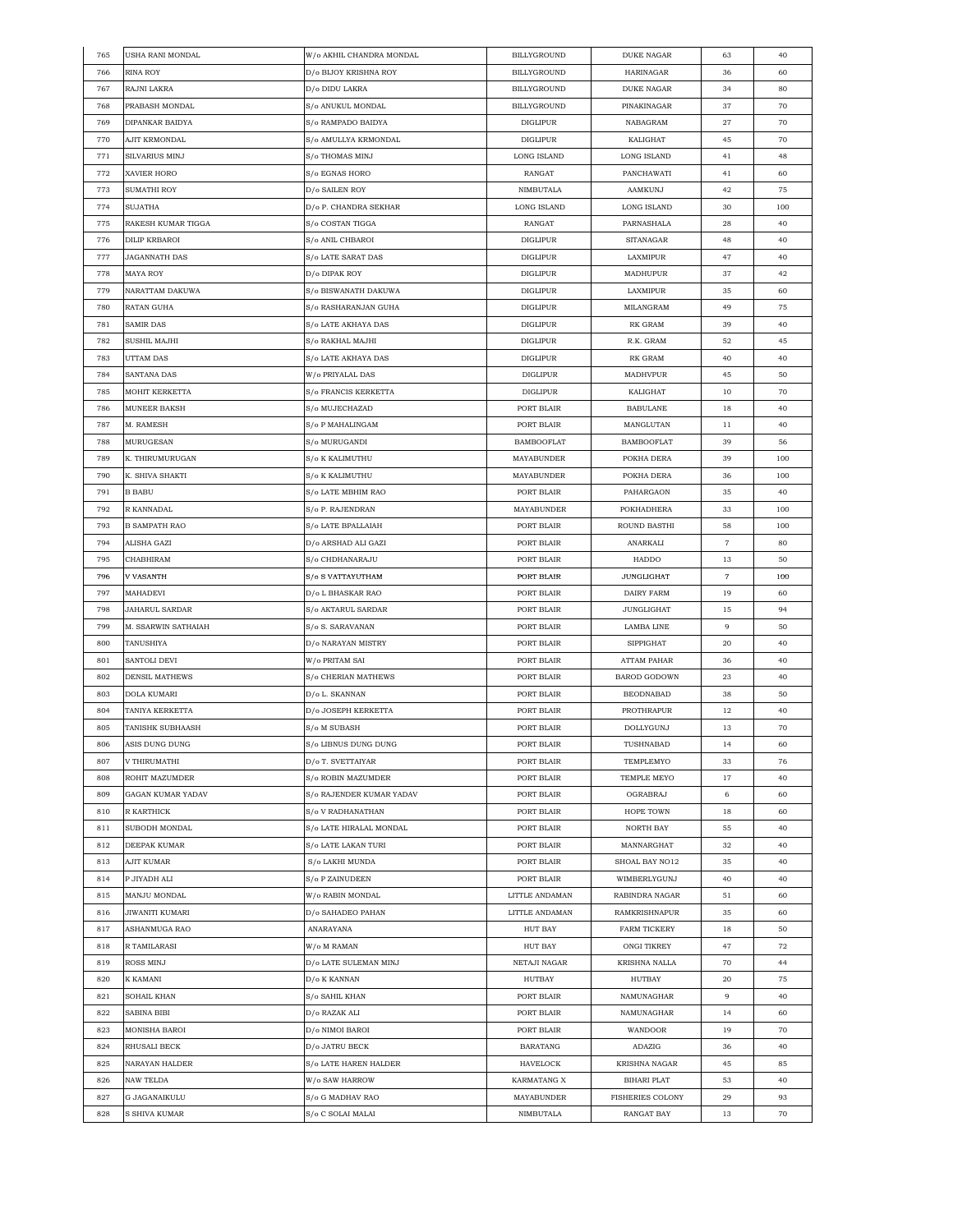| 765 | <b>USHA RANI MONDAL</b> | W/o AKHIL CHANDRA MONDAL | BILLYGROUND        | <b>DUKE NAGAR</b>       | 63                  | 40  |
|-----|-------------------------|--------------------------|--------------------|-------------------------|---------------------|-----|
| 766 | RINA ROY                | D/o BIJOY KRISHNA ROY    | <b>BILLYGROUND</b> | HARINAGAR               | 36                  | 60  |
| 767 | RAJNI LAKRA             | D/o DIDU LAKRA           | BILLYGROUND        | <b>DUKE NAGAR</b>       | 34                  | 80  |
| 768 | PRABASH MONDAL          | S/o ANUKUL MONDAL        | BILLYGROUND        | PINAKINAGAR             | 37                  | 70  |
| 769 | DIPANKAR BAIDYA         | S/o RAMPADO BAIDYA       | <b>DIGLIPUR</b>    | NABAGRAM                | 27                  | 70  |
| 770 | AJIT KRMONDAL           | S/o AMULLYA KRMONDAL     | <b>DIGLIPUR</b>    | KALIGHAT                | 45                  | 70  |
| 771 | SILVARIUS MINJ          | S/o THOMAS MINJ          | LONG ISLAND        | LONG ISLAND             | 41                  | 48  |
| 772 | XAVIER HORO             | S/o EGNAS HORO           | RANGAT             | PANCHAWATI              | 41                  | 60  |
| 773 | SUMATHI ROY             | D/o SAILEN ROY           | NIMBUTALA          | AAMKUNJ                 | 42                  | 75  |
| 774 | SUJATHA                 | D/o P. CHANDRA SEKHAR    | LONG ISLAND        | LONG ISLAND             | 30                  | 100 |
|     | RAKESH KUMAR TIGGA      | S/o COSTAN TIGGA         |                    |                         |                     |     |
| 775 |                         |                          | RANGAT             | PARNASHALA              | 28                  | 40  |
| 776 | <b>DILIP KRBAROI</b>    | S/o ANIL CHBAROI         | <b>DIGLIPUR</b>    | SITANAGAR               | 48                  | 40  |
| 777 | <b>JAGANNATH DAS</b>    | S/o LATE SARAT DAS       | <b>DIGLIPUR</b>    | LAXMIPUR                | 47                  | 40  |
| 778 | <b>MAYA ROY</b>         | D/o DIPAK ROY            | <b>DIGLIPUR</b>    | MADHUPUR                | 37                  | 42  |
| 779 | NARATTAM DAKUWA         | S/o BISWANATH DAKUWA     | DIGLIPUR           | LAXMIPUR                | 35                  | 60  |
| 780 | RATAN GUHA              | S/o RASHARANJAN GUHA     | <b>DIGLIPUR</b>    | MILANGRAM               | 49                  | 75  |
| 781 | SAMIR DAS               | S/o LATE AKHAYA DAS      | <b>DIGLIPUR</b>    | RK GRAM                 | 39                  | 40  |
| 782 | SUSHIL MAJHI            | S/o RAKHAL MAJHI         | <b>DIGLIPUR</b>    | R.K. GRAM               | 52                  | 45  |
| 783 | UTTAM DAS               | S/o LATE AKHAYA DAS      | DIGLIPUR           | RK GRAM                 | 40                  | 40  |
| 784 | SANTANA DAS             | W/o PRIYALAL DAS         | <b>DIGLIPUR</b>    | MADHVPUR                | 45                  | 50  |
| 785 | MOHIT KERKETTA          | S/o FRANCIS KERKETTA     | <b>DIGLIPUR</b>    | KALIGHAT                | 10                  | 70  |
| 786 | MUNEER BAKSH            | S/o MUJECHAZAD           | PORT BLAIR         | <b>BABULANE</b>         | 18                  | 40  |
| 787 | M. RAMESH               | S/o P MAHALINGAM         | PORT BLAIR         | MANGLUTAN               | 11                  | 40  |
| 788 | MURUGESAN               | S/o MURUGANDI            | <b>BAMBOOFLAT</b>  | <b>BAMBOOFLAT</b>       | 39                  | 56  |
| 789 | K. THIRUMURUGAN         | S/o K KALIMUTHU          | MAYABUNDER         | POKHA DERA              | 39                  | 100 |
| 790 | K. SHIVA SHAKTI         | S/o K KALIMUTHU          | MAYABUNDER         | POKHA DERA              | 36                  | 100 |
| 791 | <b>B BABU</b>           | S/o LATE MBHIM RAO       | PORT BLAIR         | PAHARGAON               | 35                  | 40  |
|     |                         |                          |                    |                         |                     |     |
| 792 | R KANNADAL              | S/o P. RAJENDRAN         | <b>MAYABUNDER</b>  | POKHADHERA              | 33                  | 100 |
| 793 | <b>B SAMPATH RAO</b>    | S/o LATE BPALLAIAH       | PORT BLAIR         | ROUND BASTHI            | 58                  | 100 |
| 794 | ALISHA GAZI             | D/o ARSHAD ALI GAZI      | PORT BLAIR         | ANARKALI                | $\scriptstyle\rm 7$ | 80  |
| 795 | CHABHIRAM               | S/o CHDHANARAJU          | PORT BLAIR         | HADDO                   | 13                  | 50  |
| 796 | V VASANTH               | S/o S VATTAYUTHAM        | PORT BLAIR         | <b>JUNGLIGHAT</b>       | $\overline{7}$      | 100 |
| 797 | MAHADEVI                | D/o L BHASKAR RAO        | PORT BLAIR         | DAIRY FARM              | 19                  | 60  |
| 798 | <b>JAHARUL SARDAR</b>   | S/o AKTARUL SARDAR       | PORT BLAIR         | <b>JUNGLIGHAT</b>       | 15                  | 94  |
| 799 | M. SSARWIN SATHAIAH     | S/o S. SARAVANAN         | PORT BLAIR         | LAMBA LINE              | 9                   | 50  |
| 800 | TANUSHIYA               | D/o NARAYAN MISTRY       | PORT BLAIR         | SIPPIGHAT               | 20                  | 40  |
| 801 | SANTOLI DEVI            | W/o PRITAM SAI           | PORT BLAIR         | <b>ATTAM PAHAR</b>      | 36                  | 40  |
| 802 | <b>DENSIL MATHEWS</b>   | S/o CHERIAN MATHEWS      | PORT BLAIR         | BAROD GODOWN            | 23                  | 40  |
| 803 | DOLA KUMARI             | D/o L. SKANNAN           | PORT BLAIR         | <b>BEODNABAD</b>        | 38                  | 50  |
| 804 | TANIYA KERKETTA         | D/o JOSEPH KERKETTA      | PORT BLAIR         | PROTHRAPUR              | 12                  | 40  |
| 805 | TANISHK SUBHAASH        | S/o M SUBASH             | PORT BLAIR         | DOLLYGUNJ               | 13                  | 70  |
| 806 | ASIS DUNG DUNG          | S/o LIBNUS DUNG DUNG     | PORT BLAIR         | TUSHNABAD               | 14                  | 60  |
| 807 | V THIRUMATHI            | D/o T. SVETTAIYAR        | PORT BLAIR         | TEMPLEMYO               | 33                  | 76  |
| 808 | ROHIT MAZUMDER          | S/o ROBIN MAZUMDER       | PORT BLAIR         | TEMPLE MEYO             | 17                  | 40  |
| 809 | GAGAN KUMAR YADAV       | S/o RAJENDER KUMAR YADAV | PORT BLAIR         | OGRABRAJ                | 6                   | 60  |
| 810 | R KARTHICK              | S/o V RADHANATHAN        | PORT BLAIR         | HOPE TOWN               | 18                  | 60  |
| 811 | SUBODH MONDAL           | S/o LATE HIRALAL MONDAL  | PORT BLAIR         | NORTH BAY               | 55                  | 40  |
|     |                         |                          |                    |                         |                     |     |
| 812 | DEEPAK KUMAR            | S/o LATE LAKAN TURI      | PORT BLAIR         | MANNARGHAT              | 32                  | 40  |
| 813 | AJIT KUMAR              | S/o LAKHI MUNDA          | PORT BLAIR         | SHOAL BAY NO12          | 35                  | 40  |
| 814 | P JIYADH ALI            | S/o P ZAINUDEEN          | PORT BLAIR         | WIMBERLYGUNJ            | 40                  | 40  |
| 815 | MANJU MONDAL            | W/o RABIN MONDAL         | LITTLE ANDAMAN     | RABINDRA NAGAR          | 51                  | 60  |
| 816 | JIWANITI KUMARI         | D/o SAHADEO PAHAN        | LITTLE ANDAMAN     | RAMKRISHNAPUR           | 35                  | 60  |
| 817 | ASHANMUGA RAO           | ANARAYANA                | <b>HUT BAY</b>     | FARM TICKERY            | 18                  | 50  |
| 818 | R TAMILARASI            | W/o M RAMAN              | HUT BAY            | <b>ONGI TIKREY</b>      | 47                  | 72  |
| 819 | ROSS MINJ               | D/o LATE SULEMAN MINJ    | NETAJI NAGAR       | KRISHNA NALLA           | 70                  | 44  |
| 820 | K KAMANI                | D/o K KANNAN             | HUTBAY             | HUTBAY                  | 20                  | 75  |
| 821 | SOHAIL KHAN             | S/o SAHIL KHAN           | PORT BLAIR         | NAMUNAGHAR              | 9                   | 40  |
| 822 | SABINA BIBI             | D/o RAZAK ALI            | PORT BLAIR         | NAMUNAGHAR              | 14                  | 60  |
| 823 | MONISHA BAROI           | D/o NIMOI BAROI          | PORT BLAIR         | WANDOOR                 | 19                  | 70  |
| 824 | RHUSALI BECK            | D/o JATRU BECK           | BARATANG           | ADAZIG                  | 36                  | 40  |
| 825 | NARAYAN HALDER          | S/o LATE HAREN HALDER    | HAVELOCK           | KRISHNA NAGAR           | 45                  | 85  |
| 826 | NAW TELDA               | W/o SAW HARROW           | KARMATANG X        | <b>BIHARI PLAT</b>      | 53                  | 40  |
|     |                         |                          |                    |                         |                     |     |
| 827 | G JAGANAIKULU           | S/o G MADHAV RAO         | MAYABUNDER         | <b>FISHERIES COLONY</b> | 29                  | 93  |
| 828 | S SHIVA KUMAR           | S/o C SOLAI MALAI        | NIMBUTALA          | RANGAT BAY              | 13                  | 70  |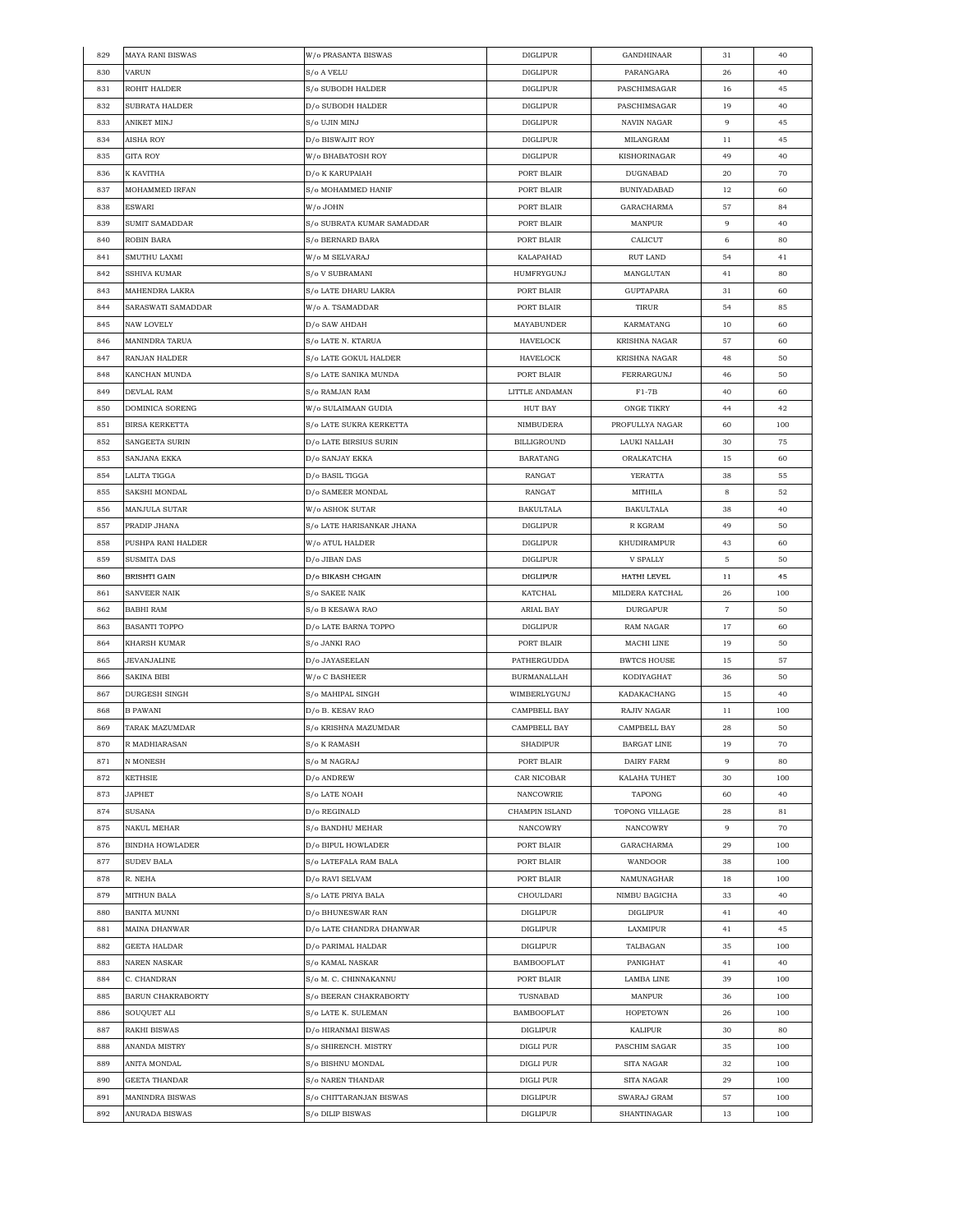| 829 | <b>MAYA RANI BISWAS</b>  | W/o PRASANTA BISWAS          | <b>DIGLIPUR</b>    | GANDHINAAR         | 31                  | 40  |
|-----|--------------------------|------------------------------|--------------------|--------------------|---------------------|-----|
| 830 | VARUN                    | S/o A VELU                   | <b>DIGLIPUR</b>    | PARANGARA          | 26                  | 40  |
| 831 | ROHIT HALDER             | S/o SUBODH HALDER            | <b>DIGLIPUR</b>    | PASCHIMSAGAR       | 16                  | 45  |
| 832 | SUBRATA HALDER           | D/o SUBODH HALDER            | <b>DIGLIPUR</b>    | PASCHIMSAGAR       | 19                  | 40  |
| 833 | ANIKET MINJ              | S/o UJIN MINJ                | <b>DIGLIPUR</b>    | NAVIN NAGAR        | 9                   | 45  |
| 834 | AISHA ROY                | D/o BISWAJIT ROY             | <b>DIGLIPUR</b>    | MILANGRAM          | 11                  | 45  |
| 835 | <b>GITA ROY</b>          | W/o BHABATOSH ROY            | <b>DIGLIPUR</b>    | KISHORINAGAR       | 49                  | 40  |
| 836 | K KAVITHA                | D/o K KARUPAIAH              | PORT BLAIR         | DUGNABAD           | 20                  | 70  |
| 837 | MOHAMMED IRFAN           | S/o MOHAMMED HANIF           | PORT BLAIR         | <b>BUNIYADABAD</b> | 12                  | 60  |
|     |                          |                              |                    |                    |                     |     |
| 838 | ESWARI                   | W/o JOHN                     | PORT BLAIR         | GARACHARMA         | 57                  | 84  |
| 839 | SUMIT SAMADDAR           | S/o SUBRATA KUMAR SAMADDAR   | PORT BLAIR         | MANPUR             | 9                   | 40  |
| 840 | ROBIN BARA               | S/o BERNARD BARA             | PORT BLAIR         | CALICUT            | 6                   | 80  |
| 841 | SMUTHU LAXMI             | W/o M SELVARAJ               | KALAPAHAD          | RUT LAND           | 54                  | 41  |
| 842 | SSHIVA KUMAR             | S/o V SUBRAMANI              | HUMFRYGUNJ         | MANGLUTAN          | 41                  | 80  |
| 843 | MAHENDRA LAKRA           | S/o LATE DHARU LAKRA         | PORT BLAIR         | GUPTAPARA          | 31                  | 60  |
| 844 | SARASWATI SAMADDAR       | W/o A. TSAMADDAR             | PORT BLAIR         | TIRUR              | 54                  | 85  |
| 845 | NAW LOVELY               | D/o SAW AHDAH                | MAYABUNDER         | KARMATANG          | 10                  | 60  |
| 846 | <b>MANINDRA TARUA</b>    | S/o LATE N. KTARUA           | HAVELOCK           | KRISHNA NAGAR      | 57                  | 60  |
| 847 | RANJAN HALDER            | S/o LATE GOKUL HALDER        | HAVELOCK           | KRISHNA NAGAR      | 48                  | 50  |
| 848 | KANCHAN MUNDA            | S/o LATE SANIKA MUNDA        | PORT BLAIR         | FERRARGUNJ         | 46                  | 50  |
| 849 | DEVLAL RAM               | S/o RAMJAN RAM               | LITTLE ANDAMAN     | $F1-7B$            | 40                  | 60  |
| 850 | DOMINICA SORENG          | W/o SULAIMAAN GUDIA          | <b>HUT BAY</b>     | <b>ONGE TIKRY</b>  | 44                  | 42  |
| 851 | <b>BIRSA KERKETTA</b>    | S/o LATE SUKRA KERKETTA      | <b>NIMBUDERA</b>   | PROFULLYA NAGAR    | 60                  | 100 |
| 852 | SANGEETA SURIN           | D/o LATE BIRSIUS SURIN       | <b>BILLIGROUND</b> | LAUKI NALLAH       | 30                  | 75  |
|     |                          |                              |                    |                    |                     |     |
| 853 | SANJANA EKKA             | D/o SANJAY EKKA              | <b>BARATANG</b>    | ORALKATCHA         | 15                  | 60  |
| 854 | LALITA TIGGA             | D/o BASIL TIGGA              | RANGAT             | YERATTA            | 38                  | 55  |
| 855 | SAKSHI MONDAL            | D/o SAMEER MONDAL            | RANGAT             | MITHILA            | 8                   | 52  |
| 856 | MANJULA SUTAR            | W/o ASHOK SUTAR              | <b>BAKULTALA</b>   | <b>BAKULTALA</b>   | 38                  | 40  |
| 857 | PRADIP JHANA             | S/o LATE HARISANKAR JHANA    | <b>DIGLIPUR</b>    | R KGRAM            | 49                  | 50  |
| 858 | PUSHPA RANI HALDER       | W/o ATUL HALDER              | DIGLIPUR           | KHUDIRAMPUR        | 43                  | 60  |
| 859 | SUSMITA DAS              | D/o JIBAN DAS                | <b>DIGLIPUR</b>    | V SPALLY           | 5                   | 50  |
| 860 | <b>BRISHTI GAIN</b>      | D/o BIKASH CHGAIN            | <b>DIGLIPUR</b>    | HATHI LEVEL        | 11                  | 45  |
| 861 | SANVEER NAIK             | S/o SAKEE NAIK               | <b>KATCHAL</b>     | MILDERA KATCHAL    | 26                  | 100 |
| 862 | <b>BABHI RAM</b>         | S/o B KESAWA RAO             | ARIAL BAY          | DURGAPUR           | $\scriptstyle\rm 7$ | 50  |
| 863 | <b>BASANTI TOPPO</b>     | D/o LATE BARNA TOPPO         | <b>DIGLIPUR</b>    | RAM NAGAR          | 17                  | 60  |
| 864 | KHARSH KUMAR             | S/o JANKI RAO                | PORT BLAIR         | MACHI LINE         | 19                  | 50  |
| 865 | JEVANJALINE              | D/o JAYASEELAN               | PATHERGUDDA        | <b>BWTCS HOUSE</b> | 15                  | 57  |
| 866 | SAKINA BIBI              | W/o C BASHEER                | <b>BURMANALLAH</b> | KODIYAGHAT         | 36                  | 50  |
| 867 | DURGESH SINGH            | S/o MAHIPAL SINGH            | WIMBERLYGUNJ       | KADAKACHANG        | 15                  | 40  |
| 868 | <b>B PAWANI</b>          | D/o B. KESAV RAO             | CAMPBELL BAY       | RAJIV NAGAR        | 11                  | 100 |
| 869 | TARAK MAZUMDAR           | S/o KRISHNA MAZUMDAR         | CAMPBELL BAY       | CAMPBELL BAY       | 28                  | 50  |
| 870 | R MADHIARASAN            |                              | <b>SHADIPUR</b>    | <b>BARGAT LINE</b> | 19                  | 70  |
| 871 | N MONESH                 | S/o K RAMASH<br>S/o M NAGRAJ | PORT BLAIR         | DAIRY FARM         | 9                   | 80  |
|     |                          |                              |                    |                    |                     |     |
| 872 | <b>KETHSIE</b>           | D/o ANDREW                   | CAR NICOBAR        | KALAHA TUHET       | 30                  | 100 |
| 873 | <b>JAPHET</b>            | S/o LATE NOAH                | NANCOWRIE          | TAPONG             | 60                  | 40  |
| 874 | SUSANA                   | D/o REGINALD                 | CHAMPIN ISLAND     | TOPONG VILLAGE     | 28                  | 81  |
| 875 | <b>NAKUL MEHAR</b>       | S/o BANDHU MEHAR             | NANCOWRY           | NANCOWRY           | 9                   | 70  |
| 876 | <b>BINDHA HOWLADER</b>   | D/o BIPUL HOWLADER           | PORT BLAIR         | GARACHARMA         | 29                  | 100 |
| 877 | <b>SUDEV BALA</b>        | S/o LATEFALA RAM BALA        | PORT BLAIR         | WANDOOR            | 38                  | 100 |
| 878 | R. NEHA                  | D/o RAVI SELVAM              | PORT BLAIR         | NAMUNAGHAR         | 18                  | 100 |
| 879 | MITHUN BALA              | S/o LATE PRIYA BALA          | CHOULDARI          | NIMBU BAGICHA      | 33                  | 40  |
| 880 | BANITA MUNNI             | D/o BHUNESWAR RAN            | <b>DIGLIPUR</b>    | <b>DIGLIPUR</b>    | 41                  | 40  |
| 881 | <b>MAINA DHANWAR</b>     | D/o LATE CHANDRA DHANWAR     | <b>DIGLIPUR</b>    | LAXMIPUR           | 41                  | 45  |
| 882 | GEETA HALDAR             | D/o PARIMAL HALDAR           | <b>DIGLIPUR</b>    | TALBAGAN           | 35                  | 100 |
| 883 | NAREN NASKAR             | S/o KAMAL NASKAR             | <b>BAMBOOFLAT</b>  | PANIGHAT           | 41                  | 40  |
| 884 | C. CHANDRAN              | S/o M. C. CHINNAKANNU        | PORT BLAIR         | LAMBA LINE         | 39                  | 100 |
| 885 | <b>BARUN CHAKRABORTY</b> | S/o BEERAN CHAKRABORTY       | TUSNABAD           | MANPUR             | 36                  | 100 |
| 886 | SOUQUET ALI              | S/o LATE K. SULEMAN          | <b>BAMBOOFLAT</b>  | <b>HOPETOWN</b>    | 26                  | 100 |
|     |                          | D/o HIRANMAI BISWAS          |                    |                    |                     |     |
| 887 | RAKHI BISWAS             |                              | DIGLIPUR           | KALIPUR            | 30                  | 80  |
| 888 | ANANDA MISTRY            | S/o SHIRENCH. MISTRY         | DIGLI PUR          | PASCHIM SAGAR      | 35                  | 100 |
| 889 | ANITA MONDAL             | S/o BISHNU MONDAL            | DIGLI PUR          | SITA NAGAR         | 32                  | 100 |
| 890 | GEETA THANDAR            | S/o NAREN THANDAR            | DIGLI PUR          | SITA NAGAR         | 29                  | 100 |
| 891 | <b>MANINDRA BISWAS</b>   | S/o CHITTARANJAN BISWAS      | <b>DIGLIPUR</b>    | SWARAJ GRAM        | 57                  | 100 |
| 892 | ANURADA BISWAS           | S/o DILIP BISWAS             | DIGLIPUR           | SHANTINAGAR        | 13                  | 100 |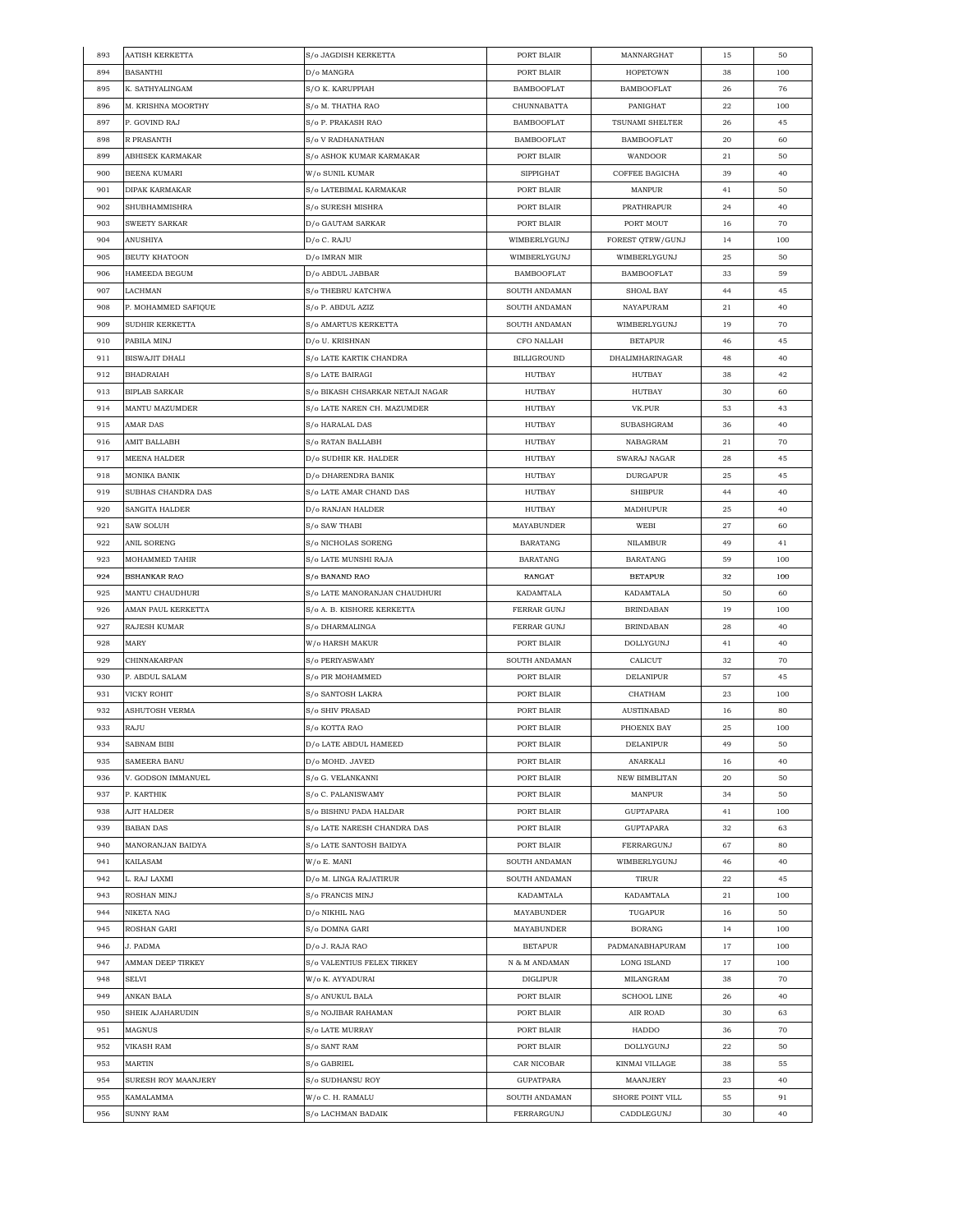| 893 | AATISH KERKETTA      | S/o JAGDISH KERKETTA             | PORT BLAIR         | MANNARGHAT         | 15 | 50  |
|-----|----------------------|----------------------------------|--------------------|--------------------|----|-----|
| 894 | <b>BASANTHI</b>      | D/o MANGRA                       | PORT BLAIR         | <b>HOPETOWN</b>    | 38 | 100 |
| 895 | K. SATHYALINGAM      | S/O K. KARUPPIAH                 | <b>BAMBOOFLAT</b>  | <b>BAMBOOFLAT</b>  | 26 | 76  |
| 896 | M. KRISHNA MOORTHY   | S/o M. THATHA RAO                | CHUNNABATTA        | PANIGHAT           | 22 | 100 |
| 897 | P. GOVIND RAJ        | S/o P. PRAKASH RAO               | <b>BAMBOOFLAT</b>  | TSUNAMI SHELTER    | 26 | 45  |
| 898 | R PRASANTH           | S/o V RADHANATHAN                | <b>BAMBOOFLAT</b>  | <b>BAMBOOFLAT</b>  | 20 | 60  |
| 899 | ABHISEK KARMAKAR     | S/o ASHOK KUMAR KARMAKAR         | PORT BLAIR         | WANDOOR            | 21 | 50  |
| 900 | <b>BEENA KUMARI</b>  | W/o SUNIL KUMAR                  | <b>SIPPIGHAT</b>   | COFFEE BAGICHA     | 39 | 40  |
| 901 | DIPAK KARMAKAR       | S/o LATEBIMAL KARMAKAR           | PORT BLAIR         | MANPUR             | 41 | 50  |
| 902 | SHUBHAMMISHRA        | S/o SURESH MISHRA                | PORT BLAIR         | PRATHRAPUR         | 24 | 40  |
| 903 | SWEETY SARKAR        | D/o GAUTAM SARKAR                | PORT BLAIR         | PORT MOUT          |    | 70  |
|     |                      |                                  |                    |                    | 16 |     |
| 904 | ANUSHIYA             | D/o C. RAJU                      | WIMBERLYGUNJ       | FOREST QTRW/GUNJ   | 14 | 100 |
| 905 | <b>BEUTY KHATOON</b> | D/o IMRAN MIR                    | WIMBERLYGUNJ       | WIMBERLYGUNJ       | 25 | 50  |
| 906 | HAMEEDA BEGUM        | D/o ABDUL JABBAR                 | <b>BAMBOOFLAT</b>  | BAMBOOFLAT         | 33 | 59  |
| 907 | LACHMAN              | S/o THEBRU KATCHWA               | SOUTH ANDAMAN      | SHOAL BAY          | 44 | 45  |
| 908 | P. MOHAMMED SAFIQUE  | S/o P. ABDUL AZIZ                | SOUTH ANDAMAN      | NAYAPURAM          | 21 | 40  |
| 909 | SUDHIR KERKETTA      | S/o AMARTUS KERKETTA             | SOUTH ANDAMAN      | WIMBERLYGUNJ       | 19 | 70  |
| 910 | PABILA MINJ          | D/o U. KRISHNAN                  | CFO NALLAH         | <b>BETAPUR</b>     | 46 | 45  |
| 911 | BISWAJIT DHALI       | S/o LATE KARTIK CHANDRA          | <b>BILLIGROUND</b> | DHALIMHARINAGAR    | 48 | 40  |
| 912 | <b>BHADRAIAH</b>     | S/o LATE BAIRAGI                 | HUTBAY             | HUTBAY             | 38 | 42  |
| 913 | <b>BIPLAB SARKAR</b> | S/o BIKASH CHSARKAR NETAJI NAGAR | HUTBAY             | HUTBAY             | 30 | 60  |
| 914 | MANTU MAZUMDER       | S/o LATE NAREN CH. MAZUMDER      | HUTBAY             | VK.PUR             | 53 | 43  |
| 915 | AMAR DAS             | S/o HARALAL DAS                  | <b>HUTBAY</b>      | SUBASHGRAM         | 36 | 40  |
| 916 | AMIT BALLABH         | S/o RATAN BALLABH                | HUTBAY             | NABAGRAM           | 21 | 70  |
| 917 | MEENA HALDER         | D/o SUDHIR KR. HALDER            | <b>HUTBAY</b>      | SWARAJ NAGAR       | 28 | 45  |
| 918 | MONIKA BANIK         | D/o DHARENDRA BANIK              | HUTBAY             | <b>DURGAPUR</b>    | 25 | 45  |
| 919 | SUBHAS CHANDRA DAS   | S/o LATE AMAR CHAND DAS          | HUTBAY             | <b>SHIBPUR</b>     | 44 | 40  |
| 920 | SANGITA HALDER       | D/o RANJAN HALDER                | <b>HUTBAY</b>      | MADHUPUR           | 25 | 40  |
| 921 |                      |                                  |                    | WEBI               | 27 |     |
|     | SAW SOLUH            | S/o SAW THABI                    | MAYABUNDER         |                    |    | 60  |
| 922 | ANIL SORENG          | S/o NICHOLAS SORENG              | BARATANG           | NILAMBUR           | 49 | 41  |
| 923 | MOHAMMED TAHIR       | S/o LATE MUNSHI RAJA             | <b>BARATANG</b>    | <b>BARATANG</b>    | 59 | 100 |
| 924 | <b>BSHANKAR RAO</b>  | S/o BANAND RAO                   | RANGAT             | <b>BETAPUR</b>     | 32 | 100 |
| 925 | MANTU CHAUDHURI      | S/o LATE MANORANJAN CHAUDHURI    | KADAMTALA          | KADAMTALA          | 50 | 60  |
| 926 | AMAN PAUL KERKETTA   | S/o A. B. KISHORE KERKETTA       | FERRAR GUNJ        | <b>BRINDABAN</b>   | 19 | 100 |
| 927 | <b>RAJESH KUMAR</b>  | S/o DHARMALINGA                  | FERRAR GUNJ        | <b>BRINDABAN</b>   | 28 | 40  |
| 928 | MARY                 | W/o HARSH MAKUR                  | PORT BLAIR         | DOLLYGUNJ          | 41 | 40  |
| 929 | CHINNAKARPAN         | S/o PERIYASWAMY                  | SOUTH ANDAMAN      | CALICUT            | 32 | 70  |
| 930 | P. ABDUL SALAM       | S/o PIR MOHAMMED                 | PORT BLAIR         | DELANIPUR          | 57 | 45  |
| 931 | VICKY ROHIT          | S/o SANTOSH LAKRA                | PORT BLAIR         | CHATHAM            | 23 | 100 |
| 932 | ASHUTOSH VERMA       | S/o SHIV PRASAD                  | PORT BLAIR         | AUSTINABAD         | 16 | 80  |
| 933 | RAJU                 | S/o KOTTA RAO                    | PORT BLAIR         | PHOENIX BAY        | 25 | 100 |
| 934 | <b>SABNAM BIBI</b>   | D/o LATE ABDUL HAMEED            | PORT BLAIR         | <b>DELANIPUR</b>   | 49 | 50  |
| 935 | <b>SAMEERA BANU</b>  | D/o MOHD. JAVED                  | PORT BLAIR         | ANARKALI           | 16 | 40  |
| 936 | V. GODSON IMMANUEL   | S/o G. VELANKANNI                | PORT BLAIR         | NEW BIMBLITAN      | 20 | 50  |
| 937 | P. KARTHIK           | S/o C. PALANISWAMY               | PORT BLAIR         | MANPUR             | 34 | 50  |
| 938 | AJIT HALDER          | S/o BISHNU PADA HALDAR           | PORT BLAIR         | <b>GUPTAPARA</b>   | 41 | 100 |
| 939 | <b>BABAN DAS</b>     | S/o LATE NARESH CHANDRA DAS      | PORT BLAIR         | <b>GUPTAPARA</b>   | 32 | 63  |
| 940 | MANORANJAN BAIDYA    | S/o LATE SANTOSH BAIDYA          | PORT BLAIR         | FERRARGUNJ         | 67 | 80  |
| 941 | KAILASAM             | W/o E. MANI                      | SOUTH ANDAMAN      | WIMBERLYGUNJ       | 46 | 40  |
| 942 | L. RAJ LAXMI         | D/o M. LINGA RAJATIRUR           | SOUTH ANDAMAN      | TIRUR              | 22 | 45  |
| 943 | ROSHAN MINJ          | S/o FRANCIS MINJ                 | KADAMTALA          | KADAMTALA          | 21 | 100 |
|     |                      |                                  |                    |                    |    |     |
| 944 | NIKETA NAG           | D/o NIKHIL NAG                   | MAYABUNDER         | TUGAPUR            | 16 | 50  |
| 945 | ROSHAN GARI          | S/o DOMNA GARI                   | MAYABUNDER         | <b>BORANG</b>      | 14 | 100 |
| 946 | J. PADMA             | D/o J. RAJA RAO                  | <b>BETAPUR</b>     | PADMANABHAPURAM    | 17 | 100 |
| 947 | AMMAN DEEP TIRKEY    | S/o VALENTIUS FELEX TIRKEY       | N & M ANDAMAN      | LONG ISLAND        | 17 | 100 |
| 948 | SELVI                | W/o K. AYYADURAI                 | <b>DIGLIPUR</b>    | MILANGRAM          | 38 | 70  |
| 949 | ANKAN BALA           | S/o ANUKUL BALA                  | PORT BLAIR         | <b>SCHOOL LINE</b> | 26 | 40  |
| 950 | SHEIK AJAHARUDIN     | S/o NOJIBAR RAHAMAN              | PORT BLAIR         | AIR ROAD           | 30 | 63  |
| 951 | MAGNUS               | S/o LATE MURRAY                  | PORT BLAIR         | HADDO              | 36 | 70  |
| 952 | VIKASH RAM           | S/o SANT RAM                     | PORT BLAIR         | DOLLYGUNJ          | 22 | 50  |
| 953 | MARTIN               | S/o GABRIEL                      | CAR NICOBAR        | KINMAI VILLAGE     | 38 | 55  |
| 954 | SURESH ROY MAANJERY  | S/o SUDHANSU ROY                 | <b>GUPATPARA</b>   | MAANJERY           | 23 | 40  |
| 955 | KAMALAMMA            | W/o C. H. RAMALU                 | SOUTH ANDAMAN      | SHORE POINT VILL   | 55 | 91  |
| 956 | SUNNY RAM            | S/o LACHMAN BADAIK               | FERRARGUNJ         | CADDLEGUNJ         | 30 | 40  |
|     |                      |                                  |                    |                    |    |     |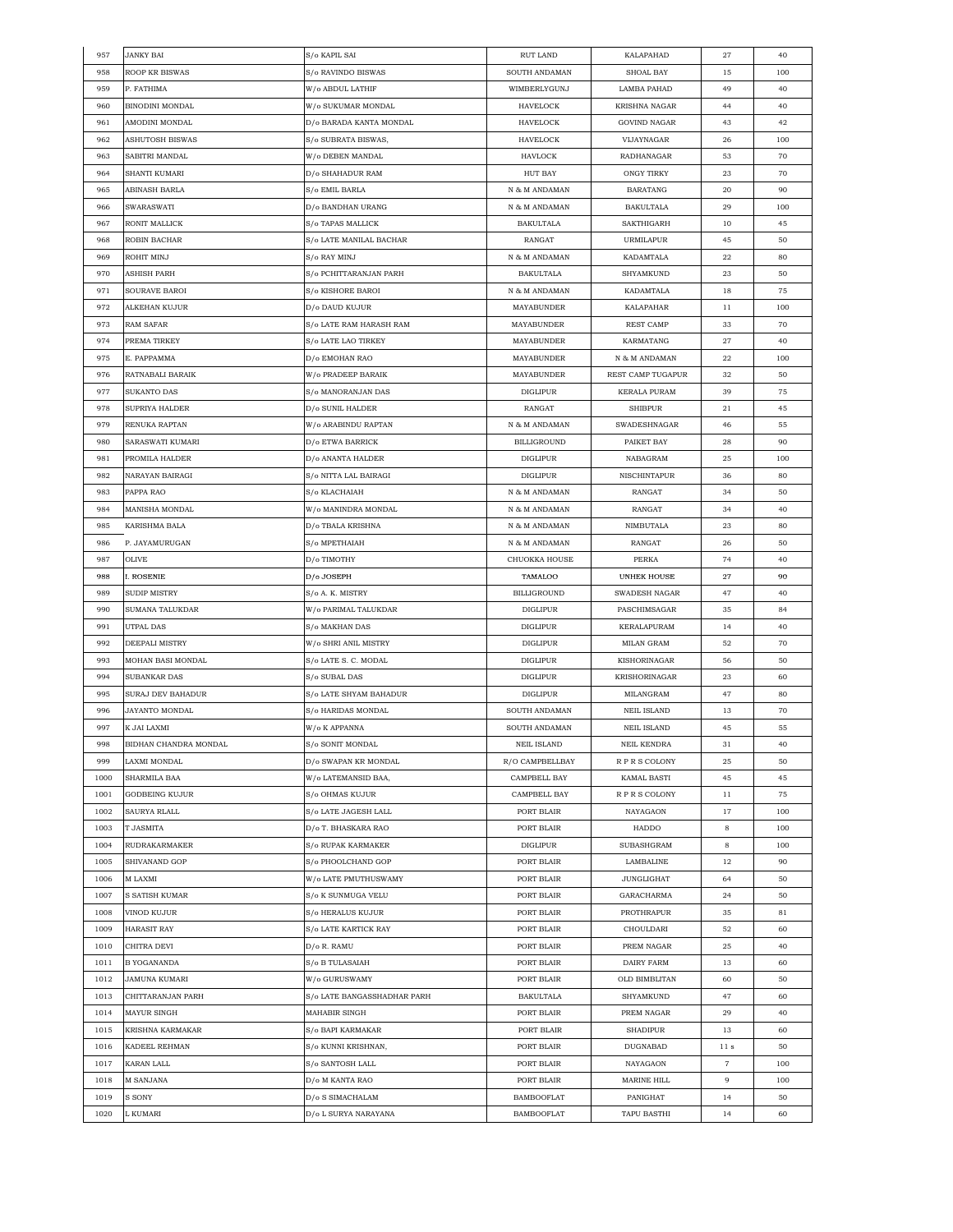| 957  | <b>JANKY BAI</b>        | S/o KAPIL SAI               | RUT LAND           | KALAPAHAD            | 27              | 40  |
|------|-------------------------|-----------------------------|--------------------|----------------------|-----------------|-----|
| 958  | <b>ROOP KR BISWAS</b>   | S/o RAVINDO BISWAS          | SOUTH ANDAMAN      | SHOAL BAY            | 15              | 100 |
| 959  | P. FATHIMA              | W/o ABDUL LATHIF            | WIMBERLYGUNJ       | LAMBA PAHAD          | 49              | 40  |
| 960  | <b>BINODINI MONDAL</b>  | W/o SUKUMAR MONDAL          | HAVELOCK           | <b>KRISHNA NAGAR</b> | 44              | 40  |
| 961  | AMODINI MONDAL          | D/o BARADA KANTA MONDAL     | <b>HAVELOCK</b>    | <b>GOVIND NAGAR</b>  | 43              | 42  |
| 962  | ASHUTOSH BISWAS         | S/o SUBRATA BISWAS,         | <b>HAVELOCK</b>    | VIJAYNAGAR           | 26              | 100 |
| 963  | SABITRI MANDAL          | W/o DEBEN MANDAL            | HAVLOCK            | RADHANAGAR           | 53              | 70  |
| 964  | SHANTI KUMARI           | D/o SHAHADUR RAM            | <b>HUT BAY</b>     | ONGY TIRKY           | 23              | 70  |
| 965  | ABINASH BARLA           | S/o EMIL BARLA              | N & M ANDAMAN      | BARATANG             | 20              | 90  |
| 966  | SWARASWATI              | D/o BANDHAN URANG           | N & M ANDAMAN      | <b>BAKULTALA</b>     | 29              | 100 |
| 967  | RONIT MALLICK           | S/o TAPAS MALLICK           | <b>BAKULTALA</b>   | SAKTHIGARH           | 10              | 45  |
| 968  | ROBIN BACHAR            | S/o LATE MANILAL BACHAR     | RANGAT             | URMILAPUR            | 45              | 50  |
| 969  | ROHIT MINJ              | S/o RAY MINJ                | N & M ANDAMAN      | KADAMTALA            | 22              | 80  |
| 970  | ASHISH PARH             | S/o PCHITTARANJAN PARH      | BAKULTALA          | SHYAMKUND            | 23              | 50  |
| 971  | SOURAVE BAROI           | S/o KISHORE BAROI           | N & M ANDAMAN      | KADAMTALA            | 18              | 75  |
| 972  | ALKEHAN KUJUR           | D/o DAUD KUJUR              | <b>MAYABUNDER</b>  | KALAPAHAR            | 11              | 100 |
| 973  | RAM SAFAR               | S/o LATE RAM HARASH RAM     | MAYABUNDER         | REST CAMP            | 33              | 70  |
| 974  | PREMA TIRKEY            | S/o LATE LAO TIRKEY         | MAYABUNDER         | KARMATANG            | 27              | 40  |
| 975  | E. PAPPAMMA             | D/o EMOHAN RAO              | MAYABUNDER         | N & M ANDAMAN        | 22              | 100 |
| 976  | RATNABALI BARAIK        | W/o PRADEEP BARAIK          | MAYABUNDER         | REST CAMP TUGAPUR    | 32              | 50  |
| 977  | <b>SUKANTO DAS</b>      | S/o MANORANJAN DAS          | <b>DIGLIPUR</b>    | <b>KERALA PURAM</b>  | 39              | 75  |
| 978  | SUPRIYA HALDER          | D/o SUNIL HALDER            | RANGAT             | <b>SHIBPUR</b>       | 21              | 45  |
| 979  | RENUKA RAPTAN           | W/o ARABINDU RAPTAN         | N & M ANDAMAN      | SWADESHNAGAR         | 46              | 55  |
| 980  | SARASWATI KUMARI        | D/o ETWA BARRICK            | BILLIGROUND        | PAIKET BAY           | 28              | 90  |
| 981  | PROMILA HALDER          | D/o ANANTA HALDER           | <b>DIGLIPUR</b>    | NABAGRAM             | 25              | 100 |
| 982  | NARAYAN BAIRAGI         | S/o NITTA LAL BAIRAGI       | <b>DIGLIPUR</b>    | NISCHINTAPUR         | 36              | 80  |
| 983  | PAPPA RAO               | S/o KLACHAIAH               | N & M ANDAMAN      | RANGAT               | 34              | 50  |
| 984  | MANISHA MONDAL          | W/o MANINDRA MONDAL         | N & M ANDAMAN      | RANGAT               | 34              | 40  |
| 985  | KARISHMA BALA           | D/o TBALA KRISHNA           | N & M ANDAMAN      | NIMBUTALA            | 23              | 80  |
| 986  | P. JAYAMURUGAN          | S/o MPETHAIAH               | N & M ANDAMAN      | RANGAT               | 26              | 50  |
| 987  | OLIVE                   | D/o TIMOTHY                 | CHUOKKA HOUSE      | PERKA                | 74              | 40  |
| 988  | I. ROSENIE              | D/o JOSEPH                  | TAMALOO            | <b>UNHEK HOUSE</b>   | $\sqrt{27}$     | 90  |
| 989  | <b>SUDIP MISTRY</b>     | S/o A. K. MISTRY            | <b>BILLIGROUND</b> | SWADESH NAGAR        | 47              | 40  |
| 990  | SUMANA TALUKDAR         | W/o PARIMAL TALUKDAR        | <b>DIGLIPUR</b>    | PASCHIMSAGAR         | 35              | 84  |
| 991  | UTPAL DAS               | S/o MAKHAN DAS              | <b>DIGLIPUR</b>    | KERALAPURAM          | 14              | 40  |
| 992  | DEEPALI MISTRY          | W/o SHRI ANIL MISTRY        | <b>DIGLIPUR</b>    | MILAN GRAM           | 52              | 70  |
| 993  | MOHAN BASI MONDAL       | S/o LATE S. C. MODAL        | <b>DIGLIPUR</b>    | KISHORINAGAR         | 56              | 50  |
| 994  | SUBANKAR DAS            | S/o SUBAL DAS               | <b>DIGLIPUR</b>    | KRISHORINAGAR        | 23              | 60  |
| 995  | SURAJ DEV BAHADUR       | S/o LATE SHYAM BAHADUR      | <b>DIGLIPUR</b>    | MILANGRAM            | 47              | 80  |
| 996  | JAYANTO MONDAL          | S/o HARIDAS MONDAL          | SOUTH ANDAMAN      | <b>NEIL ISLAND</b>   | 13              | 70  |
| 997  | K JAI LAXMI             | W/o K APPANNA               | SOUTH ANDAMAN      | <b>NEIL ISLAND</b>   | 45              | 55  |
| 998  | BIDHAN CHANDRA MONDAL   | S/o SONIT MONDAL            | NEIL ISLAND        | NEIL KENDRA          | $31\,$          | 40  |
| 999  | LAXMI MONDAL            | D/o SWAPAN KR MONDAL        | R/O CAMPBELLBAY    | RPRS COLONY          | 25              | 50  |
| 1000 | SHARMILA BAA            | W/o LATEMANSID BAA,         | CAMPBELL BAY       | KAMAL BASTI          | 45              | 45  |
| 1001 | GODBEING KUJUR          | S/o OHMAS KUJUR             | CAMPBELL BAY       | RPRS COLONY          | 11              | 75  |
| 1002 | SAURYA RLALL            | S/o LATE JAGESH LALL        | PORT BLAIR         | NAYAGAON             | 17              | 100 |
| 1003 | T JASMITA               | D/o T. BHASKARA RAO         | PORT BLAIR         | HADDO                | 8               | 100 |
| 1004 | <b>RUDRAKARMAKER</b>    | S/o RUPAK KARMAKER          | DIGLIPUR           | SUBASHGRAM           | 8               | 100 |
| 1005 | SHIVANAND GOP           | S/o PHOOLCHAND GOP          | PORT BLAIR         | LAMBALINE            | 12              | 90  |
| 1006 | M LAXMI                 | W/o LATE PMUTHUSWAMY        | PORT BLAIR         | <b>JUNGLIGHAT</b>    | 64              | 50  |
| 1007 | S SATISH KUMAR          | S/o K SUNMUGA VELU          | PORT BLAIR         | GARACHARMA           | 24              | 50  |
| 1008 | VINOD KUJUR             | S/o HERALUS KUJUR           | PORT BLAIR         | PROTHRAPUR           | 35              | 81  |
| 1009 | HARASIT RAY             | S/o LATE KARTICK RAY        | PORT BLAIR         | CHOULDARI            | 52              | 60  |
| 1010 | CHITRA DEVI             | D/o R. RAMU                 | PORT BLAIR         | PREM NAGAR           | 25              | 40  |
| 1011 | <b>B YOGANANDA</b>      | S/o B TULASAIAH             | PORT BLAIR         | DAIRY FARM           | 13              | 60  |
| 1012 | JAMUNA KUMARI           | W/o GURUSWAMY               | PORT BLAIR         | OLD BIMBLITAN        | 60              | 50  |
| 1013 | CHITTARANJAN PARH       | S/o LATE BANGASSHADHAR PARH | <b>BAKULTALA</b>   | SHYAMKUND            | 47              | 60  |
| 1014 | MAYUR SINGH             | MAHABIR SINGH               | PORT BLAIR         | PREM NAGAR           | 29              | 40  |
| 1015 | <b>KRISHNA KARMAKAR</b> | S/o BAPI KARMAKAR           | PORT BLAIR         | SHADIPUR             | 13              | 60  |
| 1016 | KADEEL REHMAN           | S/o KUNNI KRISHNAN,         | PORT BLAIR         | DUGNABAD             | 11 <sub>s</sub> | 50  |
| 1017 | KARAN LALL              | S/o SANTOSH LALL            | PORT BLAIR         | NAYAGAON             | $\overline{7}$  | 100 |
| 1018 | M SANJANA               | D/o M KANTA RAO             | PORT BLAIR         | MARINE HILL          | 9               | 100 |
| 1019 | S SONY                  | D/o S SIMACHALAM            | BAMBOOFLAT         | PANIGHAT             | 14              | 50  |
| 1020 | L KUMARI                | D/o L SURYA NARAYANA        | BAMBOOFLAT         | TAPU BASTHI          | 14              | 60  |
|      |                         |                             |                    |                      |                 |     |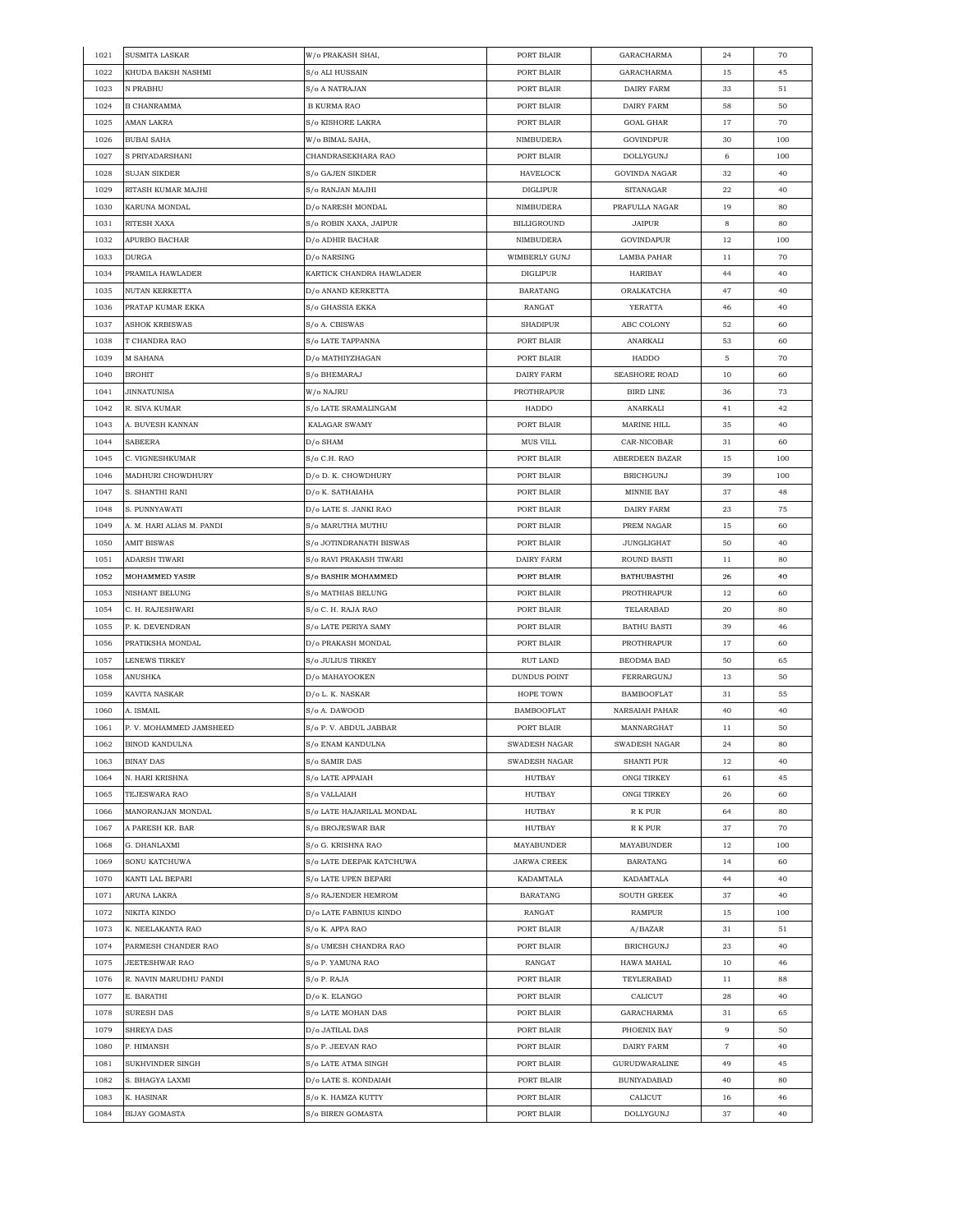| 1021 | <b>SUSMITA LASKAR</b>     | W/o PRAKASH SHAI,         | PORT BLAIR           | GARACHARMA         | 24 | 70  |
|------|---------------------------|---------------------------|----------------------|--------------------|----|-----|
| 1022 | KHUDA BAKSH NASHMI        | S/o ALI HUSSAIN           | PORT BLAIR           | GARACHARMA         | 15 | 45  |
| 1023 | N PRABHU                  | S/o A NATRAJAN            | PORT BLAIR           | DAIRY FARM         | 33 | 51  |
| 1024 | <b>B CHANRAMMA</b>        | <b>B KURMA RAO</b>        | PORT BLAIR           | DAIRY FARM         | 58 | 50  |
| 1025 | AMAN LAKRA                | S/o KISHORE LAKRA         | PORT BLAIR           | GOAL GHAR          | 17 | 70  |
| 1026 | <b>BUBAI SAHA</b>         | W/o BIMAL SAHA,           | NIMBUDERA            | GOVINDPUR          | 30 | 100 |
| 1027 | S PRIYADARSHANI           | CHANDRASEKHARA RAO        | PORT BLAIR           | DOLLYGUNJ          | 6  | 100 |
| 1028 | SUJAN SIKDER              | S/o GAJEN SIKDER          | HAVELOCK             | GOVINDA NAGAR      | 32 | 40  |
| 1029 | RITASH KUMAR MAJHI        | S/o RANJAN MAJHI          | <b>DIGLIPUR</b>      | <b>SITANAGAR</b>   | 22 | 40  |
| 1030 | KARUNA MONDAL             | D/o NARESH MONDAL         | NIMBUDERA            | PRAFULLA NAGAR     | 19 | 80  |
| 1031 | RITESH XAXA               | S/o ROBIN XAXA, JAIPUR    | BILLIGROUND          | JAIPUR             | 8  | 80  |
|      |                           | D/o ADHIR BACHAR          |                      |                    |    |     |
| 1032 | APURBO BACHAR             |                           | NIMBUDERA            | GOVINDAPUR         | 12 | 100 |
| 1033 | DURGA                     | D/o NARSING               | WIMBERLY GUNJ        | LAMBA PAHAR        | 11 | 70  |
| 1034 | PRAMILA HAWLADER          | KARTICK CHANDRA HAWLADER  | <b>DIGLIPUR</b>      | HARIBAY            | 44 | 40  |
| 1035 | NUTAN KERKETTA            | D/o ANAND KERKETTA        | <b>BARATANG</b>      | ORALKATCHA         | 47 | 40  |
| 1036 | PRATAP KUMAR EKKA         | S/o GHASSIA EKKA          | RANGAT               | YERATTA            | 46 | 40  |
| 1037 | <b>ASHOK KRBISWAS</b>     | S/o A. CBISWAS            | <b>SHADIPUR</b>      | ABC COLONY         | 52 | 60  |
| 1038 | T CHANDRA RAO             | S/o LATE TAPPANNA         | PORT BLAIR           | ANARKALI           | 53 | 60  |
| 1039 | M SAHANA                  | D/o MATHIYZHAGAN          | PORT BLAIR           | HADDO              | 5  | 70  |
| 1040 | <b>BROHIT</b>             | S/o BHEMARAJ              | DAIRY FARM           | SEASHORE ROAD      | 10 | 60  |
| 1041 | <b>JINNATUNISA</b>        | W/o NAJRU                 | PROTHRAPUR           | <b>BIRD LINE</b>   | 36 | 73  |
| 1042 | R. SIVA KUMAR             | S/o LATE SRAMALINGAM      | HADDO                | ANARKALI           | 41 | 42  |
| 1043 | A. BUVESH KANNAN          | KALAGAR SWAMY             | PORT BLAIR           | MARINE HILL        | 35 | 40  |
| 1044 | SABEERA                   | D/o SHAM                  | <b>MUS VILL</b>      | CAR-NICOBAR        | 31 | 60  |
| 1045 | C. VIGNESHKUMAR           | S/o C.H. RAO              | PORT BLAIR           | ABERDEEN BAZAR     | 15 | 100 |
| 1046 | MADHURI CHOWDHURY         | D/o D. K. CHOWDHURY       | PORT BLAIR           | <b>BRICHGUNJ</b>   | 39 | 100 |
| 1047 | S. SHANTHI RANI           | D/o K. SATHAIAHA          | PORT BLAIR           | MINNIE BAY         | 37 | 48  |
| 1048 | S. PUNNYAWATI             | D/o LATE S. JANKI RAO     | PORT BLAIR           | DAIRY FARM         | 23 | 75  |
| 1049 | A. M. HARI ALIAS M. PANDI | S/o MARUTHA MUTHU         | PORT BLAIR           | PREM NAGAR         | 15 | 60  |
| 1050 | <b>AMIT BISWAS</b>        | S/o JOTINDRANATH BISWAS   | PORT BLAIR           | <b>JUNGLIGHAT</b>  | 50 | 40  |
| 1051 | ADARSH TIWARI             | S/o RAVI PRAKASH TIWARI   | DAIRY FARM           | ROUND BASTI        | 11 | 80  |
| 1052 | MOHAMMED YASIR            | S/o BASHIR MOHAMMED       | PORT BLAIR           | <b>BATHUBASTHI</b> | 26 | 40  |
| 1053 | NISHANT BELUNG            | S/o MATHIAS BELUNG        | PORT BLAIR           | PROTHRAPUR         | 12 | 60  |
|      |                           |                           |                      |                    |    |     |
| 1054 | C. H. RAJESHWARI          | S/o C. H. RAJA RAO        | PORT BLAIR           | TELARABAD          | 20 | 80  |
| 1055 | P. K. DEVENDRAN           | S/o LATE PERIYA SAMY      | PORT BLAIR           | <b>BATHU BASTI</b> | 39 | 46  |
| 1056 | PRATIKSHA MONDAL          | D/o PRAKASH MONDAL        | PORT BLAIR           | PROTHRAPUR         | 17 | 60  |
| 1057 | LENEWS TIRKEY             | S/o JULIUS TIRKEY         | <b>RUT LAND</b>      | BEODMA BAD         | 50 | 65  |
| 1058 | ANUSHKA                   | D/o MAHAYOOKEN            | <b>DUNDUS POINT</b>  | FERRARGUNJ         | 13 | 50  |
| 1059 | KAVITA NASKAR             | D/o L. K. NASKAR          | HOPE TOWN            | <b>BAMBOOFLAT</b>  | 31 | 55  |
| 1060 | A. ISMAIL                 | S/o A. DAWOOD             | <b>BAMBOOFLAT</b>    | NARSAIAH PAHAR     | 40 | 40  |
| 1061 | P. V. MOHAMMED JAMSHEED   | S/o P.V. ABDUL JABBAR     | PORT BLAIR           | MANNARGHAT         | 11 | 50  |
| 1062 | <b>BINOD KANDULNA</b>     | <b>S/o ENAM KANDULNA</b>  | <b>SWADESH NAGAR</b> | SWADESH NAGAR      | 24 | 80  |
| 1063 | <b>BINAY DAS</b>          | S/o SAMIR DAS             | SWADESH NAGAR        | <b>SHANTI PUR</b>  | 12 | 40  |
| 1064 | N. HARI KRISHNA           | S/o LATE APPAIAH          | HUTBAY               | ONGI TIRKEY        | 61 | 45  |
| 1065 | TEJESWARA RAO             | S/o VALLAIAH              | HUTBAY               | ONGI TIRKEY        | 26 | 60  |
| 1066 | MANORANJAN MONDAL         | S/o LATE HAJARILAL MONDAL | HUTBAY               | R K PUR            | 64 | 80  |
| 1067 | A PARESH KR. BAR          | S/o BROJESWAR BAR         | HUTBAY               | R K PUR            | 37 | 70  |
| 1068 | G. DHANLAXMI              | S/o G. KRISHNA RAO        | MAYABUNDER           | <b>MAYABUNDER</b>  | 12 | 100 |
| 1069 | SONU KATCHUWA             | S/o LATE DEEPAK KATCHUWA  | <b>JARWA CREEK</b>   | <b>BARATANG</b>    | 14 | 60  |
| 1070 | KANTI LAL BEPARI          | S/o LATE UPEN BEPARI      | KADAMTALA            | KADAMTALA          | 44 | 40  |
| 1071 | ARUNA LAKRA               | S/o RAJENDER HEMROM       | BARATANG             | <b>SOUTH GREEK</b> | 37 | 40  |
| 1072 | NIKITA KINDO              | D/o LATE FABNIUS KINDO    | RANGAT               | RAMPUR             | 15 | 100 |
| 1073 | K. NEELAKANTA RAO         | S/o K. APPA RAO           | PORT BLAIR           | A/BAZAR            | 31 | 51  |
| 1074 | PARMESH CHANDER RAO       | S/o UMESH CHANDRA RAO     | PORT BLAIR           | <b>BRICHGUNJ</b>   | 23 | 40  |
| 1075 | JEETESHWAR RAO            | S/o P. YAMUNA RAO         | RANGAT               | HAWA MAHAL         | 10 | 46  |
| 1076 | R. NAVIN MARUDHU PANDI    | S/o P. RAJA               | PORT BLAIR           | TEYLERABAD         | 11 | 88  |
|      |                           |                           |                      |                    |    |     |
| 1077 | E. BARATHI                | D/o K. ELANGO             | PORT BLAIR           | CALICUT            | 28 | 40  |
| 1078 | SURESH DAS                | S/o LATE MOHAN DAS        | PORT BLAIR           | GARACHARMA         | 31 | 65  |
| 1079 | SHREYA DAS                | D/o JATILAL DAS           | PORT BLAIR           | PHOENIX BAY        | 9  | 50  |
| 1080 | P. HIMANSH                | S/o P. JEEVAN RAO         | PORT BLAIR           | DAIRY FARM         | 7  | 40  |
| 1081 | SUKHVINDER SINGH          | S/o LATE ATMA SINGH       | PORT BLAIR           | GURUDWARALINE      | 49 | 45  |
| 1082 | S. BHAGYA LAXMI           | D/o LATE S. KONDAIAH      | PORT BLAIR           | <b>BUNIYADABAD</b> | 40 | 80  |
| 1083 | K. HASINAR                | S/o K. HAMZA KUTTY        | PORT BLAIR           | CALICUT            | 16 | 46  |
| 1084 | <b>BIJAY GOMASTA</b>      | S/o BIREN GOMASTA         | PORT BLAIR           | DOLLYGUNJ          | 37 | 40  |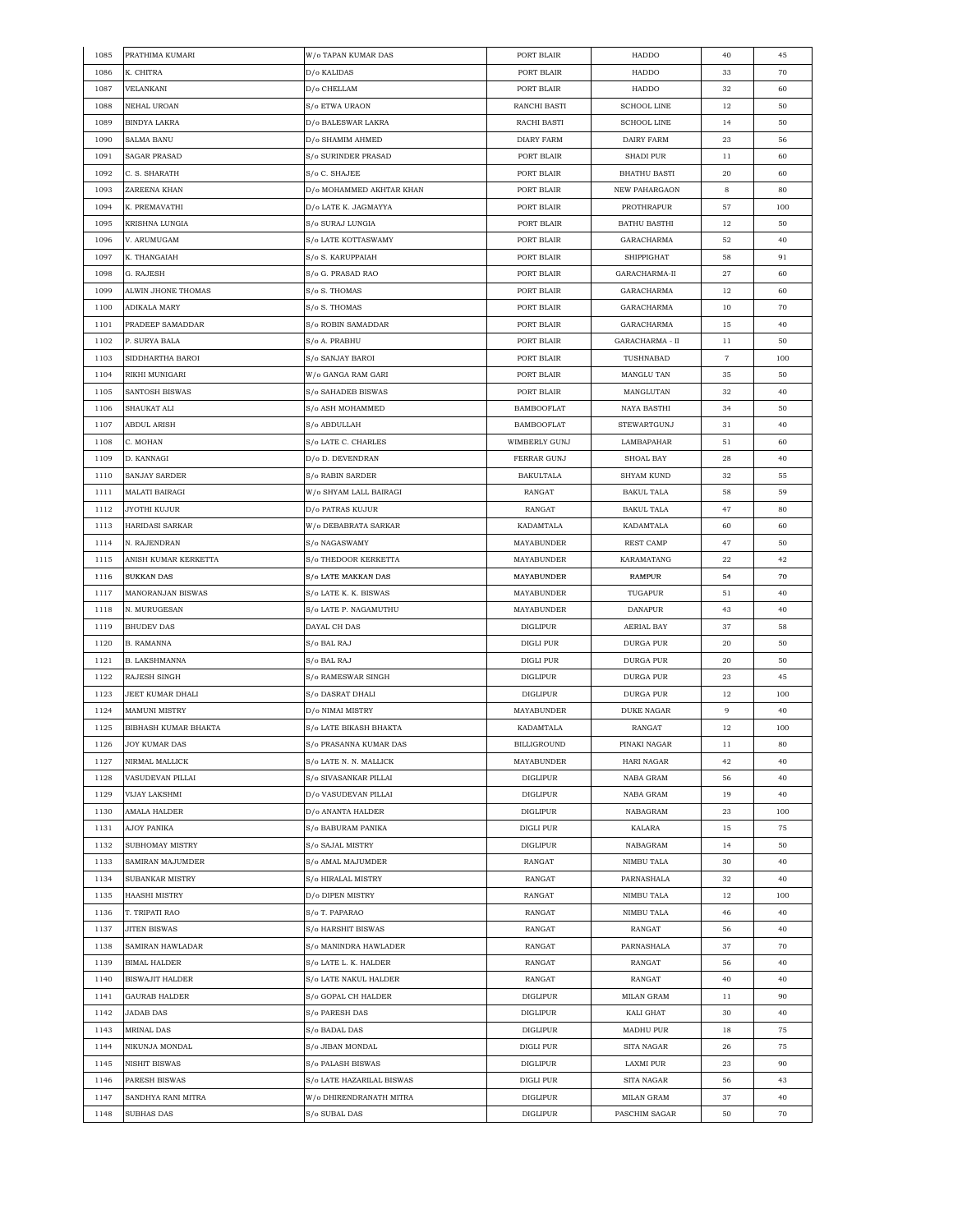| 1085 | PRATHIMA KUMARI        | W/o TAPAN KUMAR DAS       | PORT BLAIR         | HADDO               | 40             | 45  |
|------|------------------------|---------------------------|--------------------|---------------------|----------------|-----|
| 1086 | K. CHITRA              | D/o KALIDAS               | PORT BLAIR         | HADDO               | 33             | 70  |
| 1087 | VELANKANI              | D/o CHELLAM               | PORT BLAIR         | HADDO               | 32             | 60  |
| 1088 | <b>NEHAL UROAN</b>     | S/o ETWA URAON            | RANCHI BASTI       | <b>SCHOOL LINE</b>  | 12             | 50  |
| 1089 | BINDYA LAKRA           | D/o BALESWAR LAKRA        | RACHI BASTI        | <b>SCHOOL LINE</b>  | 14             | 50  |
| 1090 | SALMA BANU             | D/o SHAMIM AHMED          | <b>DIARY FARM</b>  | DAIRY FARM          | 23             | 56  |
| 1091 | SAGAR PRASAD           | S/o SURINDER PRASAD       | PORT BLAIR         | <b>SHADI PUR</b>    | 11             | 60  |
| 1092 | C. S. SHARATH          | S/o C. SHAJEE             | PORT BLAIR         | <b>BHATHU BASTI</b> | 20             | 60  |
| 1093 | ZAREENA KHAN           | D/o MOHAMMED AKHTAR KHAN  | PORT BLAIR         | NEW PAHARGAON       | 8              | 80  |
| 1094 | K. PREMAVATHI          | D/o LATE K. JAGMAYYA      | PORT BLAIR         | PROTHRAPUR          | 57             | 100 |
| 1095 | KRISHNA LUNGIA         | S/o SURAJ LUNGIA          | PORT BLAIR         | <b>BATHU BASTHI</b> | 12             | 50  |
|      |                        |                           | PORT BLAIR         |                     |                |     |
| 1096 | V. ARUMUGAM            | S/o LATE KOTTASWAMY       |                    | GARACHARMA          | 52             | 40  |
| 1097 | K. THANGAIAH           | S/o S. KARUPPAIAH         | PORT BLAIR         | SHIPPIGHAT          | 58             | 91  |
| 1098 | G. RAJESH              | S/o G. PRASAD RAO         | PORT BLAIR         | GARACHARMA-II       | 27             | 60  |
| 1099 | ALWIN JHONE THOMAS     | S/o S. THOMAS             | PORT BLAIR         | GARACHARMA          | 12             | 60  |
| 1100 | ADIKALA MARY           | S/o S. THOMAS             | PORT BLAIR         | GARACHARMA          | 10             | 70  |
| 1101 | PRADEEP SAMADDAR       | S/o ROBIN SAMADDAR        | PORT BLAIR         | GARACHARMA          | 15             | 40  |
| 1102 | P. SURYA BALA          | S/o A. PRABHU             | PORT BLAIR         | GARACHARMA - II     | 11             | 50  |
| 1103 | SIDDHARTHA BAROI       | S/o SANJAY BAROI          | PORT BLAIR         | TUSHNABAD           | $\overline{7}$ | 100 |
| 1104 | RIKHI MUNIGARI         | W/o GANGA RAM GARI        | PORT BLAIR         | MANGLU TAN          | 35             | 50  |
| 1105 | SANTOSH BISWAS         | S/o SAHADEB BISWAS        | PORT BLAIR         | MANGLUTAN           | 32             | 40  |
| 1106 | SHAUKAT ALI            | S/o ASH MOHAMMED          | <b>BAMBOOFLAT</b>  | NAYA BASTHI         | 34             | 50  |
| 1107 | <b>ABDUL ARISH</b>     | S/o ABDULLAH              | <b>BAMBOOFLAT</b>  | STEWARTGUNJ         | 31             | 40  |
| 1108 | C. MOHAN               | S/o LATE C. CHARLES       | WIMBERLY GUNJ      | LAMBAPAHAR          | 51             | 60  |
| 1109 | D. KANNAGI             | D/o D. DEVENDRAN          | FERRAR GUNJ        | SHOAL BAY           | 28             | 40  |
| 1110 | SANJAY SARDER          | S/o RABIN SARDER          | BAKULTALA          | SHYAM KUND          | 32             | 55  |
| 1111 | MALATI BAIRAGI         | W/o SHYAM LALL BAIRAGI    | RANGAT             | <b>BAKUL TALA</b>   | 58             | 59  |
| 1112 | JYOTHI KUJUR           | D/o PATRAS KUJUR          | RANGAT             | <b>BAKUL TALA</b>   | 47             | 80  |
| 1113 | <b>HARIDASI SARKAR</b> | W/o DEBABRATA SARKAR      | KADAMTALA          | KADAMTALA           | 60             | 60  |
| 1114 | N. RAJENDRAN           | S/o NAGASWAMY             | MAYABUNDER         | REST CAMP           | 47             | 50  |
| 1115 | ANISH KUMAR KERKETTA   | S/o THEDOOR KERKETTA      | MAYABUNDER         | KARAMATANG          | 22             | 42  |
| 1116 | <b>SUKKAN DAS</b>      | S/o LATE MAKKAN DAS       | MAYABUNDER         | RAMPUR              | 54             | 70  |
| 1117 | MANORANJAN BISWAS      | S/o LATE K. K. BISWAS     | MAYABUNDER         | TUGAPUR             | 51             | 40  |
|      |                        |                           |                    |                     |                |     |
| 1118 | N. MURUGESAN           | S/o LATE P. NAGAMUTHU     | MAYABUNDER         | <b>DANAPUR</b>      | 43             | 40  |
| 1119 | <b>BHUDEV DAS</b>      | DAYAL CH DAS              | <b>DIGLIPUR</b>    | AERIAL BAY          | 37             | 58  |
| 1120 | <b>B. RAMANNA</b>      | S/o BAL RAJ               | DIGLI PUR          | DURGA PUR           | 20             | 50  |
| 1121 | <b>B. LAKSHMANNA</b>   | S/o BAL RAJ               | DIGLI PUR          | DURGA PUR           | 20             | 50  |
| 1122 | RAJESH SINGH           | S/o RAMESWAR SINGH        | <b>DIGLIPUR</b>    | DURGA PUR           | 23             | 45  |
| 1123 | JEET KUMAR DHALI       | S/o DASRAT DHALI          | <b>DIGLIPUR</b>    | <b>DURGA PUR</b>    | 12             | 100 |
| 1124 | <b>MAMUNI MISTRY</b>   | D/o NIMAI MISTRY          | MAYABUNDER         | <b>DUKE NAGAR</b>   | 9              | 40  |
| 1125 | BIBHASH KUMAR BHAKTA   | S/o LATE BIKASH BHAKTA    | KADAMTALA          | RANGAT              | 12             | 100 |
| 1126 | <b>JOY KUMAR DAS</b>   | S/o PRASANNA KUMAR DAS    | <b>BILLIGROUND</b> | PINAKI NAGAR        | 11             | 80  |
| 1127 | NIRMAL MALLICK         | S/o LATE N. N. MALLICK    | <b>MAYABUNDER</b>  | <b>HARI NAGAR</b>   | 42             | 40  |
| 1128 | VASUDEVAN PILLAI       | S/o SIVASANKAR PILLAI     | <b>DIGLIPUR</b>    | NABA GRAM           | 56             | 40  |
| 1129 | VIJAY LAKSHMI          | D/o VASUDEVAN PILLAI      | <b>DIGLIPUR</b>    | NABA GRAM           | 19             | 40  |
| 1130 | AMALA HALDER           | D/o ANANTA HALDER         | <b>DIGLIPUR</b>    | NABAGRAM            | 23             | 100 |
| 1131 | AJOY PANIKA            | S/o BABURAM PANIKA        | <b>DIGLI PUR</b>   | KALARA              | 15             | 75  |
| 1132 | SUBHOMAY MISTRY        | S/o SAJAL MISTRY          | <b>DIGLIPUR</b>    | NABAGRAM            | 14             | 50  |
| 1133 | SAMIRAN MAJUMDER       | S/o AMAL MAJUMDER         | RANGAT             | NIMBU TALA          | 30             | 40  |
| 1134 | SUBANKAR MISTRY        | S/o HIRALAL MISTRY        | RANGAT             | PARNASHALA          | 32             | 40  |
| 1135 | HAASHI MISTRY          | D/o DIPEN MISTRY          | RANGAT             | NIMBU TALA          | 12             | 100 |
| 1136 | T. TRIPATI RAO         | S/o T. PAPARAO            | RANGAT             | NIMBU TALA          | 46             | 40  |
| 1137 | <b>JITEN BISWAS</b>    | S/o HARSHIT BISWAS        | RANGAT             | RANGAT              | 56             | 40  |
| 1138 | SAMIRAN HAWLADAR       | S/o MANINDRA HAWLADER     | RANGAT             | PARNASHALA          | 37             | 70  |
| 1139 | <b>BIMAL HALDER</b>    | S/o LATE L. K. HALDER     | RANGAT             | RANGAT              | 56             | 40  |
|      |                        |                           |                    |                     |                |     |
| 1140 | <b>BISWAJIT HALDER</b> | S/o LATE NAKUL HALDER     | RANGAT             | RANGAT              | 40             | 40  |
| 1141 | <b>GAURAB HALDER</b>   | S/o GOPAL CH HALDER       | <b>DIGLIPUR</b>    | MILAN GRAM          | 11             | 90  |
| 1142 | JADAB DAS              | S/o PARESH DAS            | <b>DIGLIPUR</b>    | KALI GHAT           | 30             | 40  |
| 1143 | MRINAL DAS             | S/o BADAL DAS             | <b>DIGLIPUR</b>    | MADHU PUR           | 18             | 75  |
| 1144 | NIKUNJA MONDAL         | S/o JIBAN MONDAL          | DIGLI PUR          | SITA NAGAR          | 26             | 75  |
| 1145 | NISHIT BISWAS          | S/o PALASH BISWAS         | DIGLIPUR           | LAXMI PUR           | 23             | 90  |
| 1146 | PARESH BISWAS          | S/o LATE HAZARILAL BISWAS | DIGLI PUR          | SITA NAGAR          | 56             | 43  |
| 1147 | SANDHYA RANI MITRA     | W/o DHIRENDRANATH MITRA   | <b>DIGLIPUR</b>    | MILAN GRAM          | 37             | 40  |
| 1148 | SUBHAS DAS             | S/o SUBAL DAS             | <b>DIGLIPUR</b>    | PASCHIM SAGAR       | 50             | 70  |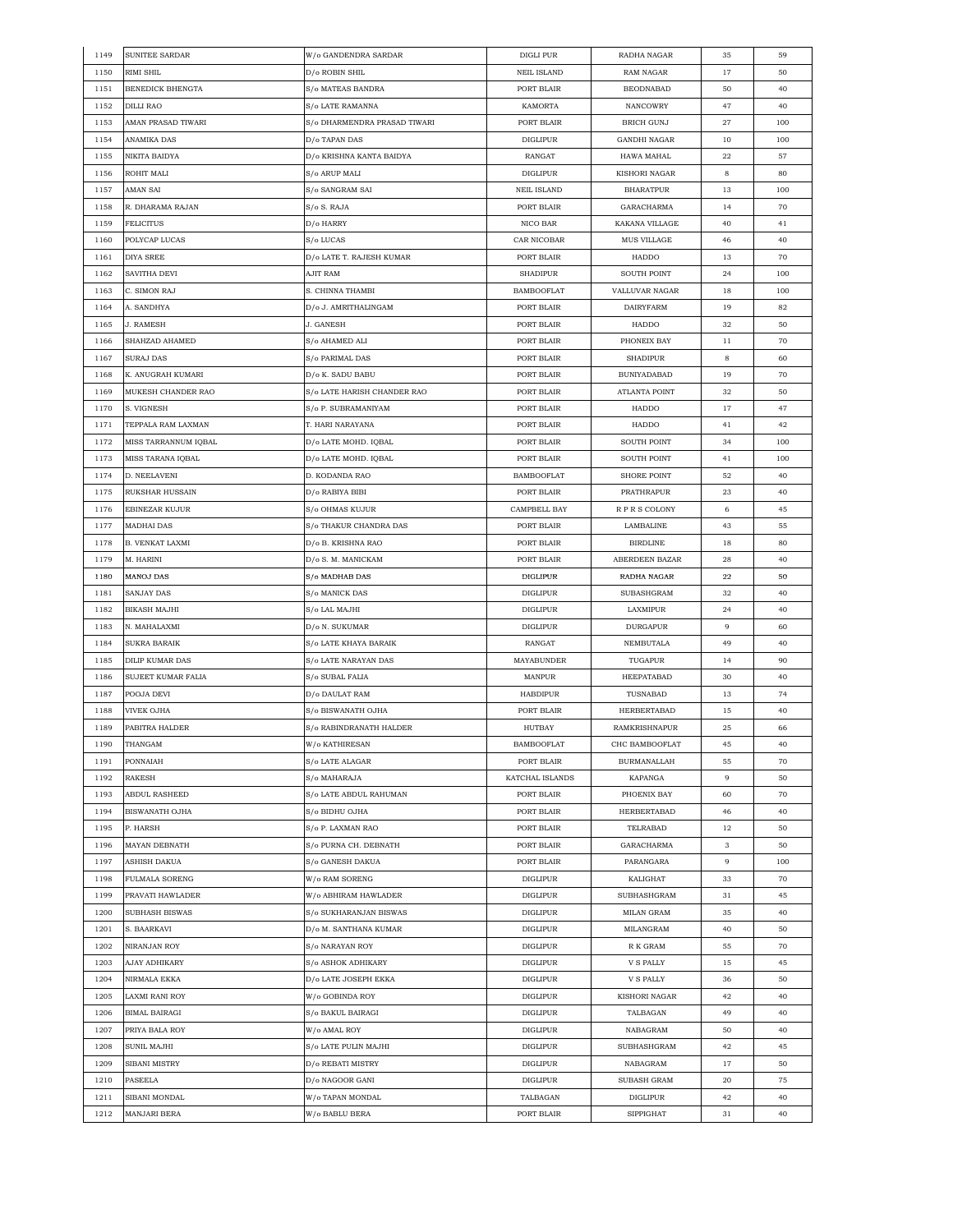| 1149 | <b>SUNITEE SARDAR</b> | W/o GANDENDRA SARDAR                  | DIGLI PUR          | RADHA NAGAR         | 35        | 59  |
|------|-----------------------|---------------------------------------|--------------------|---------------------|-----------|-----|
| 1150 | RIMI SHIL             | D/o ROBIN SHIL                        | <b>NEIL ISLAND</b> | RAM NAGAR           | 17        | 50  |
| 1151 | BENEDICK BHENGTA      | S/o MATEAS BANDRA                     | PORT BLAIR         | <b>BEODNABAD</b>    | 50        | 40  |
| 1152 | DILLI RAO             | S/o LATE RAMANNA                      | <b>KAMORTA</b>     | NANCOWRY            | 47        | 40  |
| 1153 | AMAN PRASAD TIWARI    | S/o DHARMENDRA PRASAD TIWARI          | PORT BLAIR         | <b>BRICH GUNJ</b>   | 27        | 100 |
| 1154 | ANAMIKA DAS           | D/o TAPAN DAS                         | DIGLIPUR           | <b>GANDHI NAGAR</b> | 10        | 100 |
| 1155 | NIKITA BAIDYA         | D/o KRISHNA KANTA BAIDYA              | RANGAT             | HAWA MAHAL          | 22        | 57  |
| 1156 | ROHIT MALI            | S/o ARUP MALI                         | <b>DIGLIPUR</b>    | KISHORI NAGAR       | 8         | 80  |
| 1157 | AMAN SAI              | S/o SANGRAM SAI                       | <b>NEIL ISLAND</b> | <b>BHARATPUR</b>    | 13        | 100 |
| 1158 | R. DHARAMA RAJAN      | S/o S. RAJA                           | PORT BLAIR         | GARACHARMA          | 14        | 70  |
| 1159 | FELICITUS             |                                       | NICO BAR           | KAKANA VILLAGE      | 40        | 41  |
|      |                       | D/o HARRY                             |                    |                     |           |     |
| 1160 | POLYCAP LUCAS         | S/o LUCAS<br>D/o LATE T. RAJESH KUMAR | CAR NICOBAR        | MUS VILLAGE         | 46        | 40  |
| 1161 | DIYA SREE             |                                       | PORT BLAIR         | HADDO               | 13        | 70  |
| 1162 | SAVITHA DEVI          | <b>AJIT RAM</b>                       | <b>SHADIPUR</b>    | SOUTH POINT         | 24        | 100 |
| 1163 | C. SIMON RAJ          | S. CHINNA THAMBI                      | <b>BAMBOOFLAT</b>  | VALLUVAR NAGAR      | 18        | 100 |
| 1164 | A. SANDHYA            | D/o J. AMRITHALINGAM                  | PORT BLAIR         | DAIRYFARM           | 19        | 82  |
| 1165 | J. RAMESH             | J. GANESH                             | PORT BLAIR         | HADDO               | 32        | 50  |
| 1166 | SHAHZAD AHAMED        | S/o AHAMED ALI                        | PORT BLAIR         | PHONEIX BAY         | 11        | 70  |
| 1167 | <b>SURAJ DAS</b>      | S/o PARIMAL DAS                       | PORT BLAIR         | <b>SHADIPUR</b>     | 8         | 60  |
| 1168 | K. ANUGRAH KUMARI     | D/o K. SADU BABU                      | PORT BLAIR         | <b>BUNIYADABAD</b>  | 19        | 70  |
| 1169 | MUKESH CHANDER RAO    | S/o LATE HARISH CHANDER RAO           | PORT BLAIR         | ATLANTA POINT       | 32        | 50  |
| 1170 | S. VIGNESH            | S/o P. SUBRAMANIYAM                   | PORT BLAIR         | HADDO               | 17        | 47  |
| 1171 | TEPPALA RAM LAXMAN    | T. HARI NARAYANA                      | PORT BLAIR         | HADDO               | 41        | 42  |
| 1172 | MISS TARRANNUM IQBAL  | D/o LATE MOHD. IQBAL                  | PORT BLAIR         | <b>SOUTH POINT</b>  | 34        | 100 |
| 1173 | MISS TARANA IQBAL     | D/o LATE MOHD. IQBAL                  | PORT BLAIR         | <b>SOUTH POINT</b>  | 41        | 100 |
| 1174 | D. NEELAVENI          | D. KODANDA RAO                        | <b>BAMBOOFLAT</b>  | <b>SHORE POINT</b>  | 52        | 40  |
| 1175 | RUKSHAR HUSSAIN       | D/o RABIYA BIBI                       | PORT BLAIR         | PRATHRAPUR          | 23        | 40  |
| 1176 | EBINEZAR KUJUR        | S/o OHMAS KUJUR                       | CAMPBELL BAY       | RPRS COLONY         | 6         | 45  |
| 1177 | MADHAI DAS            | S/o THAKUR CHANDRA DAS                | PORT BLAIR         | LAMBALINE           | 43        | 55  |
| 1178 | B. VENKAT LAXMI       | D/o B. KRISHNA RAO                    | PORT BLAIR         | <b>BIRDLINE</b>     | 18        | 80  |
| 1179 | M. HARINI             | D/o S. M. MANICKAM                    | PORT BLAIR         | ABERDEEN BAZAR      | 28        | 40  |
| 1180 | MANOJ DAS             | S/o MADHAB DAS                        | <b>DIGLIPUR</b>    | RADHA NAGAR         | $\bf{22}$ | 50  |
| 1181 | SANJAY DAS            | S/o MANICK DAS                        | <b>DIGLIPUR</b>    | SUBASHGRAM          | 32        | 40  |
|      |                       |                                       |                    |                     |           |     |
| 1182 | BIKASH MAJHI          | S/o LAL MAJHI                         | <b>DIGLIPUR</b>    | LAXMIPUR            | 24        | 40  |
| 1183 | N. MAHALAXMI          | D/o N. SUKUMAR                        | DIGLIPUR           | <b>DURGAPUR</b>     | 9         | 60  |
| 1184 | SUKRA BARAIK          | S/o LATE KHAYA BARAIK                 | RANGAT             | NEMBUTALA           | 49        | 40  |
| 1185 | DILIP KUMAR DAS       | S/o LATE NARAYAN DAS                  | MAYABUNDER         | TUGAPUR             | 14        | 90  |
| 1186 | SUJEET KUMAR FALIA    | S/o SUBAL FALIA                       | MANPUR             | HEEPATABAD          | 30        | 40  |
| 1187 | POOJA DEVI            | D/o DAULAT RAM                        | <b>HABDIPUR</b>    | TUSNABAD            | 13        | 74  |
| 1188 | VIVEK OJHA            | S/o BISWANATH OJHA                    | PORT BLAIR         | <b>HERBERTABAD</b>  | 15        | 40  |
| 1189 | PABITRA HALDER        | S/o RABINDRANATH HALDER               | HUTBAY             | RAMKRISHNAPUR       | 25        | 66  |
| 1190 | THANGAM               | W/o KATHIRESAN                        | <b>BAMBOOFLAT</b>  | CHC BAMBOOFLAT      | 45        | 40  |
| 1191 | PONNAIAH              | S/o LATE ALAGAR                       | PORT BLAIR         | <b>BURMANALLAH</b>  | 55        | 70  |
| 1192 | RAKESH                | S/o MAHARAJA                          | KATCHAL ISLANDS    | KAPANGA             | 9         | 50  |
| 1193 | <b>ABDUL RASHEED</b>  | S/o LATE ABDUL RAHUMAN                | PORT BLAIR         | PHOENIX BAY         | 60        | 70  |
| 1194 | BISWANATH OJHA        | S/o BIDHU OJHA                        | PORT BLAIR         | HERBERTABAD         | 46        | 40  |
| 1195 | P. HARSH              | S/o P. LAXMAN RAO                     | PORT BLAIR         | TELRABAD            | 12        | 50  |
| 1196 | MAYAN DEBNATH         | S/o PURNA CH. DEBNATH                 | PORT BLAIR         | GARACHARMA          | 3         | 50  |
| 1197 | ASHISH DAKUA          | S/o GANESH DAKUA                      | PORT BLAIR         | PARANGARA           | 9         | 100 |
| 1198 | FULMALA SORENG        | W/o RAM SORENG                        | DIGLIPUR           | KALIGHAT            | 33        | 70  |
| 1199 | PRAVATI HAWLADER      | W/o ABHIRAM HAWLADER                  | DIGLIPUR           | SUBHASHGRAM         | 31        | 45  |
| 1200 | <b>SUBHASH BISWAS</b> | S/o SUKHARANJAN BISWAS                | <b>DIGLIPUR</b>    | MILAN GRAM          | 35        | 40  |
| 1201 | S. BAARKAVI           | D/o M. SANTHANA KUMAR                 | <b>DIGLIPUR</b>    | MILANGRAM           | 40        | 50  |
| 1202 | NIRANJAN ROY          | S/o NARAYAN ROY                       | <b>DIGLIPUR</b>    | R K GRAM            | 55        | 70  |
| 1203 | AJAY ADHIKARY         | S/o ASHOK ADHIKARY                    | <b>DIGLIPUR</b>    | <b>V S PALLY</b>    | 15        | 45  |
| 1204 | NIRMALA EKKA          | D/0 LATE JOSEPH EKKA                  | DIGLIPUR           | V S PALLY           | 36        | 50  |
| 1205 | LAXMI RANI ROY        | W/o GOBINDA ROY                       | <b>DIGLIPUR</b>    | KISHORI NAGAR       |           |     |
|      |                       |                                       |                    |                     | 42        | 40  |
| 1206 | BIMAL BAIRAGI         | S/o BAKUL BAIRAGI                     | <b>DIGLIPUR</b>    | TALBAGAN            | 49        | 40  |
| 1207 | PRIYA BALA ROY        | W/o AMAL ROY                          | <b>DIGLIPUR</b>    | NABAGRAM            | 50        | 40  |
| 1208 | SUNIL MAJHI           | S/o LATE PULIN MAJHI                  | <b>DIGLIPUR</b>    | SUBHASHGRAM         | 42        | 45  |
| 1209 | SIBANI MISTRY         | D/o REBATI MISTRY                     | <b>DIGLIPUR</b>    | NABAGRAM            | 17        | 50  |
| 1210 | PASEELA               | D/o NAGOOR GANI                       | <b>DIGLIPUR</b>    | <b>SUBASH GRAM</b>  | 20        | 75  |
| 1211 | SIBANI MONDAL         | W/o TAPAN MONDAL                      | TALBAGAN           | <b>DIGLIPUR</b>     | 42        | 40  |
| 1212 | MANJARI BERA          | W/o BABLU BERA                        | PORT BLAIR         | SIPPIGHAT           | 31        | 40  |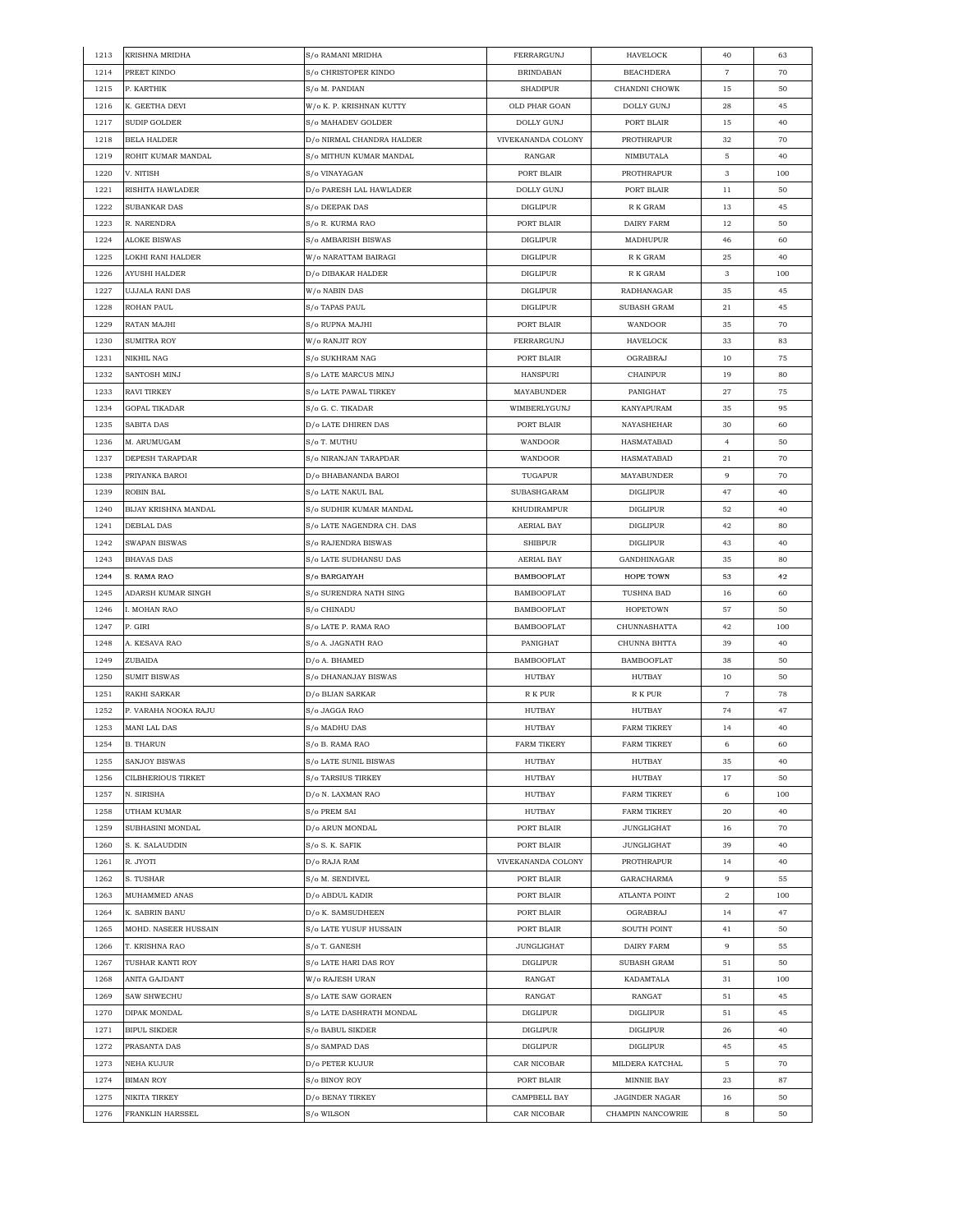| 1213         | <b>KRISHNA MRIDHA</b>                | S/o RAMANI MRIDHA                               | FERRARGUNJ                 | HAVELOCK                            | 40             | 63        |
|--------------|--------------------------------------|-------------------------------------------------|----------------------------|-------------------------------------|----------------|-----------|
| 1214         | PREET KINDO                          | S/o CHRISTOPER KINDO                            | <b>BRINDABAN</b>           | <b>BEACHDERA</b>                    | $\overline{7}$ | 70        |
| 1215         | P. KARTHIK                           | S/o M. PANDIAN                                  | <b>SHADIPUR</b>            | CHANDNI CHOWK                       | 15             | 50        |
| 1216         | K. GEETHA DEVI                       | W/o K. P. KRISHNAN KUTTY                        | OLD PHAR GOAN              | DOLLY GUNJ                          | 28             | 45        |
| 1217         | SUDIP GOLDER                         | S/o MAHADEV GOLDER                              | DOLLY GUNJ                 | PORT BLAIR                          | 15             | 40        |
| 1218         | BELA HALDER                          | D/o NIRMAL CHANDRA HALDER                       | VIVEKANANDA COLONY         | PROTHRAPUR                          | 32             | 70        |
| 1219         | ROHIT KUMAR MANDAL                   | S/o MITHUN KUMAR MANDAL                         | RANGAR                     | NIMBUTALA                           | 5              | 40        |
| 1220         | V. NITISH                            | S/o VINAYAGAN                                   | PORT BLAIR                 | PROTHRAPUR                          | 3              | 100       |
| 1221         | RISHITA HAWLADER                     | D/o PARESH LAL HAWLADER                         | DOLLY GUNJ                 | PORT BLAIR                          | 11             | 50        |
| 1222         | SUBANKAR DAS                         | S/o DEEPAK DAS                                  | <b>DIGLIPUR</b>            | R K GRAM                            | 13             | 45        |
| 1223         | R. NARENDRA                          | S/o R. KURMA RAO                                | PORT BLAIR                 | DAIRY FARM                          | 12             | 50        |
| 1224         | <b>ALOKE BISWAS</b>                  | S/o AMBARISH BISWAS                             | <b>DIGLIPUR</b>            | MADHUPUR                            | 46             | 60        |
| 1225         | LOKHI RANI HALDER                    | W/o NARATTAM BAIRAGI                            | <b>DIGLIPUR</b>            | R K GRAM                            | 25             | 40        |
| 1226         | <b>AYUSHI HALDER</b>                 | D/o DIBAKAR HALDER                              | <b>DIGLIPUR</b>            | R K GRAM                            | 3              | 100       |
| 1227         | UJJALA RANI DAS                      | W/o NABIN DAS                                   | DIGLIPUR                   | RADHANAGAR                          | 35             | 45        |
| 1228         | ROHAN PAUL                           | S/o TAPAS PAUL                                  | <b>DIGLIPUR</b>            | SUBASH GRAM                         | 21             | 45        |
| 1229         | RATAN MAJHI                          | S/o RUPNA MAJHI                                 | PORT BLAIR                 | WANDOOR                             | 35             | 70        |
| 1230         | <b>SUMITRA ROY</b>                   | W/o RANJIT ROY                                  | FERRARGUNJ                 | HAVELOCK                            | 33             | 83        |
| 1231         | NIKHIL NAG                           | S/o SUKHRAM NAG                                 | PORT BLAIR                 | OGRABRAJ                            | 10             | 75        |
| 1232         | SANTOSH MINJ                         | S/o LATE MARCUS MINJ                            | <b>HANSPURI</b>            | <b>CHAINPUR</b>                     | 19             | 80        |
| 1233         | <b>RAVI TIRKEY</b>                   | S/o LATE PAWAL TIRKEY                           | MAYABUNDER                 | PANIGHAT                            | 27             | 75        |
| 1234         | <b>GOPAL TIKADAR</b>                 | S/o G. C. TIKADAR                               | WIMBERLYGUNJ               | KANYAPURAM                          | 35             | 95        |
| 1235         | SABITA DAS                           | D/o LATE DHIREN DAS                             | PORT BLAIR                 | NAYASHEHAR                          | 30             | 60        |
| 1236         | M. ARUMUGAM                          | S/o T. MUTHU                                    | WANDOOR                    | HASMATABAD                          | 4              | 50        |
| 1237         | DEPESH TARAPDAR                      | S/o NIRANJAN TARAPDAR                           | <b>WANDOOR</b>             | HASMATABAD                          | 21             | 70        |
| 1238         | PRIYANKA BAROI                       | D/o BHABANANDA BAROI                            | TUGAPUR                    | MAYABUNDER                          | 9              | 70        |
| 1239         | ROBIN BAL                            | S/o LATE NAKUL BAL                              | SUBASHGARAM                | <b>DIGLIPUR</b>                     | 47             | 40        |
| 1240         | BIJAY KRISHNA MANDAL                 | S/o SUDHIR KUMAR MANDAL                         | KHUDIRAMPUR                | <b>DIGLIPUR</b>                     | 52             | 40        |
| 1241         | DEBLAL DAS                           | S/o LATE NAGENDRA CH. DAS                       | AERIAL BAY                 | <b>DIGLIPUR</b>                     | 42             | 80        |
| 1242         | SWAPAN BISWAS                        | S/o RAJENDRA BISWAS                             | SHIBPUR                    | <b>DIGLIPUR</b>                     | 43             | 40        |
| 1243         | <b>BHAVAS DAS</b>                    | S/o LATE SUDHANSU DAS                           | AERIAL BAY                 | GANDHINAGAR                         | 35             | 80        |
| 1244         | S. RAMA RAO                          | S/o BARGAIYAH                                   | <b>BAMBOOFLAT</b>          | HOPE TOWN                           | 53             | 42        |
| 1245         | ADARSH KUMAR SINGH                   | S/o SURENDRA NATH SING                          | <b>BAMBOOFLAT</b>          | TUSHNA BAD                          | 16             | 60        |
| 1246         | I. MOHAN RAO                         | S/o CHINADU                                     | <b>BAMBOOFLAT</b>          | <b>HOPETOWN</b>                     | 57             | 50        |
| 1247         | P. GIRI                              | S/o LATE P. RAMA RAO                            | BAMBOOFLAT                 | CHUNNASHATTA                        | 42             | 100       |
| 1248         | A. KESAVA RAO                        | S/o A. JAGNATH RAO                              | PANIGHAT                   | CHUNNA BHTTA                        | 39             | 40        |
| 1249         | ZUBAIDA                              | D/o A. BHAMED                                   | <b>BAMBOOFLAT</b>          |                                     | 38             | 50        |
| 1250         | <b>SUMIT BISWAS</b>                  | S/o DHANANJAY BISWAS                            | HUTBAY                     | BAMBOOFLAT<br>HUTBAY                | 10             | 50        |
| 1251         |                                      | D/o BIJAN SARKAR                                |                            | R K PUR                             | $\overline{7}$ | 78        |
| 1252         | RAKHI SARKAR<br>P. VARAHA NOOKA RAJU | S/o JAGGA RAO                                   | R K PUR<br>HUTBAY          | HUTBAY                              | 74             | 47        |
| 1253         | <b>MANI LAL DAS</b>                  | S/o MADHU DAS                                   | <b>HUTBAY</b>              | <b>FARM TIKREY</b>                  | 14             | 40        |
| 1254         | <b>B. THARUN</b>                     | $\mathrm{S}/\mathrm{o}$ B. RAMA RAO             | <b>FARM TIKERY</b>         | <b>FARM TIKREY</b>                  | 6              | 60        |
| 1255         | SANJOY BISWAS                        | S/o LATE SUNIL BISWAS                           | HUTBAY                     | HUTBAY                              | 35             | 40        |
| 1256         | <b>CILBHERIOUS TIRKET</b>            | S/o TARSIUS TIRKEY                              | HUTBAY                     | HUTBAY                              |                |           |
| 1257         | N. SIRISHA                           | D/o N. LAXMAN RAO                               | HUTBAY                     | FARM TIKREY                         | 17<br>6        | 50<br>100 |
| 1258         | UTHAM KUMAR                          | S/o PREM SAI                                    | HUTBAY                     | <b>FARM TIKREY</b>                  | 20             | 40        |
| 1259         | SUBHASINI MONDAL                     | D/o ARUN MONDAL                                 | PORT BLAIR                 | <b>JUNGLIGHAT</b>                   | 16             | 70        |
| 1260         | S. K. SALAUDDIN                      | S/o S. K. SAFIK                                 | PORT BLAIR                 | <b>JUNGLIGHAT</b>                   | 39             | 40        |
| 1261         | R. JYOTI                             | D/o RAJA RAM                                    | VIVEKANANDA COLONY         | PROTHRAPUR                          | 14             | 40        |
| 1262         | S. TUSHAR                            | S/o M. SENDIVEL                                 | PORT BLAIR                 | GARACHARMA                          | 9              | 55        |
| 1263         | MUHAMMED ANAS                        | D/o ABDUL KADIR                                 | PORT BLAIR                 | ATLANTA POINT                       | 2              | 100       |
| 1264         | K. SABRIN BANU                       | D/o K. SAMSUDHEEN                               | PORT BLAIR                 | OGRABRAJ                            | 14             | 47        |
| 1265         | MOHD. NASEER HUSSAIN                 | S/o LATE YUSUF HUSSAIN                          | PORT BLAIR                 | SOUTH POINT                         | 41             | 50        |
| 1266         | T. KRISHNA RAO                       | S/o T. GANESH                                   | JUNGLIGHAT                 | DAIRY FARM                          | 9              | 55        |
| 1267         | TUSHAR KANTI ROY                     | S/o LATE HARI DAS ROY                           | DIGLIPUR                   | SUBASH GRAM                         | 51             | 50        |
| 1268         | ANITA GAJDANT                        | W/o RAJESH URAN                                 | RANGAT                     | KADAMTALA                           | 31             | 100       |
|              |                                      |                                                 |                            |                                     |                |           |
| 1269<br>1270 | SAW SHWECHU<br>DIPAK MONDAL          | S/o LATE SAW GORAEN<br>S/o LATE DASHRATH MONDAL | RANGAT<br><b>DIGLIPUR</b>  | RANGAT<br><b>DIGLIPUR</b>           | 51<br>51       | 45<br>45  |
| 1271         |                                      | $\mathrm{S}/\mathrm{o}$ BABUL SIKDER            |                            |                                     |                | 40        |
|              | <b>BIPUL SIKDER</b>                  |                                                 | DIGLIPUR                   | DIGLIPUR                            | 26             |           |
| 1272         | PRASANTA DAS                         | S/o SAMPAD DAS                                  | DIGLIPUR                   | DIGLIPUR                            | 45             | 45<br>70  |
| 1273         | NEHA KUJUR                           | D/o PETER KUJUR                                 | CAR NICOBAR                | MILDERA KATCHAL                     | 5<br>23        | 87        |
| 1274<br>1275 | <b>BIMAN ROY</b><br>NIKITA TIRKEY    | S/o BINOY ROY<br>D/o BENAY TIRKEY               | PORT BLAIR<br>CAMPBELL BAY | MINNIE BAY<br><b>JAGINDER NAGAR</b> | 16             | 50        |
|              |                                      |                                                 |                            |                                     |                |           |
| 1276         | FRANKLIN HARSSEL                     | S/o WILSON                                      | CAR NICOBAR                | CHAMPIN NANCOWRIE                   | 8              | 50        |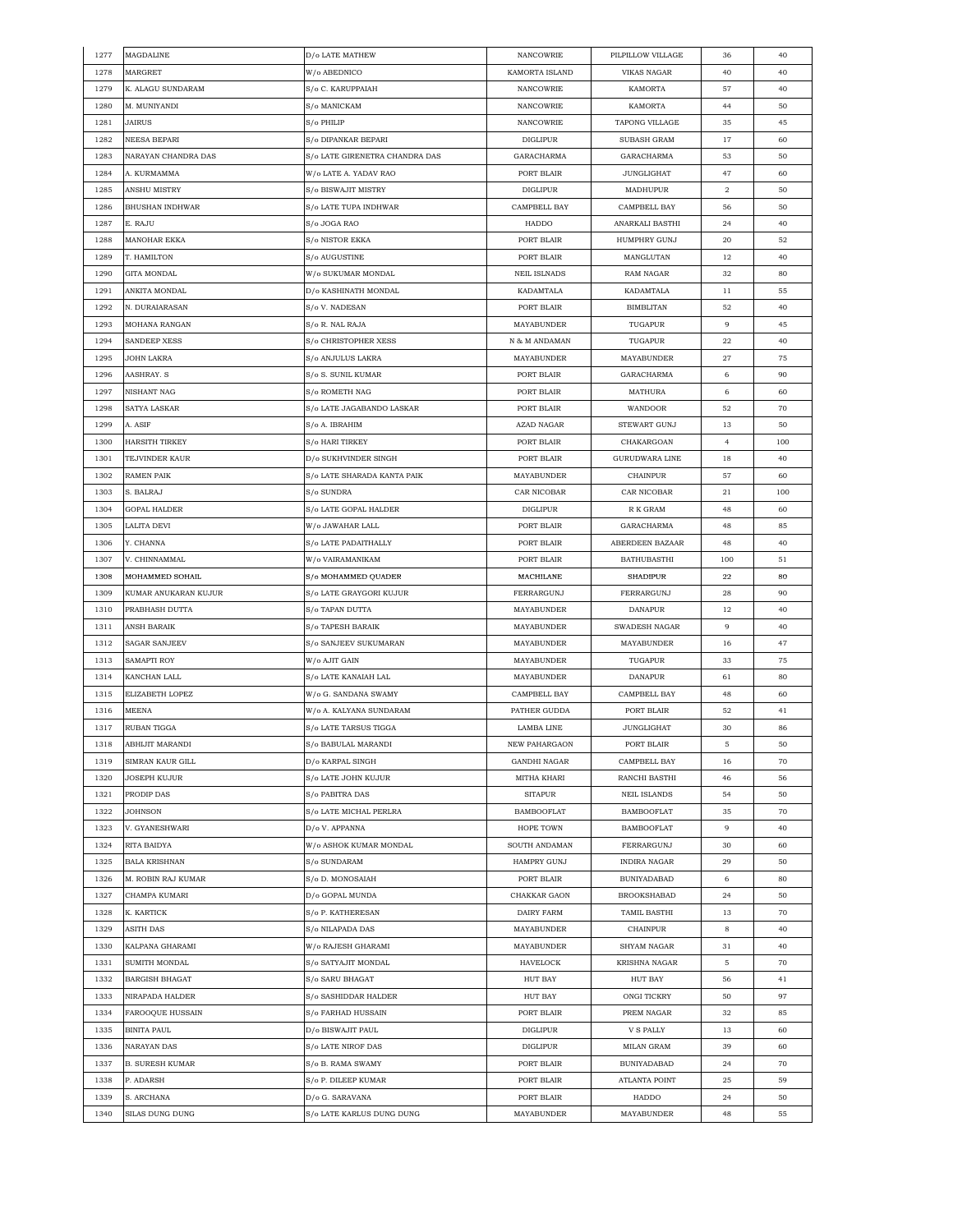| 1277 | <b>MAGDALINE</b>       | D/o LATE MATHEW                | <b>NANCOWRIE</b>    | PILPILLOW VILLAGE    | 36             | 40  |
|------|------------------------|--------------------------------|---------------------|----------------------|----------------|-----|
| 1278 | MARGRET                | W/o ABEDNICO                   | KAMORTA ISLAND      | <b>VIKAS NAGAR</b>   | 40             | 40  |
| 1279 | K. ALAGU SUNDARAM      | S/o C. KARUPPAIAH              | <b>NANCOWRIE</b>    | <b>KAMORTA</b>       | 57             | 40  |
| 1280 | M. MUNIYANDI           | S/o MANICKAM                   | <b>NANCOWRIE</b>    | KAMORTA              | 44             | 50  |
| 1281 | JAIRUS                 | S/o PHILIP                     | NANCOWRIE           | TAPONG VILLAGE       | 35             | 45  |
| 1282 | NEESA BEPARI           | S/o DIPANKAR BEPARI            | <b>DIGLIPUR</b>     | SUBASH GRAM          | 17             | 60  |
| 1283 | NARAYAN CHANDRA DAS    | S/o LATE GIRENETRA CHANDRA DAS | GARACHARMA          | GARACHARMA           | 53             | 50  |
| 1284 | A. KURMAMMA            | W/o LATE A. YADAV RAO          | PORT BLAIR          | <b>JUNGLIGHAT</b>    | 47             | 60  |
| 1285 | ANSHU MISTRY           | S/o BISWAJIT MISTRY            | <b>DIGLIPUR</b>     | MADHUPUR             | $\overline{a}$ | 50  |
| 1286 | <b>BHUSHAN INDHWAR</b> | S/o LATE TUPA INDHWAR          | CAMPBELL BAY        | CAMPBELL BAY         | 56             | 50  |
|      |                        |                                |                     |                      |                |     |
| 1287 | E. RAJU                | S/o JOGA RAO                   | HADDO               | ANARKALI BASTHI      | 24             | 40  |
| 1288 | MANOHAR EKKA           | <b>S/o NISTOR EKKA</b>         | PORT BLAIR          | HUMPHRY GUNJ         | 20             | 52  |
| 1289 | T. HAMILTON            | S/o AUGUSTINE                  | PORT BLAIR          | MANGLUTAN            | 12             | 40  |
| 1290 | GITA MONDAL            | W/o SUKUMAR MONDAL             | <b>NEIL ISLNADS</b> | RAM NAGAR            | 32             | 80  |
| 1291 | ANKITA MONDAL          | D/o KASHINATH MONDAL           | KADAMTALA           | KADAMTALA            | 11             | 55  |
| 1292 | N. DURAIARASAN         | S/o V. NADESAN                 | PORT BLAIR          | <b>BIMBLITAN</b>     | 52             | 40  |
| 1293 | MOHANA RANGAN          | S/o R. NAL RAJA                | MAYABUNDER          | TUGAPUR              | 9              | 45  |
| 1294 | SANDEEP XESS           | S/o CHRISTOPHER XESS           | N & M ANDAMAN       | TUGAPUR              | 22             | 40  |
| 1295 | JOHN LAKRA             | S/o ANJULUS LAKRA              | MAYABUNDER          | MAYABUNDER           | 27             | 75  |
| 1296 | AASHRAY. S             | S/o S. SUNIL KUMAR             | PORT BLAIR          | GARACHARMA           | 6              | 90  |
| 1297 | NISHANT NAG            | S/o ROMETH NAG                 | PORT BLAIR          | MATHURA              | 6              | 60  |
| 1298 | SATYA LASKAR           | S/o LATE JAGABANDO LASKAR      | PORT BLAIR          | WANDOOR              | 52             | 70  |
| 1299 | A. ASIF                | S/o A. IBRAHIM                 | <b>AZAD NAGAR</b>   | STEWART GUNJ         | 13             | 50  |
| 1300 | <b>HARSITH TIRKEY</b>  | S/o HARI TIRKEY                | PORT BLAIR          | CHAKARGOAN           | 4              | 100 |
| 1301 | TEJVINDER KAUR         | D/o SUKHVINDER SINGH           | PORT BLAIR          | GURUDWARA LINE       | 18             | 40  |
| 1302 | <b>RAMEN PAIK</b>      | S/o LATE SHARADA KANTA PAIK    | MAYABUNDER          | CHAINPUR             | 57             | 60  |
| 1303 | S. BALRAJ              |                                | CAR NICOBAR         | CAR NICOBAR          | 21             | 100 |
|      |                        | S/o SUNDRA                     |                     |                      |                |     |
| 1304 | <b>GOPAL HALDER</b>    | S/o LATE GOPAL HALDER          | DIGLIPUR            | R K GRAM             | 48             | 60  |
| 1305 | LALITA DEVI            | W/o JAWAHAR LALL               | PORT BLAIR          | GARACHARMA           | 48             | 85  |
| 1306 | Y. CHANNA              | S/o LATE PADAITHALLY           | PORT BLAIR          | ABERDEEN BAZAAR      | 48             | 40  |
| 1307 | V. CHINNAMMAL          | W/o VAIRAMANIKAM               | PORT BLAIR          | <b>BATHUBASTHI</b>   | 100            | 51  |
| 1308 | MOHAMMED SOHAIL        | S/o MOHAMMED QUADER            | MACHILANE           | <b>SHADIPUR</b>      | $\bf{22}$      | 80  |
| 1309 | KUMAR ANUKARAN KUJUR   | S/o LATE GRAYGORI KUJUR        | FERRARGUNJ          | FERRARGUNJ           | 28             | 90  |
| 1310 | PRABHASH DUTTA         | S/o TAPAN DUTTA                | MAYABUNDER          | DANAPUR              | 12             | 40  |
| 1311 | ANSH BARAIK            | S/o TAPESH BARAIK              | MAYABUNDER          | SWADESH NAGAR        | 9              | 40  |
| 1312 | SAGAR SANJEEV          | S/o SANJEEV SUKUMARAN          | MAYABUNDER          | MAYABUNDER           | 16             | 47  |
| 1313 | SAMAPTI ROY            | W/o AJIT GAIN                  | MAYABUNDER          | TUGAPUR              | 33             | 75  |
| 1314 | KANCHAN LALL           | S/o LATE KANAIAH LAL           | MAYABUNDER          | <b>DANAPUR</b>       | 61             | 80  |
| 1315 | ELIZABETH LOPEZ        | W/o G. SANDANA SWAMY           | CAMPBELL BAY        | CAMPBELL BAY         | 48             | 60  |
| 1316 | MEENA                  | W/o A. KALYANA SUNDARAM        | PATHER GUDDA        | PORT BLAIR           | 52             | 41  |
| 1317 | RUBAN TIGGA            | S/o LATE TARSUS TIGGA          | LAMBA LINE          | <b>JUNGLIGHAT</b>    | 30             | 86  |
| 1318 | ABHIJIT MARANDI        | S/o BABULAL MARANDI            | NEW PAHARGAON       | PORT BLAIR           | 5              | 50  |
| 1319 | SIMRAN KAUR GILL       | D/o KARPAL SINGH               | GANDHI NAGAR        | CAMPBELL BAY         | 16             | 70  |
| 1320 | JOSEPH KUJUR           | S/o LATE JOHN KUJUR            | MITHA KHARI         | RANCHI BASTHI        | 46             | 56  |
| 1321 | PRODIP DAS             | S/o PABITRA DAS                | <b>SITAPUR</b>      | <b>NEIL ISLANDS</b>  | 54             | 50  |
| 1322 | JOHNSON                | S/o LATE MICHAL PERLRA         | <b>BAMBOOFLAT</b>   | <b>BAMBOOFLAT</b>    | 35             | 70  |
| 1323 | V. GYANESHWARI         | D/o V. APPANNA                 | HOPE TOWN           | <b>BAMBOOFLAT</b>    | 9              | 40  |
| 1324 | RITA BAIDYA            | W/o ASHOK KUMAR MONDAL         | SOUTH ANDAMAN       | FERRARGUNJ           | 30             | 60  |
| 1325 | <b>BALA KRISHNAN</b>   | S/o SUNDARAM                   | <b>HAMPRY GUNJ</b>  | <b>INDIRA NAGAR</b>  | 29             | 50  |
|      |                        | S/o D. MONOSAIAH               |                     |                      |                |     |
| 1326 | M. ROBIN RAJ KUMAR     |                                | PORT BLAIR          | <b>BUNIYADABAD</b>   | 6              | 80  |
| 1327 | CHAMPA KUMARI          | D/o GOPAL MUNDA                | CHAKKAR GAON        | <b>BROOKSHABAD</b>   | 24             | 50  |
| 1328 | K. KARTICK             | S/o P. KATHERESAN              | DAIRY FARM          | TAMIL BASTHI         | 13             | 70  |
| 1329 | ASITH DAS              | S/o NILAPADA DAS               | MAYABUNDER          | <b>CHAINPUR</b>      | 8              | 40  |
| 1330 | KALPANA GHARAMI        | W/o RAJESH GHARAMI             | MAYABUNDER          | SHYAM NAGAR          | 31             | 40  |
| 1331 | SUMITH MONDAL          | S/o SATYAJIT MONDAL            | HAVELOCK            | <b>KRISHNA NAGAR</b> | 5              | 70  |
| 1332 | <b>BARGISH BHAGAT</b>  | S/o SARU BHAGAT                | HUT BAY             | HUT BAY              | 56             | 41  |
| 1333 | NIRAPADA HALDER        | S/o SASHIDDAR HALDER           | HUT BAY             | ONGI TICKRY          | 50             | 97  |
| 1334 | FAROOQUE HUSSAIN       | S/o FARHAD HUSSAIN             | PORT BLAIR          | PREM NAGAR           | 32             | 85  |
| 1335 | BINITA PAUL            | D/o BISWAJIT PAUL              | DIGLIPUR            | V S PALLY            | 13             | 60  |
| 1336 | NARAYAN DAS            | S/o LATE NIROF DAS             | DIGLIPUR            | MILAN GRAM           | 39             | 60  |
| 1337 | <b>B. SURESH KUMAR</b> | S/o B. RAMA SWAMY              | PORT BLAIR          | <b>BUNIYADABAD</b>   | 24             | 70  |
| 1338 | P. ADARSH              | S/o P. DILEEP KUMAR            | PORT BLAIR          | ATLANTA POINT        | 25             | 59  |
| 1339 | S. ARCHANA             | D/o G. SARAVANA                | PORT BLAIR          | HADDO                | 24             | 50  |
| 1340 | SILAS DUNG DUNG        | S/o LATE KARLUS DUNG DUNG      | MAYABUNDER          | MAYABUNDER           | 48             | 55  |
|      |                        |                                |                     |                      |                |     |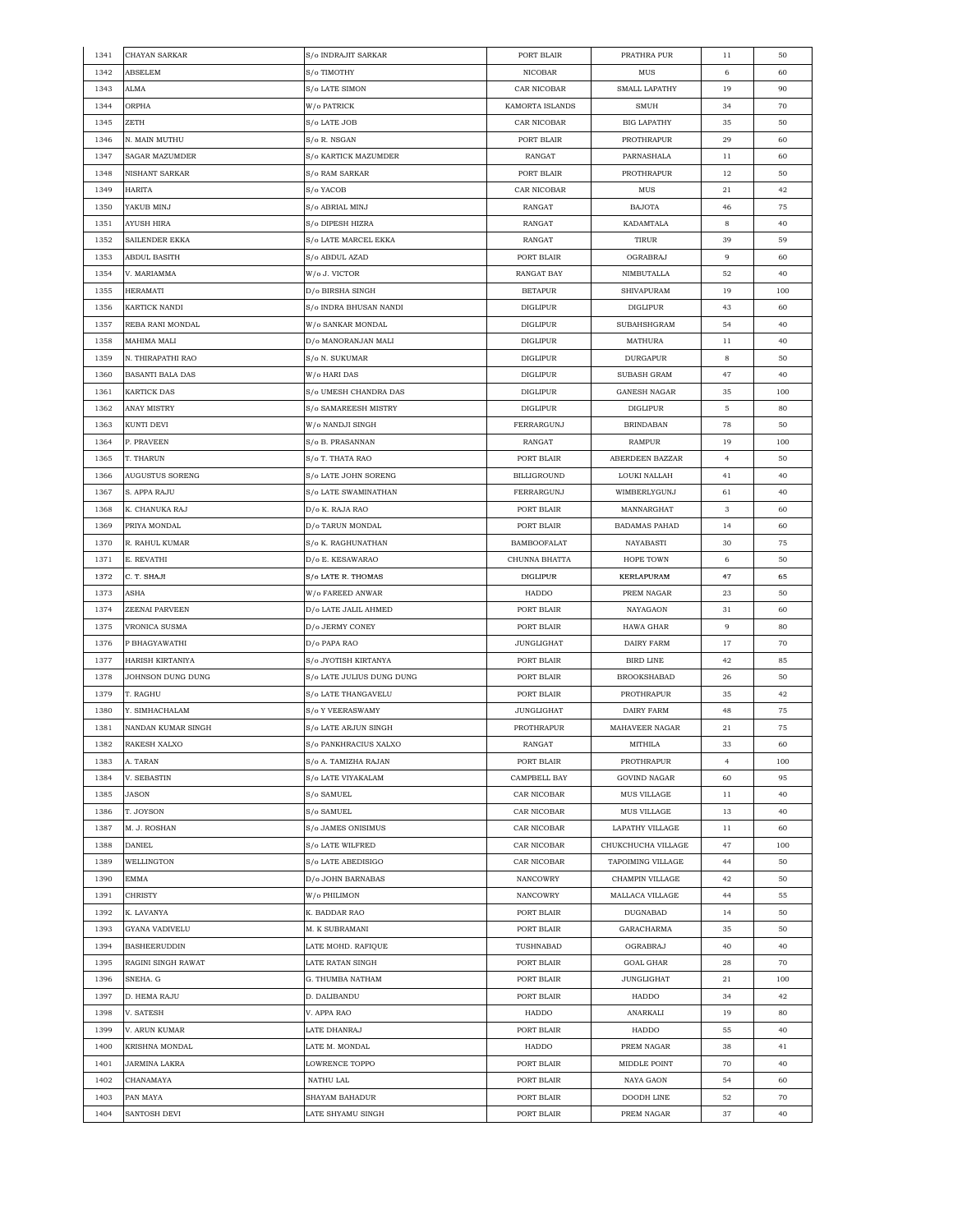| 1341 | CHAYAN SARKAR       | S/o INDRAJIT SARKAR                 | PORT BLAIR         | PRATHRA PUR          | 11             | 50  |
|------|---------------------|-------------------------------------|--------------------|----------------------|----------------|-----|
| 1342 | ABSELEM             | S/o TIMOTHY                         | NICOBAR            | MUS                  | 6              | 60  |
| 1343 | ALMA                | S/o LATE SIMON                      | CAR NICOBAR        | <b>SMALL LAPATHY</b> | 19             | 90  |
| 1344 | ORPHA               | W/o PATRICK                         | KAMORTA ISLANDS    | <b>SMUH</b>          | 34             | 70  |
| 1345 | ZETH                | S/o LATE JOB                        | CAR NICOBAR        | <b>BIG LAPATHY</b>   | 35             | 50  |
| 1346 | N. MAIN MUTHU       | S/o R. NSGAN                        | PORT BLAIR         | PROTHRAPUR           | 29             | 60  |
| 1347 | SAGAR MAZUMDER      | S/o KARTICK MAZUMDER                | RANGAT             | PARNASHALA           | 11             | 60  |
| 1348 | NISHANT SARKAR      | S/o RAM SARKAR                      | PORT BLAIR         | PROTHRAPUR           | 12             | 50  |
| 1349 | <b>HARITA</b>       | S/o YACOB                           | CAR NICOBAR        | $_{\rm MUS}$         | 21             | 42  |
| 1350 | YAKUB MINJ          | $\mathrm{S}/\mathrm{o}$ ABRIAL MINJ | RANGAT             | <b>BAJOTA</b>        | 46             | 75  |
| 1351 | AYUSH HIRA          | S/o DIPESH HIZRA                    | RANGAT             | <b>KADAMTALA</b>     | 8              | 40  |
|      | SAILENDER EKKA      |                                     |                    |                      |                |     |
| 1352 |                     | S/o LATE MARCEL EKKA                | RANGAT             | TIRUR                | 39             | 59  |
| 1353 | ABDUL BASITH        | S/o ABDUL AZAD                      | PORT BLAIR         | OGRABRAJ             | 9              | 60  |
| 1354 | V. MARIAMMA         | W/o J. VICTOR                       | <b>RANGAT BAY</b>  | NIMBUTALLA           | 52             | 40  |
| 1355 | <b>HERAMATI</b>     | D/o BIRSHA SINGH                    | <b>BETAPUR</b>     | SHIVAPURAM           | 19             | 100 |
| 1356 | KARTICK NANDI       | S/o INDRA BHUSAN NANDI              | <b>DIGLIPUR</b>    | <b>DIGLIPUR</b>      | 43             | 60  |
| 1357 | REBA RANI MONDAL    | W/o SANKAR MONDAL                   | <b>DIGLIPUR</b>    | SUBAHSHGRAM          | 54             | 40  |
| 1358 | MAHIMA MALI         | D/o MANORANJAN MALI                 | <b>DIGLIPUR</b>    | MATHURA              | 11             | 40  |
| 1359 | N. THIRAPATHI RAO   | S/o N. SUKUMAR                      | <b>DIGLIPUR</b>    | <b>DURGAPUR</b>      | 8              | 50  |
| 1360 | BASANTI BALA DAS    | W/o HARI DAS                        | DIGLIPUR           | SUBASH GRAM          | 47             | 40  |
| 1361 | KARTICK DAS         | S/o UMESH CHANDRA DAS               | DIGLIPUR           | <b>GANESH NAGAR</b>  | 35             | 100 |
| 1362 | <b>ANAY MISTRY</b>  | S/o SAMAREESH MISTRY                | <b>DIGLIPUR</b>    | <b>DIGLIPUR</b>      | 5              | 80  |
| 1363 | KUNTI DEVI          | W/o NANDJI SINGH                    | FERRARGUNJ         | <b>BRINDABAN</b>     | 78             | 50  |
| 1364 | P. PRAVEEN          | S/o B. PRASANNAN                    | RANGAT             | <b>RAMPUR</b>        | 19             | 100 |
| 1365 | T. THARUN           | S/o T. THATA RAO                    | PORT BLAIR         | ABERDEEN BAZZAR      | $\overline{4}$ | 50  |
| 1366 | AUGUSTUS SORENG     | S/o LATE JOHN SORENG                | <b>BILLIGROUND</b> | LOUKI NALLAH         | 41             | 40  |
| 1367 | S. APPA RAJU        | S/o LATE SWAMINATHAN                | FERRARGUNJ         | WIMBERLYGUNJ         | 61             | 40  |
| 1368 | K. CHANUKA RAJ      | D/o K. RAJA RAO                     | PORT BLAIR         | MANNARGHAT           | 3              | 60  |
| 1369 | PRIYA MONDAL        | D/o TARUN MONDAL                    | PORT BLAIR         | <b>BADAMAS PAHAD</b> | 14             | 60  |
| 1370 | R. RAHUL KUMAR      | S/o K. RAGHUNATHAN                  | <b>BAMBOOFALAT</b> | NAYABASTI            | 30             | 75  |
| 1371 | E. REVATHI          | D/o E. KESAWARAO                    | CHUNNA BHATTA      | HOPE TOWN            | 6              | 50  |
| 1372 | C. T. SHAJI         | S/o LATE R. THOMAS                  | <b>DIGLIPUR</b>    | <b>KERLAPURAM</b>    | 47             |     |
|      |                     |                                     |                    |                      |                | 65  |
| 1373 | ASHA                | W/o FAREED ANWAR                    | HADDO              | PREM NAGAR           | 23             | 50  |
| 1374 | ZEENAI PARVEEN      | D/o LATE JALIL AHMED                | PORT BLAIR         | NAYAGAON             | 31             | 60  |
| 1375 | VRONICA SUSMA       | D/o JERMY CONEY                     | PORT BLAIR         | HAWA GHAR            | 9              | 80  |
| 1376 | P BHAGYAWATHI       | D/o PAPA RAO                        | JUNGLIGHAT         | DAIRY FARM           | 17             | 70  |
| 1377 | HARISH KIRTANIYA    | S/o JYOTISH KIRTANYA                | PORT BLAIR         | <b>BIRD LINE</b>     | 42             | 85  |
| 1378 | JOHNSON DUNG DUNG   | S/o LATE JULIUS DUNG DUNG           | PORT BLAIR         | <b>BROOKSHABAD</b>   | 26             | 50  |
| 1379 | T. RAGHU            | S/o LATE THANGAVELU                 | PORT BLAIR         | <b>PROTHRAPUR</b>    | 35             | 42  |
| 1380 | Y. SIMHACHALAM      | S/o Y VEERASWAMY                    | <b>JUNGLIGHAT</b>  | DAIRY FARM           | 48             | 75  |
| 1381 | NANDAN KUMAR SINGH  | S/o LATE ARJUN SINGH                | PROTHRAPUR         | MAHAVEER NAGAR       | 21             | 75  |
| 1382 | RAKESH XALXO        | S/o PANKHRACIUS XALXO               | RANGAT             | MITHILA              | 33             | 60  |
| 1383 | A. TARAN            | S/o A. TAMIZHA RAJAN                | PORT BLAIR         | PROTHRAPUR           | 4              | 100 |
| 1384 | V. SEBASTIN         | S/o LATE VIYAKALAM                  | CAMPBELL BAY       | <b>GOVIND NAGAR</b>  | 60             | 95  |
| 1385 | JASON               | S/o SAMUEL                          | CAR NICOBAR        | MUS VILLAGE          | 11             | 40  |
| 1386 | T. JOYSON           | S/o SAMUEL                          | CAR NICOBAR        | <b>MUS VILLAGE</b>   | 13             | 40  |
| 1387 | M. J. ROSHAN        | S/o JAMES ONISIMUS                  | CAR NICOBAR        | LAPATHY VILLAGE      | 11             | 60  |
| 1388 | DANIEL              | S/o LATE WILFRED                    | CAR NICOBAR        | CHUKCHUCHA VILLAGE   | 47             | 100 |
| 1389 | WELLINGTON          | S/o LATE ABEDISIGO                  | CAR NICOBAR        | TAPOIMING VILLAGE    | 44             | 50  |
| 1390 | EMMA                | D/o JOHN BARNABAS                   | <b>NANCOWRY</b>    | CHAMPIN VILLAGE      | 42             | 50  |
| 1391 | CHRISTY             | W/o PHILIMON                        | NANCOWRY           | MALLACA VILLAGE      | 44             | 55  |
| 1392 | K. LAVANYA          | K. BADDAR RAO                       | PORT BLAIR         | DUGNABAD             | 14             | 50  |
| 1393 | GYANA VADIVELU      | M. K SUBRAMANI                      | PORT BLAIR         | GARACHARMA           | 35             | 50  |
| 1394 | <b>BASHEERUDDIN</b> | LATE MOHD. RAFIQUE                  | TUSHNABAD          | OGRABRAJ             | 40             | 40  |
| 1395 | RAGINI SINGH RAWAT  | LATE RATAN SINGH                    | PORT BLAIR         | <b>GOAL GHAR</b>     | 28             | 70  |
|      |                     |                                     |                    |                      |                |     |
| 1396 | SNEHA. G            | G. THUMBA NATHAM                    | PORT BLAIR         | <b>JUNGLIGHAT</b>    | 21             | 100 |
| 1397 | D. HEMA RAJU        | D. DALIBANDU                        | PORT BLAIR         | HADDO                | 34             | 42  |
| 1398 | V. SATESH           | V. APPA RAO                         | HADDO              | ANARKALI             | 19             | 80  |
| 1399 | V. ARUN KUMAR       | LATE DHANRAJ                        | PORT BLAIR         | HADDO                | 55             | 40  |
| 1400 | KRISHNA MONDAL      | LATE M. MONDAL                      | HADDO              | PREM NAGAR           | 38             | 41  |
| 1401 | JARMINA LAKRA       | LOWRENCE TOPPO                      | PORT BLAIR         | MIDDLE POINT         | 70             | 40  |
| 1402 | CHANAMAYA           | NATHU LAL                           | PORT BLAIR         | NAYA GAON            | 54             | 60  |
| 1403 | PAN MAYA            | SHAYAM BAHADUR                      | PORT BLAIR         | DOODH LINE           | 52             | 70  |
| 1404 | SANTOSH DEVI        | LATE SHYAMU SINGH                   | PORT BLAIR         | PREM NAGAR           | 37             | 40  |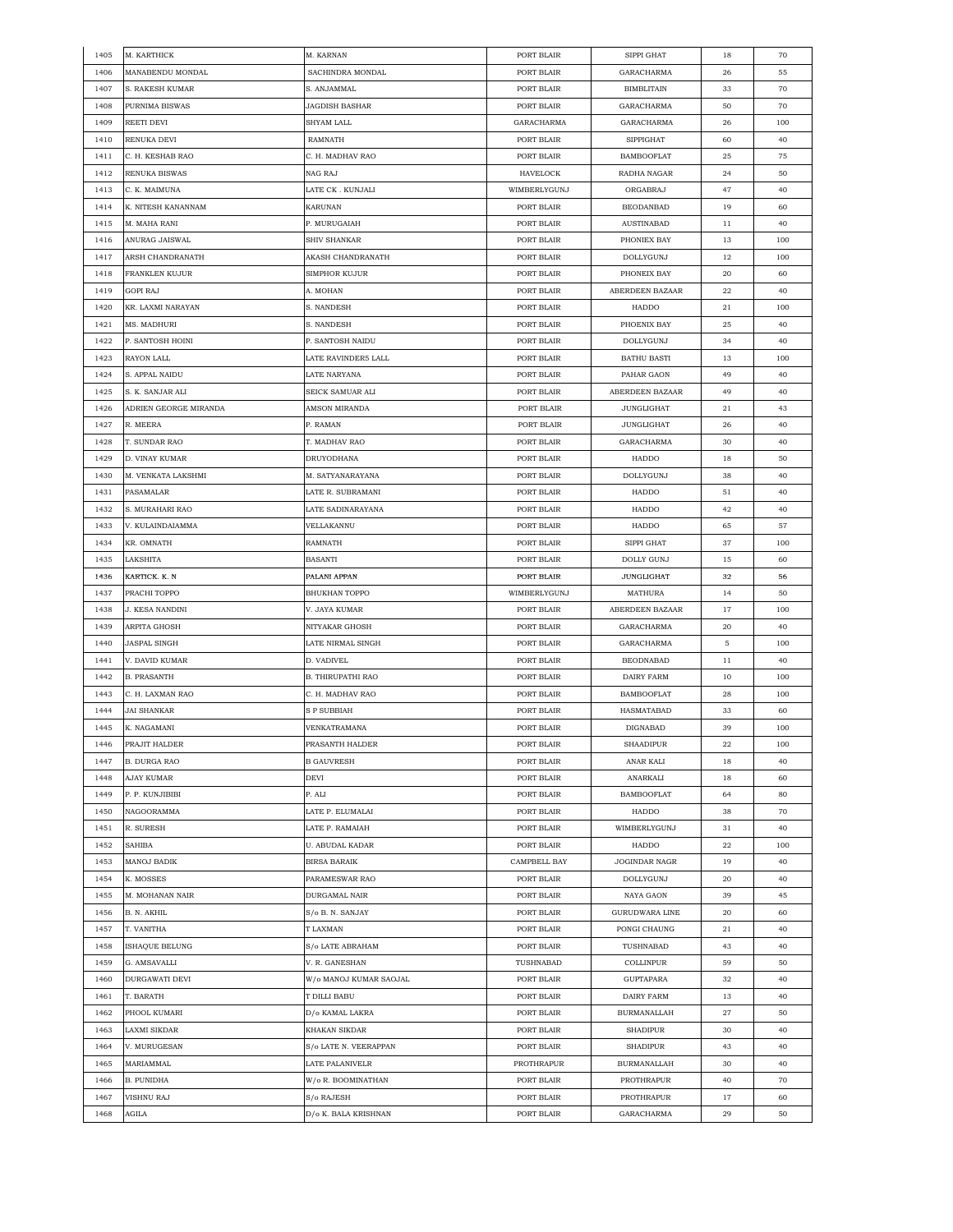| 1405 | M. KARTHICK           | M. KARNAN              | PORT BLAIR   | SIPPI GHAT         | 18 | 70  |
|------|-----------------------|------------------------|--------------|--------------------|----|-----|
| 1406 | MANABENDU MONDAL      | SACHINDRA MONDAL       | PORT BLAIR   | GARACHARMA         | 26 | 55  |
| 1407 | S. RAKESH KUMAR       | S. ANJAMMAL            | PORT BLAIR   | <b>BIMBLITAIN</b>  | 33 | 70  |
| 1408 | PURNIMA BISWAS        | <b>JAGDISH BASHAR</b>  | PORT BLAIR   | GARACHARMA         | 50 | 70  |
| 1409 | REETI DEVI            | SHYAM LALL             | GARACHARMA   | GARACHARMA         | 26 | 100 |
| 1410 | RENUKA DEVI           | RAMNATH                | PORT BLAIR   | <b>SIPPIGHAT</b>   | 60 | 40  |
| 1411 | C. H. KESHAB RAO      | C. H. MADHAV RAO       | PORT BLAIR   | <b>BAMBOOFLAT</b>  | 25 | 75  |
| 1412 | RENUKA BISWAS         | NAG RAJ                | HAVELOCK     | RADHA NAGAR        | 24 | 50  |
| 1413 | C. K. MAIMUNA         | LATE CK . KUNJALI      | WIMBERLYGUNJ | ORGABRAJ           | 47 | 40  |
| 1414 | K. NITESH KANANNAM    | KARUNAN                | PORT BLAIR   | <b>BEODANBAD</b>   | 19 | 60  |
| 1415 | M. MAHA RANI          | P. MURUGAIAH           | PORT BLAIR   | <b>AUSTINABAD</b>  | 11 | 40  |
| 1416 | ANURAG JAISWAL        | SHIV SHANKAR           | PORT BLAIR   | PHONIEX BAY        | 13 | 100 |
| 1417 | ARSH CHANDRANATH      | AKASH CHANDRANATH      | PORT BLAIR   | DOLLYGUNJ          | 12 | 100 |
| 1418 | FRANKLEN KUJUR        | <b>SIMPHOR KUJUR</b>   | PORT BLAIR   | PHONEIX BAY        | 20 | 60  |
| 1419 | GOPI RAJ              | A. MOHAN               | PORT BLAIR   | ABERDEEN BAZAAR    | 22 | 40  |
| 1420 | KR. LAXMI NARAYAN     | S. NANDESH             | PORT BLAIR   | HADDO              | 21 | 100 |
| 1421 | MS. MADHURI           | S. NANDESH             | PORT BLAIR   | PHOENIX BAY        | 25 | 40  |
| 1422 | P. SANTOSH HOINI      | P. SANTOSH NAIDU       | PORT BLAIR   | DOLLYGUNJ          | 34 | 40  |
| 1423 | RAYON LALL            | LATE RAVINDER5 LALL    | PORT BLAIR   | <b>BATHU BASTI</b> | 13 | 100 |
| 1424 | S. APPAL NAIDU        | LATE NARYANA           | PORT BLAIR   | PAHAR GAON         | 49 | 40  |
| 1425 | S. K. SANJAR ALI      | SEICK SAMUAR ALI       | PORT BLAIR   | ABERDEEN BAZAAR    | 49 | 40  |
| 1426 | ADRIEN GEORGE MIRANDA | AMSON MIRANDA          | PORT BLAIR   | <b>JUNGLIGHAT</b>  | 21 | 43  |
| 1427 | R. MEERA              | P. RAMAN               | PORT BLAIR   | <b>JUNGLIGHAT</b>  | 26 | 40  |
| 1428 | T. SUNDAR RAO         | T. MADHAV RAO          | PORT BLAIR   | GARACHARMA         | 30 | 40  |
| 1429 | D. VINAY KUMAR        | DRUYODHANA             | PORT BLAIR   | HADDO              | 18 | 50  |
| 1430 | M. VENKATA LAKSHMI    | M. SATYANARAYANA       | PORT BLAIR   | DOLLYGUNJ          | 38 | 40  |
| 1431 | PASAMALAR             | LATE R. SUBRAMANI      | PORT BLAIR   | HADDO              | 51 | 40  |
| 1432 | S. MURAHARI RAO       | LATE SADINARAYANA      | PORT BLAIR   | HADDO              | 42 | 40  |
| 1433 | V. KULAINDAIAMMA      | VELLAKANNU             | PORT BLAIR   | HADDO              | 65 | 57  |
| 1434 | KR. OMNATH            | RAMNATH                | PORT BLAIR   | SIPPI GHAT         | 37 | 100 |
| 1435 | LAKSHITA              | BASANTI                | PORT BLAIR   | <b>DOLLY GUNJ</b>  | 15 | 60  |
| 1436 | KARTICK. K. N         | PALANI APPAN           | PORT BLAIR   | <b>JUNGLIGHAT</b>  | 32 | 56  |
| 1437 | PRACHI TOPPO          | <b>BHUKHAN TOPPO</b>   | WIMBERLYGUNJ | <b>MATHURA</b>     | 14 | 50  |
| 1438 | J. KESA NANDINI       | V. JAYA KUMAR          | PORT BLAIR   | ABERDEEN BAZAAR    | 17 | 100 |
| 1439 | ARPITA GHOSH          | NITYAKAR GHOSH         | PORT BLAIR   | GARACHARMA         | 20 | 40  |
| 1440 | JASPAL SINGH          | LATE NIRMAL SINGH      | PORT BLAIR   | GARACHARMA         | 5  | 100 |
| 1441 | V. DAVID KUMAR        | D. VADIVEL             | PORT BLAIR   | <b>BEODNABAD</b>   | 11 | 40  |
| 1442 | <b>B. PRASANTH</b>    | B. THIRUPATHI RAO      | PORT BLAIR   | DAIRY FARM         | 10 | 100 |
| 1443 | C. H. LAXMAN RAO      | C. H. MADHAV RAO       | PORT BLAIR   | <b>BAMBOOFLAT</b>  | 28 | 100 |
| 1444 | JAI SHANKAR           | S P SUBBIAH            | PORT BLAIR   | HASMATABAD         | 33 | 60  |
| 1445 | K. NAGAMANI           | VENKATRAMANA           | PORT BLAIR   | DIGNABAD           | 39 | 100 |
| 1446 | PRAJIT HALDER         | PRASANTH HALDER        | PORT BLAIR   | <b>SHAADIPUR</b>   | 22 | 100 |
| 1447 | B. DURGA RAO          | <b>B GAUVRESH</b>      | PORT BLAIR   | ANAR KALI          | 18 | 40  |
| 1448 | AJAY KUMAR            | DEVI                   | PORT BLAIR   | ANARKALI           | 18 | 60  |
| 1449 | P. P. KUNJIBIBI       | P. ALI                 | PORT BLAIR   | <b>BAMBOOFLAT</b>  | 64 | 80  |
| 1450 | NAGOORAMMA            | LATE P. ELUMALAI       | PORT BLAIR   | HADDO              | 38 | 70  |
| 1451 | R. SURESH             | LATE P. RAMAIAH        | PORT BLAIR   | WIMBERLYGUNJ       | 31 | 40  |
| 1452 | SAHIBA                | U. ABUDAL KADAR        | PORT BLAIR   | HADDO              | 22 | 100 |
| 1453 | MANOJ BADIK           | <b>BIRSA BARAIK</b>    | CAMPBELL BAY | JOGINDAR NAGR      | 19 | 40  |
| 1454 | K. MOSSES             | PARAMESWAR RAO         | PORT BLAIR   | DOLLYGUNJ          | 20 | 40  |
| 1455 | M. MOHANAN NAIR       | DURGAMAL NAIR          | PORT BLAIR   | NAYA GAON          | 39 | 45  |
| 1456 | B. N. AKHIL           | S/o B. N. SANJAY       | PORT BLAIR   | GURUDWARA LINE     | 20 | 60  |
| 1457 | T. VANITHA            | T LAXMAN               | PORT BLAIR   | PONGI CHAUNG       | 21 | 40  |
| 1458 | ISHAQUE BELUNG        | S/o LATE ABRAHAM       | PORT BLAIR   | TUSHNABAD          | 43 | 40  |
| 1459 | G. AMSAVALLI          | V. R. GANESHAN         | TUSHNABAD    | COLLINPUR          | 59 | 50  |
| 1460 | DURGAWATI DEVI        | W/o MANOJ KUMAR SAOJAL | PORT BLAIR   | GUPTAPARA          | 32 | 40  |
| 1461 | T. BARATH             | T DILLI BABU           | PORT BLAIR   | DAIRY FARM         | 13 | 40  |
| 1462 | PHOOL KUMARI          | D/o KAMAL LAKRA        | PORT BLAIR   | <b>BURMANALLAH</b> | 27 | 50  |
| 1463 | LAXMI SIKDAR          | KHAKAN SIKDAR          | PORT BLAIR   | <b>SHADIPUR</b>    | 30 | 40  |
| 1464 | V. MURUGESAN          | S/o LATE N. VEERAPPAN  | PORT BLAIR   | <b>SHADIPUR</b>    | 43 | 40  |
| 1465 | MARIAMMAL             | LATE PALANIVELR        | PROTHRAPUR   | <b>BURMANALLAH</b> | 30 | 40  |
| 1466 | B. PUNIDHA            | W/o R. BOOMINATHAN     | PORT BLAIR   | PROTHRAPUR         | 40 | 70  |
| 1467 | VISHNU RAJ            | S/o RAJESH             | PORT BLAIR   | PROTHRAPUR         | 17 | 60  |
| 1468 | AGILA                 | D/o K. BALA KRISHNAN   | PORT BLAIR   | GARACHARMA         | 29 | 50  |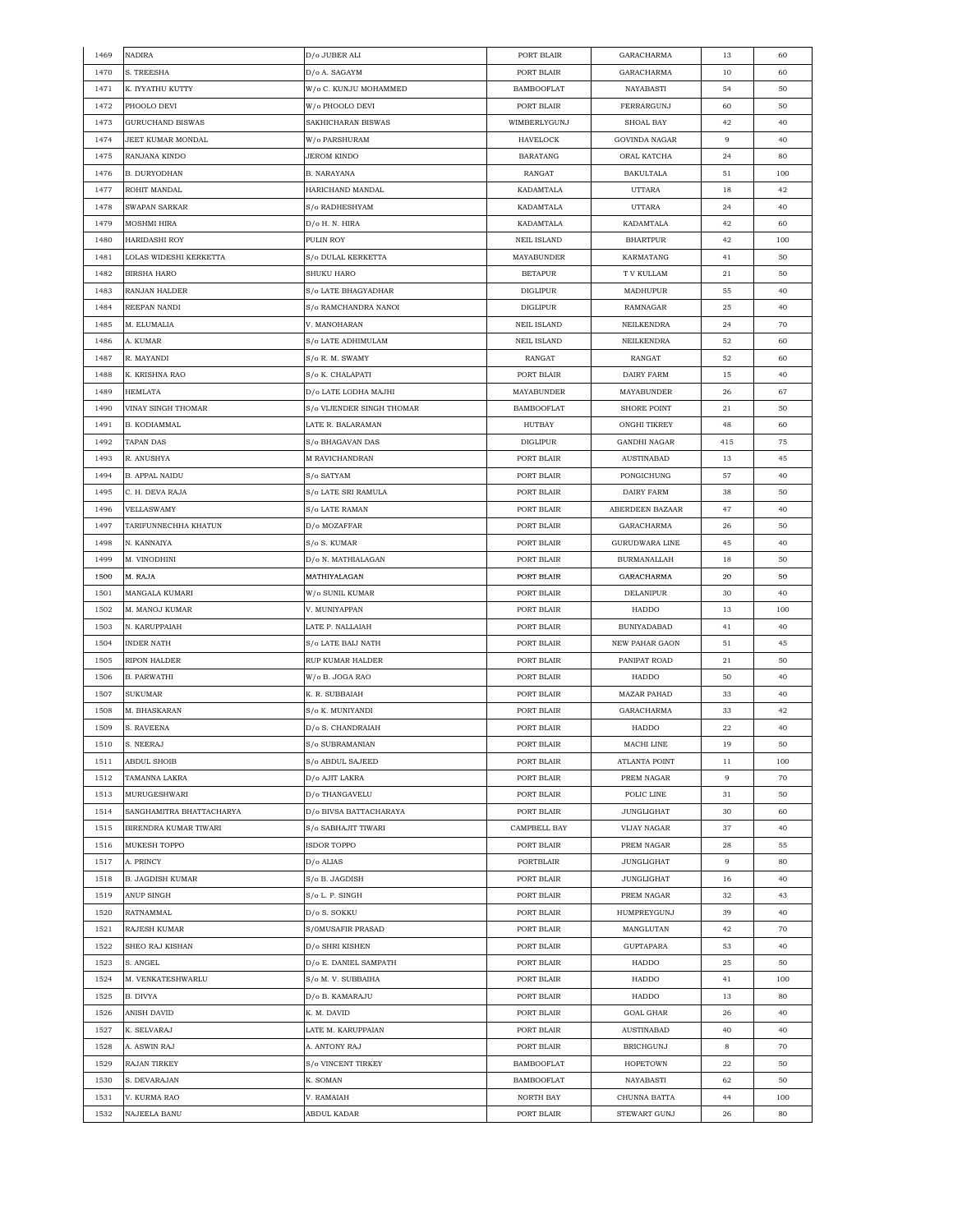| 1469 | <b>NADIRA</b>            | D/o JUBER ALI             | PORT BLAIR         | GARACHARMA            | 13     | 60  |
|------|--------------------------|---------------------------|--------------------|-----------------------|--------|-----|
| 1470 | S. TREESHA               | D/o A. SAGAYM             | PORT BLAIR         | GARACHARMA            | 10     | 60  |
| 1471 | K. IYYATHU KUTTY         | W/o C. KUNJU MOHAMMED     | <b>BAMBOOFLAT</b>  | NAYABASTI             | 54     | 50  |
| 1472 | PHOOLO DEVI              | W/o PHOOLO DEVI           | PORT BLAIR         | FERRARGUNJ            | 60     | 50  |
| 1473 | GURUCHAND BISWAS         | SAKHICHARAN BISWAS        | WIMBERLYGUNJ       | SHOAL BAY             | 42     | 40  |
| 1474 | JEET KUMAR MONDAL        | W/o PARSHURAM             | <b>HAVELOCK</b>    | GOVINDA NAGAR         | 9      | 40  |
| 1475 | RANJANA KINDO            | <b>JEROM KINDO</b>        | <b>BARATANG</b>    | ORAL KATCHA           | 24     | 80  |
| 1476 | B. DURYODHAN             | <b>B. NARAYANA</b>        | RANGAT             | <b>BAKULTALA</b>      | 51     | 100 |
| 1477 | ROHIT MANDAL             | HARICHAND MANDAL          | KADAMTALA          | UTTARA                | 18     | 42  |
| 1478 | SWAPAN SARKAR            | S/o RADHESHYAM            | KADAMTALA          | <b>UTTARA</b>         | 24     | 40  |
|      |                          |                           | KADAMTALA          |                       |        |     |
| 1479 | <b>MOSHMI HIRA</b>       | D/o H. N. HIRA            |                    | KADAMTALA             | 42     | 60  |
| 1480 | <b>HARIDASHI ROY</b>     | PULIN ROY                 | <b>NEIL ISLAND</b> | <b>BHARTPUR</b>       | 42     | 100 |
| 1481 | LOLAS WIDESHI KERKETTA   | S/o DULAL KERKETTA        | <b>MAYABUNDER</b>  | KARMATANG             | 41     | 50  |
| 1482 | BIRSHA HARO              | <b>SHUKU HARO</b>         | <b>BETAPUR</b>     | T V KULLAM            | 21     | 50  |
| 1483 | RANJAN HALDER            | S/o LATE BHAGYADHAR       | DIGLIPUR           | MADHUPUR              | 55     | 40  |
| 1484 | REEPAN NANDI             | S/o RAMCHANDRA NANOI      | <b>DIGLIPUR</b>    | RAMNAGAR              | 25     | 40  |
| 1485 | M. ELUMALIA              | V. MANOHARAN              | <b>NEIL ISLAND</b> | NEILKENDRA            | 24     | 70  |
| 1486 | A. KUMAR                 | S/o LATE ADHIMULAM        | <b>NEIL ISLAND</b> | NEILKENDRA            | 52     | 60  |
| 1487 | R. MAYANDI               | S/o R. M. SWAMY           | RANGAT             | RANGAT                | 52     | 60  |
| 1488 | K. KRISHNA RAO           | S/o K. CHALAPATI          | PORT BLAIR         | DAIRY FARM            | 15     | 40  |
| 1489 | <b>HEMLATA</b>           | D/o LATE LODHA MAJHI      | MAYABUNDER         | MAYABUNDER            | 26     | 67  |
| 1490 | VINAY SINGH THOMAR       | S/o VIJENDER SINGH THOMAR | <b>BAMBOOFLAT</b>  | <b>SHORE POINT</b>    | 21     | 50  |
| 1491 | B. KODIAMMAL             | LATE R. BALARAMAN         | HUTBAY             | ONGHI TIKREY          | 48     | 60  |
| 1492 | <b>TAPAN DAS</b>         | S/o BHAGAVAN DAS          | DIGLIPUR           | <b>GANDHI NAGAR</b>   | 415    | 75  |
| 1493 | R. ANUSHYA               | <b>M RAVICHANDRAN</b>     | PORT BLAIR         | AUSTINABAD            | 13     | 45  |
| 1494 | <b>B. APPAL NAIDU</b>    | S/o SATYAM                | PORT BLAIR         | PONGICHUNG            | 57     | 40  |
| 1495 |                          | S/o LATE SRI RAMULA       | PORT BLAIR         | DAIRY FARM            | 38     | 50  |
|      | C. H. DEVA RAJA          |                           |                    |                       |        |     |
| 1496 | VELLASWAMY               | S/o LATE RAMAN            | PORT BLAIR         | ABERDEEN BAZAAR       | 47     | 40  |
| 1497 | TARIFUNNECHHA KHATUN     | D/o MOZAFFAR              | PORT BLAIR         | GARACHARMA            | 26     | 50  |
| 1498 | N. KANNAIYA              | S/o S. KUMAR              | PORT BLAIR         | GURUDWARA LINE        | 45     | 40  |
| 1499 | M. VINODHINI             | D/o N. MATHIALAGAN        | PORT BLAIR         | <b>BURMANALLAH</b>    | 18     | 50  |
| 1500 | M. RAJA                  | MATHIYALAGAN              | PORT BLAIR         | GARACHARMA            | $20\,$ | 50  |
| 1501 | MANGALA KUMARI           | W/o SUNIL KUMAR           | PORT BLAIR         | DELANIPUR             | 30     | 40  |
| 1502 | M. MANOJ KUMAR           | V. MUNIYAPPAN             | PORT BLAIR         | HADDO                 | 13     | 100 |
| 1503 | N. KARUPPAIAH            | LATE P. NALLAIAH          | PORT BLAIR         | BUNIYADABAD           | 41     | 40  |
| 1504 | INDER NATH               | S/o LATE BAIJ NATH        | PORT BLAIR         | <b>NEW PAHAR GAON</b> | 51     | 45  |
| 1505 | RIPON HALDER             | <b>RUP KUMAR HALDER</b>   | PORT BLAIR         | PANIPAT ROAD          | 21     | 50  |
| 1506 | <b>B. PARWATHI</b>       | W/o B. JOGA RAO           | PORT BLAIR         | HADDO                 | 50     | 40  |
| 1507 | SUKUMAR                  | K. R. SUBBAIAH            | PORT BLAIR         | MAZAR PAHAD           | 33     | 40  |
| 1508 | M. BHASKARAN             | S/o K. MUNIYANDI          | PORT BLAIR         | GARACHARMA            | 33     | 42  |
| 1509 | S. RAVEENA               | D/o S. CHANDRAIAH         | PORT BLAIR         | HADDO                 | 22     | 40  |
| 1510 | S. NEERAJ                | S/o SUBRAMANIAN           | PORT BLAIR         | MACHI LINE            | 19     | 50  |
| 1511 | ABDUL SHOIB              | S/o ABDUL SAJEED          | PORT BLAIR         | ATLANTA POINT         | 11     | 100 |
| 1512 | TAMANNA LAKRA            | D/o AJIT LAKRA            | PORT BLAIR         | PREM NAGAR            | 9      | 70  |
| 1513 | MURUGESHWARI             | D/o THANGAVELU            | PORT BLAIR         | POLIC LINE            | 31     | 50  |
| 1514 | SANGHAMITRA BHATTACHARYA | D/o BIVSA BATTACHARAYA    | PORT BLAIR         | JUNGLIGHAT            |        |     |
|      |                          |                           |                    |                       | 30     | 60  |
| 1515 | BIRENDRA KUMAR TIWARI    | S/o SABHAJIT TIWARI       | CAMPBELL BAY       | VIJAY NAGAR           | 37     | 40  |
| 1516 | MUKESH TOPPO             | <b>ISDOR TOPPO</b>        | PORT BLAIR         | PREM NAGAR            | 28     | 55  |
| 1517 | A. PRINCY                | D/o ALIAS                 | PORTBLAIR          | JUNGLIGHAT            | 9      | 80  |
| 1518 | <b>B. JAGDISH KUMAR</b>  | S/o B. JAGDISH            | PORT BLAIR         | <b>JUNGLIGHAT</b>     | 16     | 40  |
| 1519 | ANUP SINGH               | S/o L. P. SINGH           | PORT BLAIR         | PREM NAGAR            | 32     | 43  |
| 1520 | RATNAMMAL                | D/o S. SOKKU              | PORT BLAIR         | HUMPREYGUNJ           | 39     | 40  |
| 1521 | RAJESH KUMAR             | S/0MUSAFIR PRASAD         | PORT BLAIR         | MANGLUTAN             | 42     | 70  |
| 1522 | SHEO RAJ KISHAN          | D/o SHRI KISHEN           | PORT BLAIR         | GUPTAPARA             | 53     | 40  |
| 1523 | S. ANGEL                 | D/o E. DANIEL SAMPATH     | PORT BLAIR         | HADDO                 | 25     | 50  |
| 1524 | M. VENKATESHWARLU        | S/o M. V. SUBBAIHA        | PORT BLAIR         | HADDO                 | 41     | 100 |
| 1525 | B. DIVYA                 | D/o B. KAMARAJU           | PORT BLAIR         | HADDO                 | 13     | 80  |
| 1526 | ANISH DAVID              | K. M. DAVID               | PORT BLAIR         | GOAL GHAR             | 26     | 40  |
| 1527 | K. SELVARAJ              | LATE M. KARUPPAIAN        | PORT BLAIR         | <b>AUSTINABAD</b>     | 40     | 40  |
| 1528 | A. ASWIN RAJ             | A. ANTONY RAJ             | PORT BLAIR         | <b>BRICHGUNJ</b>      | 8      | 70  |
| 1529 | <b>RAJAN TIRKEY</b>      | S/o VINCENT TIRKEY        | <b>BAMBOOFLAT</b>  | <b>HOPETOWN</b>       | 22     | 50  |
| 1530 | S. DEVARAJAN             | K. SOMAN                  | <b>BAMBOOFLAT</b>  | NAYABASTI             | 62     | 50  |
| 1531 | V. KURMA RAO             | V. RAMAIAH                | NORTH BAY          | CHUNNA BATTA          | 44     | 100 |
|      |                          |                           |                    |                       |        | 80  |
| 1532 | NAJEELA BANU             | <b>ABDUL KADAR</b>        | PORT BLAIR         | STEWART GUNJ          | 26     |     |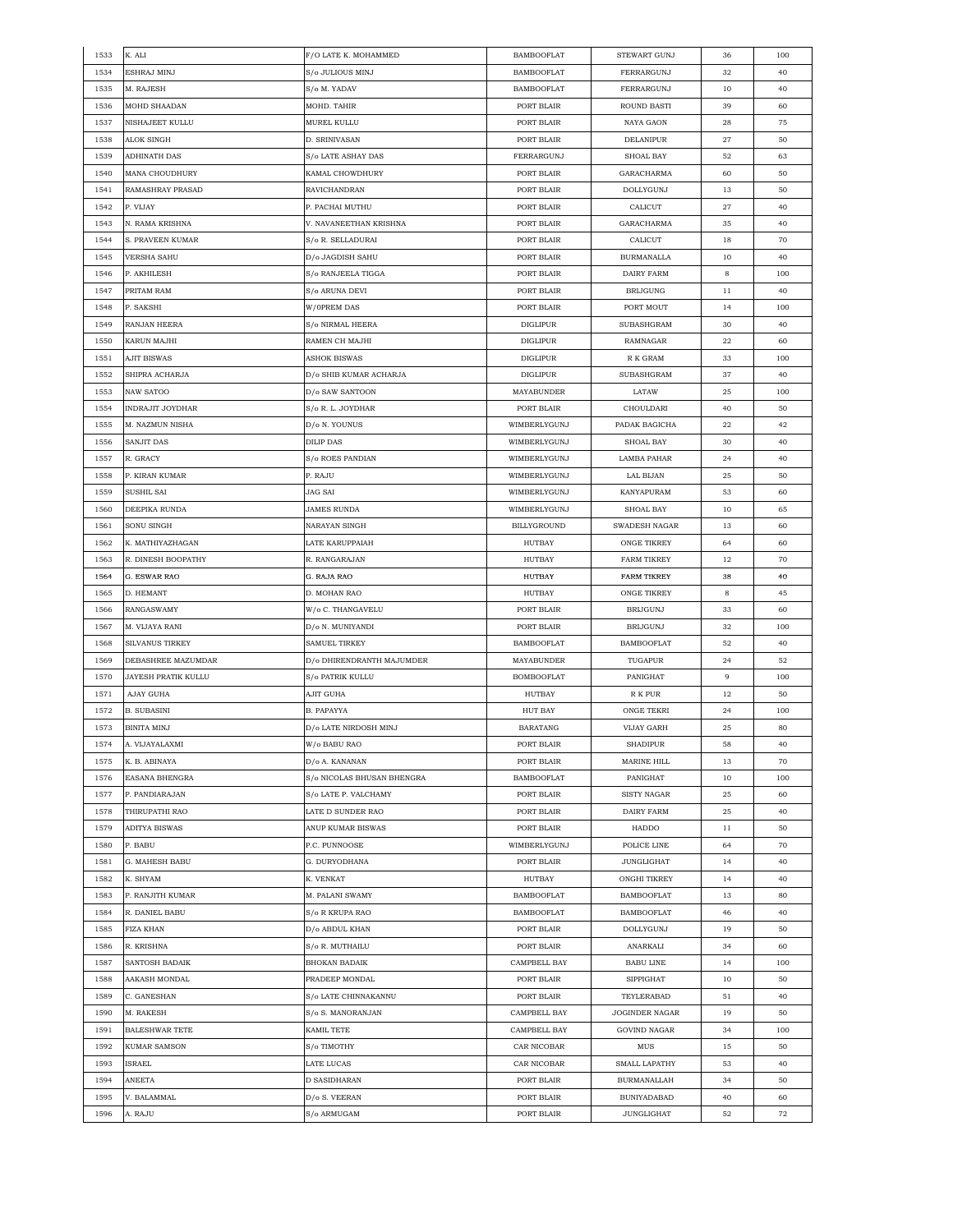| 1533 | K. ALI                  | F/O LATE K. MOHAMMED       | <b>BAMBOOFLAT</b> | STEWART GUNJ         | 36 | 100 |
|------|-------------------------|----------------------------|-------------------|----------------------|----|-----|
| 1534 | ESHRAJ MINJ             | S/o JULIOUS MINJ           | <b>BAMBOOFLAT</b> | FERRARGUNJ           | 32 | 40  |
| 1535 | M. RAJESH               | S/o M. YADAV               | <b>BAMBOOFLAT</b> | FERRARGUNJ           | 10 | 40  |
| 1536 | MOHD SHAADAN            | MOHD. TAHIR                | PORT BLAIR        | ROUND BASTI          | 39 | 60  |
| 1537 | NISHAJEET KULLU         | MUREL KULLU                | PORT BLAIR        | NAYA GAON            | 28 | 75  |
| 1538 | ALOK SINGH              | D. SRINIVASAN              | PORT BLAIR        | DELANIPUR            | 27 | 50  |
| 1539 | ADHINATH DAS            | S/o LATE ASHAY DAS         | FERRARGUNJ        | SHOAL BAY            | 52 | 63  |
| 1540 | MANA CHOUDHURY          | KAMAL CHOWDHURY            | PORT BLAIR        | GARACHARMA           | 60 | 50  |
| 1541 | RAMASHRAY PRASAD        | RAVICHANDRAN               | PORT BLAIR        | DOLLYGUNJ            | 13 | 50  |
| 1542 | P. VIJAY                | P. PACHAI MUTHU            | PORT BLAIR        | CALICUT              | 27 | 40  |
|      |                         |                            |                   |                      |    |     |
| 1543 | N. RAMA KRISHNA         | V. NAVANEETHAN KRISHNA     | PORT BLAIR        | GARACHARMA           | 35 | 40  |
| 1544 | S. PRAVEEN KUMAR        | S/o R. SELLADURAI          | PORT BLAIR        | CALICUT              | 18 | 70  |
| 1545 | <b>VERSHA SAHU</b>      | D/o JAGDISH SAHU           | PORT BLAIR        | <b>BURMANALLA</b>    | 10 | 40  |
| 1546 | P. AKHILESH             | S/o RANJEELA TIGGA         | PORT BLAIR        | <b>DAIRY FARM</b>    | 8  | 100 |
| 1547 | PRITAM RAM              | S/o ARUNA DEVI             | PORT BLAIR        | <b>BRIJGUNG</b>      | 11 | 40  |
| 1548 | P. SAKSHI               | W/OPREM DAS                | PORT BLAIR        | PORT MOUT            | 14 | 100 |
| 1549 | RANJAN HEERA            | S/o NIRMAL HEERA           | <b>DIGLIPUR</b>   | SUBASHGRAM           | 30 | 40  |
| 1550 | KARUN MAJHI             | RAMEN CH MAJHI             | <b>DIGLIPUR</b>   | RAMNAGAR             | 22 | 60  |
| 1551 | <b>AJIT BISWAS</b>      | <b>ASHOK BISWAS</b>        | <b>DIGLIPUR</b>   | R K GRAM             | 33 | 100 |
| 1552 | SHIPRA ACHARJA          | D/o SHIB KUMAR ACHARJA     | <b>DIGLIPUR</b>   | SUBASHGRAM           | 37 | 40  |
| 1553 | NAW SATOO               | D/o SAW SANTOON            | MAYABUNDER        | LATAW                | 25 | 100 |
| 1554 | <b>INDRAJIT JOYDHAR</b> | S/o R. L. JOYDHAR          | PORT BLAIR        | CHOULDARI            | 40 | 50  |
| 1555 | M. NAZMUN NISHA         | D/o N. YOUNUS              | WIMBERLYGUNJ      | PADAK BAGICHA        | 22 | 42  |
| 1556 | SANJIT DAS              | <b>DILIP DAS</b>           | WIMBERLYGUNJ      | SHOAL BAY            | 30 | 40  |
| 1557 | R. GRACY                | S/o ROES PANDIAN           | WIMBERLYGUNJ      | LAMBA PAHAR          | 24 | 40  |
| 1558 | P. KIRAN KUMAR          | P. RAJU                    | WIMBERLYGUNJ      | LAL BIJAN            | 25 | 50  |
| 1559 | SUSHIL SAI              | <b>JAG SAI</b>             | WIMBERLYGUNJ      | KANYAPURAM           | 53 | 60  |
|      |                         |                            |                   |                      |    |     |
| 1560 | DEEPIKA RUNDA           | <b>JAMES RUNDA</b>         | WIMBERLYGUNJ      | SHOAL BAY            | 10 | 65  |
| 1561 | SONU SINGH              | NARAYAN SINGH              | BILLYGROUND       | <b>SWADESH NAGAR</b> | 13 | 60  |
| 1562 | K. MATHIYAZHAGAN        | LATE KARUPPAIAH            | HUTBAY            | ONGE TIKREY          | 64 | 60  |
| 1563 | R. DINESH BOOPATHY      | R. RANGARAJAN              | HUTBAY            | <b>FARM TIKREY</b>   | 12 | 70  |
| 1564 | G. ESWAR RAO            | G. RAJA RAO                | <b>HUTBAY</b>     | <b>FARM TIKREY</b>   | 38 | 40  |
| 1565 | D. HEMANT               | D. MOHAN RAO               | <b>HUTBAY</b>     | <b>ONGE TIKREY</b>   | 8  | 45  |
| 1566 | RANGASWAMY              | W/o C. THANGAVELU          | PORT BLAIR        | BRIJGUNJ             | 33 | 60  |
| 1567 | M. VIJAYA RANI          | D/o N. MUNIYANDI           | PORT BLAIR        | <b>BRIJGUNJ</b>      | 32 | 100 |
| 1568 | <b>SILVANUS TIRKEY</b>  | <b>SAMUEL TIRKEY</b>       | <b>BAMBOOFLAT</b> | <b>BAMBOOFLAT</b>    | 52 | 40  |
| 1569 | DEBASHREE MAZUMDAR      | D/o DHIRENDRANTH MAJUMDER  | MAYABUNDER        | TUGAPUR              | 24 | 52  |
| 1570 | JAYESH PRATIK KULLU     | S/o PATRIK KULLU           | <b>BOMBOOFLAT</b> | PANIGHAT             | 9  | 100 |
| 1571 | AJAY GUHA               | AJIT GUHA                  | HUTBAY            | R K PUR              | 12 | 50  |
| 1572 | <b>B. SUBASINI</b>      | B. PAPAYYA                 | HUT BAY           | ONGE TEKRI           | 24 | 100 |
| 1573 | <b>BINITA MINJ</b>      | D/o LATE NIRDOSH MINJ      | <b>BARATANG</b>   | VIJAY GARH           | 25 | 80  |
| 1574 | A. VIJAYALAXMI          | W/o BABU RAO               | PORT BLAIR        | <b>SHADIPUR</b>      | 58 | 40  |
| 1575 | K. B. ABINAYA           | D/o A. KANANAN             | PORT BLAIR        | MARINE HILL          | 13 | 70  |
| 1576 | EASANA BHENGRA          | S/o NICOLAS BHUSAN BHENGRA | <b>BAMBOOFLAT</b> | PANIGHAT             | 10 | 100 |
| 1577 | P. PANDIARAJAN          | S/o LATE P. VALCHAMY       | PORT BLAIR        | SISTY NAGAR          | 25 | 60  |
| 1578 | THIRUPATHI RAO          | LATE D SUNDER RAO          | PORT BLAIR        | DAIRY FARM           | 25 | 40  |
| 1579 | ADITYA BISWAS           | ANUP KUMAR BISWAS          | PORT BLAIR        | HADDO                | 11 | 50  |
| 1580 | P. BABU                 | P.C. PUNNOOSE              | WIMBERLYGUNJ      | POLICE LINE          | 64 | 70  |
| 1581 | G. MAHESH BABU          | G. DURYODHANA              | PORT BLAIR        | JUNGLIGHAT           | 14 | 40  |
|      |                         |                            |                   |                      |    |     |
| 1582 | K. SHYAM                | K. VENKAT                  | HUTBAY            | ONGHI TIKREY         | 14 | 40  |
| 1583 | P. RANJITH KUMAR        | M. PALANI SWAMY            | <b>BAMBOOFLAT</b> | <b>BAMBOOFLAT</b>    | 13 | 80  |
| 1584 | R. DANIEL BABU          | S/o R KRUPA RAO            | <b>BAMBOOFLAT</b> | <b>BAMBOOFLAT</b>    | 46 | 40  |
| 1585 | FIZA KHAN               | D/o ABDUL KHAN             | PORT BLAIR        | <b>DOLLYGUNJ</b>     | 19 | 50  |
| 1586 | R. KRISHNA              | S/o R. MUTHAILU            | PORT BLAIR        | ANARKALI             | 34 | 60  |
| 1587 | SANTOSH BADAIK          | <b>BHOKAN BADAIK</b>       | CAMPBELL BAY      | <b>BABU LINE</b>     | 14 | 100 |
| 1588 | AAKASH MONDAL           | PRADEEP MONDAL             | PORT BLAIR        | <b>SIPPIGHAT</b>     | 10 | 50  |
| 1589 | C. GANESHAN             | S/o LATE CHINNAKANNU       | PORT BLAIR        | TEYLERABAD           | 51 | 40  |
| 1590 | M. RAKESH               | S/o S. MANORANJAN          | CAMPBELL BAY      | JOGINDER NAGAR       | 19 | 50  |
| 1591 | <b>BALESHWAR TETE</b>   | KAMIL TETE                 | CAMPBELL BAY      | <b>GOVIND NAGAR</b>  | 34 | 100 |
| 1592 | KUMAR SAMSON            | S/o TIMOTHY                | CAR NICOBAR       | MUS                  | 15 | 50  |
| 1593 | ISRAEL                  | LATE LUCAS                 | CAR NICOBAR       | <b>SMALL LAPATHY</b> | 53 | 40  |
| 1594 | ANEETA                  | D SASIDHARAN               | PORT BLAIR        | BURMANALLAH          | 34 | 50  |
| 1595 | V. BALAMMAL             | D/o S. VEERAN              | PORT BLAIR        | <b>BUNIYADABAD</b>   | 40 | 60  |
|      |                         |                            |                   |                      |    |     |
| 1596 | A. RAJU                 | S/o ARMUGAM                | PORT BLAIR        | <b>JUNGLIGHAT</b>    | 52 | 72  |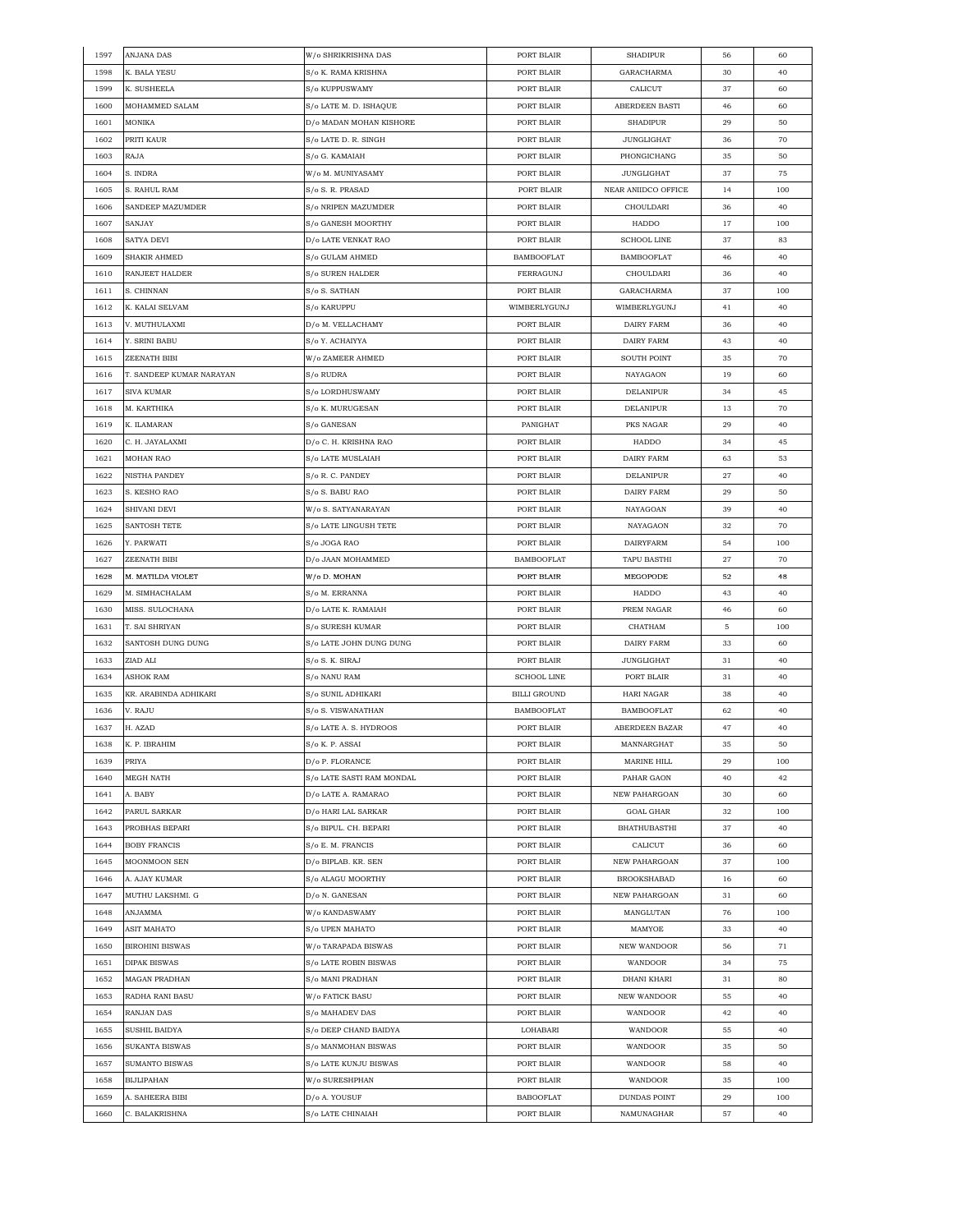| 1597 | ANJANA DAS               | W/o SHRIKRISHNA DAS       | PORT BLAIR         | <b>SHADIPUR</b>              | 56 | 60     |
|------|--------------------------|---------------------------|--------------------|------------------------------|----|--------|
| 1598 | K. BALA YESU             | S/o K. RAMA KRISHNA       | PORT BLAIR         | GARACHARMA                   | 30 | 40     |
| 1599 | K. SUSHEELA              | S/o KUPPUSWAMY            | PORT BLAIR         | CALICUT                      | 37 | 60     |
| 1600 | MOHAMMED SALAM           | S/o LATE M. D. ISHAQUE    | PORT BLAIR         | ABERDEEN BASTI               | 46 | 60     |
| 1601 | MONIKA                   | D/o MADAN MOHAN KISHORE   | PORT BLAIR         | <b>SHADIPUR</b>              | 29 | 50     |
| 1602 | PRITI KAUR               | S/o LATE D. R. SINGH      | PORT BLAIR         | <b>JUNGLIGHAT</b>            | 36 | 70     |
| 1603 | RAJA                     | S/o G. KAMAIAH            | PORT BLAIR         | PHONGICHANG                  | 35 | 50     |
| 1604 | S. INDRA                 | W/o M. MUNIYASAMY         | PORT BLAIR         | <b>JUNGLIGHAT</b>            | 37 | 75     |
| 1605 | S. RAHUL RAM             | S/o S. R. PRASAD          | PORT BLAIR         | NEAR ANIIDCO OFFICE          | 14 | 100    |
| 1606 | SANDEEP MAZUMDER         | S/o NRIPEN MAZUMDER       | PORT BLAIR         | CHOULDARI                    | 36 | 40     |
| 1607 | SANJAY                   | S/o GANESH MOORTHY        | PORT BLAIR         | HADDO                        | 17 | 100    |
| 1608 | SATYA DEVI               | D/o LATE VENKAT RAO       | PORT BLAIR         | <b>SCHOOL LINE</b>           | 37 | 83     |
| 1609 | <b>SHAKIR AHMED</b>      | S/o GULAM AHMED           | <b>BAMBOOFLAT</b>  | <b>BAMBOOFLAT</b>            | 46 | 40     |
|      |                          | S/o SUREN HALDER          |                    |                              |    |        |
| 1610 | RANJEET HALDER           |                           | FERRAGUNJ          | CHOULDARI                    | 36 | 40     |
| 1611 | S. CHINNAN               | S/o S. SATHAN             | PORT BLAIR         | GARACHARMA                   | 37 | 100    |
| 1612 | K. KALAI SELVAM          | S/o KARUPPU               | WIMBERLYGUNJ       | WIMBERLYGUNJ                 | 41 | 40     |
| 1613 | V. MUTHULAXMI            | D/o M. VELLACHAMY         | PORT BLAIR         | DAIRY FARM                   | 36 | 40     |
| 1614 | Y. SRINI BABU            | S/o Y. ACHAIYYA           | PORT BLAIR         | DAIRY FARM                   | 43 | 40     |
| 1615 | <b>ZEENATH BIBI</b>      | W/o ZAMEER AHMED          | PORT BLAIR         | <b>SOUTH POINT</b>           | 35 | 70     |
| 1616 | T. SANDEEP KUMAR NARAYAN | S/o RUDRA                 | PORT BLAIR         | NAYAGAON                     | 19 | 60     |
| 1617 | <b>SIVA KUMAR</b>        | S/o LORDHUSWAMY           | PORT BLAIR         | DELANIPUR                    | 34 | 45     |
| 1618 | M. KARTHIKA              | S/o K. MURUGESAN          | PORT BLAIR         | <b>DELANIPUR</b>             | 13 | 70     |
| 1619 | K. ILAMARAN              | S/o GANESAN               | PANIGHAT           | PKS NAGAR                    | 29 | 40     |
| 1620 | C. H. JAYALAXMI          | D/o C. H. KRISHNA RAO     | PORT BLAIR         | HADDO                        | 34 | 45     |
| 1621 | MOHAN RAO                | S/o LATE MUSLAIAH         | PORT BLAIR         | DAIRY FARM                   | 63 | 53     |
| 1622 | NISTHA PANDEY            | S/o R. C. PANDEY          | PORT BLAIR         | DELANIPUR                    | 27 | 40     |
| 1623 | S. KESHO RAO             | S/o S. BABU RAO           | PORT BLAIR         | <b>DAIRY FARM</b>            | 29 | $50\,$ |
| 1624 | SHIVANI DEVI             | W/o S. SATYANARAYAN       | PORT BLAIR         | NAYAGOAN                     | 39 | 40     |
| 1625 | SANTOSH TETE             | S/o LATE LINGUSH TETE     | PORT BLAIR         | NAYAGAON                     | 32 | 70     |
| 1626 | Y. PARWATI               | S/o JOGA RAO              | PORT BLAIR         | <b>DAIRYFARM</b>             | 54 | 100    |
| 1627 | ZEENATH BIBI             | D/o JAAN MOHAMMED         | <b>BAMBOOFLAT</b>  | <b>TAPU BASTHI</b>           | 27 | 70     |
| 1628 | M. MATILDA VIOLET        | W/o D. MOHAN              | PORT BLAIR         | MEGOPODE                     | 52 | 48     |
| 1629 | M. SIMHACHALAM           | S/o M. ERRANNA            | PORT BLAIR         | HADDO                        | 43 | 40     |
| 1630 | MISS. SULOCHANA          | D/o LATE K. RAMAIAH       | PORT BLAIR         | PREM NAGAR                   | 46 | 60     |
| 1631 | T. SAI SHRIYAN           | S/o SURESH KUMAR          | PORT BLAIR         | CHATHAM                      | 5  | 100    |
| 1632 | SANTOSH DUNG DUNG        | S/o LATE JOHN DUNG DUNG   | PORT BLAIR         | <b>DAIRY FARM</b>            | 33 | 60     |
|      |                          |                           |                    |                              |    |        |
| 1633 | ZIAD ALI                 | S/o S. K. SIRAJ           | PORT BLAIR         | <b>JUNGLIGHAT</b>            | 31 | 40     |
| 1634 | ASHOK RAM                | S/o NANU RAM              | <b>SCHOOL LINE</b> | PORT BLAIR                   | 31 | 40     |
| 1635 | KR. ARABINDA ADHIKARI    | S/o SUNIL ADHIKARI        | BILLI GROUND       | HARI NAGAR                   | 38 | 40     |
| 1636 | V. RAJU                  | S/o S. VISWANATHAN        | <b>BAMBOOFLAT</b>  | <b>BAMBOOFLAT</b>            | 62 | 40     |
| 1637 | H. AZAD                  | S/o LATE A. S. HYDROOS    | PORT BLAIR         | ABERDEEN BAZAR               | 47 | 40     |
| 1638 | K. P. IBRAHIM            | S/o K. P. ASSAI           | PORT BLAIR         | MANNARGHAT                   | 35 | 50     |
| 1639 | PRIYA                    | D/o P. FLORANCE           | PORT BLAIR         | $\operatorname{MARINE}$ HILL | 29 | 100    |
| 1640 | MEGH NATH                | S/o LATE SASTI RAM MONDAL | PORT BLAIR         | PAHAR GAON                   | 40 | 42     |
| 1641 | A. BABY                  | D/o LATE A. RAMARAO       | PORT BLAIR         | NEW PAHARGOAN                | 30 | 60     |
| 1642 | PARUL SARKAR             | D/o HARI LAL SARKAR       | PORT BLAIR         | <b>GOAL GHAR</b>             | 32 | 100    |
| 1643 | PROBHAS BEPARI           | S/o BIPUL. CH. BEPARI     | PORT BLAIR         | <b>BHATHUBASTHI</b>          | 37 | 40     |
| 1644 | <b>BOBY FRANCIS</b>      | S/o E. M. FRANCIS         | PORT BLAIR         | CALICUT                      | 36 | 60     |
| 1645 | MOONMOON SEN             | D/o BIPLAB. KR. SEN       | PORT BLAIR         | NEW PAHARGOAN                | 37 | 100    |
| 1646 | A. AJAY KUMAR            | S/o ALAGU MOORTHY         | PORT BLAIR         | <b>BROOKSHABAD</b>           | 16 | 60     |
| 1647 | MUTHU LAKSHMI. G         | D/o N. GANESAN            | PORT BLAIR         | <b>NEW PAHARGOAN</b>         | 31 | 60     |
| 1648 | ANJAMMA                  | W/o KANDASWAMY            | PORT BLAIR         | MANGLUTAN                    | 76 | 100    |
| 1649 | ASIT MAHATO              | S/o UPEN MAHATO           | PORT BLAIR         | MAMYOE                       | 33 | 40     |
| 1650 | <b>BIROHINI BISWAS</b>   | W/o TARAPADA BISWAS       | PORT BLAIR         | NEW WANDOOR                  | 56 | 71     |
| 1651 | <b>DIPAK BISWAS</b>      | S/o LATE ROBIN BISWAS     | PORT BLAIR         | WANDOOR                      | 34 | 75     |
| 1652 | MAGAN PRADHAN            | S/o MANI PRADHAN          | PORT BLAIR         | DHANI KHARI                  | 31 | 80     |
| 1653 | RADHA RANI BASU          | W/o FATICK BASU           | PORT BLAIR         | NEW WANDOOR                  |    | 40     |
|      |                          |                           |                    |                              | 55 | 40     |
| 1654 | RANJAN DAS               | S/o MAHADEV DAS           | PORT BLAIR         | WANDOOR                      | 42 |        |
| 1655 | SUSHIL BAIDYA            | S/o DEEP CHAND BAIDYA     | LOHABARI           | WANDOOR                      | 55 | 40     |
| 1656 | SUKANTA BISWAS           | S/o MANMOHAN BISWAS       | PORT BLAIR         | WANDOOR                      | 35 | 50     |
| 1657 | SUMANTO BISWAS           | S/o LATE KUNJU BISWAS     | PORT BLAIR         | WANDOOR                      | 58 | 40     |
| 1658 | <b>BIJLIPAHAN</b>        | W/o SURESHPHAN            | PORT BLAIR         | WANDOOR                      | 35 | 100    |
| 1659 | A. SAHEERA BIBI          | D/o A. YOUSUF             | <b>BABOOFLAT</b>   | DUNDAS POINT                 | 29 | 100    |
| 1660 | C. BALAKRISHNA           | S/o LATE CHINAIAH         | PORT BLAIR         | NAMUNAGHAR                   | 57 | 40     |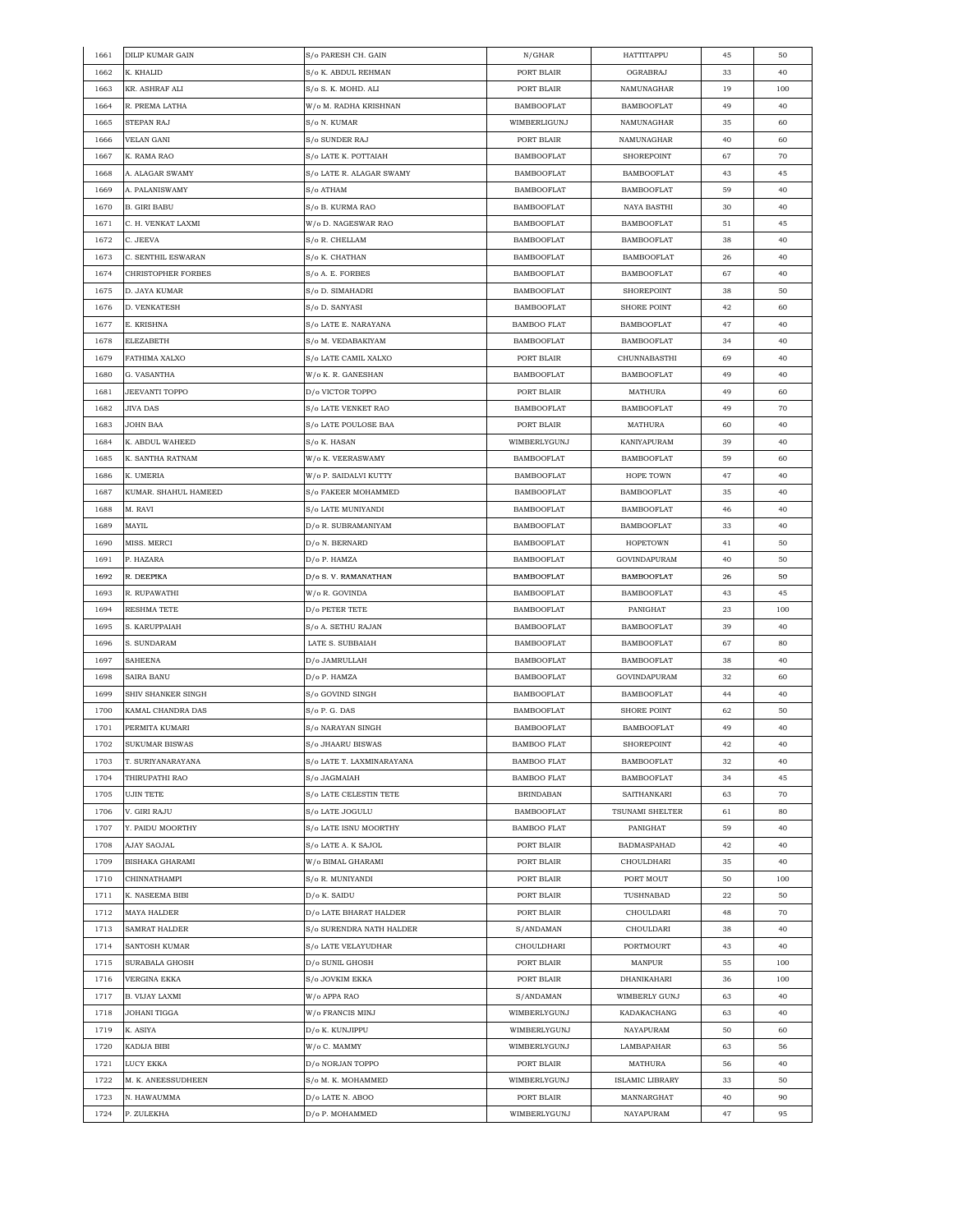| 1661 | <b>DILIP KUMAR GAIN</b> | S/o PARESH CH. GAIN       | N/GHAR             | HATTITAPPU         | 45 | 50  |
|------|-------------------------|---------------------------|--------------------|--------------------|----|-----|
| 1662 | K. KHALID               | S/o K. ABDUL REHMAN       | PORT BLAIR         | OGRABRAJ           | 33 | 40  |
| 1663 | KR. ASHRAF ALI          | S/o S. K. MOHD. ALI       | PORT BLAIR         | NAMUNAGHAR         | 19 | 100 |
| 1664 | R. PREMA LATHA          | W/o M. RADHA KRISHNAN     | <b>BAMBOOFLAT</b>  | <b>BAMBOOFLAT</b>  | 49 | 40  |
| 1665 | STEPAN RAJ              | S/o N. KUMAR              | WIMBERLIGUNJ       | NAMUNAGHAR         | 35 | 60  |
| 1666 | VELAN GANI              | S/o SUNDER RAJ            | PORT BLAIR         | NAMUNAGHAR         | 40 | 60  |
| 1667 | K. RAMA RAO             | S/o LATE K. POTTAIAH      | <b>BAMBOOFLAT</b>  | <b>SHOREPOINT</b>  | 67 | 70  |
| 1668 | A. ALAGAR SWAMY         | S/o LATE R. ALAGAR SWAMY  | <b>BAMBOOFLAT</b>  | <b>BAMBOOFLAT</b>  | 43 | 45  |
| 1669 | A. PALANISWAMY          | S/o ATHAM                 | <b>BAMBOOFLAT</b>  | <b>BAMBOOFLAT</b>  | 59 | 40  |
|      |                         |                           |                    |                    |    |     |
| 1670 | <b>B. GIRI BABU</b>     | S/o B. KURMA RAO          | <b>BAMBOOFLAT</b>  | NAYA BASTHI        | 30 | 40  |
| 1671 | C. H. VENKAT LAXMI      | W/o D. NAGESWAR RAO       | <b>BAMBOOFLAT</b>  | <b>BAMBOOFLAT</b>  | 51 | 45  |
| 1672 | C. JEEVA                | S/o R. CHELLAM            | <b>BAMBOOFLAT</b>  | <b>BAMBOOFLAT</b>  | 38 | 40  |
| 1673 | C. SENTHIL ESWARAN      | S/o K. CHATHAN            | <b>BAMBOOFLAT</b>  | <b>BAMBOOFLAT</b>  | 26 | 40  |
| 1674 | CHRISTOPHER FORBES      | S/o A. E. FORBES          | <b>BAMBOOFLAT</b>  | <b>BAMBOOFLAT</b>  | 67 | 40  |
| 1675 | D. JAYA KUMAR           | S/o D. SIMAHADRI          | <b>BAMBOOFLAT</b>  | SHOREPOINT         | 38 | 50  |
| 1676 | D. VENKATESH            | S/o D. SANYASI            | <b>BAMBOOFLAT</b>  | <b>SHORE POINT</b> | 42 | 60  |
| 1677 | E. KRISHNA              | S/o LATE E. NARAYANA      | <b>BAMBOO FLAT</b> | <b>BAMBOOFLAT</b>  | 47 | 40  |
| 1678 | ELEZABETH               | S/o M. VEDABAKIYAM        | <b>BAMBOOFLAT</b>  | <b>BAMBOOFLAT</b>  | 34 | 40  |
| 1679 | FATHIMA XALXO           | S/o LATE CAMIL XALXO      | PORT BLAIR         | CHUNNABASTHI       | 69 | 40  |
| 1680 | G. VASANTHA             | W/o K. R. GANESHAN        | <b>BAMBOOFLAT</b>  | <b>BAMBOOFLAT</b>  | 49 | 40  |
| 1681 | JEEVANTI TOPPO          | D/o VICTOR TOPPO          | PORT BLAIR         | <b>MATHURA</b>     | 49 | 60  |
| 1682 | JIVA DAS                | S/o LATE VENKET RAO       | <b>BAMBOOFLAT</b>  | <b>BAMBOOFLAT</b>  | 49 | 70  |
| 1683 | JOHN BAA                | S/o LATE POULOSE BAA      | PORT BLAIR         | MATHURA            | 60 | 40  |
| 1684 | K. ABDUL WAHEED         | S/o K. HASAN              | WIMBERLYGUNJ       | KANIYAPURAM        | 39 | 40  |
| 1685 | K. SANTHA RATNAM        | W/o K. VEERASWAMY         | <b>BAMBOOFLAT</b>  | <b>BAMBOOFLAT</b>  | 59 | 60  |
|      |                         |                           |                    | HOPE TOWN          |    |     |
| 1686 | K. UMERIA               | W/o P. SAIDALVI KUTTY     | <b>BAMBOOFLAT</b>  |                    | 47 | 40  |
| 1687 | KUMAR. SHAHUL HAMEED    | S/o FAKEER MOHAMMED       | <b>BAMBOOFLAT</b>  | <b>BAMBOOFLAT</b>  | 35 | 40  |
| 1688 | M. RAVI                 | S/o LATE MUNIYANDI        | <b>BAMBOOFLAT</b>  | <b>BAMBOOFLAT</b>  | 46 | 40  |
| 1689 | MAYIL                   | D/o R. SUBRAMANIYAM       | <b>BAMBOOFLAT</b>  | <b>BAMBOOFLAT</b>  | 33 | 40  |
| 1690 | MISS. MERCI             | D/o N. BERNARD            | <b>BAMBOOFLAT</b>  | <b>HOPETOWN</b>    | 41 | 50  |
| 1691 | P. HAZARA               | D/o P. HAMZA              | <b>BAMBOOFLAT</b>  | GOVINDAPURAM       | 40 | 50  |
| 1692 | R. DEEPIKA              | D/o S.V. RAMANATHAN       | <b>BAMBOOFLAT</b>  | <b>BAMBOOFLAT</b>  | 26 | 50  |
| 1693 | R. RUPAWATHI            | W/o R. GOVINDA            | <b>BAMBOOFLAT</b>  | <b>BAMBOOFLAT</b>  | 43 | 45  |
| 1694 | RESHMA TETE             | D/o PETER TETE            | <b>BAMBOOFLAT</b>  | PANIGHAT           | 23 | 100 |
| 1695 | S. KARUPPAIAH           | S/o A. SETHU RAJAN        | <b>BAMBOOFLAT</b>  | <b>BAMBOOFLAT</b>  | 39 | 40  |
| 1696 | S. SUNDARAM             | LATE S. SUBBAIAH          | <b>BAMBOOFLAT</b>  | <b>BAMBOOFLAT</b>  | 67 | 80  |
| 1697 | SAHEENA                 | D/o JAMRULLAH             | <b>BAMBOOFLAT</b>  | <b>BAMBOOFLAT</b>  | 38 | 40  |
| 1698 | SAIRA BANU              | D/o P. HAMZA              | <b>BAMBOOFLAT</b>  | GOVINDAPURAM       | 32 | 60  |
| 1699 | SHIV SHANKER SINGH      | S/o GOVIND SINGH          | <b>BAMBOOFLAT</b>  | <b>BAMBOOFLAT</b>  | 44 | 40  |
| 1700 | KAMAL CHANDRA DAS       | S/o P. G. DAS             | <b>BAMBOOFLAT</b>  | <b>SHORE POINT</b> | 62 | 50  |
| 1701 | PERMITA KUMARI          | S/o NARAYAN SINGH         | <b>BAMBOOFLAT</b>  | <b>BAMBOOFLAT</b>  | 49 | 40  |
| 1702 | SUKUMAR BISWAS          | S/o JHAARU BISWAS         | <b>BAMBOO FLAT</b> | <b>SHOREPOINT</b>  | 42 | 40  |
|      |                         | S/o LATE T. LAXMINARAYANA |                    |                    |    | 40  |
| 1703 | T. SURIYANARAYANA       |                           | <b>BAMBOO FLAT</b> | <b>BAMBOOFLAT</b>  | 32 |     |
| 1704 | THIRUPATHI RAO          | S/o JAGMAIAH              | <b>BAMBOO FLAT</b> | <b>BAMBOOFLAT</b>  | 34 | 45  |
| 1705 | UJIN TETE               | S/o LATE CELESTIN TETE    | <b>BRINDABAN</b>   | SAITHANKARI        | 63 | 70  |
| 1706 | V. GIRI RAJU            | S/o LATE JOGULU           | <b>BAMBOOFLAT</b>  | TSUNAMI SHELTER    | 61 | 80  |
| 1707 | Y. PAIDU MOORTHY        | S/o LATE ISNU MOORTHY     | <b>BAMBOO FLAT</b> | PANIGHAT           | 59 | 40  |
| 1708 | AJAY SAOJAL             | S/o LATE A. K SAJOL       | PORT BLAIR         | BADMASPAHAD        | 42 | 40  |
| 1709 | BISHAKA GHARAMI         | W/o BIMAL GHARAMI         | PORT BLAIR         | CHOULDHARI         | 35 | 40  |
| 1710 | CHINNATHAMPI            | S/o R. MUNIYANDI          | PORT BLAIR         | PORT MOUT          | 50 | 100 |
| 1711 | K. NASEEMA BIBI         | D/o K. SAIDU              | PORT BLAIR         | TUSHNABAD          | 22 | 50  |
| 1712 | MAYA HALDER             | D/o LATE BHARAT HALDER    | PORT BLAIR         | CHOULDARI          | 48 | 70  |
| 1713 | SAMRAT HALDER           | S/o SURENDRA NATH HALDER  | S/ANDAMAN          | CHOULDARI          | 38 | 40  |
| 1714 | SANTOSH KUMAR           | S/o LATE VELAYUDHAR       | CHOULDHARI         | PORTMOURT          | 43 | 40  |
| 1715 | SURABALA GHOSH          | D/o SUNIL GHOSH           | PORT BLAIR         | MANPUR             | 55 | 100 |
| 1716 | VERGINA EKKA            | S/o JOVKIM EKKA           | PORT BLAIR         | DHANIKAHARI        | 36 | 100 |
|      |                         |                           |                    |                    |    |     |
| 1717 | B. VIJAY LAXMI          | W/o APPA RAO              | S/ANDAMAN          | WIMBERLY GUNJ      | 63 | 40  |
| 1718 | JOHANI TIGGA            | W/o FRANCIS MINJ          | WIMBERLYGUNJ       | KADAKACHANG        | 63 | 40  |
| 1719 | K. ASIYA                | D/o K. KUNJIPPU           | WIMBERLYGUNJ       | NAYAPURAM          | 50 | 60  |
| 1720 | KADIJA BIBI             | W/o C. MAMMY              | WIMBERLYGUNJ       | LAMBAPAHAR         | 63 | 56  |
| 1721 | LUCY EKKA               | D/0 NORJAN TOPPO          | PORT BLAIR         | MATHURA            | 56 | 40  |
| 1722 | M. K. ANEESSUDHEEN      | S/o M. K. MOHAMMED        | WIMBERLYGUNJ       | ISLAMIC LIBRARY    | 33 | 50  |
| 1723 | N. HAWAUMMA             | D/o LATE N. ABOO          | PORT BLAIR         | MANNARGHAT         | 40 | 90  |
| 1724 | P. ZULEKHA              | D/o P. MOHAMMED           | WIMBERLYGUNJ       | NAYAPURAM          | 47 | 95  |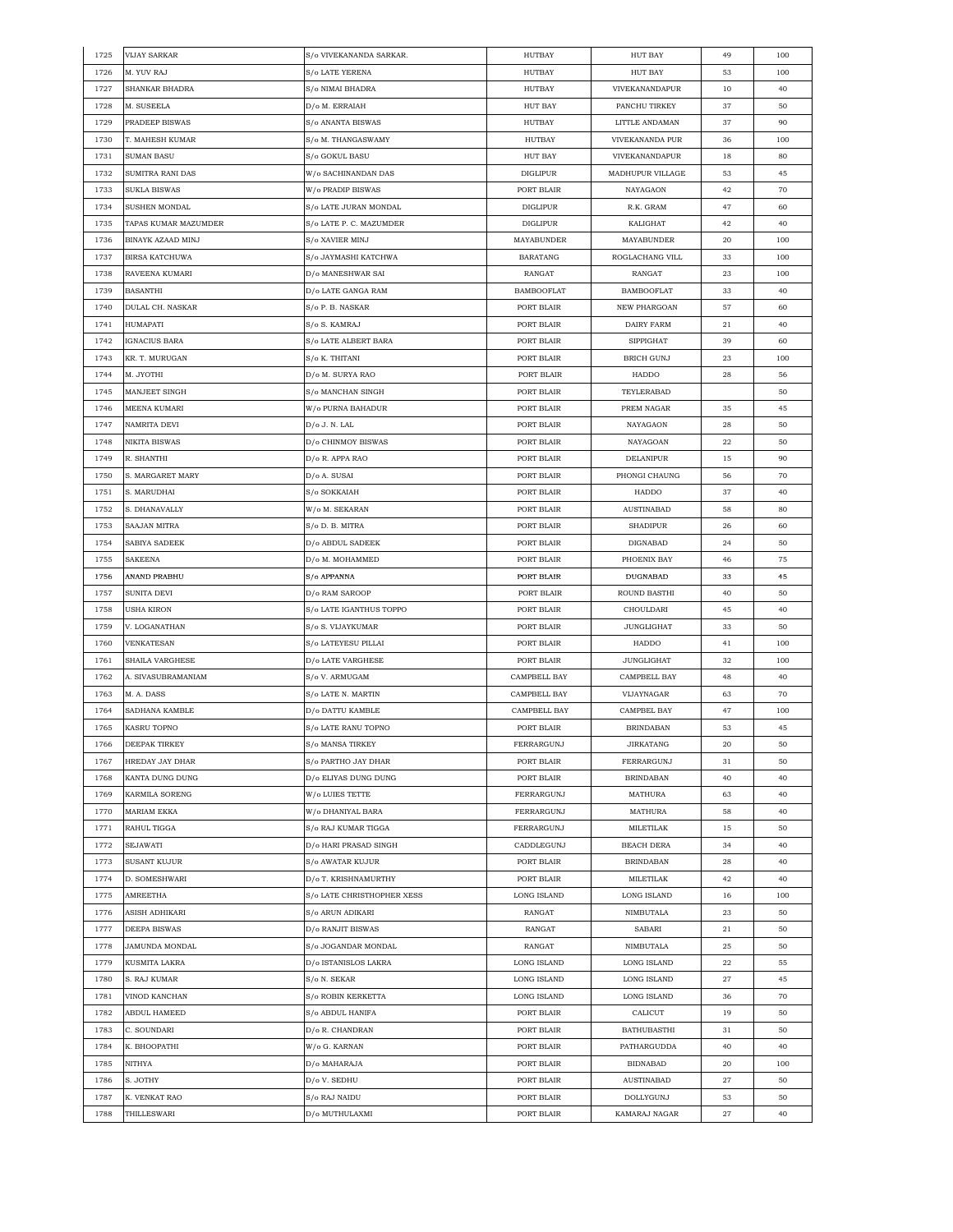| 1725 | <b>VIJAY SARKAR</b>      | S/o VIVEKANANDA SARKAR.              | HUTBAY            | HUT BAY              | 49 | 100 |
|------|--------------------------|--------------------------------------|-------------------|----------------------|----|-----|
| 1726 | M. YUV RAJ               | <b>S/o LATE YERENA</b>               | <b>HUTBAY</b>     | <b>HUT BAY</b>       | 53 | 100 |
| 1727 | SHANKAR BHADRA           | S/o NIMAI BHADRA                     | <b>HUTBAY</b>     | VIVEKANANDAPUR       | 10 | 40  |
| 1728 | M. SUSEELA               | D/o M. ERRAIAH                       | <b>HUT BAY</b>    | PANCHU TIRKEY        | 37 | 50  |
| 1729 | PRADEEP BISWAS           | S/o ANANTA BISWAS                    | HUTBAY            | LITTLE ANDAMAN       | 37 | 90  |
| 1730 | T. MAHESH KUMAR          | S/o M. THANGASWAMY                   | HUTBAY            | VIVEKANANDA PUR      | 36 | 100 |
| 1731 | <b>SUMAN BASU</b>        | S/o GOKUL BASU                       | <b>HUT BAY</b>    | VIVEKANANDAPUR       | 18 | 80  |
| 1732 | SUMITRA RANI DAS         | W/o SACHINANDAN DAS                  | <b>DIGLIPUR</b>   | MADHUPUR VILLAGE     | 53 | 45  |
| 1733 | SUKLA BISWAS             | W/o PRADIP BISWAS                    | PORT BLAIR        | NAYAGAON             | 42 | 70  |
| 1734 | SUSHEN MONDAL            | S/o LATE JURAN MONDAL                | DIGLIPUR          | R.K. GRAM            | 47 | 60  |
| 1735 | TAPAS KUMAR MAZUMDER     | S/o LATE P. C. MAZUMDER              | <b>DIGLIPUR</b>   | KALIGHAT             |    |     |
|      |                          |                                      |                   |                      | 42 | 40  |
| 1736 | <b>BINAYK AZAAD MINJ</b> | S/o XAVIER MINJ                      | MAYABUNDER        | MAYABUNDER           | 20 | 100 |
| 1737 | <b>BIRSA KATCHUWA</b>    | S/o JAYMASHI KATCHWA                 | <b>BARATANG</b>   | ROGLACHANG VILL      | 33 | 100 |
| 1738 | RAVEENA KUMARI           | D/o MANESHWAR SAI                    | RANGAT            | RANGAT               | 23 | 100 |
| 1739 | <b>BASANTHI</b>          | D/o LATE GANGA RAM                   | <b>BAMBOOFLAT</b> | <b>BAMBOOFLAT</b>    | 33 | 40  |
| 1740 | DULAL CH. NASKAR         | S/o P. B. NASKAR                     | PORT BLAIR        | NEW PHARGOAN         | 57 | 60  |
| 1741 | HUMAPATI                 | S/o S. KAMRAJ                        | PORT BLAIR        | DAIRY FARM           | 21 | 40  |
| 1742 | IGNACIUS BARA            | S/o LATE ALBERT BARA                 | PORT BLAIR        | <b>SIPPIGHAT</b>     | 39 | 60  |
| 1743 | KR. T. MURUGAN           | S/o K. THITANI                       | PORT BLAIR        | BRICH GUNJ           | 23 | 100 |
| 1744 | M. JYOTHI                | D/o M. SURYA RAO                     | PORT BLAIR        | HADDO                | 28 | 56  |
| 1745 | MANJEET SINGH            | S/o MANCHAN SINGH                    | PORT BLAIR        | TEYLERABAD           |    | 50  |
| 1746 | MEENA KUMARI             | W/o PURNA BAHADUR                    | PORT BLAIR        | PREM NAGAR           | 35 | 45  |
| 1747 | NAMRITA DEVI             | D/o J. N. LAL                        | PORT BLAIR        | NAYAGAON             | 28 | 50  |
| 1748 | NIKITA BISWAS            | D/o CHINMOY BISWAS                   | PORT BLAIR        | NAYAGOAN             | 22 | 50  |
| 1749 | R. SHANTHI               | D/o R. APPA RAO                      | PORT BLAIR        | DELANIPUR            | 15 | 90  |
| 1750 | S. MARGARET MARY         | D/o A. SUSAI                         | PORT BLAIR        | PHONGI CHAUNG        | 56 | 70  |
| 1751 | S. MARUDHAI              | S/o SOKKAIAH                         | PORT BLAIR        | HADDO                | 37 | 40  |
| 1752 | S. DHANAVALLY            | W/o M. SEKARAN                       | PORT BLAIR        | <b>AUSTINABAD</b>    | 58 | 80  |
| 1753 | SAAJAN MITRA             | S/o D. B. MITRA                      | PORT BLAIR        | <b>SHADIPUR</b>      | 26 | 60  |
| 1754 | SABIYA SADEEK            | D/o ABDUL SADEEK                     | PORT BLAIR        | DIGNABAD             | 24 | 50  |
| 1755 | SAKEENA                  | D/o M. MOHAMMED                      | PORT BLAIR        | PHOENIX BAY          | 46 | 75  |
| 1756 | ANAND PRABHU             |                                      | PORT BLAIR        | DUGNABAD             | 33 | 45  |
|      |                          | S/o APPANNA                          |                   |                      |    |     |
| 1757 | SUNITA DEVI              | D/o RAM SAROOP                       | PORT BLAIR        | ROUND BASTHI         | 40 | 50  |
| 1758 | USHA KIRON               | S/o LATE IGANTHUS TOPPO              | PORT BLAIR        | CHOULDARI            | 45 | 40  |
| 1759 | V. LOGANATHAN            | S/o S. VIJAYKUMAR                    | PORT BLAIR        | JUNGLIGHAT           | 33 | 50  |
| 1760 | VENKATESAN               | S/o LATEYESU PILLAI                  | PORT BLAIR        | HADDO                | 41 | 100 |
| 1761 | SHAILA VARGHESE          | D/o LATE VARGHESE                    | PORT BLAIR        | JUNGLIGHAT           | 32 | 100 |
| 1762 | A. SIVASUBRAMANIAM       | S/o V. ARMUGAM                       | CAMPBELL BAY      | CAMPBELL BAY         | 48 | 40  |
| 1763 | M. A. DASS               | S/o LATE N. MARTIN                   | CAMPBELL BAY      | VIJAYNAGAR           | 63 | 70  |
| 1764 | SADHANA KAMBLE           | D/o DATTU KAMBLE                     | CAMPBELL BAY      | CAMPBEL BAY          | 47 | 100 |
| 1765 | <b>KASRU TOPNO</b>       | S/o LATE RANU TOPNO                  | PORT BLAIR        | <b>BRINDABAN</b>     | 53 | 45  |
| 1766 | <b>DEEPAK TIRKEY</b>     | $\mathrm{S}/\mathrm{o}$ MANSA TIRKEY | FERRARGUNJ        | <b>JIRKATANG</b>     | 20 | 50  |
| 1767 | <b>HREDAY JAY DHAR</b>   | S/o PARTHO JAY DHAR                  | PORT BLAIR        | FERRARGUNJ           | 31 | 50  |
| 1768 | KANTA DUNG DUNG          | D/o ELIYAS DUNG DUNG                 | PORT BLAIR        | <b>BRINDABAN</b>     | 40 | 40  |
| 1769 | <b>KARMILA SORENG</b>    | W/o LUIES TETTE                      | FERRARGUNJ        | MATHURA              | 63 | 40  |
| 1770 | <b>MARIAM EKKA</b>       | W/o DHANIYAL BARA                    | FERRARGUNJ        | MATHURA              | 58 | 40  |
| 1771 | RAHUL TIGGA              | S/o RAJ KUMAR TIGGA                  | FERRARGUNJ        | MILETILAK            | 15 | 50  |
| 1772 | <b>SEJAWATI</b>          | D/o HARI PRASAD SINGH                | CADDLEGUNJ        | <b>BEACH DERA</b>    | 34 | 40  |
| 1773 | <b>SUSANT KUJUR</b>      | S/o AWATAR KUJUR                     | PORT BLAIR        | <b>BRINDABAN</b>     | 28 | 40  |
| 1774 | D. SOMESHWARI            | D/o T. KRISHNAMURTHY                 | PORT BLAIR        | $\textsc{MILETILAK}$ | 42 | 40  |
| 1775 | AMREETHA                 | S/o LATE CHRISTHOPHER XESS           | LONG ISLAND       | LONG ISLAND          | 16 | 100 |
| 1776 | ASISH ADHIKARI           | S/o ARUN ADIKARI                     | RANGAT            | NIMBUTALA            | 23 | 50  |
| 1777 | DEEPA BISWAS             | D/o RANJIT BISWAS                    | RANGAT            | SABARI               | 21 | 50  |
| 1778 | JAMUNDA MONDAL           | S/o JOGANDAR MONDAL                  | RANGAT            | NIMBUTALA            | 25 | 50  |
| 1779 | KUSMITA LAKRA            | D/o ISTANISLOS LAKRA                 | LONG ISLAND       | LONG ISLAND          | 22 | 55  |
|      |                          |                                      |                   |                      |    |     |
| 1780 | S. RAJ KUMAR             | S/o N. SEKAR                         | LONG ISLAND       | LONG ISLAND          | 27 | 45  |
| 1781 | VINOD KANCHAN            | S/o ROBIN KERKETTA                   | LONG ISLAND       | LONG ISLAND          | 36 | 70  |
| 1782 | ABDUL HAMEED             | S/o ABDUL HANIFA                     | PORT BLAIR        | CALICUT              | 19 | 50  |
| 1783 | C. SOUNDARI              | D/o R. CHANDRAN                      | PORT BLAIR        | BATHUBASTHI          | 31 | 50  |
| 1784 | K. BHOOPATHI             | W/o G. KARNAN                        | PORT BLAIR        | PATHARGUDDA          | 40 | 40  |
| 1785 | NITHYA                   | D/o MAHARAJA                         | PORT BLAIR        | <b>BIDNABAD</b>      | 20 | 100 |
| 1786 | S. JOTHY                 | D/o V. SEDHU                         | PORT BLAIR        | <b>AUSTINABAD</b>    | 27 | 50  |
| 1787 | K. VENKAT RAO            | S/o RAJ NAIDU                        | PORT BLAIR        | DOLLYGUNJ            | 53 | 50  |
| 1788 | THILLESWARI              | D/o MUTHULAXMI                       | PORT BLAIR        | KAMARAJ NAGAR        | 27 | 40  |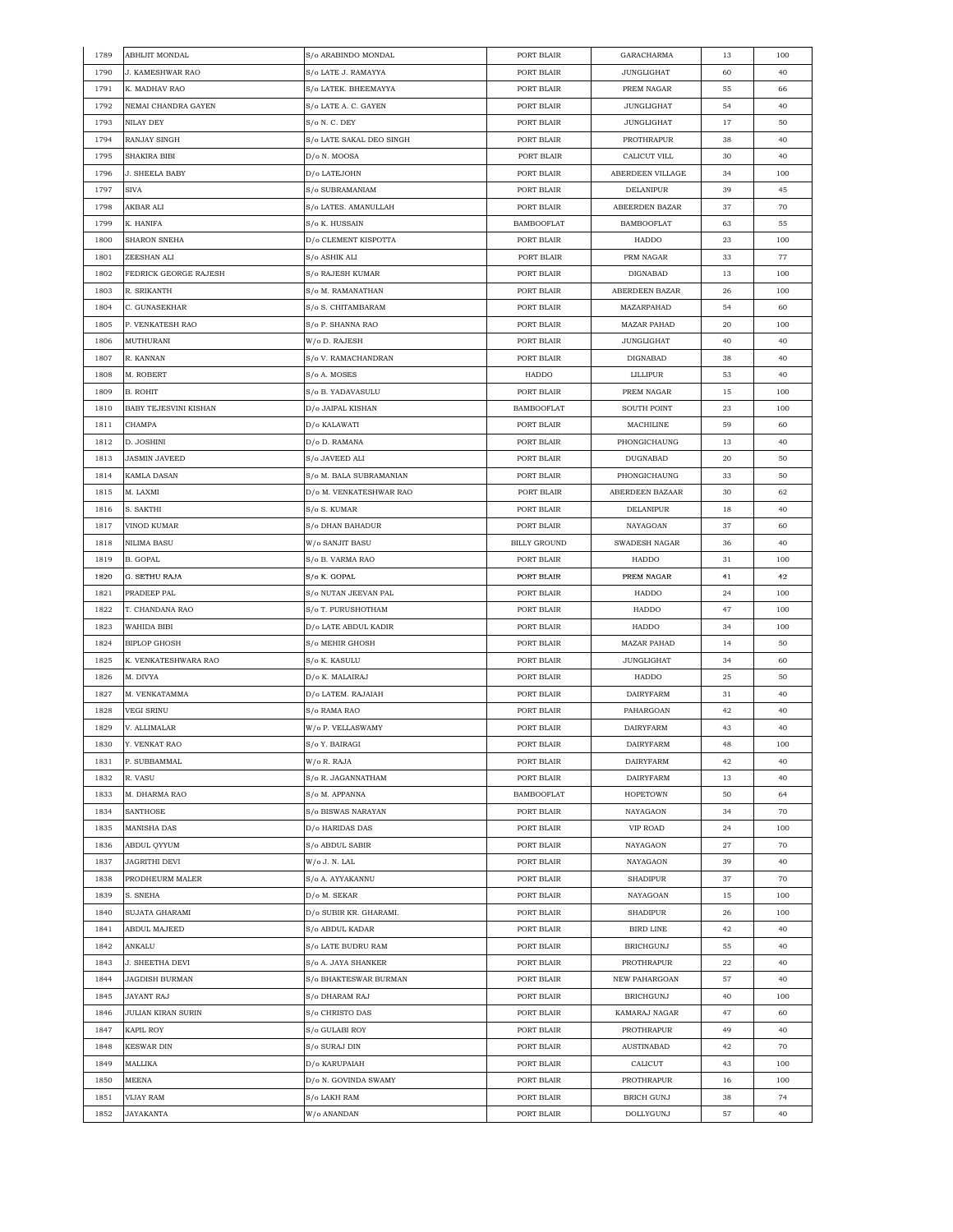| 1789 | ABHIJIT MONDAL          | S/o ARABINDO MONDAL      | PORT BLAIR          | GARACHARMA           | 13 | 100      |
|------|-------------------------|--------------------------|---------------------|----------------------|----|----------|
| 1790 | <b>J. KAMESHWAR RAO</b> | S/o LATE J. RAMAYYA      | PORT BLAIR          | <b>JUNGLIGHAT</b>    | 60 | 40       |
| 1791 | K. MADHAV RAO           | S/o LATEK. BHEEMAYYA     | PORT BLAIR          | PREM NAGAR           | 55 | 66       |
| 1792 | NEMAI CHANDRA GAYEN     | S/o LATE A. C. GAYEN     | PORT BLAIR          | <b>JUNGLIGHAT</b>    | 54 | 40       |
| 1793 | NILAY DEY               | S/o N. C. DEY            | PORT BLAIR          | JUNGLIGHAT           | 17 | 50       |
| 1794 | RANJAY SINGH            | S/o LATE SAKAL DEO SINGH | PORT BLAIR          | PROTHRAPUR           | 38 | 40       |
| 1795 | SHAKIRA BIBI            | D/o N. MOOSA             | PORT BLAIR          | CALICUT VILL         | 30 | 40       |
| 1796 | J. SHEELA BABY          | D/o LATEJOHN             | PORT BLAIR          | ABERDEEN VILLAGE     | 34 | 100      |
| 1797 | <b>SIVA</b>             | S/o SUBRAMANIAM          | PORT BLAIR          | DELANIPUR            | 39 | 45       |
| 1798 | AKBAR ALI               | S/o LATES. AMANULLAH     | PORT BLAIR          | ABEERDEN BAZAR       | 37 | 70       |
| 1799 | K. HANIFA               | S/o K. HUSSAIN           | <b>BAMBOOFLAT</b>   | <b>BAMBOOFLAT</b>    | 63 | 55       |
|      |                         |                          |                     |                      |    |          |
| 1800 | SHARON SNEHA            | D/o CLEMENT KISPOTTA     | PORT BLAIR          | HADDO                | 23 | 100      |
| 1801 | ZEESHAN ALI             | S/o ASHIK ALI            | PORT BLAIR          | PRM NAGAR            | 33 | 77       |
| 1802 | FEDRICK GEORGE RAJESH   | S/o RAJESH KUMAR         | PORT BLAIR          | DIGNABAD             | 13 | 100      |
| 1803 | R. SRIKANTH             | S/o M. RAMANATHAN        | PORT BLAIR          | ABERDEEN BAZAR       | 26 | 100      |
| 1804 | C. GUNASEKHAR           | S/o S. CHITAMBARAM       | PORT BLAIR          | MAZARPAHAD           | 54 | 60       |
| 1805 | P. VENKATESH RAO        | S/o P. SHANNA RAO        | PORT BLAIR          | <b>MAZAR PAHAD</b>   | 20 | 100      |
| 1806 | MUTHURANI               | W/o D. RAJESH            | PORT BLAIR          | JUNGLIGHAT           | 40 | 40       |
| 1807 | R. KANNAN               | S/o V. RAMACHANDRAN      | PORT BLAIR          | DIGNABAD             | 38 | 40       |
| 1808 | M. ROBERT               | S/o A. MOSES             | HADDO               | LILLIPUR             | 53 | 40       |
| 1809 | B. ROHIT                | S/o B. YADAVASULU        | PORT BLAIR          | PREM NAGAR           | 15 | 100      |
| 1810 | BABY TEJESVINI KISHAN   | D/o JAIPAL KISHAN        | <b>BAMBOOFLAT</b>   | SOUTH POINT          | 23 | 100      |
| 1811 | CHAMPA                  | D/o KALAWATI             | PORT BLAIR          | MACHILINE            | 59 | 60       |
| 1812 | D. JOSHINI              | D/o D. RAMANA            | PORT BLAIR          | PHONGICHAUNG         | 13 | 40       |
| 1813 | <b>JASMIN JAVEED</b>    | S/o JAVEED ALI           | PORT BLAIR          | DUGNABAD             | 20 | 50       |
| 1814 | KAMLA DASAN             | S/o M. BALA SUBRAMANIAN  | PORT BLAIR          | PHONGICHAUNG         | 33 | 50       |
| 1815 | M. LAXMI                | D/o M. VENKATESHWAR RAO  | PORT BLAIR          | ABERDEEN BAZAAR      | 30 | 62       |
| 1816 | S. SAKTHI               | S/o S. KUMAR             | PORT BLAIR          | DELANIPUR            | 18 | 40       |
| 1817 | VINOD KUMAR             | S/o DHAN BAHADUR         | PORT BLAIR          | NAYAGOAN             | 37 | 60       |
|      |                         |                          |                     |                      |    | 40       |
| 1818 | NILIMA BASU             | W/o SANJIT BASU          | <b>BILLY GROUND</b> | <b>SWADESH NAGAR</b> | 36 |          |
| 1819 | B. GOPAL                | S/o B. VARMA RAO         | PORT BLAIR          | HADDO                | 31 | 100      |
| 1820 | G. SETHU RAJA           | S/o K. GOPAL             | PORT BLAIR          | PREM NAGAR           | 41 | 42       |
| 1821 | PRADEEP PAL             | S/o NUTAN JEEVAN PAL     | PORT BLAIR          | HADDO                | 24 | 100      |
| 1822 | T. CHANDANA RAO         | S/o T. PURUSHOTHAM       | PORT BLAIR          | HADDO                | 47 | 100      |
| 1823 | WAHIDA BIBI             | D/o LATE ABDUL KADIR     | PORT BLAIR          | HADDO                | 34 | 100      |
| 1824 | <b>BIPLOP GHOSH</b>     | S/o MEHIR GHOSH          | PORT BLAIR          | <b>MAZAR PAHAD</b>   | 14 | 50       |
| 1825 | K. VENKATESHWARA RAO    | S/o K. KASULU            | PORT BLAIR          | <b>JUNGLIGHAT</b>    | 34 | 60       |
| 1826 | M. DIVYA                | D/o K. MALAIRAJ          | PORT BLAIR          | HADDO                | 25 | 50       |
| 1827 | M. VENKATAMMA           | D/o LATEM. RAJAIAH       | PORT BLAIR          | <b>DAIRYFARM</b>     | 31 | 40       |
| 1828 | VEGI SRINU              | S/o RAMA RAO             | PORT BLAIR          | PAHARGOAN            | 42 | 40       |
| 1829 | V. ALLIMALAR            | W/o P. VELLASWAMY        | PORT BLAIR          | <b>DAIRYFARM</b>     | 43 | 40       |
| 1830 | Y. VENKAT RAO           | S/o Y. BAIRAGI           | PORT BLAIR          | <b>DAIRYFARM</b>     | 48 | 100      |
| 1831 | P. SUBBAMMAL            | W/o R. RAJA              | PORT BLAIR          | <b>DAIRYFARM</b>     | 42 | 40       |
| 1832 | R. VASU                 | S/o R. JAGANNATHAM       | PORT BLAIR          | <b>DAIRYFARM</b>     | 13 | 40       |
| 1833 | M. DHARMA RAO           | S/o M. APPANNA           | <b>BAMBOOFLAT</b>   | <b>HOPETOWN</b>      | 50 | 64       |
| 1834 | SANTHOSE                | S/o BISWAS NARAYAN       | PORT BLAIR          | NAYAGAON             | 34 | 70       |
| 1835 | <b>MANISHA DAS</b>      | D/o HARIDAS DAS          | PORT BLAIR          | VIP ROAD             | 24 | 100      |
| 1836 | ABDUL QYYUM             | S/o ABDUL SABIR          | PORT BLAIR          | NAYAGAON             | 27 | 70       |
| 1837 | JAGRITHI DEVI           | W/o J. N. LAL            | PORT BLAIR          | NAYAGAON             | 39 | 40       |
| 1838 | PRODHEURM MALER         | S/o A. AYYAKANNU         | PORT BLAIR          | <b>SHADIPUR</b>      | 37 | 70       |
| 1839 | S. SNEHA                | D/o M. SEKAR             | PORT BLAIR          | NAYAGOAN             | 15 | 100      |
| 1840 | SUJATA GHARAMI          | D/o SUBIR KR. GHARAMI.   | PORT BLAIR          | <b>SHADIPUR</b>      | 26 | 100      |
| 1841 | <b>ABDUL MAJEED</b>     | S/o ABDUL KADAR          | PORT BLAIR          | BIRD LINE            |    |          |
|      |                         |                          | PORT BLAIR          |                      | 42 | 40<br>40 |
| 1842 | ANKALU                  | S/o LATE BUDRU RAM       |                     | <b>BRICHGUNJ</b>     | 55 |          |
| 1843 | <b>J. SHEETHA DEVI</b>  | S/o A. JAYA SHANKER      | PORT BLAIR          | PROTHRAPUR           | 22 | 40       |
| 1844 | JAGDISH BURMAN          | S/o BHAKTESWAR BURMAN    | PORT BLAIR          | NEW PAHARGOAN        | 57 | 40       |
| 1845 | JAYANT RAJ              | S/o DHARAM RAJ           | PORT BLAIR          | <b>BRICHGUNJ</b>     | 40 | 100      |
| 1846 | JULIAN KIRAN SURIN      | S/o CHRISTO DAS          | PORT BLAIR          | KAMARAJ NAGAR        | 47 | 60       |
| 1847 | <b>KAPIL ROY</b>        | S/o GULABI ROY           | PORT BLAIR          | PROTHRAPUR           | 49 | 40       |
| 1848 | <b>KESWAR DIN</b>       | S/o SURAJ DIN            | PORT BLAIR          | <b>AUSTINABAD</b>    | 42 | 70       |
| 1849 | MALLIKA                 | D/o KARUPAIAH            | PORT BLAIR          | CALICUT              | 43 | 100      |
| 1850 | MEENA                   | D/o N. GOVINDA SWAMY     | PORT BLAIR          | PROTHRAPUR           | 16 | 100      |
| 1851 |                         | S/o LAKH RAM             | PORT BLAIR          | BRICH GUNJ           | 38 | 74       |
|      | VIJAY RAM               |                          |                     |                      |    |          |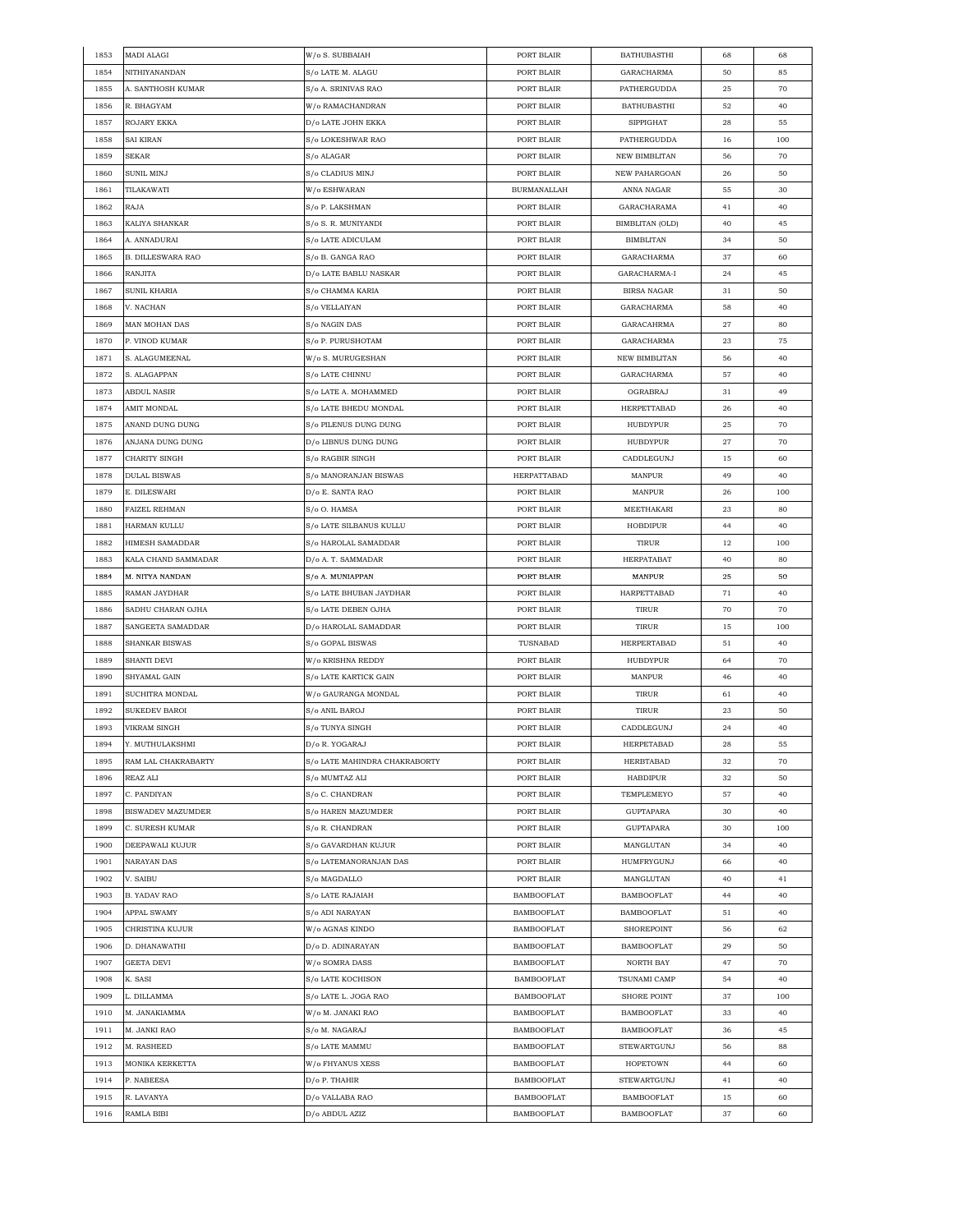| 1853 | MADI ALAGI               | W/o S. SUBBAIAH               | PORT BLAIR         | <b>BATHUBASTHI</b>   | 68 | 68  |
|------|--------------------------|-------------------------------|--------------------|----------------------|----|-----|
| 1854 | NITHIYANANDAN            | S/o LATE M. ALAGU             | PORT BLAIR         | GARACHARMA           | 50 | 85  |
| 1855 | A. SANTHOSH KUMAR        | S/o A. SRINIVAS RAO           | PORT BLAIR         | PATHERGUDDA          | 25 | 70  |
| 1856 | R. BHAGYAM               | W/o RAMACHANDRAN              | PORT BLAIR         | <b>BATHUBASTHI</b>   | 52 | 40  |
| 1857 | ROJARY EKKA              | D/o LATE JOHN EKKA            | PORT BLAIR         | <b>SIPPIGHAT</b>     | 28 | 55  |
| 1858 | SAI KIRAN                | S/o LOKESHWAR RAO             | PORT BLAIR         | PATHERGUDDA          | 16 | 100 |
| 1859 | <b>SEKAR</b>             | S/o ALAGAR                    | PORT BLAIR         | <b>NEW BIMBLITAN</b> | 56 | 70  |
| 1860 | SUNIL MINJ               | S/o CLADIUS MINJ              | PORT BLAIR         | NEW PAHARGOAN        | 26 | 50  |
| 1861 | TILAKAWATI               | W/o ESHWARAN                  | <b>BURMANALLAH</b> | ANNA NAGAR           | 55 | 30  |
| 1862 | RAJA                     | S/o P. LAKSHMAN               | PORT BLAIR         | GARACHARAMA          | 41 | 40  |
|      |                          | S/o S. R. MUNIYANDI           |                    |                      |    |     |
| 1863 | KALIYA SHANKAR           |                               | PORT BLAIR         | BIMBLITAN (OLD)      | 40 | 45  |
| 1864 | A. ANNADURAI             | S/o LATE ADICULAM             | PORT BLAIR         | <b>BIMBLITAN</b>     | 34 | 50  |
| 1865 | <b>B. DILLESWARA RAO</b> | S/o B. GANGA RAO              | PORT BLAIR         | GARACHARMA           | 37 | 60  |
| 1866 | RANJITA                  | D/o LATE BABLU NASKAR         | PORT BLAIR         | GARACHARMA-I         | 24 | 45  |
| 1867 | SUNIL KHARIA             | S/o CHAMMA KARIA              | PORT BLAIR         | <b>BIRSA NAGAR</b>   | 31 | 50  |
| 1868 | V. NACHAN                | S/o VELLAIYAN                 | PORT BLAIR         | GARACHARMA           | 58 | 40  |
| 1869 | MAN MOHAN DAS            | S/o NAGIN DAS                 | PORT BLAIR         | GARACAHRMA           | 27 | 80  |
| 1870 | P. VINOD KUMAR           | S/o P. PURUSHOTAM             | PORT BLAIR         | GARACHARMA           | 23 | 75  |
| 1871 | S. ALAGUMEENAL           | W/o S. MURUGESHAN             | PORT BLAIR         | NEW BIMBLITAN        | 56 | 40  |
| 1872 | S. ALAGAPPAN             | S/o LATE CHINNU               | PORT BLAIR         | GARACHARMA           | 57 | 40  |
| 1873 | ABDUL NASIR              | S/o LATE A. MOHAMMED          | PORT BLAIR         | OGRABRAJ             | 31 | 49  |
| 1874 | AMIT MONDAL              | S/o LATE BHEDU MONDAL         | PORT BLAIR         | <b>HERPETTABAD</b>   | 26 | 40  |
| 1875 | ANAND DUNG DUNG          | S/o PILENUS DUNG DUNG         | PORT BLAIR         | <b>HUBDYPUR</b>      | 25 | 70  |
| 1876 | ANJANA DUNG DUNG         | D/o LIBNUS DUNG DUNG          | PORT BLAIR         | HUBDYPUR             | 27 | 70  |
| 1877 | CHARITY SINGH            | S/o RAGBIR SINGH              | PORT BLAIR         | CADDLEGUNJ           | 15 | 60  |
| 1878 | DULAL BISWAS             | S/o MANORANJAN BISWAS         | HERPATTABAD        | MANPUR               | 49 | 40  |
| 1879 | E. DILESWARI             | D/o E. SANTA RAO              | PORT BLAIR         | MANPUR               | 26 | 100 |
|      |                          |                               |                    |                      |    |     |
| 1880 | <b>FAIZEL REHMAN</b>     | S/o O. HAMSA                  | PORT BLAIR         | MEETHAKARI           | 23 | 80  |
| 1881 | HARMAN KULLU             | S/o LATE SILBANUS KULLU       | PORT BLAIR         | HOBDIPUR             | 44 | 40  |
| 1882 | HIMESH SAMADDAR          | S/o HAROLAL SAMADDAR          | PORT BLAIR         | TIRUR                | 12 | 100 |
| 1883 | KALA CHAND SAMMADAR      | D/o A. T. SAMMADAR            | PORT BLAIR         | HERPATABAT           | 40 | 80  |
| 1884 | M. NITYA NANDAN          | S/o A. MUNIAPPAN              | PORT BLAIR         | MANPUR               | 25 | 50  |
| 1885 | RAMAN JAYDHAR            | S/o LATE BHUBAN JAYDHAR       | PORT BLAIR         | HARPETTABAD          | 71 | 40  |
| 1886 | SADHU CHARAN OJHA        | S/o LATE DEBEN OJHA           | PORT BLAIR         | TIRUR                | 70 | 70  |
| 1887 | SANGEETA SAMADDAR        | D/o HAROLAL SAMADDAR          | PORT BLAIR         | TIRUR                | 15 | 100 |
| 1888 | SHANKAR BISWAS           | S/o GOPAL BISWAS              | TUSNABAD           | HERPERTABAD          | 51 | 40  |
| 1889 | SHANTI DEVI              | W/o KRISHNA REDDY             | PORT BLAIR         | HUBDYPUR             | 64 | 70  |
| 1890 | SHYAMAL GAIN             | S/o LATE KARTICK GAIN         | PORT BLAIR         | MANPUR               | 46 | 40  |
| 1891 | SUCHITRA MONDAL          | W/o GAURANGA MONDAL           | PORT BLAIR         | TIRUR                | 61 | 40  |
| 1892 | SUKEDEV BAROI            | S/o ANIL BAROJ                | PORT BLAIR         | TIRUR                | 23 | 50  |
| 1893 | <b>VIKRAM SINGH</b>      | S/o TUNYA SINGH               | PORT BLAIR         | CADDLEGUNJ           | 24 | 40  |
| 1894 | Y. MUTHULAKSHMI          | D/o R. YOGARAJ                | PORT BLAIR         | <b>HERPETABAD</b>    | 28 | 55  |
| 1895 | RAM LAL CHAKRABARTY      | S/o LATE MAHINDRA CHAKRABORTY | PORT BLAIR         | HERBTABAD            | 32 | 70  |
| 1896 | REAZ ALI                 | S/o MUMTAZ ALI                | PORT BLAIR         | HABDIPUR             | 32 | 50  |
| 1897 | C. PANDIYAN              | S/o C. CHANDRAN               | PORT BLAIR         | TEMPLEMEYO           | 57 | 40  |
| 1898 | <b>BISWADEV MAZUMDER</b> | <b>S/o HAREN MAZUMDER</b>     | PORT BLAIR         | <b>GUPTAPARA</b>     | 30 | 40  |
| 1899 | C. SURESH KUMAR          | S/o R. CHANDRAN               | PORT BLAIR         | <b>GUPTAPARA</b>     | 30 | 100 |
|      |                          |                               |                    |                      | 34 | 40  |
| 1900 | DEEPAWALI KUJUR          | S/o GAVARDHAN KUJUR           | PORT BLAIR         | MANGLUTAN            |    |     |
| 1901 | NARAYAN DAS              | S/o LATEMANORANJAN DAS        | PORT BLAIR         | HUMFRYGUNJ           | 66 | 40  |
| 1902 | V. SAIBU                 | S/o MAGDALLO                  | PORT BLAIR         | MANGLUTAN            | 40 | 41  |
| 1903 | <b>B. YADAV RAO</b>      | S/o LATE RAJAIAH              | <b>BAMBOOFLAT</b>  | <b>BAMBOOFLAT</b>    | 44 | 40  |
| 1904 | APPAL SWAMY              | S/o ADI NARAYAN               | <b>BAMBOOFLAT</b>  | <b>BAMBOOFLAT</b>    | 51 | 40  |
| 1905 | CHRISTINA KUJUR          | W/o AGNAS KINDO               | <b>BAMBOOFLAT</b>  | SHOREPOINT           | 56 | 62  |
| 1906 | D. DHANAWATHI            | D/o D. ADINARAYAN             | <b>BAMBOOFLAT</b>  | BAMBOOFLAT           | 29 | 50  |
| 1907 | GEETA DEVI               | W/o SOMRA DASS                | BAMBOOFLAT         | NORTH BAY            | 47 | 70  |
| 1908 | K. SASI                  | S/o LATE KOCHISON             | <b>BAMBOOFLAT</b>  | TSUNAMI CAMP         | 54 | 40  |
| 1909 | L. DILLAMMA              | S/o LATE L. JOGA RAO          | <b>BAMBOOFLAT</b>  | SHORE POINT          | 37 | 100 |
| 1910 | M. JANAKIAMMA            | W/o M. JANAKI RAO             | <b>BAMBOOFLAT</b>  | <b>BAMBOOFLAT</b>    | 33 | 40  |
| 1911 | M. JANKI RAO             | S/o M. NAGARAJ                | BAMBOOFLAT         | BAMBOOFLAT           | 36 | 45  |
| 1912 | M. RASHEED               | S/o LATE MAMMU                | BAMBOOFLAT         | STEWARTGUNJ          | 56 | 88  |
| 1913 | MONIKA KERKETTA          | W/o FHYANUS XESS              | <b>BAMBOOFLAT</b>  | <b>HOPETOWN</b>      | 44 | 60  |
| 1914 | P. NABEESA               | D/o P. THAHIR                 | <b>BAMBOOFLAT</b>  | STEWARTGUNJ          | 41 | 40  |
| 1915 | R. LAVANYA               | D/o VALLABA RAO               | <b>BAMBOOFLAT</b>  | <b>BAMBOOFLAT</b>    | 15 | 60  |
|      |                          |                               |                    |                      |    |     |
| 1916 | RAMLA BIBI               | D/o ABDUL AZIZ                | <b>BAMBOOFLAT</b>  | <b>BAMBOOFLAT</b>    | 37 | 60  |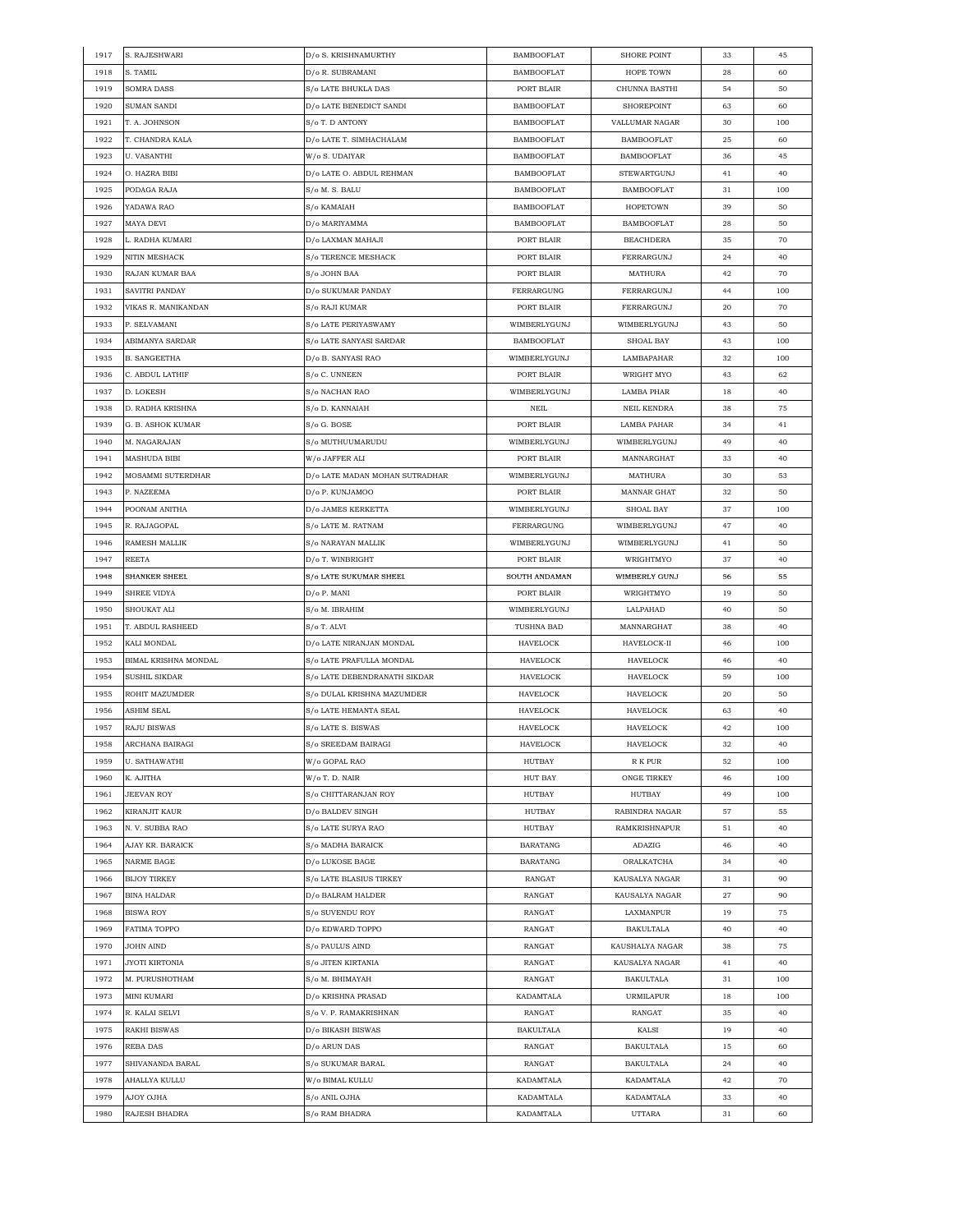| 1917 | S. RAJESHWARI        | D/o S. KRISHNAMURTHY           | <b>BAMBOOFLAT</b> | SHORE POINT          | 33 | 45  |
|------|----------------------|--------------------------------|-------------------|----------------------|----|-----|
| 1918 | S. TAMIL             | D/o R. SUBRAMANI               | <b>BAMBOOFLAT</b> | HOPE TOWN            | 28 | 60  |
| 1919 | <b>SOMRA DASS</b>    | S/o LATE BHUKLA DAS            | PORT BLAIR        | CHUNNA BASTHI        | 54 | 50  |
| 1920 | SUMAN SANDI          | D/o LATE BENEDICT SANDI        | <b>BAMBOOFLAT</b> | SHOREPOINT           | 63 | 60  |
| 1921 | T. A. JOHNSON        | S/o T. D ANTONY                | <b>BAMBOOFLAT</b> | VALLUMAR NAGAR       | 30 | 100 |
| 1922 | T. CHANDRA KALA      | D/o LATE T. SIMHACHALAM        | <b>BAMBOOFLAT</b> | <b>BAMBOOFLAT</b>    | 25 | 60  |
| 1923 | <b>U. VASANTHI</b>   | W/o S. UDAIYAR                 | <b>BAMBOOFLAT</b> | <b>BAMBOOFLAT</b>    | 36 | 45  |
| 1924 | O. HAZRA BIBI        | D/o LATE O. ABDUL REHMAN       | <b>BAMBOOFLAT</b> | STEWARTGUNJ          | 41 | 40  |
| 1925 | PODAGA RAJA          | S/o M. S. BALU                 | <b>BAMBOOFLAT</b> | <b>BAMBOOFLAT</b>    | 31 | 100 |
| 1926 | YADAWA RAO           | S/o KAMAIAH                    | <b>BAMBOOFLAT</b> | HOPETOWN             | 39 | 50  |
| 1927 | MAYA DEVI            | D/o MARIYAMMA                  | <b>BAMBOOFLAT</b> | <b>BAMBOOFLAT</b>    |    |     |
|      |                      |                                |                   |                      | 28 | 50  |
| 1928 | L. RADHA KUMARI      | D/o LAXMAN MAHAJI              | PORT BLAIR        | <b>BEACHDERA</b>     | 35 | 70  |
| 1929 | NITIN MESHACK        | <b>S/o TERENCE MESHACK</b>     | PORT BLAIR        | FERRARGUNJ           | 24 | 40  |
| 1930 | RAJAN KUMAR BAA      | S/o JOHN BAA                   | PORT BLAIR        | MATHURA              | 42 | 70  |
| 1931 | SAVITRI PANDAY       | D/o SUKUMAR PANDAY             | FERRARGUNG        | FERRARGUNJ           | 44 | 100 |
| 1932 | VIKAS R. MANIKANDAN  | S/o RAJI KUMAR                 | PORT BLAIR        | FERRARGUNJ           | 20 | 70  |
| 1933 | P. SELVAMANI         | S/o LATE PERIYASWAMY           | WIMBERLYGUNJ      | WIMBERLYGUNJ         | 43 | 50  |
| 1934 | ABIMANYA SARDAR      | S/o LATE SANYASI SARDAR        | <b>BAMBOOFLAT</b> | SHOAL BAY            | 43 | 100 |
| 1935 | <b>B. SANGEETHA</b>  | D/o B. SANYASI RAO             | WIMBERLYGUNJ      | LAMBAPAHAR           | 32 | 100 |
| 1936 | C. ABDUL LATHIF      | S/o C. UNNEEN                  | PORT BLAIR        | WRIGHT MYO           | 43 | 62  |
| 1937 | D. LOKESH            | S/o NACHAN RAO                 | WIMBERLYGUNJ      | LAMBA PHAR           | 18 | 40  |
| 1938 | D. RADHA KRISHNA     | S/o D. KANNAIAH                | NEIL              | <b>NEIL KENDRA</b>   | 38 | 75  |
| 1939 | G. B. ASHOK KUMAR    | S/o G. BOSE                    | PORT BLAIR        | LAMBA PAHAR          | 34 | 41  |
| 1940 | M. NAGARAJAN         | S/o MUTHUUMARUDU               | WIMBERLYGUNJ      | WIMBERLYGUNJ         | 49 | 40  |
| 1941 | MASHUDA BIBI         | W/o JAFFER ALI                 | PORT BLAIR        | MANNARGHAT           | 33 | 40  |
| 1942 | MOSAMMI SUTERDHAR    | D/o LATE MADAN MOHAN SUTRADHAR | WIMBERLYGUNJ      | MATHURA              | 30 | 53  |
| 1943 | P. NAZEEMA           | D/o P. KUNJAMOO                | PORT BLAIR        | MANNAR GHAT          | 32 | 50  |
| 1944 | POONAM ANITHA        | D/o JAMES KERKETTA             | WIMBERLYGUNJ      | SHOAL BAY            | 37 | 100 |
| 1945 | R. RAJAGOPAL         | S/o LATE M. RATNAM             | FERRARGUNG        | WIMBERLYGUNJ         | 47 | 40  |
| 1946 | <b>RAMESH MALLIK</b> | S/o NARAYAN MALLIK             | WIMBERLYGUNJ      | WIMBERLYGUNJ         | 41 | 50  |
|      |                      |                                |                   |                      |    | 40  |
| 1947 | REETA                | D/o T. WINBRIGHT               | PORT BLAIR        | WRIGHTMYO            | 37 |     |
| 1948 | SHANKER SHEEL        | S/o LATE SUKUMAR SHEEL         | SOUTH ANDAMAN     | WIMBERLY GUNJ        | 56 | 55  |
| 1949 | SHREE VIDYA          | D/o P. MANI                    | PORT BLAIR        | WRIGHTMYO            | 19 | 50  |
| 1950 | SHOUKAT ALI          | S/o M. IBRAHIM                 | WIMBERLYGUNJ      | LALPAHAD             | 40 | 50  |
| 1951 | T. ABDUL RASHEED     | S/o T. ALVI                    | TUSHNA BAD        | MANNARGHAT           | 38 | 40  |
| 1952 | KALI MONDAL          | D/o LATE NIRANJAN MONDAL       | <b>HAVELOCK</b>   | HAVELOCK-II          | 46 | 100 |
| 1953 | BIMAL KRISHNA MONDAL | S/o LATE PRAFULLA MONDAL       | HAVELOCK          | HAVELOCK             | 46 | 40  |
| 1954 | <b>SUSHIL SIKDAR</b> | S/o LATE DEBENDRANATH SIKDAR   | HAVELOCK          | <b>HAVELOCK</b>      | 59 | 100 |
| 1955 | ROHIT MAZUMDER       | S/o DULAL KRISHNA MAZUMDER     | HAVELOCK          | HAVELOCK             | 20 | 50  |
| 1956 | ASHIM SEAL           | S/o LATE HEMANTA SEAL          | HAVELOCK          | HAVELOCK             | 63 | 40  |
| 1957 | <b>RAJU BISWAS</b>   | S/o LATE S. BISWAS             | HAVELOCK          | HAVELOCK             | 42 | 100 |
| 1958 | ARCHANA BAIRAGI      | S/o SREEDAM BAIRAGI            | <b>HAVELOCK</b>   | <b>HAVELOCK</b>      | 32 | 40  |
| 1959 | U. SATHAWATHI        | W/o GOPAL RAO                  | HUTBAY            | R K PUR              | 52 | 100 |
| 1960 | K. AJITHA            | W/o T. D. NAIR                 | HUT BAY           | ONGE TIRKEY          | 46 | 100 |
| 1961 | <b>JEEVAN ROY</b>    | S/o CHITTARANJAN ROY           | HUTBAY            | HUTBAY               | 49 | 100 |
| 1962 | KIRANJIT KAUR        | D/o BALDEV SINGH               | HUTBAY            | RABINDRA NAGAR       | 57 | 55  |
| 1963 | N. V. SUBBA RAO      | S/o LATE SURYA RAO             | HUTBAY            | <b>RAMKRISHNAPUR</b> | 51 | 40  |
| 1964 | AJAY KR. BARAICK     | S/o MADHA BARAICK              | <b>BARATANG</b>   | ADAZIG               | 46 | 40  |
| 1965 | NARME BAGE           | D/o LUKOSE BAGE                | BARATANG          | ORALKATCHA           | 34 | 40  |
| 1966 | <b>BIJOY TIRKEY</b>  | S/o LATE BLASIUS TIRKEY        | RANGAT            | KAUSALYA NAGAR       | 31 | 90  |
| 1967 | <b>BINA HALDAR</b>   | D/o BALRAM HALDER              | RANGAT            | KAUSALYA NAGAR       | 27 | 90  |
| 1968 | <b>BISWA ROY</b>     | S/o SUVENDU ROY                | RANGAT            | LAXMANPUR            | 19 | 75  |
| 1969 | FATIMA TOPPO         | D/o EDWARD TOPPO               | RANGAT            | <b>BAKULTALA</b>     | 40 | 40  |
| 1970 | JOHN AIND            | S/o PAULUS AIND                | RANGAT            | KAUSHALYA NAGAR      | 38 | 75  |
| 1971 | JYOTI KIRTONIA       | S/o JITEN KIRTANIA             | RANGAT            | KAUSALYA NAGAR       | 41 | 40  |
| 1972 | M. PURUSHOTHAM       | S/o M. BHIMAYAH                | RANGAT            | <b>BAKULTALA</b>     |    | 100 |
|      |                      |                                |                   |                      | 31 |     |
| 1973 | MINI KUMARI          | D/o KRISHNA PRASAD             | KADAMTALA         | URMILAPUR            | 18 | 100 |
| 1974 | R. KALAI SELVI       | S/o V. P. RAMAKRISHNAN         | RANGAT            | RANGAT               | 35 | 40  |
| 1975 | <b>RAKHI BISWAS</b>  | D/o BIKASH BISWAS              | <b>BAKULTALA</b>  | KALSI                | 19 | 40  |
| 1976 |                      |                                | RANGAT            | <b>BAKULTALA</b>     | 15 | 60  |
|      | REBA DAS             | D/o ARUN DAS                   |                   |                      |    |     |
| 1977 | SHIVANANDA BARAL     | S/o SUKUMAR BARAL              | RANGAT            | <b>BAKULTALA</b>     | 24 | 40  |
| 1978 | AHALLYA KULLU        | W/o BIMAL KULLU                | KADAMTALA         | KADAMTALA            | 42 | 70  |
| 1979 | AJOY OJHA            | S/o ANIL OJHA                  | KADAMTALA         | KADAMTALA            | 33 | 40  |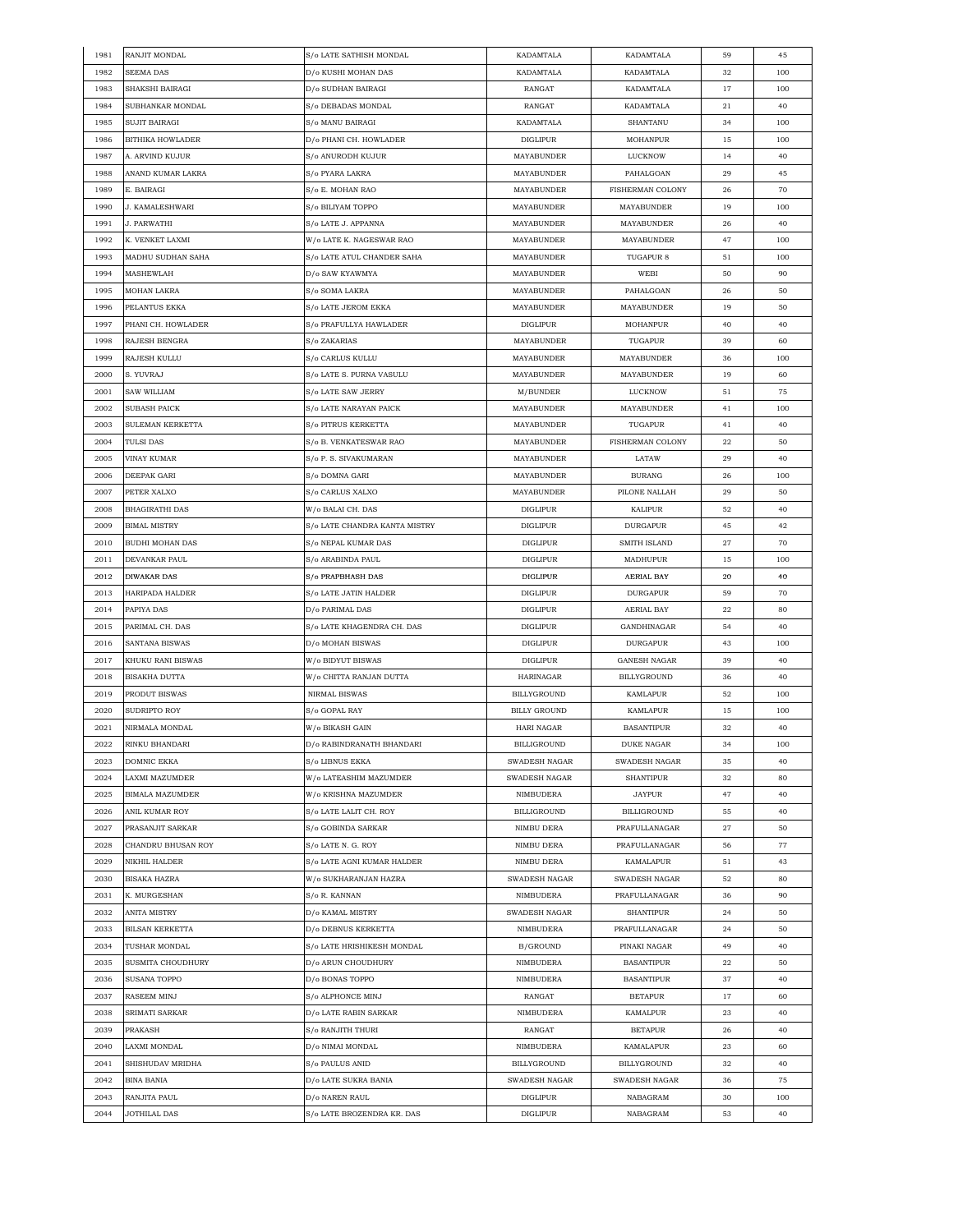| 1981 | RANJIT MONDAL           | S/o LATE SATHISH MONDAL       | KADAMTALA           | KADAMTALA           | 59 | 45  |
|------|-------------------------|-------------------------------|---------------------|---------------------|----|-----|
| 1982 | SEEMA DAS               | D/o KUSHI MOHAN DAS           | KADAMTALA           | KADAMTALA           | 32 | 100 |
| 1983 | SHAKSHI BAIRAGI         | D/o SUDHAN BAIRAGI            | RANGAT              | KADAMTALA           | 17 | 100 |
| 1984 | SUBHANKAR MONDAL        | S/o DEBADAS MONDAL            | RANGAT              | KADAMTALA           | 21 | 40  |
| 1985 | SUJIT BAIRAGI           | S/o MANU BAIRAGI              | KADAMTALA           | SHANTANU            | 34 | 100 |
| 1986 | <b>BITHIKA HOWLADER</b> | D/o PHANI CH. HOWLADER        | <b>DIGLIPUR</b>     | MOHANPUR            | 15 | 100 |
| 1987 | A. ARVIND KUJUR         | S/o ANURODH KUJUR             | MAYABUNDER          | LUCKNOW             | 14 | 40  |
| 1988 | ANAND KUMAR LAKRA       | S/o PYARA LAKRA               | MAYABUNDER          | PAHALGOAN           | 29 | 45  |
| 1989 | E. BAIRAGI              | S/o E. MOHAN RAO              | MAYABUNDER          | FISHERMAN COLONY    | 26 | 70  |
| 1990 | <b>J. KAMALESHWARI</b>  | S/o BILIYAM TOPPO             | MAYABUNDER          | <b>MAYABUNDER</b>   | 19 | 100 |
| 1991 | J. PARWATHI             | S/o LATE J. APPANNA           | MAYABUNDER          | <b>MAYABUNDER</b>   | 26 | 40  |
| 1992 | K. VENKET LAXMI         | W/o LATE K. NAGESWAR RAO      | MAYABUNDER          | MAYABUNDER          | 47 | 100 |
| 1993 | MADHU SUDHAN SAHA       | S/o LATE ATUL CHANDER SAHA    | MAYABUNDER          | TUGAPUR 8           | 51 | 100 |
| 1994 | MASHEWLAH               | D/o SAW KYAWMYA               | MAYABUNDER          | WEBI                | 50 | 90  |
| 1995 | MOHAN LAKRA             | S/o SOMA LAKRA                | MAYABUNDER          | PAHALGOAN           | 26 | 50  |
| 1996 | PELANTUS EKKA           | S/o LATE JEROM EKKA           | <b>MAYABUNDER</b>   | <b>MAYABUNDER</b>   | 19 | 50  |
| 1997 | PHANI CH. HOWLADER      | S/o PRAFULLYA HAWLADER        | <b>DIGLIPUR</b>     | MOHANPUR            | 40 | 40  |
| 1998 | RAJESH BENGRA           | S/o ZAKARIAS                  | MAYABUNDER          | TUGAPUR             | 39 | 60  |
| 1999 | RAJESH KULLU            | S/o CARLUS KULLU              | MAYABUNDER          | MAYABUNDER          | 36 | 100 |
| 2000 | S. YUVRAJ               | S/o LATE S. PURNA VASULU      | MAYABUNDER          | MAYABUNDER          | 19 | 60  |
| 2001 | SAW WILLIAM             | S/o LATE SAW JERRY            | M/BUNDER            | <b>LUCKNOW</b>      | 51 | 75  |
|      | <b>SUBASH PAICK</b>     |                               | <b>MAYABUNDER</b>   |                     |    | 100 |
| 2002 | SULEMAN KERKETTA        | S/o LATE NARAYAN PAICK        | <b>MAYABUNDER</b>   | MAYABUNDER          | 41 | 40  |
| 2003 |                         | S/o PITRUS KERKETTA           |                     | TUGAPUR             | 41 |     |
| 2004 | <b>TULSI DAS</b>        | S/o B. VENKATESWAR RAO        | MAYABUNDER          | FISHERMAN COLONY    | 22 | 50  |
| 2005 | VINAY KUMAR             | S/o P. S. SIVAKUMARAN         | MAYABUNDER          | LATAW               | 29 | 40  |
| 2006 | DEEPAK GARI             | S/o DOMNA GARI                | MAYABUNDER          | <b>BURANG</b>       | 26 | 100 |
| 2007 | PETER XALXO             | S/o CARLUS XALXO              | MAYABUNDER          | PILONE NALLAH       | 29 | 50  |
| 2008 | <b>BHAGIRATHI DAS</b>   | W/o BALAI CH. DAS             | <b>DIGLIPUR</b>     | KALIPUR             | 52 | 40  |
| 2009 | <b>BIMAL MISTRY</b>     | S/o LATE CHANDRA KANTA MISTRY | DIGLIPUR            | DURGAPUR            | 45 | 42  |
| 2010 | BUDHI MOHAN DAS         | S/o NEPAL KUMAR DAS           | <b>DIGLIPUR</b>     | SMITH ISLAND        | 27 | 70  |
| 2011 | DEVANKAR PAUL           | S/o ARABINDA PAUL             | <b>DIGLIPUR</b>     | MADHUPUR            | 15 | 100 |
| 2012 | <b>DIWAKAR DAS</b>      | S/o PRAPBHASH DAS             | <b>DIGLIPUR</b>     | <b>AERIAL BAY</b>   | 20 | 40  |
| 2013 | HARIPADA HALDER         | S/o LATE JATIN HALDER         | DIGLIPUR            | <b>DURGAPUR</b>     | 59 | 70  |
| 2014 | PAPIYA DAS              | D/o PARIMAL DAS               | <b>DIGLIPUR</b>     | AERIAL BAY          | 22 | 80  |
| 2015 | PARIMAL CH. DAS         | S/o LATE KHAGENDRA CH. DAS    | <b>DIGLIPUR</b>     | GANDHINAGAR         | 54 | 40  |
| 2016 | SANTANA BISWAS          | D/o MOHAN BISWAS              | <b>DIGLIPUR</b>     | <b>DURGAPUR</b>     | 43 | 100 |
| 2017 | KHUKU RANI BISWAS       | W/o BIDYUT BISWAS             | <b>DIGLIPUR</b>     | <b>GANESH NAGAR</b> | 39 | 40  |
| 2018 | BISAKHA DUTTA           | W/o CHITTA RANJAN DUTTA       | HARINAGAR           | BILLYGROUND         | 36 | 40  |
| 2019 | PRODUT BISWAS           | NIRMAL BISWAS                 | BILLYGROUND         | KAMLAPUR            | 52 | 100 |
| 2020 | SUDRIPTO ROY            | S/o GOPAL RAY                 | <b>BILLY GROUND</b> | <b>KAMLAPUR</b>     | 15 | 100 |
| 2021 | NIRMALA MONDAL          | W/o BIKASH GAIN               | HARI NAGAR          | <b>BASANTIPUR</b>   | 32 | 40  |
| 2022 | RINKU BHANDARI          | D/o RABINDRANATH BHANDARI     | <b>BILLIGROUND</b>  | DUKE NAGAR          | 34 | 100 |
| 2023 | DOMNIC EKKA             | S/o LIBNUS EKKA               | SWADESH NAGAR       | SWADESH NAGAR       | 35 | 40  |
| 2024 | LAXMI MAZUMDER          | W/o LATEASHIM MAZUMDER        | SWADESH NAGAR       | <b>SHANTIPUR</b>    | 32 | 80  |
| 2025 | <b>BIMALA MAZUMDER</b>  | W/o KRISHNA MAZUMDER          | NIMBUDERA           | <b>JAYPUR</b>       | 47 | 40  |
| 2026 | ANIL KUMAR ROY          | S/o LATE LALIT CH. ROY        | <b>BILLIGROUND</b>  | <b>BILLIGROUND</b>  | 55 | 40  |
| 2027 | PRASANJIT SARKAR        | S/o GOBINDA SARKAR            | NIMBU DERA          | PRAFULLANAGAR       | 27 | 50  |
| 2028 | CHANDRU BHUSAN ROY      | S/o LATE N. G. ROY            | NIMBU DERA          | PRAFULLANAGAR       | 56 | 77  |
| 2029 | NIKHIL HALDER           | S/o LATE AGNI KUMAR HALDER    | NIMBU DERA          | KAMALAPUR           | 51 | 43  |
| 2030 | BISAKA HAZRA            | W/o SUKHARANJAN HAZRA         | SWADESH NAGAR       | SWADESH NAGAR       | 52 | 80  |
| 2031 | K. MURGESHAN            | S/o R. KANNAN                 | NIMBUDERA           | PRAFULLANAGAR       | 36 | 90  |
| 2032 | ANITA MISTRY            | D/o KAMAL MISTRY              | SWADESH NAGAR       | <b>SHANTIPUR</b>    | 24 | 50  |
| 2033 | BILSAN KERKETTA         | D/o DEBNUS KERKETTA           | NIMBUDERA           | PRAFULLANAGAR       | 24 | 50  |
| 2034 | TUSHAR MONDAL           | S/o LATE HRISHIKESH MONDAL    | B/GROUND            | PINAKI NAGAR        | 49 | 40  |
| 2035 | SUSMITA CHOUDHURY       | D/o ARUN CHOUDHURY            | NIMBUDERA           | <b>BASANTIPUR</b>   | 22 | 50  |
| 2036 | SUSANA TOPPO            | D/o BONAS TOPPO               | NIMBUDERA           | <b>BASANTIPUR</b>   | 37 | 40  |
| 2037 | RASEEM MINJ             | S/o ALPHONCE MINJ             | RANGAT              | <b>BETAPUR</b>      | 17 | 60  |
| 2038 | SRIMATI SARKAR          | D/o LATE RABIN SARKAR         | NIMBUDERA           | KAMALPUR            | 23 | 40  |
| 2039 | PRAKASH                 | S/o RANJITH THURI             | RANGAT              | <b>BETAPUR</b>      | 26 | 40  |
| 2040 | LAXMI MONDAL            | D/o NIMAI MONDAL              | NIMBUDERA           | KAMALAPUR           | 23 | 60  |
| 2041 | SHISHUDAV MRIDHA        | S/o PAULUS ANID               | BILLYGROUND         | BILLYGROUND         | 32 | 40  |
| 2042 | <b>BINA BANIA</b>       | D/o LATE SUKRA BANIA          | SWADESH NAGAR       | SWADESH NAGAR       | 36 | 75  |
| 2043 | RANJITA PAUL            | D/o NAREN RAUL                | <b>DIGLIPUR</b>     | NABAGRAM            | 30 | 100 |
| 2044 | JOTHILAL DAS            | S/o LATE BROZENDRA KR. DAS    | <b>DIGLIPUR</b>     | NABAGRAM            | 53 | 40  |
|      |                         |                               |                     |                     |    |     |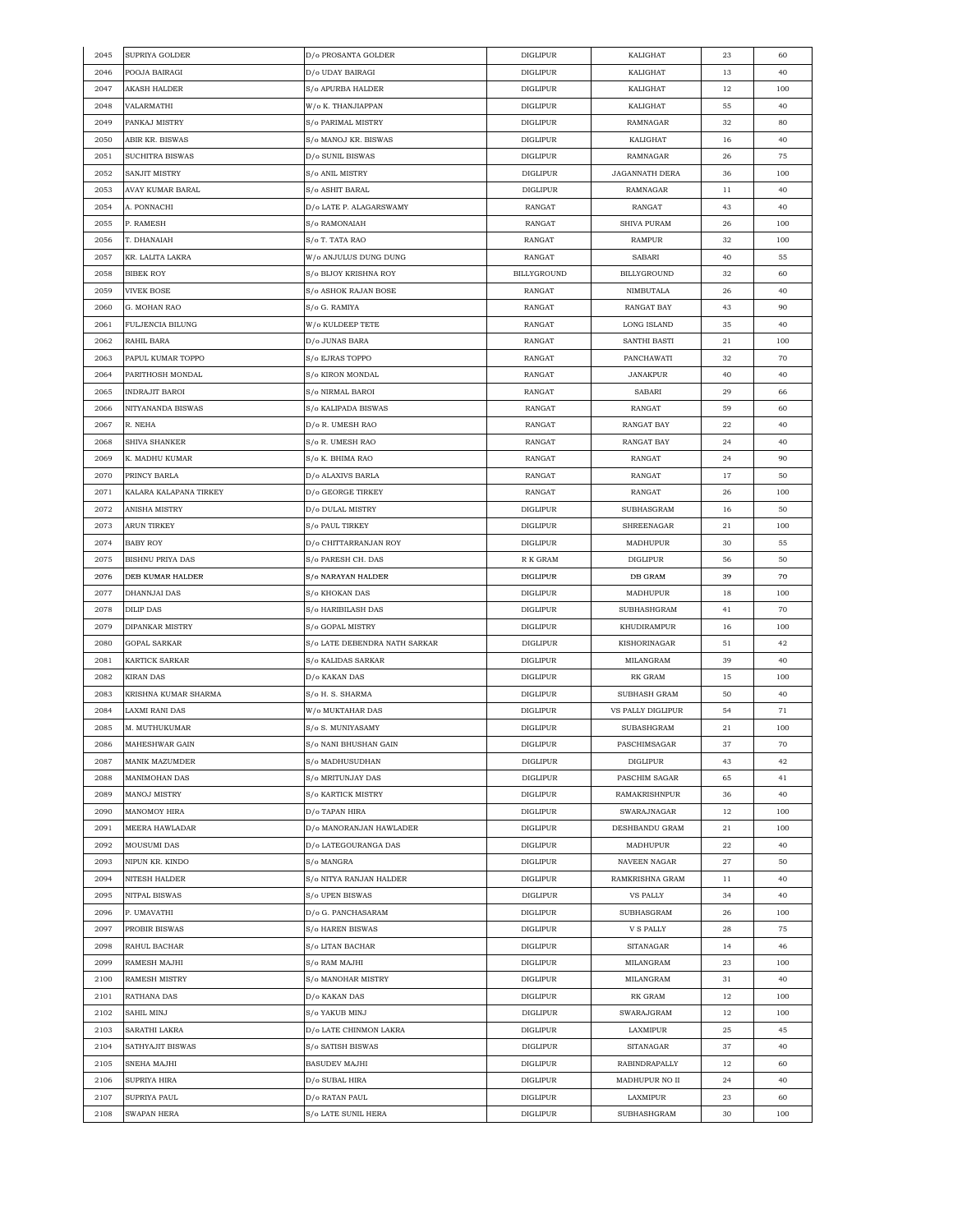| 2045 | SUPRIYA GOLDER          | D/o PROSANTA GOLDER           | <b>DIGLIPUR</b>    | KALIGHAT              | 23 | 60  |
|------|-------------------------|-------------------------------|--------------------|-----------------------|----|-----|
| 2046 | POOJA BAIRAGI           | D/o UDAY BAIRAGI              | <b>DIGLIPUR</b>    | KALIGHAT              | 13 | 40  |
| 2047 | AKASH HALDER            | S/o APURBA HALDER             | <b>DIGLIPUR</b>    | KALIGHAT              | 12 | 100 |
| 2048 | VALARMATHI              | W/o K. THANJIAPPAN            | <b>DIGLIPUR</b>    | KALIGHAT              | 55 | 40  |
| 2049 | PANKAJ MISTRY           | S/o PARIMAL MISTRY            | <b>DIGLIPUR</b>    | RAMNAGAR              | 32 | 80  |
| 2050 | ABIR KR. BISWAS         | S/o MANOJ KR. BISWAS          | DIGLIPUR           | KALIGHAT              | 16 | 40  |
| 2051 | SUCHITRA BISWAS         | D/o SUNIL BISWAS              | <b>DIGLIPUR</b>    | RAMNAGAR              | 26 | 75  |
| 2052 | SANJIT MISTRY           | S/o ANIL MISTRY               | <b>DIGLIPUR</b>    | <b>JAGANNATH DERA</b> | 36 | 100 |
| 2053 | AVAY KUMAR BARAL        | S/o ASHIT BARAL               | <b>DIGLIPUR</b>    | RAMNAGAR              | 11 | 40  |
|      |                         |                               |                    |                       |    |     |
| 2054 | A. PONNACHI             | D/o LATE P. ALAGARSWAMY       | RANGAT             | RANGAT                | 43 | 40  |
| 2055 | P. RAMESH               | S/o RAMONAIAH                 | RANGAT             | <b>SHIVA PURAM</b>    | 26 | 100 |
| 2056 | T. DHANAIAH             | S/o T. TATA RAO               | RANGAT             | <b>RAMPUR</b>         | 32 | 100 |
| 2057 | KR. LALITA LAKRA        | W/o ANJULUS DUNG DUNG         | RANGAT             | SABARI                | 40 | 55  |
| 2058 | <b>BIBEK ROY</b>        | S/o BIJOY KRISHNA ROY         | <b>BILLYGROUND</b> | <b>BILLYGROUND</b>    | 32 | 60  |
| 2059 | <b>VIVEK BOSE</b>       | S/o ASHOK RAJAN BOSE          | RANGAT             | NIMBUTALA             | 26 | 40  |
| 2060 | G. MOHAN RAO            | S/o G. RAMIYA                 | RANGAT             | <b>RANGAT BAY</b>     | 43 | 90  |
| 2061 | FULJENCIA BILUNG        | W/o KULDEEP TETE              | RANGAT             | LONG ISLAND           | 35 | 40  |
| 2062 | RAHIL BARA              | D/o JUNAS BARA                | RANGAT             | SANTHI BASTI          | 21 | 100 |
| 2063 | PAPUL KUMAR TOPPO       | S/o EJRAS TOPPO               | RANGAT             | PANCHAWATI            | 32 | 70  |
| 2064 | PARITHOSH MONDAL        | S/o KIRON MONDAL              | RANGAT             | <b>JANAKPUR</b>       | 40 | 40  |
| 2065 | <b>INDRAJIT BAROI</b>   | S/o NIRMAL BAROI              | RANGAT             | SABARI                | 29 | 66  |
| 2066 | NITYANANDA BISWAS       | S/o KALIPADA BISWAS           | RANGAT             | RANGAT                | 59 | 60  |
| 2067 | R. NEHA                 | D/o R. UMESH RAO              | RANGAT             | <b>RANGAT BAY</b>     | 22 | 40  |
| 2068 | SHIVA SHANKER           | S/o R. UMESH RAO              | RANGAT             | <b>RANGAT BAY</b>     | 24 | 40  |
|      |                         |                               |                    |                       |    |     |
| 2069 | K. MADHU KUMAR          | S/o K. BHIMA RAO              | RANGAT             | RANGAT                | 24 | 90  |
| 2070 | PRINCY BARLA            | D/o ALAXIVS BARLA             | RANGAT             | RANGAT                | 17 | 50  |
| 2071 | KALARA KALAPANA TIRKEY  | D/o GEORGE TIRKEY             | RANGAT             | RANGAT                | 26 | 100 |
| 2072 | ANISHA MISTRY           | D/o DULAL MISTRY              | <b>DIGLIPUR</b>    | SUBHASGRAM            | 16 | 50  |
| 2073 | <b>ARUN TIRKEY</b>      | <b>S/o PAUL TIRKEY</b>        | <b>DIGLIPUR</b>    | SHREENAGAR            | 21 | 100 |
| 2074 | BABY ROY                | D/o CHITTARRANJAN ROY         | DIGLIPUR           | MADHUPUR              | 30 | 55  |
| 2075 | <b>BISHNU PRIYA DAS</b> | S/o PARESH CH. DAS            | R K GRAM           | DIGLIPUR              | 56 | 50  |
| 2076 | DEB KUMAR HALDER        | S/o NARAYAN HALDER            | <b>DIGLIPUR</b>    | DB GRAM               | 39 | 70  |
| 2077 | DHANNJAI DAS            | S/o KHOKAN DAS                | <b>DIGLIPUR</b>    | MADHUPUR              | 18 | 100 |
| 2078 | <b>DILIP DAS</b>        | S/o HARIBILASH DAS            | <b>DIGLIPUR</b>    | SUBHASHGRAM           | 41 | 70  |
| 2079 | DIPANKAR MISTRY         | S/o GOPAL MISTRY              | <b>DIGLIPUR</b>    | KHUDIRAMPUR           | 16 | 100 |
| 2080 | GOPAL SARKAR            | S/o LATE DEBENDRA NATH SARKAR | DIGLIPUR           | KISHORINAGAR          | 51 | 42  |
| 2081 | KARTICK SARKAR          | S/o KALIDAS SARKAR            | <b>DIGLIPUR</b>    | MILANGRAM             | 39 | 40  |
| 2082 | KIRAN DAS               | D/o KAKAN DAS                 | <b>DIGLIPUR</b>    | RK GRAM               | 15 | 100 |
| 2083 | KRISHNA KUMAR SHARMA    | S/o H. S. SHARMA              | <b>DIGLIPUR</b>    | SUBHASH GRAM          | 50 | 40  |
| 2084 | LAXMI RANI DAS          | W/o MUKTAHAR DAS              | <b>DIGLIPUR</b>    | VS PALLY DIGLIPUR     | 54 | 71  |
| 2085 | M. MUTHUKUMAR           | S/o S. MUNIYASAMY             | <b>DIGLIPUR</b>    | SUBASHGRAM            | 21 | 100 |
| 2086 | MAHESHWAR GAIN          | S/o NANI BHUSHAN GAIN         | <b>DIGLIPUR</b>    | PASCHIMSAGAR          | 37 | 70  |
| 2087 | MANIK MAZUMDER          | S/o MADHUSUDHAN               | <b>DIGLIPUR</b>    | DIGLIPUR              | 43 | 42  |
|      |                         | S/o MRITUNJAY DAS             |                    |                       |    |     |
| 2088 | MANIMOHAN DAS           |                               | <b>DIGLIPUR</b>    | PASCHIM SAGAR         | 65 | 41  |
| 2089 | MANOJ MISTRY            | S/o KARTICK MISTRY            | <b>DIGLIPUR</b>    | RAMAKRISHNPUR         | 36 | 40  |
| 2090 | MANOMOY HIRA            | D/o TAPAN HIRA                | <b>DIGLIPUR</b>    | SWARAJNAGAR           | 12 | 100 |
| 2091 | MEERA HAWLADAR          | D/o MANORANJAN HAWLADER       | <b>DIGLIPUR</b>    | DESHBANDU GRAM        | 21 | 100 |
| 2092 | <b>MOUSUMI DAS</b>      | D/o LATEGOURANGA DAS          | <b>DIGLIPUR</b>    | MADHUPUR              | 22 | 40  |
| 2093 | NIPUN KR. KINDO         | S/o MANGRA                    | <b>DIGLIPUR</b>    | NAVEEN NAGAR          | 27 | 50  |
| 2094 | NITESH HALDER           | S/o NITYA RANJAN HALDER       | <b>DIGLIPUR</b>    | RAMKRISHNA GRAM       | 11 | 40  |
| 2095 | NITPAL BISWAS           | S/o UPEN BISWAS               | DIGLIPUR           | <b>VS PALLY</b>       | 34 | 40  |
| 2096 | P. UMAVATHI             | D/o G. PANCHASARAM            | <b>DIGLIPUR</b>    | SUBHASGRAM            | 26 | 100 |
| 2097 | PROBIR BISWAS           | S/o HAREN BISWAS              | <b>DIGLIPUR</b>    | <b>V S PALLY</b>      | 28 | 75  |
| 2098 | RAHUL BACHAR            | S/o LITAN BACHAR              | <b>DIGLIPUR</b>    | SITANAGAR             | 14 | 46  |
| 2099 | RAMESH MAJHI            | S/o RAM MAJHI                 | DIGLIPUR           | MILANGRAM             | 23 | 100 |
| 2100 | RAMESH MISTRY           | S/o MANOHAR MISTRY            | <b>DIGLIPUR</b>    | MILANGRAM             | 31 | 40  |
| 2101 | RATHANA DAS             | D/o KAKAN DAS                 | <b>DIGLIPUR</b>    | RK GRAM               | 12 | 100 |
| 2102 | SAHIL MINJ              | S/o YAKUB MINJ                | <b>DIGLIPUR</b>    | SWARAJGRAM            | 12 | 100 |
| 2103 | SARATHI LAKRA           | D/o LATE CHINMON LAKRA        | <b>DIGLIPUR</b>    | LAXMIPUR              | 25 | 45  |
|      |                         |                               |                    |                       |    | 40  |
| 2104 | SATHYAJIT BISWAS        | S/o SATISH BISWAS             | <b>DIGLIPUR</b>    | SITANAGAR             | 37 |     |
| 2105 | SNEHA MAJHI             | <b>BASUDEV MAJHI</b>          | <b>DIGLIPUR</b>    | RABINDRAPALLY         | 12 | 60  |
| 2106 | SUPRIYA HIRA            | D/o SUBAL HIRA                | <b>DIGLIPUR</b>    | MADHUPUR NO II        | 24 | 40  |
| 2107 | SUPRIYA PAUL            | D/o RATAN PAUL                | <b>DIGLIPUR</b>    | LAXMIPUR              | 23 | 60  |
| 2108 | <b>SWAPAN HERA</b>      | S/o LATE SUNIL HERA           | <b>DIGLIPUR</b>    | SUBHASHGRAM           | 30 | 100 |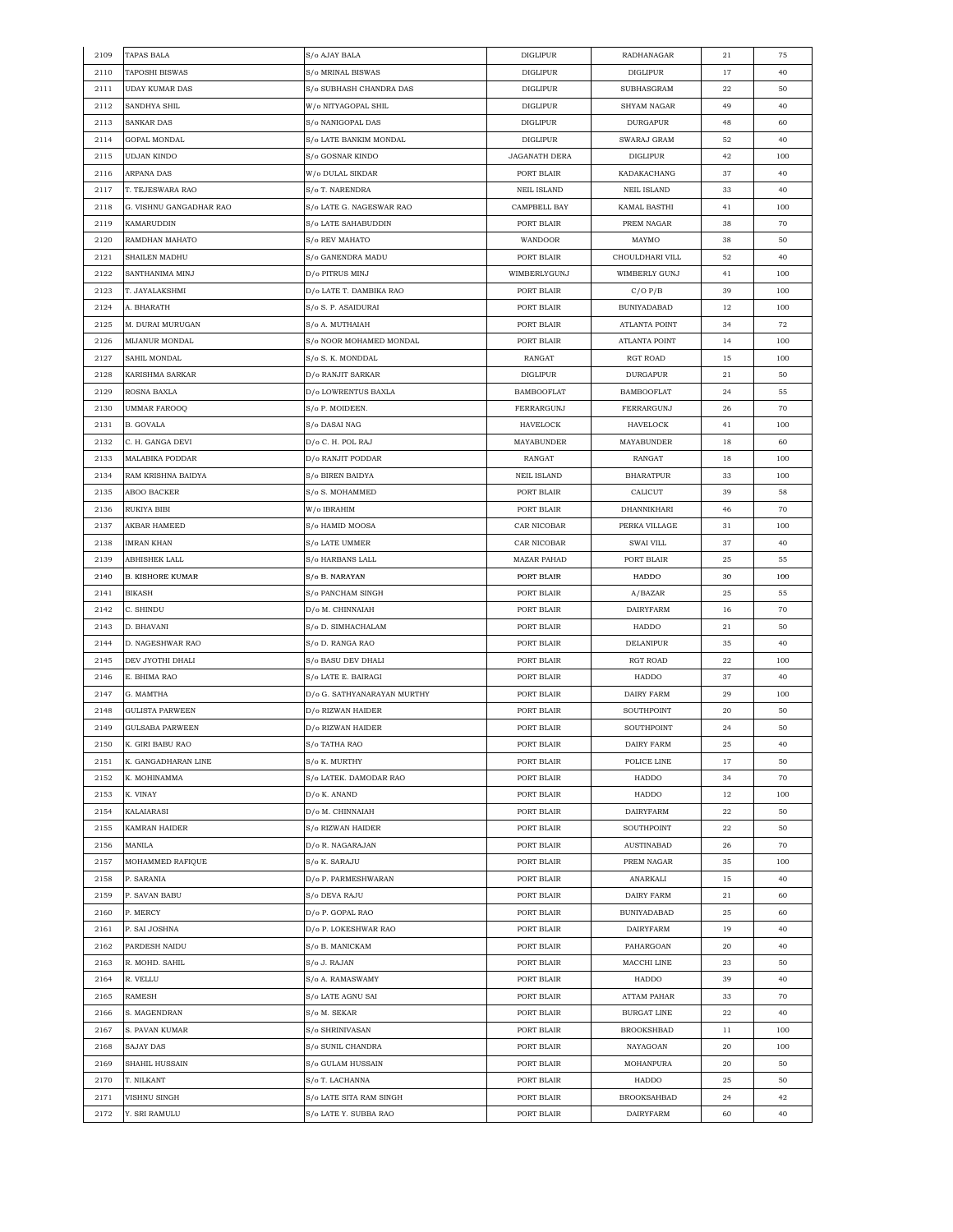| 2109 | TAPAS BALA              | S/o AJAY BALA               | <b>DIGLIPUR</b>      | RADHANAGAR         | 21 | 75  |
|------|-------------------------|-----------------------------|----------------------|--------------------|----|-----|
| 2110 | TAPOSHI BISWAS          | S/o MRINAL BISWAS           | <b>DIGLIPUR</b>      | <b>DIGLIPUR</b>    | 17 | 40  |
| 2111 | <b>UDAY KUMAR DAS</b>   | S/o SUBHASH CHANDRA DAS     | <b>DIGLIPUR</b>      | SUBHASGRAM         | 22 | 50  |
| 2112 | SANDHYA SHIL            | W/o NITYAGOPAL SHIL         | <b>DIGLIPUR</b>      | SHYAM NAGAR        | 49 | 40  |
| 2113 | SANKAR DAS              | S/o NANIGOPAL DAS           | <b>DIGLIPUR</b>      | <b>DURGAPUR</b>    | 48 | 60  |
| 2114 | GOPAL MONDAL            | S/o LATE BANKIM MONDAL      | <b>DIGLIPUR</b>      | SWARAJ GRAM        | 52 | 40  |
| 2115 | UDJAN KINDO             | S/o GOSNAR KINDO            | <b>JAGANATH DERA</b> | <b>DIGLIPUR</b>    | 42 | 100 |
| 2116 | ARPANA DAS              | W/o DULAL SIKDAR            | PORT BLAIR           | KADAKACHANG        | 37 | 40  |
| 2117 | T. TEJESWARA RAO        | S/o T. NARENDRA             | <b>NEIL ISLAND</b>   | <b>NEIL ISLAND</b> | 33 | 40  |
| 2118 | G. VISHNU GANGADHAR RAO | S/o LATE G. NAGESWAR RAO    | CAMPBELL BAY         | KAMAL BASTHI       | 41 | 100 |
| 2119 | KAMARUDDIN              | S/o LATE SAHABUDDIN         | PORT BLAIR           | PREM NAGAR         | 38 | 70  |
|      |                         |                             |                      |                    |    |     |
| 2120 | RAMDHAN MAHATO          | S/o REV MAHATO              | WANDOOR              | MAYMO              | 38 | 50  |
| 2121 | SHAILEN MADHU           | S/o GANENDRA MADU           | PORT BLAIR           | CHOULDHARI VILL    | 52 | 40  |
| 2122 | SANTHANIMA MINJ         | D/o PITRUS MINJ             | WIMBERLYGUNJ         | WIMBERLY GUNJ      | 41 | 100 |
| 2123 | T. JAYALAKSHMI          | D/o LATE T. DAMBIKA RAO     | PORT BLAIR           | C/OP/B             | 39 | 100 |
| 2124 | A. BHARATH              | S/o S. P. ASAIDURAI         | PORT BLAIR           | <b>BUNIYADABAD</b> | 12 | 100 |
| 2125 | M. DURAI MURUGAN        | S/o A. MUTHAIAH             | PORT BLAIR           | ATLANTA POINT      | 34 | 72  |
| 2126 | MIJANUR MONDAL          | S/o NOOR MOHAMED MONDAL     | PORT BLAIR           | ATLANTA POINT      | 14 | 100 |
| 2127 | SAHIL MONDAL            | S/o S. K. MONDDAL           | RANGAT               | RGT ROAD           | 15 | 100 |
| 2128 | KARISHMA SARKAR         | D/o RANJIT SARKAR           | <b>DIGLIPUR</b>      | <b>DURGAPUR</b>    | 21 | 50  |
| 2129 | ROSNA BAXLA             | D/o LOWRENTUS BAXLA         | <b>BAMBOOFLAT</b>    | <b>BAMBOOFLAT</b>  | 24 | 55  |
| 2130 | UMMAR FAROOQ            | S/o P. MOIDEEN.             | FERRARGUNJ           | FERRARGUNJ         | 26 | 70  |
| 2131 | B. GOVALA               | S/o DASAI NAG               | HAVELOCK             | HAVELOCK           | 41 | 100 |
| 2132 | C. H. GANGA DEVI        | D/o C. H. POL RAJ           | MAYABUNDER           | MAYABUNDER         | 18 | 60  |
| 2133 | MALABIKA PODDAR         | D/o RANJIT PODDAR           | RANGAT               | RANGAT             | 18 | 100 |
| 2134 | RAM KRISHNA BAIDYA      | S/o BIREN BAIDYA            | <b>NEIL ISLAND</b>   | <b>BHARATPUR</b>   | 33 | 100 |
| 2135 | ABOO BACKER             | S/o S. MOHAMMED             | PORT BLAIR           | CALICUT            | 39 | 58  |
| 2136 | RUKIYA BIBI             | W/o IBRAHIM                 | PORT BLAIR           | DHANNIKHARI        | 46 | 70  |
| 2137 | AKBAR HAMEED            | S/o HAMID MOOSA             | CAR NICOBAR          | PERKA VILLAGE      | 31 | 100 |
| 2138 | IMRAN KHAN              | S/o LATE UMMER              | CAR NICOBAR          | SWAI VILL          | 37 | 40  |
| 2139 | ABHISHEK LALL           | S/o HARBANS LALL            | <b>MAZAR PAHAD</b>   | PORT BLAIR         | 25 | 55  |
| 2140 | <b>B. KISHORE KUMAR</b> | S/o B. NARAYAN              | PORT BLAIR           | HADDO              | 30 | 100 |
| 2141 | BIKASH                  | S/o PANCHAM SINGH           | PORT BLAIR           | A/BAZAR            | 25 | 55  |
|      |                         |                             |                      |                    |    |     |
| 2142 | C. SHINDU               | D/o M. CHINNAIAH            | PORT BLAIR           | DAIRYFARM          | 16 | 70  |
| 2143 | D. BHAVANI              | S/o D. SIMHACHALAM          | PORT BLAIR           | HADDO              | 21 | 50  |
| 2144 | D. NAGESHWAR RAO        | S/o D. RANGA RAO            | PORT BLAIR           | DELANIPUR          | 35 | 40  |
| 2145 | DEV JYOTHI DHALI        | S/o BASU DEV DHALI          | PORT BLAIR           | RGT ROAD           | 22 | 100 |
| 2146 | E. BHIMA RAO            | S/o LATE E. BAIRAGI         | PORT BLAIR           | HADDO              | 37 | 40  |
| 2147 | G. MAMTHA               | D/o G. SATHYANARAYAN MURTHY | PORT BLAIR           | DAIRY FARM         | 29 | 100 |
| 2148 | GULISTA PARWEEN         | D/o RIZWAN HAIDER           | PORT BLAIR           | SOUTHPOINT         | 20 | 50  |
| 2149 | <b>GULSABA PARWEEN</b>  | D/o RIZWAN HAIDER           | PORT BLAIR           | SOUTHPOINT         | 24 | 50  |
| 2150 | K. GIRI BABU RAO        | S/o TATHA RAO               | PORT BLAIR           | DAIRY FARM         | 25 | 40  |
| 2151 | K. GANGADHARAN LINE     | S/o K. MURTHY               | PORT BLAIR           | POLICE LINE        | 17 | 50  |
| 2152 | K. MOHINAMMA            | S/o LATEK. DAMODAR RAO      | PORT BLAIR           | HADDO              | 34 | 70  |
| 2153 | K. VINAY                | D/o K. ANAND                | PORT BLAIR           | HADDO              | 12 | 100 |
| 2154 | KALAIARASI              | D/o M. CHINNAIAH            | PORT BLAIR           | <b>DAIRYFARM</b>   | 22 | 50  |
| 2155 | KAMRAN HAIDER           | S/o RIZWAN HAIDER           | PORT BLAIR           | SOUTHPOINT         | 22 | 50  |
| 2156 | MANILA                  | D/o R. NAGARAJAN            | PORT BLAIR           | <b>AUSTINABAD</b>  | 26 | 70  |
| 2157 | MOHAMMED RAFIQUE        | S/o K. SARAJU               | PORT BLAIR           | PREM NAGAR         | 35 | 100 |
| 2158 | P. SARANIA              | D/o P. PARMESHWARAN         | PORT BLAIR           | ANARKALI           | 15 | 40  |
| 2159 | P. SAVAN BABU           | S/o DEVA RAJU               | PORT BLAIR           | <b>DAIRY FARM</b>  | 21 | 60  |
| 2160 | P. MERCY                | D/o P. GOPAL RAO            | PORT BLAIR           | <b>BUNIYADABAD</b> | 25 | 60  |
| 2161 | P. SAI JOSHNA           | D/o P. LOKESHWAR RAO        | PORT BLAIR           | <b>DAIRYFARM</b>   | 19 | 40  |
| 2162 | PARDESH NAIDU           | S/o B. MANICKAM             | PORT BLAIR           | PAHARGOAN          | 20 | 40  |
| 2163 | R. MOHD. SAHIL          | S/o J. RAJAN                | PORT BLAIR           | MACCHI LINE        | 23 | 50  |
| 2164 | R. VELLU                | S/o A. RAMASWAMY            | PORT BLAIR           | HADDO              | 39 | 40  |
| 2165 | RAMESH                  | S/o LATE AGNU SAI           | PORT BLAIR           | ATTAM PAHAR        | 33 | 70  |
| 2166 | S. MAGENDRAN            | S/o M. SEKAR                | PORT BLAIR           | BURGAT LINE        | 22 | 40  |
| 2167 | S. PAVAN KUMAR          | S/o SHRINIVASAN             | PORT BLAIR           | <b>BROOKSHBAD</b>  | 11 | 100 |
|      |                         |                             |                      |                    |    |     |
| 2168 | SAJAY DAS               | S/o SUNIL CHANDRA           | PORT BLAIR           | NAYAGOAN           | 20 | 100 |
| 2169 | SHAHIL HUSSAIN          | S/o GULAM HUSSAIN           | PORT BLAIR           | MOHANPURA          | 20 | 50  |
| 2170 | T. NILKANT              | S/o T. LACHANNA             | PORT BLAIR           | HADDO              | 25 | 50  |
| 2171 | VISHNU SINGH            | S/o LATE SITA RAM SINGH     | PORT BLAIR           | <b>BROOKSAHBAD</b> | 24 | 42  |
| 2172 | Y. SRI RAMULU           | S/o LATE Y. SUBBA RAO       | PORT BLAIR           | <b>DAIRYFARM</b>   | 60 | 40  |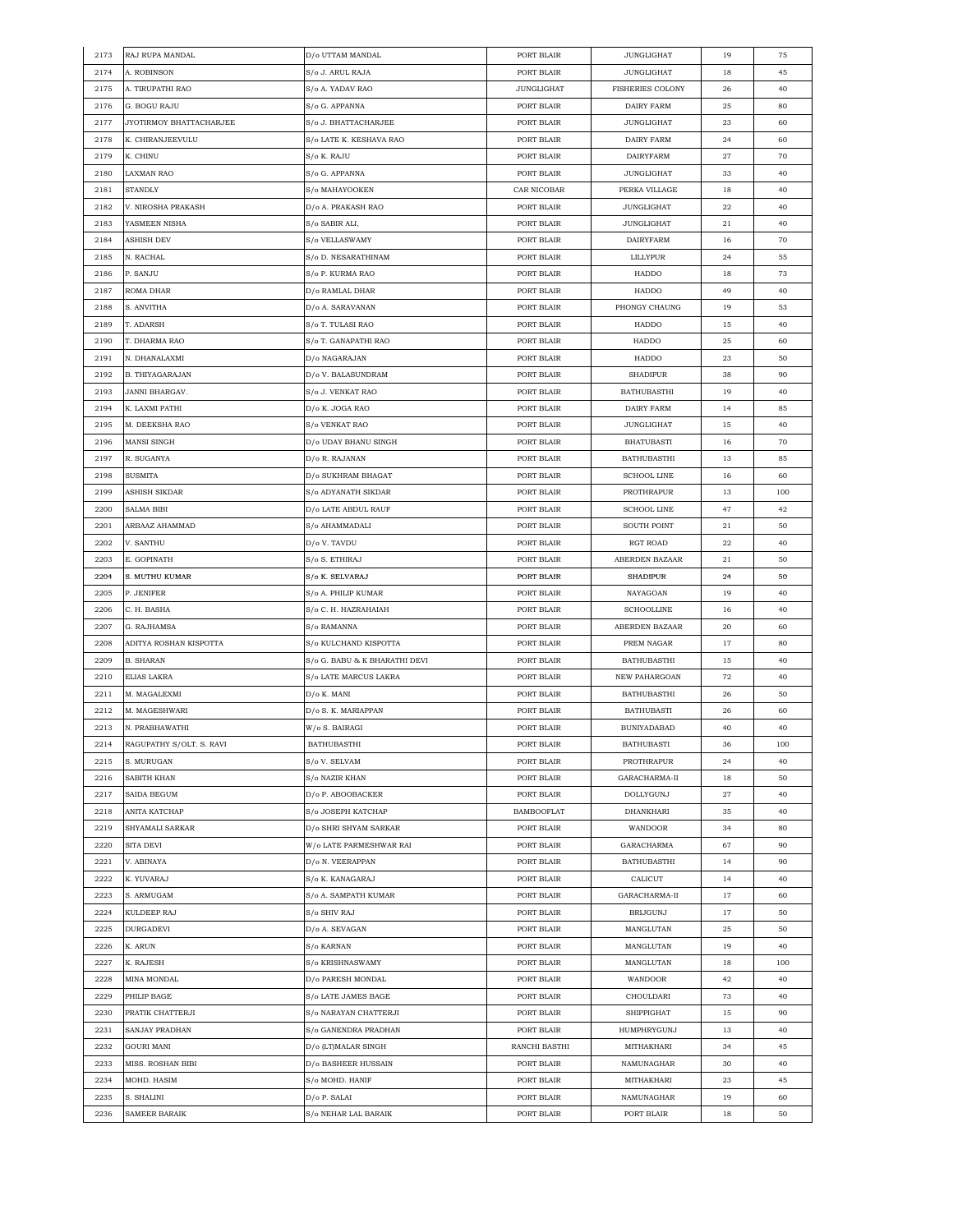| 2173 | RAJ RUPA MANDAL          | D/o UTTAM MANDAL              | PORT BLAIR        | JUNGLIGHAT              | 19 | 75  |
|------|--------------------------|-------------------------------|-------------------|-------------------------|----|-----|
| 2174 | A. ROBINSON              | S/o J. ARUL RAJA              | PORT BLAIR        | <b>JUNGLIGHAT</b>       | 18 | 45  |
| 2175 | A. TIRUPATHI RAO         | S/o A. YADAV RAO              | <b>JUNGLIGHAT</b> | <b>FISHERIES COLONY</b> | 26 | 40  |
| 2176 | G. BOGU RAJU             | S/o G. APPANNA                | PORT BLAIR        | DAIRY FARM              | 25 | 80  |
| 2177 | JYOTIRMOY BHATTACHARJEE  | S/o J. BHATTACHARJEE          | PORT BLAIR        | <b>JUNGLIGHAT</b>       | 23 | 60  |
| 2178 | K. CHIRANJEEVULU         | S/o LATE K. KESHAVA RAO       | PORT BLAIR        | DAIRY FARM              | 24 | 60  |
| 2179 | K. CHINU                 | S/o K. RAJU                   | PORT BLAIR        | <b>DAIRYFARM</b>        | 27 | 70  |
| 2180 | LAXMAN RAO               | S/o G. APPANNA                | PORT BLAIR        | <b>JUNGLIGHAT</b>       | 33 | 40  |
| 2181 | <b>STANDLY</b>           | S/o MAHAYOOKEN                | CAR NICOBAR       | PERKA VILLAGE           | 18 | 40  |
| 2182 | V. NIROSHA PRAKASH       | D/o A. PRAKASH RAO            | PORT BLAIR        | <b>JUNGLIGHAT</b>       | 22 | 40  |
| 2183 | YASMEEN NISHA            | S/o SABIR ALI,                | PORT BLAIR        | <b>JUNGLIGHAT</b>       | 21 | 40  |
|      |                          | S/o VELLASWAMY                |                   | <b>DAIRYFARM</b>        |    |     |
| 2184 | ASHISH DEV               |                               | PORT BLAIR        |                         | 16 | 70  |
| 2185 | N. RACHAL                | S/o D. NESARATHINAM           | PORT BLAIR        | LILLYPUR                | 24 | 55  |
| 2186 | P. SANJU                 | S/o P. KURMA RAO              | PORT BLAIR        | HADDO                   | 18 | 73  |
| 2187 | ROMA DHAR                | D/o RAMLAL DHAR               | PORT BLAIR        | HADDO                   | 49 | 40  |
| 2188 | S. ANVITHA               | D/o A. SARAVANAN              | PORT BLAIR        | PHONGY CHAUNG           | 19 | 53  |
| 2189 | T. ADARSH                | S/o T. TULASI RAO             | PORT BLAIR        | HADDO                   | 15 | 40  |
| 2190 | T. DHARMA RAO            | S/o T. GANAPATHI RAO          | PORT BLAIR        | HADDO                   | 25 | 60  |
| 2191 | N. DHANALAXMI            | D/o NAGARAJAN                 | PORT BLAIR        | HADDO                   | 23 | 50  |
| 2192 | <b>B. THIYAGARAJAN</b>   | D/o V. BALASUNDRAM            | PORT BLAIR        | <b>SHADIPUR</b>         | 38 | 90  |
| 2193 | JANNI BHARGAV.           | S/o J. VENKAT RAO             | PORT BLAIR        | <b>BATHUBASTHI</b>      | 19 | 40  |
| 2194 | K. LAXMI PATHI           | D/o K. JOGA RAO               | PORT BLAIR        | DAIRY FARM              | 14 | 85  |
| 2195 | M. DEEKSHA RAO           | S/o VENKAT RAO                | PORT BLAIR        | <b>JUNGLIGHAT</b>       | 15 | 40  |
| 2196 | MANSI SINGH              | D/o UDAY BHANU SINGH          | PORT BLAIR        | <b>BHATUBASTI</b>       | 16 | 70  |
| 2197 | R. SUGANYA               | D/o R. RAJANAN                | PORT BLAIR        | BATHUBASTHI             | 13 | 85  |
| 2198 | SUSMITA                  | D/o SUKHRAM BHAGAT            | PORT BLAIR        | <b>SCHOOL LINE</b>      | 16 | 60  |
| 2199 | ASHISH SIKDAR            | S/o ADYANATH SIKDAR           | PORT BLAIR        | PROTHRAPUR              | 13 | 100 |
| 2200 | SALMA BIBI               | D/o LATE ABDUL RAUF           | PORT BLAIR        | <b>SCHOOL LINE</b>      | 47 | 42  |
| 2201 | ARBAAZ AHAMMAD           | S/o AHAMMADALI                | PORT BLAIR        | <b>SOUTH POINT</b>      | 21 | 50  |
| 2202 | V. SANTHU                | D/o V. TAVDU                  | PORT BLAIR        | RGT ROAD                | 22 | 40  |
| 2203 | E. GOPINATH              | S/o S. ETHIRAJ                | PORT BLAIR        | ABERDEN BAZAAR          | 21 | 50  |
| 2204 | S. MUTHU KUMAR           | S/o K. SELVARAJ               | PORT BLAIR        | <b>SHADIPUR</b>         | 24 | 50  |
| 2205 | P. JENIFER               | S/o A. PHILIP KUMAR           | PORT BLAIR        | NAYAGOAN                | 19 | 40  |
|      |                          |                               |                   |                         |    |     |
| 2206 | C. H. BASHA              | S/o C. H. HAZRAHAIAH          | PORT BLAIR        | <b>SCHOOLLINE</b>       | 16 | 40  |
| 2207 | G. RAJHAMSA              | S/o RAMANNA                   | PORT BLAIR        | ABERDEN BAZAAR          | 20 | 60  |
| 2208 | ADITYA ROSHAN KISPOTTA   | S/o KULCHAND KISPOTTA         | PORT BLAIR        | PREM NAGAR              | 17 | 80  |
| 2209 | <b>B. SHARAN</b>         | S/o G. BABU & K BHARATHI DEVI | PORT BLAIR        | <b>BATHUBASTHI</b>      | 15 | 40  |
| 2210 | ELIAS LAKRA              | S/o LATE MARCUS LAKRA         | PORT BLAIR        | NEW PAHARGOAN           | 72 | 40  |
| 2211 | M. MAGALEXMI             | D/o K. MANI                   | PORT BLAIR        | <b>BATHUBASTHI</b>      | 26 | 50  |
| 2212 | M. MAGESHWARI            | D/o S. K. MARIAPPAN           | PORT BLAIR        | <b>BATHUBASTI</b>       | 26 | 60  |
| 2213 | N. PRABHAWATHI           | W/o S. BAIRAGI                | PORT BLAIR        | <b>BUNIYADABAD</b>      | 40 | 40  |
| 2214 | RAGUPATHY S/OLT. S. RAVI | <b>BATHUBASTHI</b>            | PORT BLAIR        | <b>BATHUBASTI</b>       | 36 | 100 |
| 2215 | S. MURUGAN               | S/o V. SELVAM                 | PORT BLAIR        | PROTHRAPUR              | 24 | 40  |
| 2216 | SABITH KHAN              | S/o NAZIR KHAN                | PORT BLAIR        | GARACHARMA-II           | 18 | 50  |
| 2217 | SAIDA BEGUM              | D/o P. ABOOBACKER             | PORT BLAIR        | DOLLYGUNJ               | 27 | 40  |
| 2218 | ANITA KATCHAP            | S/o JOSEPH KATCHAP            | <b>BAMBOOFLAT</b> | DHANKHARI               | 35 | 40  |
| 2219 | SHYAMALI SARKAR          | D/o SHRI SHYAM SARKAR         | PORT BLAIR        | <b>WANDOOR</b>          | 34 | 80  |
| 2220 | SITA DEVI                | W/o LATE PARMESHWAR RAI       | PORT BLAIR        | GARACHARMA              | 67 | 90  |
| 2221 | V. ABINAYA               | D/o N. VEERAPPAN              | PORT BLAIR        | <b>BATHUBASTHI</b>      | 14 | 90  |
| 2222 | K. YUVARAJ               | S/o K. KANAGARAJ              | PORT BLAIR        | CALICUT                 | 14 | 40  |
| 2223 | S. ARMUGAM               | S/o A. SAMPATH KUMAR          | PORT BLAIR        | GARACHARMA-II           | 17 | 60  |
| 2224 | KULDEEP RAJ              | S/o SHIV RAJ                  | PORT BLAIR        | <b>BRIJGUNJ</b>         | 17 | 50  |
| 2225 | DURGADEVI                | D/o A. SEVAGAN                | PORT BLAIR        | MANGLUTAN               | 25 | 50  |
| 2226 | K. ARUN                  | S/o KARNAN                    | PORT BLAIR        | MANGLUTAN               | 19 | 40  |
| 2227 | K. RAJESH                | S/o KRISHNASWAMY              | PORT BLAIR        | MANGLUTAN               | 18 | 100 |
| 2228 | MINA MONDAL              | D/o PARESH MONDAL             | PORT BLAIR        | WANDOOR                 | 42 | 40  |
|      |                          |                               |                   |                         |    |     |
| 2229 | PHILIP BAGE              | S/o LATE JAMES BAGE           | PORT BLAIR        | CHOULDARI               | 73 | 40  |
| 2230 | PRATIK CHATTERJI         | S/o NARAYAN CHATTERJI         | PORT BLAIR        | SHIPPIGHAT              | 15 | 90  |
| 2231 | SANJAY PRADHAN           | S/o GANENDRA PRADHAN          | PORT BLAIR        | HUMPHRYGUNJ             | 13 | 40  |
| 2232 | GOURI MANI               | D/o (LT)MALAR SINGH           | RANCHI BASTHI     | MITHAKHARI              | 34 | 45  |
| 2233 | MISS. ROSHAN BIBI        | D/o BASHEER HUSSAIN           | PORT BLAIR        | NAMUNAGHAR              | 30 | 40  |
| 2234 | MOHD. HASIM              | S/o MOHD. HANIF               | PORT BLAIR        | MITHAKHARI              | 23 | 45  |
| 2235 | S. SHALINI               | D/o P. SALAI                  | PORT BLAIR        | NAMUNAGHAR              | 19 | 60  |
| 2236 | SAMEER BARAIK            | S/o NEHAR LAL BARAIK          | PORT BLAIR        | PORT BLAIR              | 18 | 50  |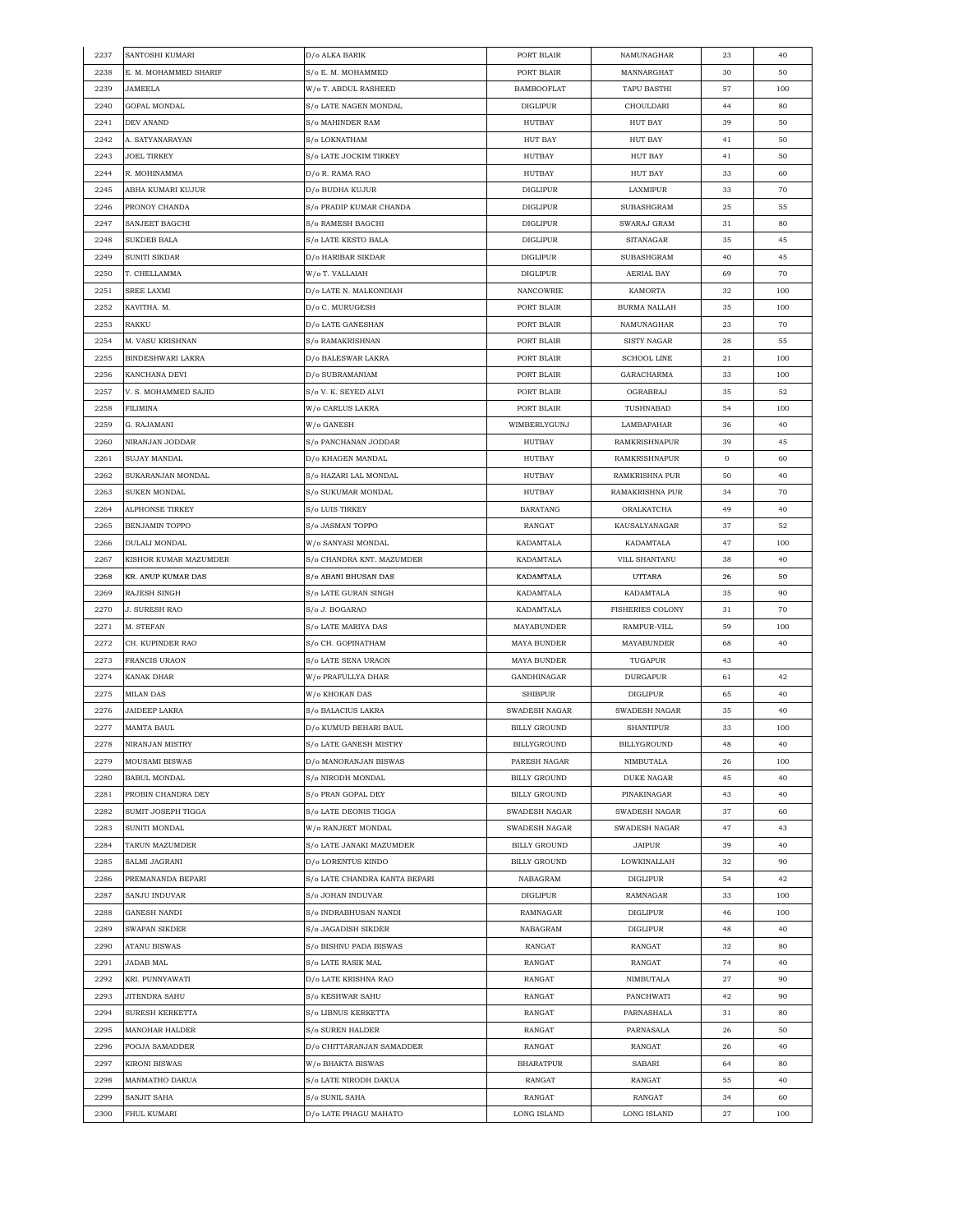| 2237 | SANTOSHI KUMARI       | D/o ALKA BARIK                | PORT BLAIR          | NAMUNAGHAR              | 23          | 40  |
|------|-----------------------|-------------------------------|---------------------|-------------------------|-------------|-----|
| 2238 | E. M. MOHAMMED SHARIF | S/o E. M. MOHAMMED            | PORT BLAIR          | MANNARGHAT              | 30          | 50  |
| 2239 | JAMEELA               | W/o T. ABDUL RASHEED          | <b>BAMBOOFLAT</b>   | TAPU BASTHI             | 57          | 100 |
| 2240 | GOPAL MONDAL          | S/o LATE NAGEN MONDAL         | <b>DIGLIPUR</b>     | CHOULDARI               | 44          | 80  |
| 2241 | DEV ANAND             | S/o MAHINDER RAM              | HUTBAY              | <b>HUT BAY</b>          | 39          | 50  |
| 2242 | A. SATYANARAYAN       | S/o LOKNATHAM                 | <b>HUT BAY</b>      | HUT BAY                 | 41          | 50  |
| 2243 | <b>JOEL TIRKEY</b>    | S/o LATE JOCKIM TIRKEY        | HUTBAY              | <b>HUT BAY</b>          | 41          | 50  |
| 2244 | R. MOHINAMMA          | D/o R. RAMA RAO               | <b>HUTBAY</b>       | <b>HUT BAY</b>          | 33          | 60  |
| 2245 | ABHA KUMARI KUJUR     | D/o BUDHA KUJUR               | DIGLIPUR            | LAXMIPUR                | 33          | 70  |
| 2246 | PRONOY CHANDA         | S/o PRADIP KUMAR CHANDA       | <b>DIGLIPUR</b>     | SUBASHGRAM              | 25          | 55  |
| 2247 | SANJEET BAGCHI        | S/o RAMESH BAGCHI             | DIGLIPUR            | SWARAJ GRAM             | 31          | 80  |
| 2248 | <b>SUKDEB BALA</b>    | S/o LATE KESTO BALA           | DIGLIPUR            | SITANAGAR               | 35          | 45  |
| 2249 | SUNITI SIKDAR         | D/o HARIBAR SIKDAR            | <b>DIGLIPUR</b>     | SUBASHGRAM              | 40          | 45  |
| 2250 | T. CHELLAMMA          | W/o T. VALLAIAH               | <b>DIGLIPUR</b>     | AERIAL BAY              | 69          | 70  |
| 2251 | SREE LAXMI            | D/o LATE N. MALKONDIAH        | <b>NANCOWRIE</b>    | KAMORTA                 | 32          | 100 |
| 2252 | KAVITHA. M.           | D/o C. MURUGESH               | PORT BLAIR          | <b>BURMA NALLAH</b>     | 35          | 100 |
| 2253 | RAKKU                 | D/o LATE GANESHAN             | PORT BLAIR          | NAMUNAGHAR              | 23          | 70  |
| 2254 | M. VASU KRISHNAN      | S/o RAMAKRISHNAN              | PORT BLAIR          | SISTY NAGAR             | 28          | 55  |
| 2255 | BINDESHWARI LAKRA     | D/o BALESWAR LAKRA            | PORT BLAIR          | <b>SCHOOL LINE</b>      | 21          | 100 |
| 2256 | KANCHANA DEVI         | D/o SUBRAMANIAM               | PORT BLAIR          | GARACHARMA              | 33          | 100 |
| 2257 | V. S. MOHAMMED SAJID  | S/o V. K. SEYED ALVI          | PORT BLAIR          | OGRABRAJ                | 35          | 52  |
| 2258 | FILIMINA              | W/o CARLUS LAKRA              | PORT BLAIR          | TUSHNABAD               | 54          | 100 |
| 2259 | G. RAJAMANI           | W/o GANESH                    | WIMBERLYGUNJ        | LAMBAPAHAR              | 36          | 40  |
| 2260 | NIRANJAN JODDAR       | S/o PANCHANAN JODDAR          | HUTBAY              | RAMKRISHNAPUR           | 39          | 45  |
| 2261 | SUJAY MANDAL          | D/o KHAGEN MANDAL             | HUTBAY              | RAMKRISHNAPUR           | $\mathbf 0$ | 60  |
| 2262 | SUKARANJAN MONDAL     | S/o HAZARI LAL MONDAL         | HUTBAY              | RAMKRISHNA PUR          | 50          | 40  |
| 2263 | SUKEN MONDAL          | S/o SUKUMAR MONDAL            | HUTBAY              | RAMAKRISHNA PUR         | 34          | 70  |
| 2264 | ALPHONSE TIRKEY       | S/o LUIS TIRKEY               | <b>BARATANG</b>     | ORALKATCHA              | 49          | 40  |
| 2265 | BENJAMIN TOPPO        | S/o JASMAN TOPPO              | RANGAT              | KAUSALYANAGAR           | 37          | 52  |
| 2266 | DULALI MONDAL         | W/o SANYASI MONDAL            | KADAMTALA           | KADAMTALA               | 47          | 100 |
| 2267 | KISHOR KUMAR MAZUMDER | S/o CHANDRA KNT. MAZUMDER     | KADAMTALA           | VILL SHANTANU           | 38          | 40  |
| 2268 | KR. ANUP KUMAR DAS    | S/o ABANI BHUSAN DAS          | KADAMTALA           | UTTARA                  | 26          | 50  |
| 2269 | RAJESH SINGH          | S/o LATE GURAN SINGH          | KADAMTALA           | KADAMTALA               | 35          | 90  |
| 2270 | J. SURESH RAO         | S/o J. BOGARAO                | KADAMTALA           | <b>FISHERIES COLONY</b> | 31          | 70  |
| 2271 | M. STEFAN             | S/o LATE MARIYA DAS           | MAYABUNDER          | RAMPUR-VILL             | 59          | 100 |
| 2272 | CH. KUPINDER RAO      | S/o CH. GOPINATHAM            | <b>MAYA BUNDER</b>  | <b>MAYABUNDER</b>       | 68          | 40  |
| 2273 | FRANCIS URAON         | S/o LATE SENA URAON           | <b>MAYA BUNDER</b>  | TUGAPUR                 | 43          |     |
| 2274 | KANAK DHAR            | W/o PRAFULLYA DHAR            | GANDHINAGAR         | DURGAPUR                | 61          | 42  |
| 2275 | <b>MILAN DAS</b>      | W/o KHOKAN DAS                | SHIBPUR             | DIGLIPUR                | 65          | 40  |
| 2276 | JAIDEEP LAKRA         | S/o BALACIUS LAKRA            | SWADESH NAGAR       | SWADESH NAGAR           | 35          | 40  |
| 2277 | MAMTA BAUL            | D/o KUMUD BEHARI BAUL         | <b>BILLY GROUND</b> | <b>SHANTIPUR</b>        | 33          | 100 |
| 2278 | NIRANJAN MISTRY       | S/o LATE GANESH MISTRY        | BILLYGROUND         | <b>BILLYGROUND</b>      | 48          | 40  |
| 2279 | MOUSAMI BISWAS        | D/o MANORANJAN BISWAS         | PARESH NAGAR        | NIMBUTALA               | 26          | 100 |
| 2280 | <b>BABUL MONDAL</b>   | S/o NIRODH MONDAL             | <b>BILLY GROUND</b> | DUKE NAGAR              | 45          | 40  |
| 2281 | PROBIN CHANDRA DEY    | S/o PRAN GOPAL DEY            | <b>BILLY GROUND</b> | PINAKINAGAR             | 43          | 40  |
| 2282 | SUMIT JOSEPH TIGGA    | S/o LATE DEONIS TIGGA         | SWADESH NAGAR       | SWADESH NAGAR           | 37          | 60  |
| 2283 | SUNITI MONDAL         | W/o RANJEET MONDAL            | SWADESH NAGAR       | SWADESH NAGAR           | 47          | 43  |
| 2284 | TARUN MAZUMDER        | S/o LATE JANAKI MAZUMDER      | <b>BILLY GROUND</b> | JAIPUR                  | 39          | 40  |
| 2285 | SALMI JAGRANI         | D/o LORENTUS KINDO            | <b>BILLY GROUND</b> | LOWKINALLAH             | 32          | 90  |
| 2286 | PREMANANDA BEPARI     | S/o LATE CHANDRA KANTA BEPARI | NABAGRAM            | <b>DIGLIPUR</b>         | 54          | 42  |
| 2287 | SANJU INDUVAR         | S/o JOHAN INDUVAR             | <b>DIGLIPUR</b>     | RAMNAGAR                | 33          | 100 |
| 2288 | <b>GANESH NANDI</b>   | S/o INDRABHUSAN NANDI         | RAMNAGAR            | <b>DIGLIPUR</b>         | 46          | 100 |
| 2289 | SWAPAN SIKDER         | S/o JAGADISH SIKDER           | NABAGRAM            | <b>DIGLIPUR</b>         | 48          | 40  |
| 2290 | ATANU BISWAS          | S/o BISHNU PADA BISWAS        | RANGAT              | RANGAT                  | 32          | 80  |
| 2291 | <b>JADAB MAL</b>      | S/o LATE RASIK MAL            | RANGAT              | RANGAT                  | 74          | 40  |
| 2292 | KRI. PUNNYAWATI       | D/o LATE KRISHNA RAO          | RANGAT              | NIMBUTALA               | 27          | 90  |
| 2293 | JITENDRA SAHU         | S/o KESHWAR SAHU              | RANGAT              | PANCHWATI               | 42          | 90  |
| 2294 | SURESH KERKETTA       | S/o LIBNUS KERKETTA           | RANGAT              | PARNASHALA              | 31          | 80  |
| 2295 | MANOHAR HALDER        | S/o SUREN HALDER              | RANGAT              | PARNASALA               | 26          | 50  |
| 2296 | POOJA SAMADDER        | D/o CHITTARANJAN SAMADDER     | RANGAT              | RANGAT                  | 26          | 40  |
| 2297 | KIRONI BISWAS         | W/o BHAKTA BISWAS             | <b>BHARATPUR</b>    | SABARI                  | 64          | 80  |
| 2298 | MANMATHO DAKUA        | S/o LATE NIRODH DAKUA         | RANGAT              | RANGAT                  | 55          | 40  |
| 2299 | SANJIT SAHA           | S/o SUNIL SAHA                | RANGAT              | RANGAT                  | 34          | 60  |
| 2300 | FHUL KUMARI           | D/o LATE PHAGU MAHATO         | LONG ISLAND         | LONG ISLAND             | 27          | 100 |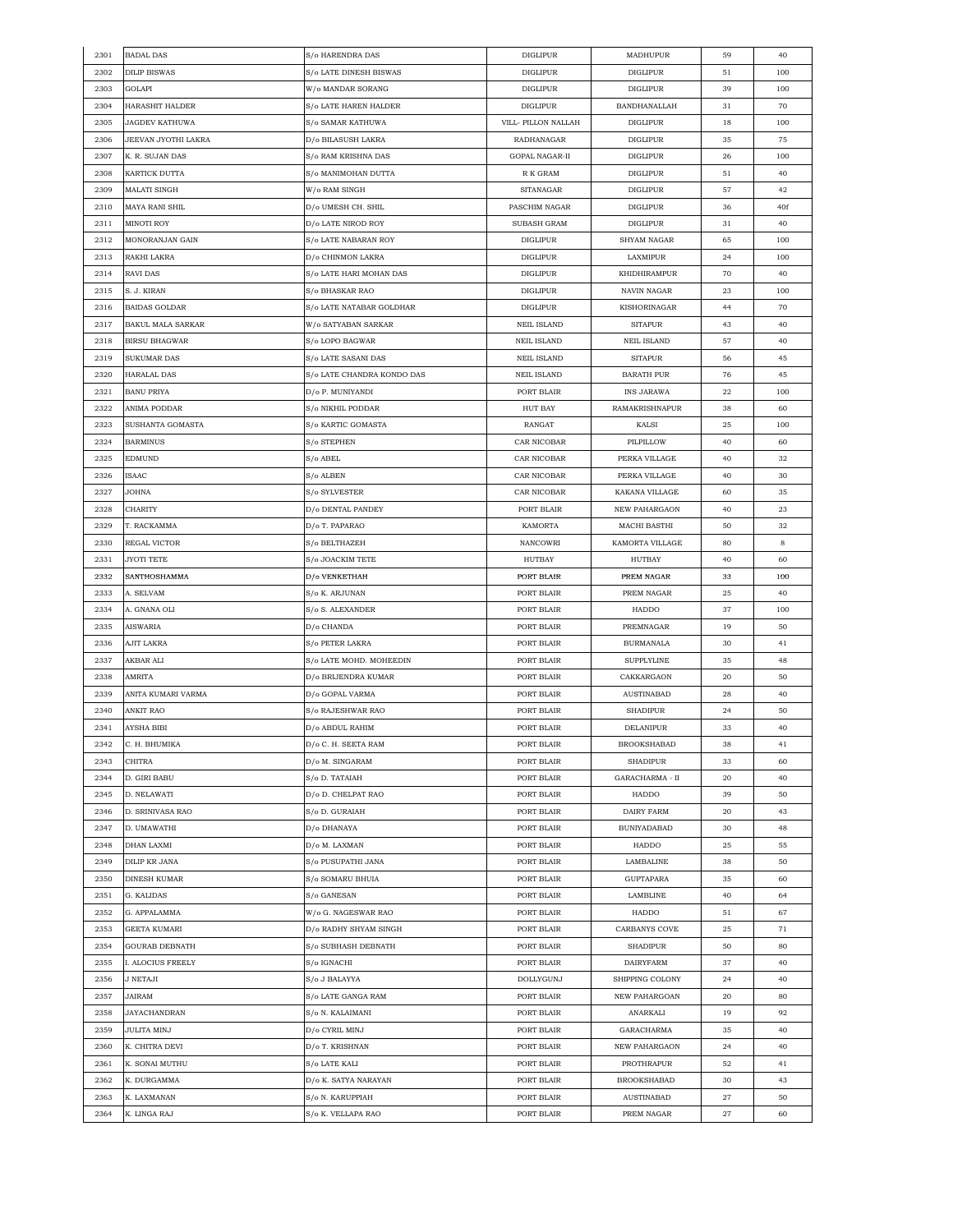| 2301 | <b>BADAL DAS</b>         | S/o HARENDRA DAS                       | <b>DIGLIPUR</b>     | MADHUPUR              | 59       | 40  |
|------|--------------------------|----------------------------------------|---------------------|-----------------------|----------|-----|
| 2302 | <b>DILIP BISWAS</b>      | <b>S/o LATE DINESH BISWAS</b>          | <b>DIGLIPUR</b>     | <b>DIGLIPUR</b>       | 51       | 100 |
| 2303 | GOLAPI                   | W/o MANDAR SORANG                      | <b>DIGLIPUR</b>     | <b>DIGLIPUR</b>       | 39       | 100 |
| 2304 | HARASHIT HALDER          | S/o LATE HAREN HALDER                  | <b>DIGLIPUR</b>     | BANDHANALLAH          | 31       | 70  |
| 2305 | JAGDEV KATHUWA           | S/o SAMAR KATHUWA                      | VILL- PILLON NALLAH | <b>DIGLIPUR</b>       | 18       | 100 |
| 2306 | JEEVAN JYOTHI LAKRA      | D/o BILASUSH LAKRA                     | RADHANAGAR          | <b>DIGLIPUR</b>       | 35       | 75  |
| 2307 | K. R. SUJAN DAS          | S/o RAM KRISHNA DAS                    | GOPAL NAGAR-II      | <b>DIGLIPUR</b>       | 26       | 100 |
| 2308 | KARTICK DUTTA            | S/o MANIMOHAN DUTTA                    | R K GRAM            | <b>DIGLIPUR</b>       | 51       | 40  |
| 2309 | <b>MALATI SINGH</b>      | W/o RAM SINGH                          | SITANAGAR           | DIGLIPUR              | 57       | 42  |
| 2310 | <b>MAYA RANI SHIL</b>    | D/o UMESH CH. SHIL                     | PASCHIM NAGAR       | <b>DIGLIPUR</b>       | 36       | 40f |
| 2311 | MINOTI ROY               | D/o LATE NIROD ROY                     | SUBASH GRAM         | <b>DIGLIPUR</b>       | 31       | 40  |
| 2312 | MONORANJAN GAIN          | S/o LATE NABARAN ROY                   | <b>DIGLIPUR</b>     | <b>SHYAM NAGAR</b>    | 65       | 100 |
| 2313 | RAKHI LAKRA              | D/o CHINMON LAKRA                      | <b>DIGLIPUR</b>     | LAXMIPUR              | 24       | 100 |
| 2314 | RAVI DAS                 | S/o LATE HARI MOHAN DAS                | <b>DIGLIPUR</b>     | KHIDHIRAMPUR          | 70       | 40  |
| 2315 | S. J. KIRAN              | S/o BHASKAR RAO                        | <b>DIGLIPUR</b>     | NAVIN NAGAR           | 23       | 100 |
| 2316 | <b>BAIDAS GOLDAR</b>     | S/o LATE NATABAR GOLDHAR               | <b>DIGLIPUR</b>     | KISHORINAGAR          | 44       | 70  |
| 2317 | <b>BAKUL MALA SARKAR</b> |                                        | <b>NEIL ISLAND</b>  | <b>SITAPUR</b>        | 43       | 40  |
| 2318 |                          | W/o SATYABAN SARKAR                    |                     | <b>NEIL ISLAND</b>    |          | 40  |
|      | <b>BIRSU BHAGWAR</b>     | S/o LOPO BAGWAR                        | <b>NEIL ISLAND</b>  |                       | 57       |     |
| 2319 | <b>SUKUMAR DAS</b>       | S/o LATE SASANI DAS                    | <b>NEIL ISLAND</b>  | <b>SITAPUR</b>        | 56       | 45  |
| 2320 | <b>HARALAL DAS</b>       | S/o LATE CHANDRA KONDO DAS             | <b>NEIL ISLAND</b>  | <b>BARATH PUR</b>     | 76       | 45  |
| 2321 | <b>BANU PRIYA</b>        | D/o P. MUNIYANDI                       | PORT BLAIR          | <b>INS JARAWA</b>     | 22       | 100 |
| 2322 | ANIMA PODDAR             | S/o NIKHIL PODDAR                      | HUT BAY             | <b>RAMAKRISHNAPUR</b> | 38       | 60  |
| 2323 | SUSHANTA GOMASTA         | S/o KARTIC GOMASTA                     | RANGAT              | KALSI                 | 25       | 100 |
| 2324 | <b>BARMINUS</b>          | S/o STEPHEN                            | CAR NICOBAR         | PILPILLOW             | 40       | 60  |
| 2325 | <b>EDMUND</b>            | S/o ABEL                               | CAR NICOBAR         | PERKA VILLAGE         | 40       | 32  |
| 2326 | ISAAC                    | S/o ALBEN                              | CAR NICOBAR         | PERKA VILLAGE         | 40       | 30  |
| 2327 | JOHNA                    | S/o SYLVESTER                          | CAR NICOBAR         | KAKANA VILLAGE        | 60       | 35  |
| 2328 | CHARITY                  | D/o DENTAL PANDEY                      | PORT BLAIR          | NEW PAHARGAON         | 40       | 23  |
| 2329 | T. RACKAMMA              | D/o T. PAPARAO                         | KAMORTA             | MACHI BASTHI          | 50       | 32  |
| 2330 | REGAL VICTOR             | S/o BELTHAZEH                          | <b>NANCOWRI</b>     | KAMORTA VILLAGE       | 80       | 8   |
| 2331 | <b>JYOTI TETE</b>        | S/o JOACKIM TETE                       | <b>HUTBAY</b>       | HUTBAY                | 40       | 60  |
| 2332 | SANTHOSHAMMA             | D/o VENKETHAH                          | PORT BLAIR          | PREM NAGAR            | 33       | 100 |
| 2333 | A. SELVAM                | S/o K. ARJUNAN                         | PORT BLAIR          | PREM NAGAR            | 25       | 40  |
| 2334 | A. GNANA OLI             | S/o S. ALEXANDER                       | PORT BLAIR          | HADDO                 | 37       | 100 |
| 2335 | <b>AISWARIA</b>          | D/o CHANDA                             | PORT BLAIR          | PREMNAGAR             | 19       | 50  |
| 2336 | AJIT LAKRA               | S/o PETER LAKRA                        | PORT BLAIR          | <b>BURMANALA</b>      | 30       | 41  |
| 2337 | AKBAR ALI                | S/o LATE MOHD. MOHEEDIN                | PORT BLAIR          | <b>SUPPLYLINE</b>     | 35       | 48  |
| 2338 | AMRITA                   | D/o BRIJENDRA KUMAR                    | PORT BLAIR          | CAKKARGAON            | 20       | 50  |
| 2339 | ANITA KUMARI VARMA       | D/o GOPAL VARMA                        | PORT BLAIR          | AUSTINABAD            | 28       | 40  |
| 2340 | <b>ANKIT RAO</b>         | S/o RAJESHWAR RAO                      | PORT BLAIR          | <b>SHADIPUR</b>       | 24       | 50  |
| 2341 | AYSHA BIBI               | D/o ABDUL RAHIM                        | PORT BLAIR          | <b>DELANIPUR</b>      | 33       | 40  |
| 2342 | C. H. BHUMIKA            | D/o C. H. SEETA RAM                    | PORT BLAIR          | <b>BROOKSHABAD</b>    | 38       | 41  |
| 2343 | CHITRA                   | D/o M. SINGARAM                        | PORT BLAIR          | SHADIPUR              | 33       | 60  |
| 2344 | D. GIRI BABU             | S/o D. TATAIAH                         | PORT BLAIR          | GARACHARMA - II       | 20       | 40  |
| 2345 | D. NELAWATI              | D/o D. CHELPAT RAO                     | PORT BLAIR          | HADDO                 | 39       | 50  |
| 2346 | D. SRINIVASA RAO         | S/o D. GURAIAH                         | PORT BLAIR          | DAIRY FARM            | 20       | 43  |
| 2347 | D. UMAWATHI              | D/o DHANAYA                            | PORT BLAIR          | <b>BUNIYADABAD</b>    | 30       | 48  |
| 2348 | DHAN LAXMI               | D/o M. LAXMAN                          | PORT BLAIR          | HADDO                 | 25       | 55  |
| 2349 | DILIP KR JANA            |                                        | PORT BLAIR          | LAMBALINE             |          | 50  |
| 2350 | <b>DINESH KUMAR</b>      | S/o PUSUPATHI JANA<br>S/o SOMARU BHUIA | PORT BLAIR          | <b>GUPTAPARA</b>      | 38<br>35 | 60  |
| 2351 | G. KALIDAS               |                                        | PORT BLAIR          | LAMBLINE              |          | 64  |
|      |                          | S/o GANESAN                            |                     |                       | 40       |     |
| 2352 | G. APPALAMMA             | W/o G. NAGESWAR RAO                    | PORT BLAIR          | HADDO                 | 51       | 67  |
| 2353 | GEETA KUMARI             | D/o RADHY SHYAM SINGH                  | PORT BLAIR          | CARBANYS COVE         | 25       | 71  |
| 2354 | GOURAB DEBNATH           | S/o SUBHASH DEBNATH                    | PORT BLAIR          | <b>SHADIPUR</b>       | 50       | 80  |
| 2355 | I. ALOCIUS FREELY        | S/o IGNACHI                            | PORT BLAIR          | <b>DAIRYFARM</b>      | 37       | 40  |
| 2356 | J NETAJI                 | S/o J BALAYYA                          | DOLLYGUNJ           | SHIPPING COLONY       | 24       | 40  |
| 2357 | JAIRAM                   | S/o LATE GANGA RAM                     | PORT BLAIR          | NEW PAHARGOAN         | 20       | 80  |
| 2358 | <b>JAYACHANDRAN</b>      | S/o N. KALAIMANI                       | PORT BLAIR          | ANARKALI              | 19       | 92  |
| 2359 | JULITA MINJ              | D/o CYRIL MINJ                         | PORT BLAIR          | GARACHARMA            | 35       | 40  |
| 2360 | K. CHITRA DEVI           | D/o T. KRISHNAN                        | PORT BLAIR          | <b>NEW PAHARGAON</b>  | 24       | 40  |
| 2361 | K. SONAI MUTHU           | S/o LATE KALI                          | PORT BLAIR          | PROTHRAPUR            | 52       | 41  |
| 2362 | K. DURGAMMA              | D/o K. SATYA NARAYAN                   | PORT BLAIR          | <b>BROOKSHABAD</b>    | 30       | 43  |
| 2363 | K. LAXMANAN              | S/o N. KARUPPIAH                       | PORT BLAIR          | <b>AUSTINABAD</b>     | 27       | 50  |
| 2364 | K. LINGA RAJ             | S/o K. VELLAPA RAO                     | PORT BLAIR          | PREM NAGAR            | 27       | 60  |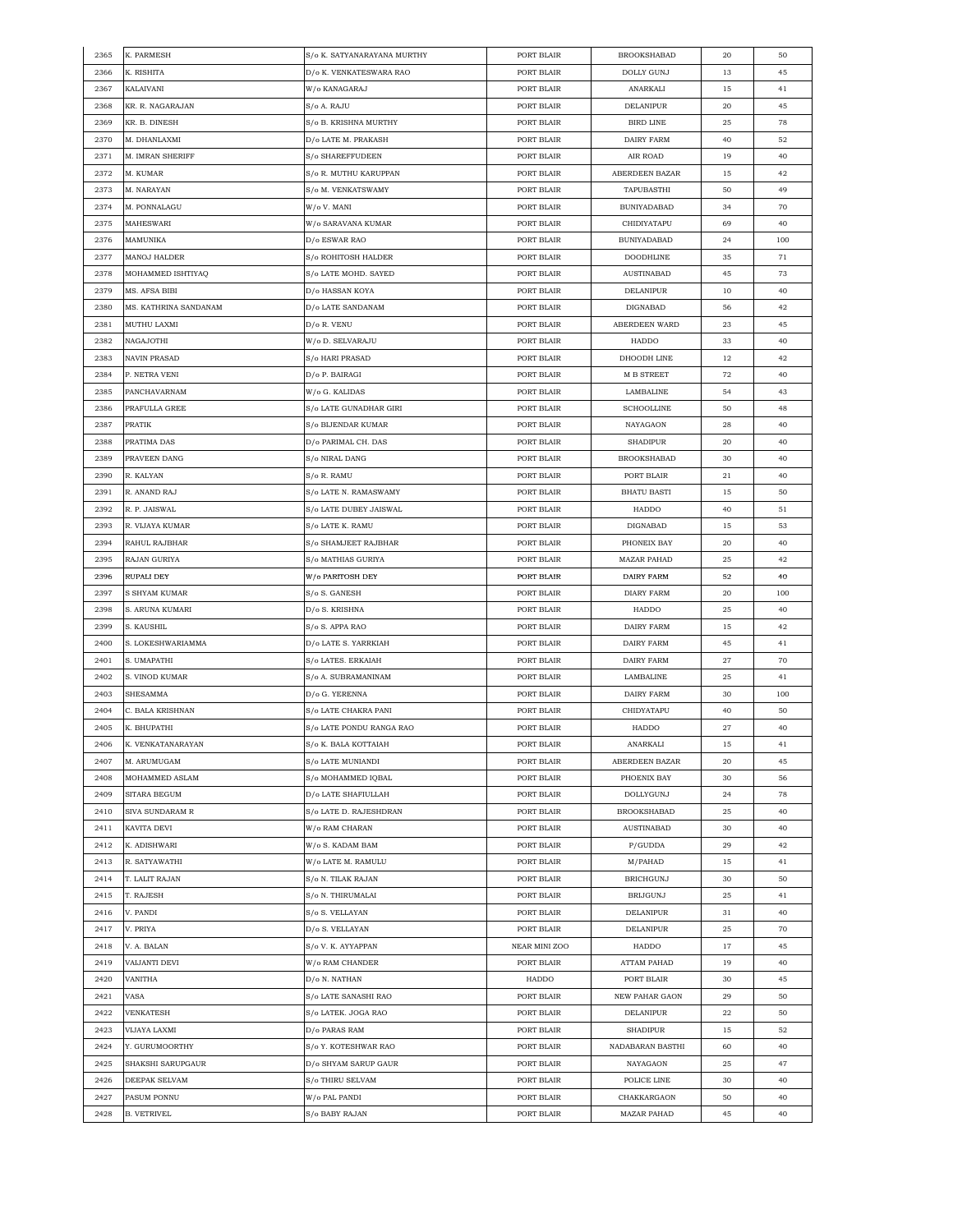| 2365 | K. PARMESH            | S/o K. SATYANARAYANA MURTHY              | PORT BLAIR    | <b>BROOKSHABAD</b>    | 20     | 50  |
|------|-----------------------|------------------------------------------|---------------|-----------------------|--------|-----|
| 2366 | K. RISHITA            | D/o K. VENKATESWARA RAO                  | PORT BLAIR    | <b>DOLLY GUNJ</b>     | 13     | 45  |
| 2367 | KALAIVANI             | W/o KANAGARAJ                            | PORT BLAIR    | ANARKALI              | 15     | 41  |
| 2368 | KR. R. NAGARAJAN      | S/o A. RAJU                              | PORT BLAIR    | DELANIPUR             | 20     | 45  |
| 2369 | KR. B. DINESH         | S/o B. KRISHNA MURTHY                    | PORT BLAIR    | <b>BIRD LINE</b>      | 25     | 78  |
| 2370 | M. DHANLAXMI          | D/o LATE M. PRAKASH                      | PORT BLAIR    | DAIRY FARM            | 40     | 52  |
| 2371 | M. IMRAN SHERIFF      | S/o SHAREFFUDEEN                         | PORT BLAIR    | AIR ROAD              | 19     | 40  |
| 2372 | M. KUMAR              | S/o R. MUTHU KARUPPAN                    | PORT BLAIR    | ABERDEEN BAZAR        | 15     | 42  |
| 2373 | M. NARAYAN            | S/o M. VENKATSWAMY                       | PORT BLAIR    | TAPUBASTHI            | 50     | 49  |
| 2374 | M. PONNALAGU          | W/o V. MANI                              | PORT BLAIR    | BUNIYADABAD           | 34     | 70  |
|      |                       |                                          |               |                       |        |     |
| 2375 | MAHESWARI             | W/o SARAVANA KUMAR                       | PORT BLAIR    | CHIDIYATAPU           | 69     | 40  |
| 2376 | MAMUNIKA              | D/o ESWAR RAO                            | PORT BLAIR    | <b>BUNIYADABAD</b>    | 24     | 100 |
| 2377 | MANOJ HALDER          | S/o ROHITOSH HALDER                      | PORT BLAIR    | <b>DOODHLINE</b>      | 35     | 71  |
| 2378 | MOHAMMED ISHTIYAQ     | S/o LATE MOHD. SAYED                     | PORT BLAIR    | <b>AUSTINABAD</b>     | 45     | 73  |
| 2379 | MS. AFSA BIBI         | D/o HASSAN KOYA                          | PORT BLAIR    | DELANIPUR             | 10     | 40  |
| 2380 | MS. KATHRINA SANDANAM | D/o LATE SANDANAM                        | PORT BLAIR    | DIGNABAD              | 56     | 42  |
| 2381 | MUTHU LAXMI           | D/o R. VENU                              | PORT BLAIR    | ABERDEEN WARD         | 23     | 45  |
| 2382 | NAGAJOTHI             | W/o D. SELVARAJU                         | PORT BLAIR    | HADDO                 | 33     | 40  |
| 2383 | NAVIN PRASAD          | S/o HARI PRASAD                          | PORT BLAIR    | DHOODH LINE           | $12\,$ | 42  |
| 2384 | P. NETRA VENI         | D/o P. BAIRAGI                           | PORT BLAIR    | <b>M B STREET</b>     | 72     | 40  |
| 2385 | PANCHAVARNAM          | W/o G. KALIDAS                           | PORT BLAIR    | LAMBALINE             | 54     | 43  |
| 2386 | PRAFULLA GREE         | S/o LATE GUNADHAR GIRI                   | PORT BLAIR    | <b>SCHOOLLINE</b>     | 50     | 48  |
| 2387 | PRATIK                | S/o BIJENDAR KUMAR                       | PORT BLAIR    | NAYAGAON              | 28     | 40  |
| 2388 | PRATIMA DAS           | D/o PARIMAL CH. DAS                      | PORT BLAIR    | <b>SHADIPUR</b>       | 20     | 40  |
| 2389 | PRAVEEN DANG          | S/o NIRAL DANG                           | PORT BLAIR    | <b>BROOKSHABAD</b>    | 30     | 40  |
| 2390 | R. KALYAN             | S/o R. RAMU                              | PORT BLAIR    | PORT BLAIR            | 21     | 40  |
| 2391 | R. ANAND RAJ          | S/o LATE N. RAMASWAMY                    | PORT BLAIR    | <b>BHATU BASTI</b>    | 15     | 50  |
|      |                       |                                          |               |                       |        |     |
| 2392 | R. P. JAISWAL         | S/o LATE DUBEY JAISWAL                   | PORT BLAIR    | HADDO                 | 40     | 51  |
| 2393 | R. VIJAYA KUMAR       | S/o LATE K. RAMU                         | PORT BLAIR    | DIGNABAD              | 15     | 53  |
| 2394 | RAHUL RAJBHAR         | S/o SHAMJEET RAJBHAR                     | PORT BLAIR    | PHONEIX BAY           | 20     | 40  |
| 2395 | RAJAN GURIYA          | S/o MATHIAS GURIYA                       | PORT BLAIR    | <b>MAZAR PAHAD</b>    | 25     | 42  |
| 2396 | <b>RUPALI DEY</b>     | W/o PARITOSH DEY                         | PORT BLAIR    | DAIRY FARM            | 52     | 40  |
| 2397 | S SHYAM KUMAR         | S/o S. GANESH                            | PORT BLAIR    | <b>DIARY FARM</b>     | 20     | 100 |
| 2398 | S. ARUNA KUMARI       | D/o S. KRISHNA                           | PORT BLAIR    | HADDO                 | 25     | 40  |
| 2399 | S. KAUSHIL            | S/o S. APPA RAO                          | PORT BLAIR    | DAIRY FARM            | 15     | 42  |
| 2400 | S. LOKESHWARIAMMA     | D/o LATE S. YARRKIAH                     | PORT BLAIR    | DAIRY FARM            | 45     | 41  |
| 2401 | S. UMAPATHI           | S/o LATES. ERKAIAH                       | PORT BLAIR    | DAIRY FARM            | 27     | 70  |
| 2402 | S. VINOD KUMAR        | S/o A. SUBRAMANINAM                      | PORT BLAIR    | LAMBALINE             | 25     | 41  |
| 2403 | SHESAMMA              | D/o G. YERENNA                           | PORT BLAIR    | DAIRY FARM            | 30     | 100 |
| 2404 | C. BALA KRISHNAN      | S/o LATE CHAKRA PANI                     | PORT BLAIR    | CHIDYATAPU            | 40     | 50  |
| 2405 | K. BHUPATHI           | S/o LATE PONDU RANGA RAO                 | PORT BLAIR    | HADDO                 | 27     | 40  |
| 2406 | K. VENKATANARAYAN     | $\mathrm{S}/\mathrm{o}$ K. BALA KOTTAIAH | PORT BLAIR    | <b>ANARKALI</b>       | 15     | 41  |
| 2407 | M. ARUMUGAM           | S/o LATE MUNIANDI                        | PORT BLAIR    | ABERDEEN BAZAR        | 20     | 45  |
| 2408 | MOHAMMED ASLAM        | S/o MOHAMMED IQBAL                       | PORT BLAIR    | PHOENIX BAY           | 30     | 56  |
| 2409 | SITARA BEGUM          | D/o LATE SHAFIULLAH                      | PORT BLAIR    | DOLLYGUNJ             | 24     | 78  |
| 2410 | SIVA SUNDARAM R       | S/o LATE D. RAJESHDRAN                   | PORT BLAIR    | <b>BROOKSHABAD</b>    | 25     | 40  |
| 2411 | KAVITA DEVI           | W/o RAM CHARAN                           | PORT BLAIR    | <b>AUSTINABAD</b>     | 30     | 40  |
| 2412 | K. ADISHWARI          | W/o S. KADAM BAM                         | PORT BLAIR    | P/GUDDA               | 29     | 42  |
|      |                       |                                          |               |                       |        |     |
| 2413 | R. SATYAWATHI         | W/o LATE M. RAMULU                       | PORT BLAIR    | M/PAHAD               | 15     | 41  |
| 2414 | T. LALIT RAJAN        | S/o N. TILAK RAJAN                       | PORT BLAIR    | <b>BRICHGUNJ</b>      | 30     | 50  |
| 2415 | T. RAJESH             | S/o N. THIRUMALAI                        | PORT BLAIR    | <b>BRIJGUNJ</b>       | 25     | 41  |
| 2416 | V. PANDI              | S/o S. VELLAYAN                          | PORT BLAIR    | DELANIPUR             | 31     | 40  |
| 2417 | V. PRIYA              | D/o S. VELLAYAN                          | PORT BLAIR    | DELANIPUR             | 25     | 70  |
| 2418 | V. A. BALAN           | S/o V. K. AYYAPPAN                       | NEAR MINI ZOO | HADDO                 | 17     | 45  |
| 2419 | VAIJANTI DEVI         | W/o RAM CHANDER                          | PORT BLAIR    | ATTAM PAHAD           | 19     | 40  |
| 2420 | VANITHA               | D/o N. NATHAN                            | HADDO         | PORT BLAIR            | 30     | 45  |
| 2421 | VASA                  | S/o LATE SANASHI RAO                     | PORT BLAIR    | <b>NEW PAHAR GAON</b> | 29     | 50  |
| 2422 | VENKATESH             | S/o LATEK. JOGA RAO                      | PORT BLAIR    | DELANIPUR             | 22     | 50  |
| 2423 | VIJAYA LAXMI          | D/o PARAS RAM                            | PORT BLAIR    | SHADIPUR              | 15     | 52  |
| 2424 | Y. GURUMOORTHY        | S/o Y. KOTESHWAR RAO                     | PORT BLAIR    | NADABARAN BASTHI      | 60     | 40  |
| 2425 | SHAKSHI SARUPGAUR     | D/o SHYAM SARUP GAUR                     | PORT BLAIR    | NAYAGAON              | 25     | 47  |
| 2426 | DEEPAK SELVAM         | S/o THIRU SELVAM                         | PORT BLAIR    | POLICE LINE           | 30     | 40  |
| 2427 | PASUM PONNU           | W/o PAL PANDI                            | PORT BLAIR    | CHAKKARGAON           | 50     | 40  |
| 2428 | <b>B. VETRIVEL</b>    | S/o BABY RAJAN                           | PORT BLAIR    | MAZAR PAHAD           | 45     | 40  |
|      |                       |                                          |               |                       |        |     |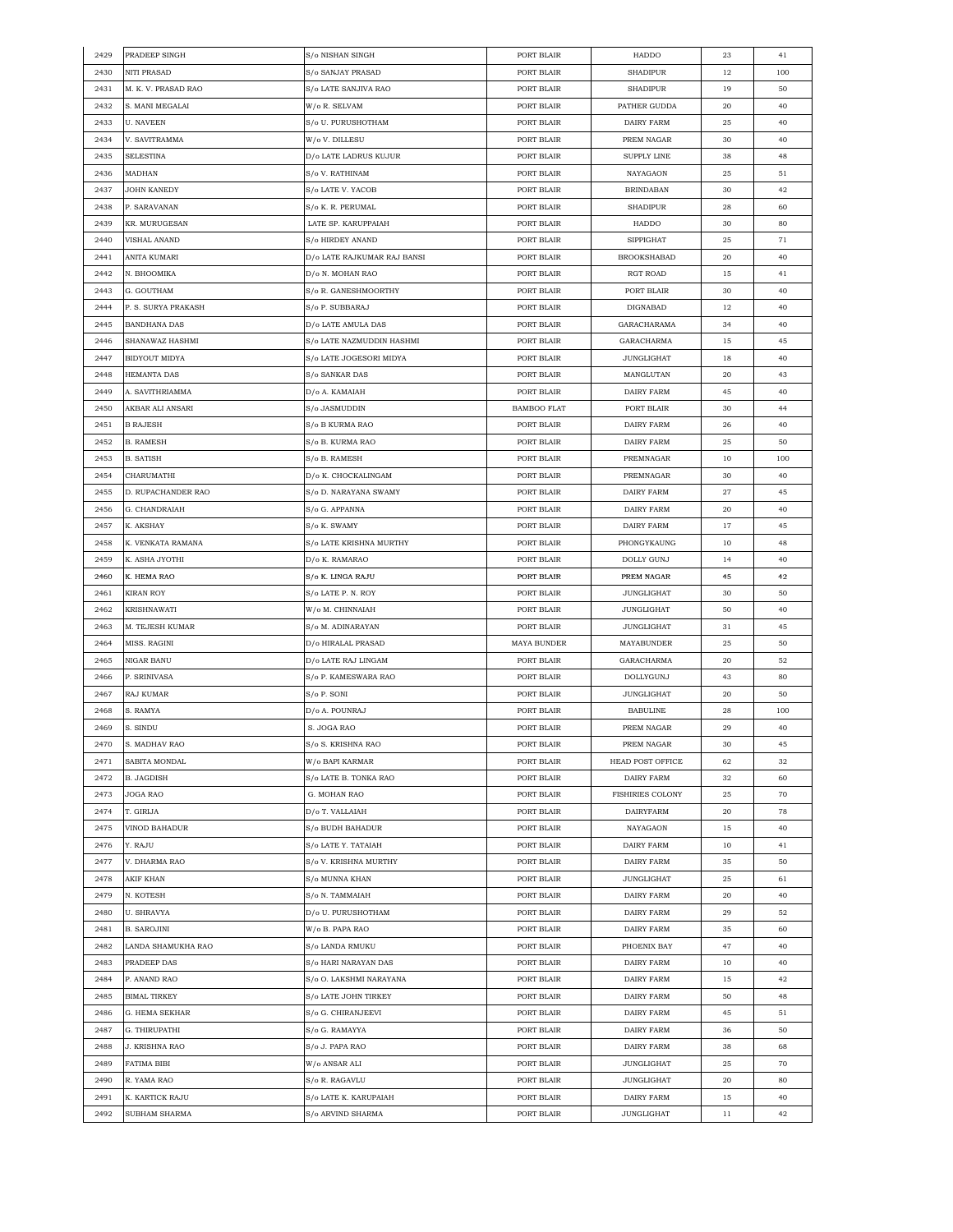| 2429 | PRADEEP SINGH       | S/o NISHAN SINGH                          | PORT BLAIR         | HADDO              | 23 | 41  |
|------|---------------------|-------------------------------------------|--------------------|--------------------|----|-----|
| 2430 | NITI PRASAD         | S/o SANJAY PRASAD                         | PORT BLAIR         | SHADIPUR           | 12 | 100 |
| 2431 | M. K. V. PRASAD RAO | S/o LATE SANJIVA RAO                      | PORT BLAIR         | SHADIPUR           | 19 | 50  |
| 2432 | S. MANI MEGALAI     | W/o R. SELVAM                             | PORT BLAIR         | PATHER GUDDA       | 20 | 40  |
| 2433 | U. NAVEEN           | S/o U. PURUSHOTHAM                        | PORT BLAIR         | DAIRY FARM         | 25 | 40  |
| 2434 | V. SAVITRAMMA       | W/o V. DILLESU                            | PORT BLAIR         | PREM NAGAR         | 30 | 40  |
| 2435 | <b>SELESTINA</b>    | D/o LATE LADRUS KUJUR                     | PORT BLAIR         | <b>SUPPLY LINE</b> | 38 | 48  |
| 2436 | MADHAN              | S/o V. RATHINAM                           | PORT BLAIR         | NAYAGAON           | 25 | 51  |
| 2437 | JOHN KANEDY         | S/o LATE V. YACOB                         | PORT BLAIR         | <b>BRINDABAN</b>   | 30 | 42  |
| 2438 | P. SARAVANAN        | S/o K. R. PERUMAL                         | PORT BLAIR         | <b>SHADIPUR</b>    | 28 | 60  |
| 2439 | KR. MURUGESAN       | LATE SP. KARUPPAIAH                       | PORT BLAIR         | HADDO              |    | 80  |
|      |                     |                                           |                    |                    | 30 |     |
| 2440 | VISHAL ANAND        | S/o HIRDEY ANAND                          | PORT BLAIR         | SIPPIGHAT          | 25 | 71  |
| 2441 | ANITA KUMARI        | D/o LATE RAJKUMAR RAJ BANSI               | PORT BLAIR         | <b>BROOKSHABAD</b> | 20 | 40  |
| 2442 | N. BHOOMIKA         | D/o N. MOHAN RAO                          | PORT BLAIR         | RGT ROAD           | 15 | 41  |
| 2443 | G. GOUTHAM          | S/o R. GANESHMOORTHY                      | PORT BLAIR         | PORT BLAIR         | 30 | 40  |
| 2444 | P. S. SURYA PRAKASH | S/o P. SUBBARAJ                           | PORT BLAIR         | DIGNABAD           | 12 | 40  |
| 2445 | <b>BANDHANA DAS</b> | D/o LATE AMULA DAS                        | PORT BLAIR         | GARACHARAMA        | 34 | 40  |
| 2446 | SHANAWAZ HASHMI     | S/o LATE NAZMUDDIN HASHMI                 | PORT BLAIR         | GARACHARMA         | 15 | 45  |
| 2447 | BIDYOUT MIDYA       | S/o LATE JOGESORI MIDYA                   | PORT BLAIR         | <b>JUNGLIGHAT</b>  | 18 | 40  |
| 2448 | HEMANTA DAS         | S/o SANKAR DAS                            | PORT BLAIR         | MANGLUTAN          | 20 | 43  |
| 2449 | A. SAVITHRIAMMA     | D/o A. KAMAIAH                            | PORT BLAIR         | DAIRY FARM         | 45 | 40  |
| 2450 | AKBAR ALI ANSARI    | S/o JASMUDDIN                             | <b>BAMBOO FLAT</b> | PORT BLAIR         | 30 | 44  |
| 2451 | <b>B RAJESH</b>     | S/o B KURMA RAO                           | PORT BLAIR         | DAIRY FARM         | 26 | 40  |
| 2452 | <b>B. RAMESH</b>    | S/o B. KURMA RAO                          | PORT BLAIR         | DAIRY FARM         | 25 | 50  |
| 2453 | <b>B. SATISH</b>    | S/o B. RAMESH                             | PORT BLAIR         | PREMNAGAR          | 10 | 100 |
| 2454 | CHARUMATHI          | D/o K. CHOCKALINGAM                       | PORT BLAIR         | PREMNAGAR          | 30 | 40  |
| 2455 | D. RUPACHANDER RAO  | S/o D. NARAYANA SWAMY                     | PORT BLAIR         | DAIRY FARM         | 27 | 45  |
| 2456 | G. CHANDRAIAH       | S/o G. APPANNA                            | PORT BLAIR         | <b>DAIRY FARM</b>  | 20 | 40  |
| 2457 | K. AKSHAY           | S/o K. SWAMY                              | PORT BLAIR         | DAIRY FARM         | 17 | 45  |
| 2458 | K. VENKATA RAMANA   | S/o LATE KRISHNA MURTHY                   | PORT BLAIR         | PHONGYKAUNG        | 10 | 48  |
| 2459 | K. ASHA JYOTHI      | D/o K. RAMARAO                            | PORT BLAIR         | DOLLY GUNJ         | 14 | 40  |
| 2460 | K. HEMA RAO         |                                           | PORT BLAIR         | PREM NAGAR         | 45 | 42  |
|      |                     | S/o K. LINGA RAJU                         |                    |                    |    |     |
| 2461 | <b>KIRAN ROY</b>    | S/o LATE P. N. ROY                        | PORT BLAIR         | <b>JUNGLIGHAT</b>  | 30 | 50  |
| 2462 | KRISHNAWATI         | W/o M. CHINNAIAH                          | PORT BLAIR         | JUNGLIGHAT         | 50 | 40  |
| 2463 | M. TEJESH KUMAR     | S/o M. ADINARAYAN                         | PORT BLAIR         | JUNGLIGHAT         | 31 | 45  |
| 2464 | MISS. RAGINI        | D/o HIRALAL PRASAD                        | <b>MAYA BUNDER</b> | MAYABUNDER         | 25 | 50  |
| 2465 | NIGAR BANU          | D/o LATE RAJ LINGAM                       | PORT BLAIR         | GARACHARMA         | 20 | 52  |
| 2466 | P. SRINIVASA        | S/o P. KAMESWARA RAO                      | PORT BLAIR         | DOLLYGUNJ          | 43 | 80  |
| 2467 | RAJ KUMAR           | S/o P. SONI                               | PORT BLAIR         | JUNGLIGHAT         | 20 | 50  |
| 2468 | S. RAMYA            | D/o A. POUNRAJ                            | PORT BLAIR         | <b>BABULINE</b>    | 28 | 100 |
| 2469 | S. SINDU            | S. JOGA RAO                               | PORT BLAIR         | PREM NAGAR         | 29 | 40  |
| 2470 | S. MADHAV RAO       | S/o S. KRISHNA RAO                        | PORT BLAIR         | PREM NAGAR         | 30 | 45  |
| 2471 | SABITA MONDAL       | W/o BAPI KARMAR                           | PORT BLAIR         | HEAD POST OFFICE   | 62 | 32  |
| 2472 | <b>B. JAGDISH</b>   | $\mathrm{S}/\mathrm{o}$ LATE B. TONKA RAO | PORT BLAIR         | DAIRY FARM         | 32 | 60  |
| 2473 | JOGA RAO            | G. MOHAN RAO                              | PORT BLAIR         | FISHIRIES COLONY   | 25 | 70  |
| 2474 | T. GIRIJA           | D/o T. VALLAIAH                           | PORT BLAIR         | <b>DAIRYFARM</b>   | 20 | 78  |
| 2475 | VINOD BAHADUR       | S/o BUDH BAHADUR                          | PORT BLAIR         | NAYAGAON           | 15 | 40  |
| 2476 | Y. RAJU             | S/o LATE Y. TATAIAH                       | PORT BLAIR         | DAIRY FARM         | 10 | 41  |
| 2477 | V. DHARMA RAO       | S/o V. KRISHNA MURTHY                     | PORT BLAIR         | DAIRY FARM         | 35 | 50  |
| 2478 | <b>AKIF KHAN</b>    | S/o MUNNA KHAN                            | PORT BLAIR         | JUNGLIGHAT         | 25 | 61  |
| 2479 | N. KOTESH           | S/o N. TAMMAIAH                           | PORT BLAIR         | DAIRY FARM         | 20 | 40  |
| 2480 | <b>U. SHRAVYA</b>   | D/o U. PURUSHOTHAM                        | PORT BLAIR         | DAIRY FARM         | 29 | 52  |
| 2481 | <b>B. SAROJINI</b>  | W/o B. PAPA RAO                           | PORT BLAIR         | DAIRY FARM         | 35 | 60  |
| 2482 | LANDA SHAMUKHA RAO  | S/o LANDA RMUKU                           | PORT BLAIR         | PHOENIX BAY        | 47 | 40  |
| 2483 | PRADEEP DAS         | S/o HARI NARAYAN DAS                      | PORT BLAIR         | DAIRY FARM         | 10 | 40  |
| 2484 | P. ANAND RAO        | S/o O. LAKSHMI NARAYANA                   | PORT BLAIR         | DAIRY FARM         | 15 | 42  |
|      |                     |                                           |                    |                    |    |     |
| 2485 | <b>BIMAL TIRKEY</b> | S/o LATE JOHN TIRKEY                      | PORT BLAIR         | DAIRY FARM         | 50 | 48  |
| 2486 | G. HEMA SEKHAR      | S/o G. CHIRANJEEVI                        | PORT BLAIR         | DAIRY FARM         | 45 | 51  |
| 2487 | G. THIRUPATHI       | S/o G. RAMAYYA                            | PORT BLAIR         | DAIRY FARM         | 36 | 50  |
| 2488 | J. KRISHNA RAO      | S/o J. PAPA RAO                           | PORT BLAIR         | DAIRY FARM         | 38 | 68  |
| 2489 | FATIMA BIBI         | W/o ANSAR ALI                             | PORT BLAIR         | JUNGLIGHAT         | 25 | 70  |
| 2490 | R. YAMA RAO         | S/o R. RAGAVLU                            | PORT BLAIR         | <b>JUNGLIGHAT</b>  | 20 | 80  |
| 2491 | K. KARTICK RAJU     | S/o LATE K. KARUPAIAH                     | PORT BLAIR         | DAIRY FARM         | 15 | 40  |
| 2492 | SUBHAM SHARMA       | S/o ARVIND SHARMA                         | PORT BLAIR         | <b>JUNGLIGHAT</b>  | 11 | 42  |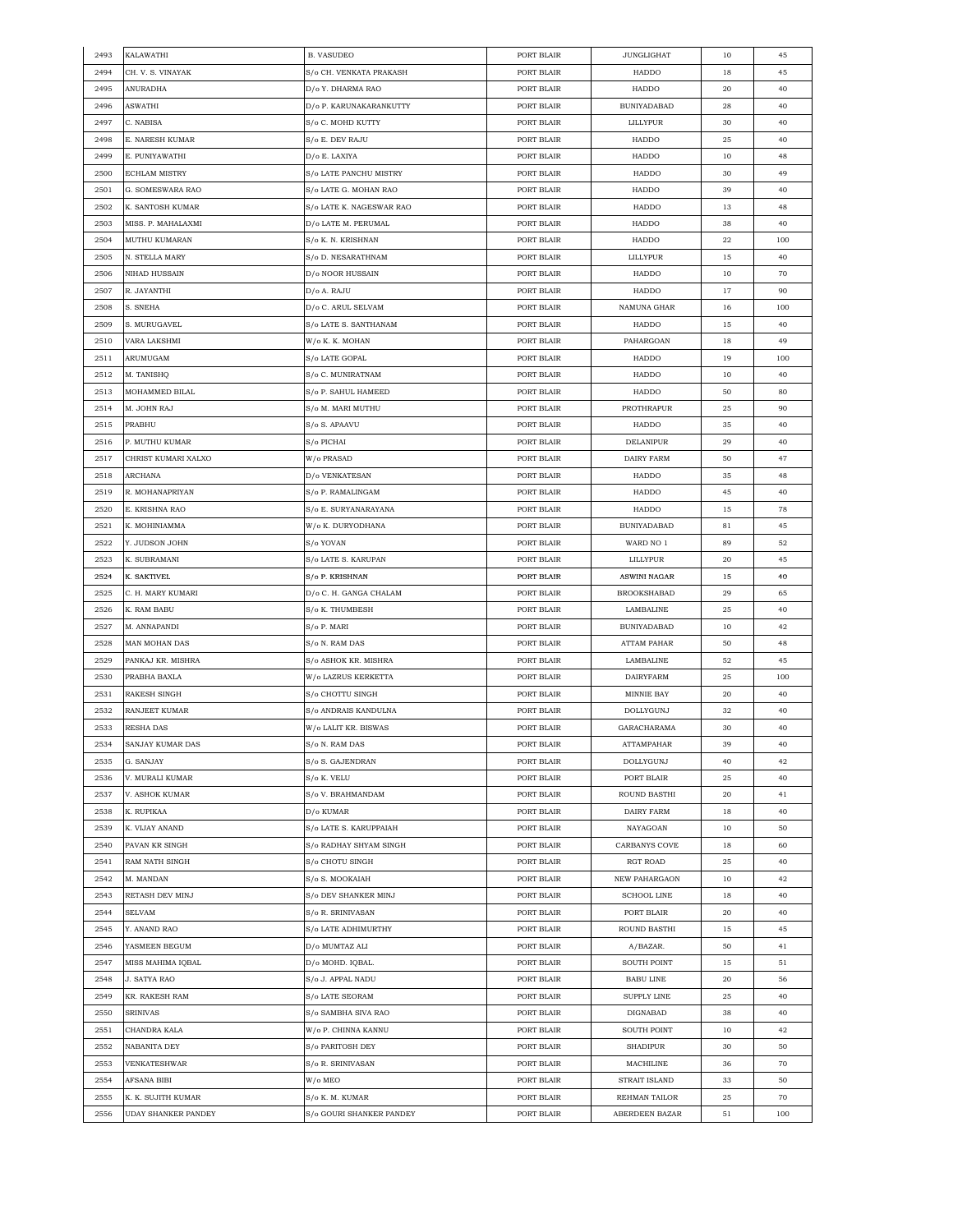| 2493 | KALAWATHI                  | <b>B. VASUDEO</b>        | PORT BLAIR | JUNGLIGHAT         | 10       | 45  |
|------|----------------------------|--------------------------|------------|--------------------|----------|-----|
| 2494 | CH. V. S. VINAYAK          | S/o CH. VENKATA PRAKASH  | PORT BLAIR | HADDO              | 18       | 45  |
| 2495 | ANURADHA                   | D/o Y. DHARMA RAO        | PORT BLAIR | HADDO              | 20       | 40  |
| 2496 | ASWATHI                    | D/o P. KARUNAKARANKUTTY  | PORT BLAIR | BUNIYADABAD        | 28       | 40  |
| 2497 | C. NABISA                  | S/o C. MOHD KUTTY        | PORT BLAIR | LILLYPUR           | 30       | 40  |
| 2498 | E. NARESH KUMAR            | S/o E. DEV RAJU          | PORT BLAIR | HADDO              | 25       | 40  |
| 2499 | E. PUNIYAWATHI             | D/o E. LAXIYA            | PORT BLAIR | HADDO              | 10       | 48  |
| 2500 | <b>ECHLAM MISTRY</b>       | S/o LATE PANCHU MISTRY   | PORT BLAIR | HADDO              | 30       | 49  |
| 2501 | G. SOMESWARA RAO           | S/o LATE G. MOHAN RAO    | PORT BLAIR | HADDO              | 39       | 40  |
| 2502 | K. SANTOSH KUMAR           | S/o LATE K. NAGESWAR RAO | PORT BLAIR | HADDO              | 13       | 48  |
| 2503 | MISS. P. MAHALAXMI         | D/o LATE M. PERUMAL      | PORT BLAIR | HADDO              | 38       | 40  |
| 2504 | <b>MUTHU KUMARAN</b>       | S/o K. N. KRISHNAN       | PORT BLAIR | HADDO              | 22       | 100 |
| 2505 | N. STELLA MARY             | S/o D. NESARATHNAM       | PORT BLAIR | LILLYPUR           | 15       | 40  |
| 2506 | NIHAD HUSSAIN              | D/o NOOR HUSSAIN         | PORT BLAIR | HADDO              | 10       | 70  |
| 2507 | R. JAYANTHI                | D/o A. RAJU              | PORT BLAIR | HADDO              | 17       | 90  |
| 2508 | S. SNEHA                   | D/o C. ARUL SELVAM       | PORT BLAIR | NAMUNA GHAR        | 16       | 100 |
| 2509 | S. MURUGAVEL               |                          |            | HADDO              |          | 40  |
|      |                            | S/o LATE S. SANTHANAM    | PORT BLAIR |                    | 15       | 49  |
| 2510 | VARA LAKSHMI               | W/o K. K. MOHAN          | PORT BLAIR | PAHARGOAN          | 18       |     |
| 2511 | ARUMUGAM                   | S/o LATE GOPAL           | PORT BLAIR | HADDO              | 19       | 100 |
| 2512 | M. TANISHQ                 | S/o C. MUNIRATNAM        | PORT BLAIR | HADDO              | 10       | 40  |
| 2513 | MOHAMMED BILAL             | S/o P. SAHUL HAMEED      | PORT BLAIR | HADDO              | 50       | 80  |
| 2514 | M. JOHN RAJ                | S/o M. MARI MUTHU        | PORT BLAIR | PROTHRAPUR         | 25       | 90  |
| 2515 | PRABHU                     | S/o S. APAAVU            | PORT BLAIR | HADDO              | 35       | 40  |
| 2516 | P. MUTHU KUMAR             | S/o PICHAI               | PORT BLAIR | DELANIPUR          | 29       | 40  |
| 2517 | CHRIST KUMARI XALXO        | W/o PRASAD               | PORT BLAIR | DAIRY FARM         | 50       | 47  |
| 2518 | ARCHANA                    | D/o VENKATESAN           | PORT BLAIR | HADDO              | 35       | 48  |
| 2519 | R. MOHANAPRIYAN            | S/o P. RAMALINGAM        | PORT BLAIR | HADDO              | 45       | 40  |
| 2520 | E. KRISHNA RAO             | S/o E. SURYANARAYANA     | PORT BLAIR | HADDO              | 15       | 78  |
| 2521 | K. MOHINIAMMA              | W/o K. DURYODHANA        | PORT BLAIR | BUNIYADABAD        | 81       | 45  |
| 2522 | Y. JUDSON JOHN             | S/o YOVAN                | PORT BLAIR | WARD NO 1          | 89       | 52  |
| 2523 | K. SUBRAMANI               | S/o LATE S. KARUPAN      | PORT BLAIR | LILLYPUR           | 20       | 45  |
| 2524 | K. SAKTIVEL                | S/o P. KRISHNAN          | PORT BLAIR | ASWINI NAGAR       | 15       | 40  |
| 2525 | C. H. MARY KUMARI          | D/o C. H. GANGA CHALAM   | PORT BLAIR | <b>BROOKSHABAD</b> | 29       | 65  |
| 2526 | K. RAM BABU                | S/o K. THUMBESH          | PORT BLAIR | LAMBALINE          | 25       | 40  |
| 2527 | M. ANNAPANDI               | S/o P. MARI              | PORT BLAIR | <b>BUNIYADABAD</b> | 10       | 42  |
| 2528 | MAN MOHAN DAS              | S/o N. RAM DAS           | PORT BLAIR | <b>ATTAM PAHAR</b> | 50       | 48  |
| 2529 | PANKAJ KR. MISHRA          | S/o ASHOK KR. MISHRA     | PORT BLAIR | LAMBALINE          | 52       | 45  |
| 2530 | PRABHA BAXLA               | W/o LAZRUS KERKETTA      | PORT BLAIR | DAIRYFARM          | 25       | 100 |
| 2531 | <b>RAKESH SINGH</b>        | S/o CHOTTU SINGH         | PORT BLAIR | MINNIE BAY         | 20       | 40  |
| 2532 | RANJEET KUMAR              | S/o ANDRAIS KANDULNA     | PORT BLAIR | DOLLYGUNJ          | 32       | 40  |
| 2533 | RESHA DAS                  | W/o LALIT KR. BISWAS     | PORT BLAIR | GARACHARAMA        | 30       | 40  |
| 2534 | SANJAY KUMAR DAS           | S/o N. RAM DAS           | PORT BLAIR | ATTAMPAHAR         | 39       | 40  |
| 2535 | G. SANJAY                  | S/o S. GAJENDRAN         | PORT BLAIR | DOLLYGUNJ          | 40       | 42  |
| 2536 | V. MURALI KUMAR            | S/o K. VELU              | PORT BLAIR | PORT BLAIR         | 25       | 40  |
| 2537 | V. ASHOK KUMAR             | S/o V. BRAHMANDAM        | PORT BLAIR | ROUND BASTHI       | 20       | 41  |
| 2538 | K. RUPIKAA                 | D/o KUMAR                | PORT BLAIR | DAIRY FARM         | 18       | 40  |
| 2539 | K. VIJAY ANAND             | S/o LATE S. KARUPPAIAH   | PORT BLAIR | NAYAGOAN           | 10       | 50  |
| 2540 | PAVAN KR SINGH             | S/o RADHAY SHYAM SINGH   | PORT BLAIR | CARBANYS COVE      | 18       | 60  |
| 2541 | RAM NATH SINGH             | S/o CHOTU SINGH          | PORT BLAIR | RGT ROAD           | 25       | 40  |
|      |                            |                          |            |                    |          |     |
| 2542 | M. MANDAN                  | S/o S. MOOKAIAH          | PORT BLAIR | NEW PAHARGAON      | 10       | 42  |
| 2543 | RETASH DEV MINJ            | S/o DEV SHANKER MINJ     | PORT BLAIR | <b>SCHOOL LINE</b> | 18       | 40  |
| 2544 | <b>SELVAM</b>              | S/o R. SRINIVASAN        | PORT BLAIR | PORT BLAIR         | $20\,$   | 40  |
| 2545 | Y. ANAND RAO               | S/o LATE ADHIMURTHY      | PORT BLAIR | ROUND BASTHI       | 15       | 45  |
| 2546 | YASMEEN BEGUM              | D/o MUMTAZ ALI           | PORT BLAIR | A/BAZAR.           | 50       | 41  |
| 2547 | MISS MAHIMA IQBAL          | D/o MOHD. IQBAL.         | PORT BLAIR | SOUTH POINT        | 15       | 51  |
| 2548 | J. SATYA RAO               | S/o J. APPAL NADU        | PORT BLAIR | <b>BABU LINE</b>   | 20       | 56  |
| 2549 | KR. RAKESH RAM             | S/o LATE SEORAM          | PORT BLAIR | SUPPLY LINE        | $\bf 25$ | 40  |
| 2550 | SRINIVAS                   | S/o SAMBHA SIVA RAO      | PORT BLAIR | DIGNABAD           | 38       | 40  |
| 2551 | CHANDRA KALA               | W/o P. CHINNA KANNU      | PORT BLAIR | SOUTH POINT        | 10       | 42  |
| 2552 | NABANITA DEY               | S/o PARITOSH DEY         | PORT BLAIR | <b>SHADIPUR</b>    | 30       | 50  |
| 2553 | VENKATESHWAR               | S/o R. SRINIVASAN        | PORT BLAIR | MACHILINE          | 36       | 70  |
| 2554 | AFSANA BIBI                | W/o MEO                  | PORT BLAIR | STRAIT ISLAND      | 33       | 50  |
| 2555 | K. K. SUJITH KUMAR         | S/o K. M. KUMAR          | PORT BLAIR | REHMAN TAILOR      | 25       | 70  |
| 2556 | <b>UDAY SHANKER PANDEY</b> | S/o GOURI SHANKER PANDEY | PORT BLAIR | ABERDEEN BAZAR     | 51       | 100 |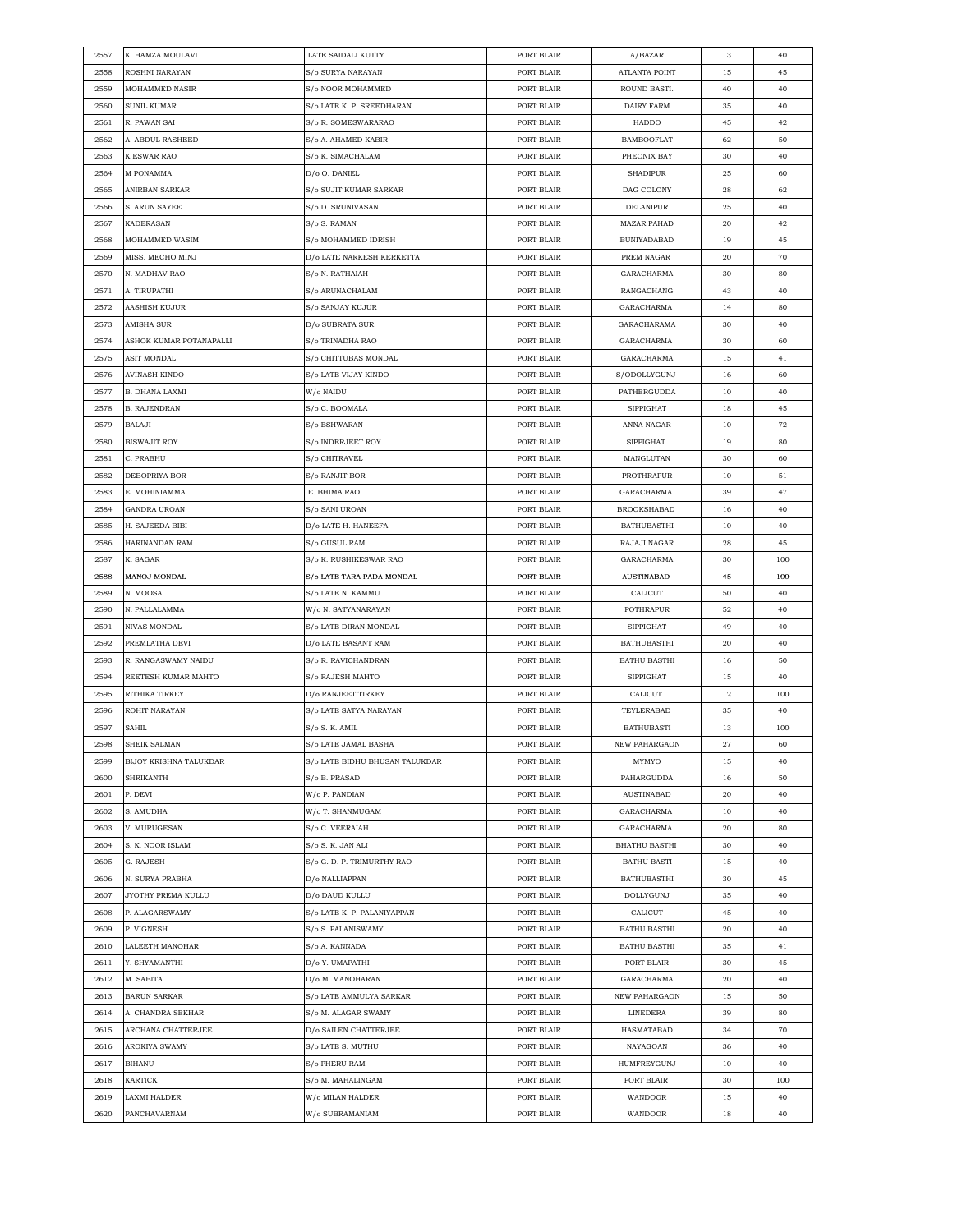| 2557 | K. HAMZA MOULAVI                   | LATE SAIDALI KUTTY             | PORT BLAIR               | A/BAZAR              | 13 | 40  |
|------|------------------------------------|--------------------------------|--------------------------|----------------------|----|-----|
| 2558 | ROSHNI NARAYAN                     | S/o SURYA NARAYAN              | PORT BLAIR               | ATLANTA POINT        | 15 | 45  |
| 2559 | MOHAMMED NASIR                     | S/o NOOR MOHAMMED              | PORT BLAIR               | ROUND BASTI.         | 40 | 40  |
| 2560 | <b>SUNIL KUMAR</b>                 | S/o LATE K. P. SREEDHARAN      | PORT BLAIR               | DAIRY FARM           | 35 | 40  |
| 2561 | R. PAWAN SAI                       | S/o R. SOMESWARARAO            | PORT BLAIR               | HADDO                | 45 | 42  |
| 2562 | A. ABDUL RASHEED                   | S/o A. AHAMED KABIR            | PORT BLAIR               | <b>BAMBOOFLAT</b>    | 62 | 50  |
| 2563 | K ESWAR RAO                        | S/o K. SIMACHALAM              | PORT BLAIR               | PHEONIX BAY          | 30 | 40  |
| 2564 | M PONAMMA                          | D/o O. DANIEL                  | PORT BLAIR               | <b>SHADIPUR</b>      | 25 | 60  |
| 2565 | ANIRBAN SARKAR                     | S/o SUJIT KUMAR SARKAR         | PORT BLAIR               | DAG COLONY           | 28 | 62  |
| 2566 | S. ARUN SAYEE                      | S/o D. SRUNIVASAN              | PORT BLAIR               | DELANIPUR            | 25 | 40  |
| 2567 | <b>KADERASAN</b>                   |                                | PORT BLAIR               | <b>MAZAR PAHAD</b>   | 20 | 42  |
|      |                                    | S/o S. RAMAN                   |                          |                      |    |     |
| 2568 | MOHAMMED WASIM<br>MISS. MECHO MINJ | S/o MOHAMMED IDRISH            | PORT BLAIR<br>PORT BLAIR | <b>BUNIYADABAD</b>   | 19 | 45  |
| 2569 |                                    | D/o LATE NARKESH KERKETTA      |                          | PREM NAGAR           | 20 | 70  |
| 2570 | N. MADHAV RAO                      | S/o N. RATHAIAH                | PORT BLAIR               | GARACHARMA           | 30 | 80  |
| 2571 | A. TIRUPATHI                       | S/o ARUNACHALAM                | PORT BLAIR               | RANGACHANG           | 43 | 40  |
| 2572 | AASHISH KUJUR                      | S/o SANJAY KUJUR               | PORT BLAIR               | GARACHARMA           | 14 | 80  |
| 2573 | AMISHA SUR                         | D/o SUBRATA SUR                | PORT BLAIR               | GARACHARAMA          | 30 | 40  |
| 2574 | ASHOK KUMAR POTANAPALLI            | S/o TRINADHA RAO               | PORT BLAIR               | GARACHARMA           | 30 | 60  |
| 2575 | <b>ASIT MONDAL</b>                 | S/o CHITTUBAS MONDAL           | PORT BLAIR               | GARACHARMA           | 15 | 41  |
| 2576 | AVINASH KINDO                      | S/o LATE VIJAY KINDO           | PORT BLAIR               | S/ODOLLYGUNJ         | 16 | 60  |
| 2577 | B. DHANA LAXMI                     | W/o NAIDU                      | PORT BLAIR               | PATHERGUDDA          | 10 | 40  |
| 2578 | <b>B. RAJENDRAN</b>                | S/o C. BOOMALA                 | PORT BLAIR               | <b>SIPPIGHAT</b>     | 18 | 45  |
| 2579 | BALAJI                             | S/o ESHWARAN                   | PORT BLAIR               | ANNA NAGAR           | 10 | 72  |
| 2580 | <b>BISWAJIT ROY</b>                | S/o INDERJEET ROY              | PORT BLAIR               | <b>SIPPIGHAT</b>     | 19 | 80  |
| 2581 | C. PRABHU                          | S/o CHITRAVEL                  | PORT BLAIR               | MANGLUTAN            | 30 | 60  |
| 2582 | DEBOPRIYA BOR                      | S/o RANJIT BOR                 | PORT BLAIR               | PROTHRAPUR           | 10 | 51  |
| 2583 | E. MOHINIAMMA                      | E. BHIMA RAO                   | PORT BLAIR               | GARACHARMA           | 39 | 47  |
| 2584 | GANDRA UROAN                       | S/o SANI UROAN                 | PORT BLAIR               | <b>BROOKSHABAD</b>   | 16 | 40  |
| 2585 | H. SAJEEDA BIBI                    | D/o LATE H. HANEEFA            | PORT BLAIR               | <b>BATHUBASTHI</b>   | 10 | 40  |
| 2586 | HARINANDAN RAM                     | S/o GUSUL RAM                  | PORT BLAIR               | RAJAJI NAGAR         | 28 | 45  |
| 2587 | K. SAGAR                           | S/o K. RUSHIKESWAR RAO         | PORT BLAIR               | GARACHARMA           | 30 | 100 |
| 2588 | MANOJ MONDAL                       | S/o LATE TARA PADA MONDAL      | PORT BLAIR               | <b>AUSTINABAD</b>    |    |     |
|      |                                    |                                |                          |                      | 45 | 100 |
| 2589 | N. MOOSA                           | S/o LATE N. KAMMU              | PORT BLAIR               | CALICUT              | 50 | 40  |
| 2590 | N. PALLALAMMA                      | W/o N. SATYANARAYAN            | PORT BLAIR               | POTHRAPUR            | 52 | 40  |
| 2591 | NIVAS MONDAL                       | S/o LATE DIRAN MONDAL          | PORT BLAIR               | <b>SIPPIGHAT</b>     | 49 | 40  |
| 2592 | PREMLATHA DEVI                     | D/o LATE BASANT RAM            | PORT BLAIR               | <b>BATHUBASTHI</b>   | 20 | 40  |
| 2593 | R. RANGASWAMY NAIDU                | S/o R. RAVICHANDRAN            | PORT BLAIR               | <b>BATHU BASTHI</b>  | 16 | 50  |
| 2594 | REETESH KUMAR MAHTO                | S/o RAJESH MAHTO               | PORT BLAIR               | SIPPIGHAT            | 15 | 40  |
| 2595 | RITHIKA TIRKEY                     | D/o RANJEET TIRKEY             | PORT BLAIR               | CALICUT              | 12 | 100 |
| 2596 | ROHIT NARAYAN                      | S/o LATE SATYA NARAYAN         | PORT BLAIR               | TEYLERABAD           | 35 | 40  |
| 2597 | SAHIL                              | S/o S. K. AMIL                 | PORT BLAIR               | <b>BATHUBASTI</b>    | 13 | 100 |
| 2598 | SHEIK SALMAN                       | S/o LATE JAMAL BASHA           | PORT BLAIR               | <b>NEW PAHARGAON</b> | 27 | 60  |
| 2599 | BIJOY KRISHNA TALUKDAR             | S/o LATE BIDHU BHUSAN TALUKDAR | PORT BLAIR               | MYMYO                | 15 | 40  |
| 2600 | <b>SHRIKANTH</b>                   | S/o B. PRASAD                  | PORT BLAIR               | PAHARGUDDA           | 16 | 50  |
| 2601 | P. DEVI                            | W/o P. PANDIAN                 | PORT BLAIR               | <b>AUSTINABAD</b>    | 20 | 40  |
| 2602 | S. AMUDHA                          | W/o T. SHANMUGAM               | PORT BLAIR               | GARACHARMA           | 10 | 40  |
| 2603 | V. MURUGESAN                       | S/o C. VEERAIAH                | PORT BLAIR               | GARACHARMA           | 20 | 80  |
| 2604 | S. K. NOOR ISLAM                   | S/o S. K. JAN ALI              | PORT BLAIR               | <b>BHATHU BASTHI</b> | 30 | 40  |
| 2605 | G. RAJESH                          | S/o G. D. P. TRIMURTHY RAO     | PORT BLAIR               | <b>BATHU BASTI</b>   | 15 | 40  |
| 2606 | N. SURYA PRABHA                    | D/o NALLIAPPAN                 | PORT BLAIR               | <b>BATHUBASTHI</b>   | 30 | 45  |
| 2607 | JYOTHY PREMA KULLU                 | D/o DAUD KULLU                 | PORT BLAIR               | DOLLYGUNJ            | 35 | 40  |
| 2608 | P. ALAGARSWAMY                     | S/o LATE K. P. PALANIYAPPAN    | PORT BLAIR               | CALICUT              | 45 | 40  |
| 2609 | P. VIGNESH                         | S/o S. PALANISWAMY             | PORT BLAIR               | <b>BATHU BASTHI</b>  | 20 | 40  |
| 2610 | LALEETH MANOHAR                    | S/o A. KANNADA                 | PORT BLAIR               | <b>BATHU BASTHI</b>  | 35 | 41  |
|      |                                    |                                |                          | PORT BLAIR           |    |     |
| 2611 | Y. SHYAMANTHI                      | D/o Y. UMAPATHI                | PORT BLAIR               |                      | 30 | 45  |
| 2612 | M. SABITA                          | D/o M. MANOHARAN               | PORT BLAIR               | GARACHARMA           | 20 | 40  |
| 2613 | <b>BARUN SARKAR</b>                | S/o LATE AMMULYA SARKAR        | PORT BLAIR               | NEW PAHARGAON        | 15 | 50  |
| 2614 | A. CHANDRA SEKHAR                  | S/o M. ALAGAR SWAMY            | PORT BLAIR               | LINEDERA             | 39 | 80  |
| 2615 | ARCHANA CHATTERJEE                 | D/o SAILEN CHATTERJEE          | PORT BLAIR               | HASMATABAD           | 34 | 70  |
| 2616 | AROKIYA SWAMY                      | S/o LATE S. MUTHU              | PORT BLAIR               | NAYAGOAN             | 36 | 40  |
| 2617 | BIHANU                             | S/o PHERU RAM                  | PORT BLAIR               | HUMFREYGUNJ          | 10 | 40  |
| 2618 | KARTICK                            | S/o M. MAHALINGAM              | PORT BLAIR               | PORT BLAIR           | 30 | 100 |
| 2619 | LAXMI HALDER                       | W/o MILAN HALDER               | PORT BLAIR               | WANDOOR              | 15 | 40  |
| 2620 | PANCHAVARNAM                       | W/o SUBRAMANIAM                | PORT BLAIR               | WANDOOR              | 18 | 40  |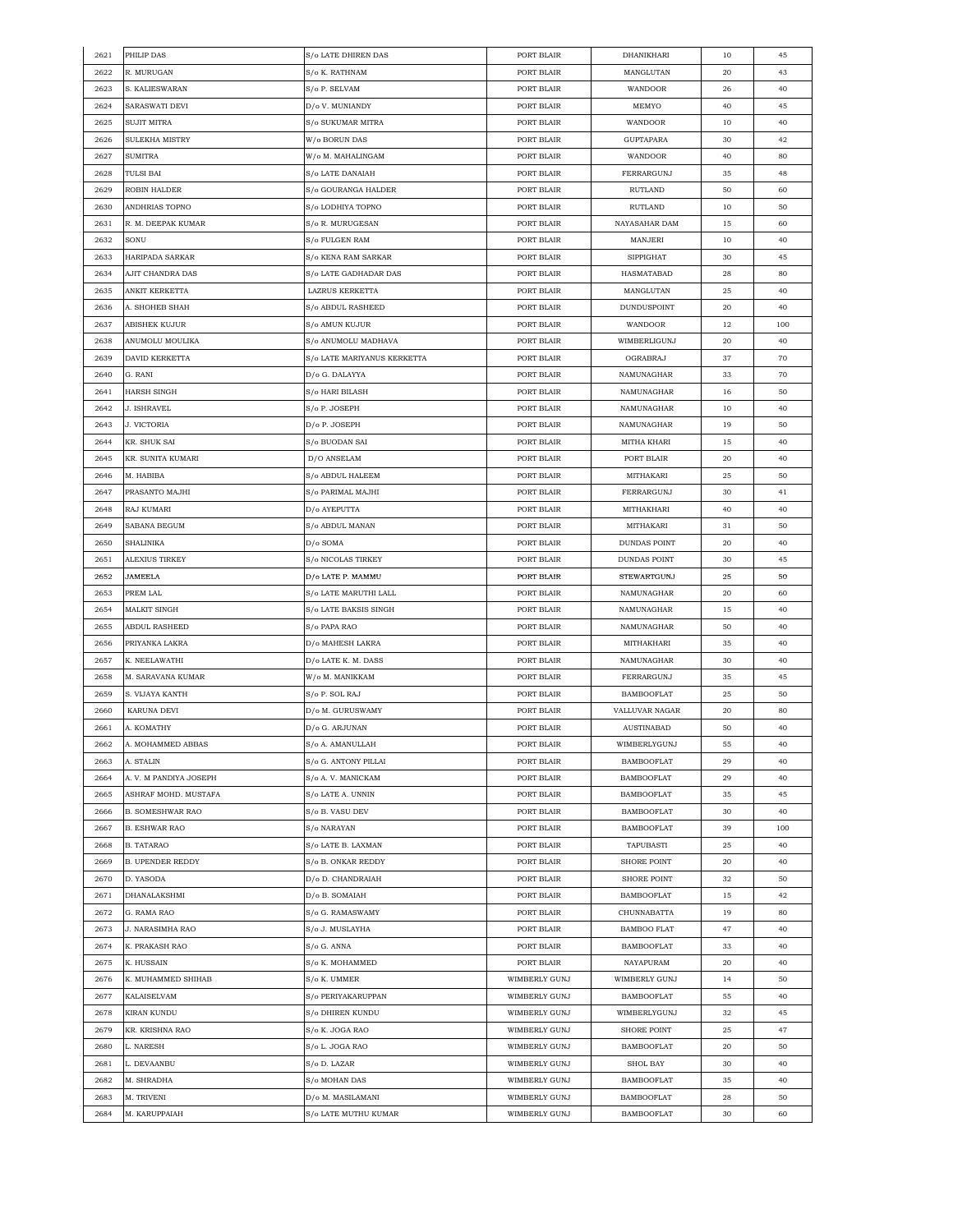| 2621 | PHILIP DAS              | S/o LATE DHIREN DAS                  | PORT BLAIR    | DHANIKHARI          | 10 | 45  |
|------|-------------------------|--------------------------------------|---------------|---------------------|----|-----|
| 2622 | R. MURUGAN              | S/o K. RATHNAM                       | PORT BLAIR    | MANGLUTAN           | 20 | 43  |
| 2623 | S. KALIESWARAN          | S/o P. SELVAM                        | PORT BLAIR    | WANDOOR             | 26 | 40  |
| 2624 | SARASWATI DEVI          | D/o V. MUNIANDY                      | PORT BLAIR    | MEMYO               | 40 | 45  |
| 2625 | SUJIT MITRA             | S/o SUKUMAR MITRA                    | PORT BLAIR    | WANDOOR             | 10 | 40  |
| 2626 | SULEKHA MISTRY          | W/o BORUN DAS                        | PORT BLAIR    | <b>GUPTAPARA</b>    | 30 | 42  |
| 2627 | <b>SUMITRA</b>          | W/o M. MAHALINGAM                    | PORT BLAIR    | <b>WANDOOR</b>      | 40 | 80  |
| 2628 | TULSI BAI               | S/o LATE DANAIAH                     | PORT BLAIR    | FERRARGUNJ          | 35 | 48  |
| 2629 | ROBIN HALDER            | S/o GOURANGA HALDER                  | PORT BLAIR    | RUTLAND             | 50 | 60  |
| 2630 | ANDHRIAS TOPNO          | S/o LODHIYA TOPNO                    | PORT BLAIR    | RUTLAND             | 10 | 50  |
|      |                         |                                      |               | NAYASAHAR DAM       |    |     |
| 2631 | R. M. DEEPAK KUMAR      | S/o R. MURUGESAN                     | PORT BLAIR    |                     | 15 | 60  |
| 2632 | SONU                    | S/o FULGEN RAM                       | PORT BLAIR    | MANJERI             | 10 | 40  |
| 2633 | HARIPADA SARKAR         | S/o KENA RAM SARKAR                  | PORT BLAIR    | <b>SIPPIGHAT</b>    | 30 | 45  |
| 2634 | AJIT CHANDRA DAS        | S/o LATE GADHADAR DAS                | PORT BLAIR    | HASMATABAD          | 28 | 80  |
| 2635 | ANKIT KERKETTA          | LAZRUS KERKETTA                      | PORT BLAIR    | MANGLUTAN           | 25 | 40  |
| 2636 | A. SHOHEB SHAH          | S/o ABDUL RASHEED                    | PORT BLAIR    | DUNDUSPOINT         | 20 | 40  |
| 2637 | ABISHEK KUJUR           | S/o AMUN KUJUR                       | PORT BLAIR    | WANDOOR             | 12 | 100 |
| 2638 | ANUMOLU MOULIKA         | S/o ANUMOLU MADHAVA                  | PORT BLAIR    | WIMBERLIGUNJ        | 20 | 40  |
| 2639 | DAVID KERKETTA          | S/o LATE MARIYANUS KERKETTA          | PORT BLAIR    | OGRABRAJ            | 37 | 70  |
| 2640 | G. RANI                 | D/o G. DALAYYA                       | PORT BLAIR    | NAMUNAGHAR          | 33 | 70  |
| 2641 | HARSH SINGH             | S/o HARI BILASH                      | PORT BLAIR    | NAMUNAGHAR          | 16 | 50  |
| 2642 | J. ISHRAVEL             | S/o P. JOSEPH                        | PORT BLAIR    | NAMUNAGHAR          | 10 | 40  |
| 2643 | J. VICTORIA             | D/o P. JOSEPH                        | PORT BLAIR    | NAMUNAGHAR          | 19 | 50  |
| 2644 | KR. SHUK SAI            | S/o BUODAN SAI                       | PORT BLAIR    | MITHA KHARI         | 15 | 40  |
| 2645 | KR. SUNITA KUMARI       | D/O ANSELAM                          | PORT BLAIR    | PORT BLAIR          | 20 | 40  |
| 2646 | M. HABIBA               | S/o ABDUL HALEEM                     | PORT BLAIR    | MITHAKARI           | 25 | 50  |
| 2647 | PRASANTO MAJHI          | S/o PARIMAL MAJHI                    | PORT BLAIR    | <b>FERRARGUNJ</b>   | 30 | 41  |
|      |                         |                                      |               |                     |    |     |
| 2648 | RAJ KUMARI              | D/o AYEPUTTA                         | PORT BLAIR    | MITHAKHARI          | 40 | 40  |
| 2649 | SABANA BEGUM            | S/o ABDUL MANAN                      | PORT BLAIR    | MITHAKARI           | 31 | 50  |
| 2650 | SHALINIKA               | D/o SOMA                             | PORT BLAIR    | DUNDAS POINT        | 20 | 40  |
| 2651 | ALEXIUS TIRKEY          | S/o NICOLAS TIRKEY                   | PORT BLAIR    | <b>DUNDAS POINT</b> | 30 | 45  |
| 2652 | JAMEELA                 | D/o LATE P. MAMMU                    | PORT BLAIR    | <b>STEWARTGUNJ</b>  | 25 | 50  |
| 2653 | PREM LAL                | S/o LATE MARUTHI LALL                | PORT BLAIR    | NAMUNAGHAR          | 20 | 60  |
| 2654 | MALKIT SINGH            | S/o LATE BAKSIS SINGH                | PORT BLAIR    | NAMUNAGHAR          | 15 | 40  |
| 2655 | ABDUL RASHEED           | S/o PAPA RAO                         | PORT BLAIR    | NAMUNAGHAR          | 50 | 40  |
| 2656 | PRIYANKA LAKRA          | D/o MAHESH LAKRA                     | PORT BLAIR    | MITHAKHARI          | 35 | 40  |
| 2657 | K. NEELAWATHI           | D/o LATE K. M. DASS                  | PORT BLAIR    | NAMUNAGHAR          | 30 | 40  |
| 2658 | M. SARAVANA KUMAR       | W/o M. MANIKKAM                      | PORT BLAIR    | FERRARGUNJ          | 35 | 45  |
| 2659 | S. VIJAYA KANTH         | S/o P. SOL RAJ                       | PORT BLAIR    | BAMBOOFLAT          | 25 | 50  |
| 2660 | KARUNA DEVI             | D/o M. GURUSWAMY                     | PORT BLAIR    | VALLUVAR NAGAR      | 20 | 80  |
| 2661 | A. KOMATHY              | D/o G. ARJUNAN                       | PORT BLAIR    | <b>AUSTINABAD</b>   | 50 | 40  |
| 2662 | A. MOHAMMED ABBAS       | $\mathrm{S}/\mathrm{o}$ A. AMANULLAH | PORT BLAIR    | WIMBERLYGUNJ        | 55 | 40  |
| 2663 | A. STALIN               | S/o G. ANTONY PILLAI                 | PORT BLAIR    | <b>BAMBOOFLAT</b>   | 29 | 40  |
| 2664 | A. V. M PANDIYA JOSEPH  | S/o A.V. MANICKAM                    | PORT BLAIR    | BAMBOOFLAT          | 29 | 40  |
| 2665 | ASHRAF MOHD. MUSTAFA    | S/o LATE A. UNNIN                    | PORT BLAIR    | <b>BAMBOOFLAT</b>   | 35 | 45  |
| 2666 | <b>B. SOMESHWAR RAO</b> | S/o B. VASU DEV                      | PORT BLAIR    | <b>BAMBOOFLAT</b>   | 30 | 40  |
| 2667 | <b>B. ESHWAR RAO</b>    | S/o NARAYAN                          | PORT BLAIR    | <b>BAMBOOFLAT</b>   | 39 | 100 |
| 2668 |                         | S/o LATE B. LAXMAN                   |               |                     |    | 40  |
|      | <b>B. TATARAO</b>       |                                      | PORT BLAIR    | TAPUBASTI           | 25 |     |
| 2669 | <b>B. UPENDER REDDY</b> | S/o B. ONKAR REDDY                   | PORT BLAIR    | <b>SHORE POINT</b>  | 20 | 40  |
| 2670 | D. YASODA               | D/o D. CHANDRAIAH                    | PORT BLAIR    | SHORE POINT         | 32 | 50  |
| 2671 | DHANALAKSHMI            | D/o B. SOMAIAH                       | PORT BLAIR    | <b>BAMBOOFLAT</b>   | 15 | 42  |
| 2672 | G. RAMA RAO             | S/o G. RAMASWAMY                     | PORT BLAIR    | CHUNNABATTA         | 19 | 80  |
| 2673 | <b>J. NARASIMHA RAO</b> | S/o J. MUSLAYHA                      | PORT BLAIR    | <b>BAMBOO FLAT</b>  | 47 | 40  |
| 2674 | K. PRAKASH RAO          | S/o G. ANNA                          | PORT BLAIR    | <b>BAMBOOFLAT</b>   | 33 | 40  |
| 2675 | K. HUSSAIN              | S/o K. MOHAMMED                      | PORT BLAIR    | NAYAPURAM           | 20 | 40  |
| 2676 | K. MUHAMMED SHIHAB      | S/o K. UMMER                         | WIMBERLY GUNJ | WIMBERLY GUNJ       | 14 | 50  |
| 2677 | KALAISELVAM             | S/o PERIYAKARUPPAN                   | WIMBERLY GUNJ | <b>BAMBOOFLAT</b>   | 55 | 40  |
| 2678 | <b>KIRAN KUNDU</b>      | S/o DHIREN KUNDU                     | WIMBERLY GUNJ | WIMBERLYGUNJ        | 32 | 45  |
| 2679 | KR. KRISHNA RAO         | S/o K. JOGA RAO                      | WIMBERLY GUNJ | SHORE POINT         | 25 | 47  |
| 2680 | L. NARESH               | S/o L. JOGA RAO                      | WIMBERLY GUNJ | <b>BAMBOOFLAT</b>   | 20 | 50  |
| 2681 | L. DEVAANBU             | S/o D. LAZAR                         | WIMBERLY GUNJ | SHOL BAY            | 30 | 40  |
| 2682 | M. SHRADHA              | S/o MOHAN DAS                        | WIMBERLY GUNJ | <b>BAMBOOFLAT</b>   | 35 | 40  |
| 2683 | M. TRIVENI              | D/o M. MASILAMANI                    | WIMBERLY GUNJ | <b>BAMBOOFLAT</b>   | 28 | 50  |
|      |                         |                                      |               |                     |    |     |
| 2684 | M. KARUPPAIAH           | S/o LATE MUTHU KUMAR                 | WIMBERLY GUNJ | <b>BAMBOOFLAT</b>   | 30 | 60  |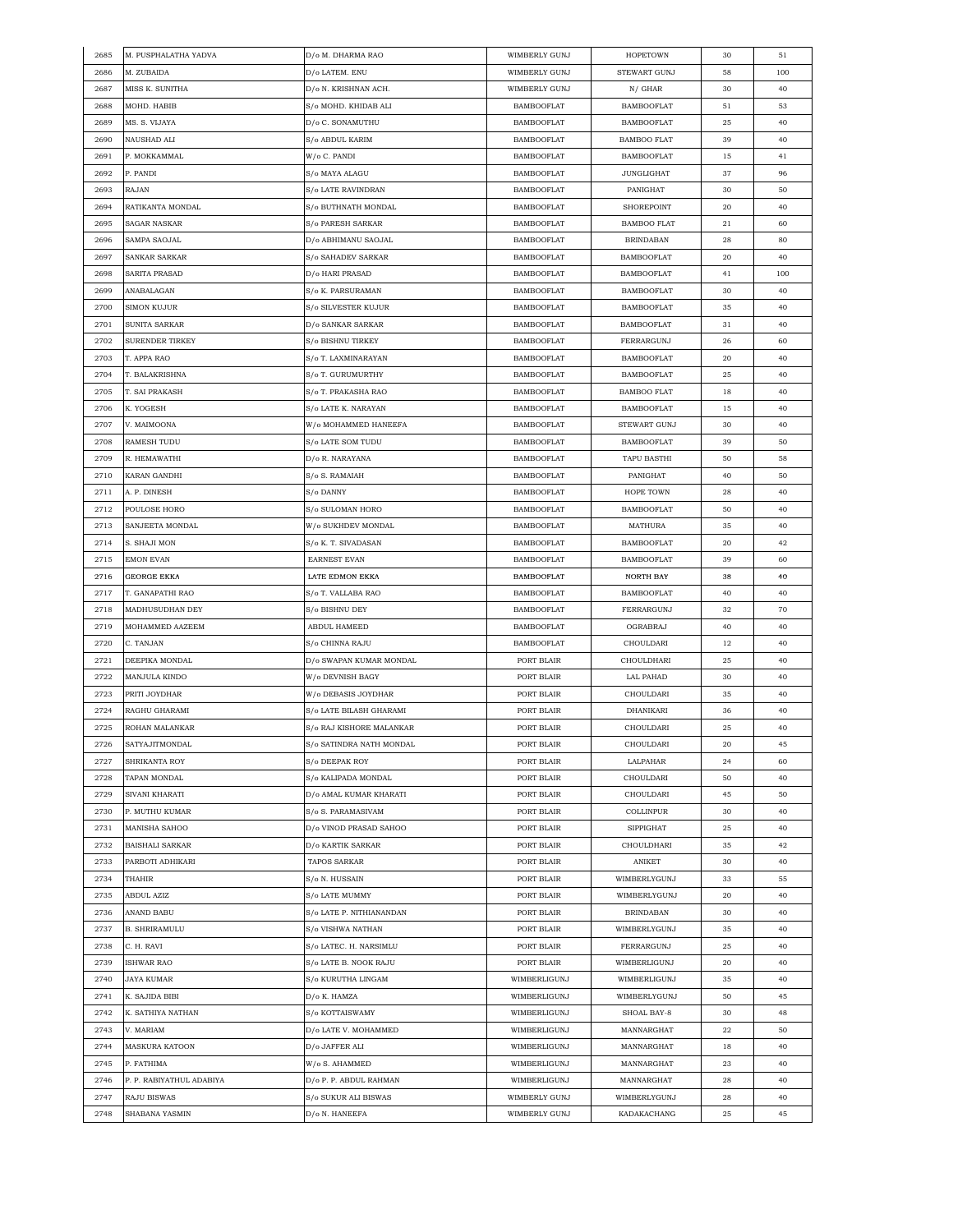| 2685 | M. PUSPHALATHA YADVA     | D/o M. DHARMA RAO                               | WIMBERLY GUNJ     | <b>HOPETOWN</b>    | 30 | 51  |
|------|--------------------------|-------------------------------------------------|-------------------|--------------------|----|-----|
| 2686 | M. ZUBAIDA               | D/o LATEM. ENU                                  | WIMBERLY GUNJ     | STEWART GUNJ       | 58 | 100 |
| 2687 | MISS K. SUNITHA          | D/o N. KRISHNAN ACH.                            | WIMBERLY GUNJ     | $N/$ GHAR          | 30 | 40  |
| 2688 | MOHD. HABIB              | S/o MOHD. KHIDAB ALI                            | <b>BAMBOOFLAT</b> | <b>BAMBOOFLAT</b>  | 51 | 53  |
| 2689 | MS. S. VIJAYA            | D/o C. SONAMUTHU                                | <b>BAMBOOFLAT</b> | <b>BAMBOOFLAT</b>  | 25 | 40  |
| 2690 | NAUSHAD ALI              | S/o ABDUL KARIM                                 | <b>BAMBOOFLAT</b> | <b>BAMBOO FLAT</b> | 39 | 40  |
| 2691 | P. MOKKAMMAL             | W/o C. PANDI                                    | <b>BAMBOOFLAT</b> | <b>BAMBOOFLAT</b>  | 15 | 41  |
| 2692 | P. PANDI                 | S/o MAYA ALAGU                                  | <b>BAMBOOFLAT</b> | <b>JUNGLIGHAT</b>  | 37 | 96  |
| 2693 | RAJAN                    | S/o LATE RAVINDRAN                              | <b>BAMBOOFLAT</b> | PANIGHAT           | 30 | 50  |
| 2694 | RATIKANTA MONDAL         | S/o BUTHNATH MONDAL                             | <b>BAMBOOFLAT</b> | SHOREPOINT         | 20 | 40  |
| 2695 | SAGAR NASKAR             | S/o PARESH SARKAR                               | <b>BAMBOOFLAT</b> | <b>BAMBOO FLAT</b> | 21 | 60  |
| 2696 | SAMPA SAOJAL             | D/o ABHIMANU SAOJAL                             | <b>BAMBOOFLAT</b> | <b>BRINDABAN</b>   | 28 | 80  |
| 2697 | SANKAR SARKAR            | S/o SAHADEV SARKAR                              | <b>BAMBOOFLAT</b> | <b>BAMBOOFLAT</b>  | 20 | 40  |
| 2698 | SARITA PRASAD            | D/o HARI PRASAD                                 | BAMBOOFLAT        | BAMBOOFLAT         | 41 | 100 |
| 2699 | ANABALAGAN               | S/o K. PARSURAMAN                               | BAMBOOFLAT        | BAMBOOFLAT         | 30 | 40  |
| 2700 | <b>SIMON KUJUR</b>       | S/o SILVESTER KUJUR                             | <b>BAMBOOFLAT</b> | <b>BAMBOOFLAT</b>  | 35 | 40  |
| 2701 | SUNITA SARKAR            | D/o SANKAR SARKAR                               | <b>BAMBOOFLAT</b> | <b>BAMBOOFLAT</b>  | 31 | 40  |
| 2702 | <b>SURENDER TIRKEY</b>   | S/o BISHNU TIRKEY                               | <b>BAMBOOFLAT</b> | FERRARGUNJ         | 26 | 60  |
|      |                          |                                                 |                   |                    |    |     |
| 2703 | T. APPA RAO              | S/o T. LAXMINARAYAN                             | <b>BAMBOOFLAT</b> | <b>BAMBOOFLAT</b>  | 20 | 40  |
| 2704 | T. BALAKRISHNA           | S/o T. GURUMURTHY                               | <b>BAMBOOFLAT</b> | <b>BAMBOOFLAT</b>  | 25 | 40  |
| 2705 | T. SAI PRAKASH           | S/o T. PRAKASHA RAO                             | <b>BAMBOOFLAT</b> | <b>BAMBOO FLAT</b> | 18 | 40  |
| 2706 | K. YOGESH                | S/o LATE K. NARAYAN                             | <b>BAMBOOFLAT</b> | <b>BAMBOOFLAT</b>  | 15 | 40  |
| 2707 | V. MAIMOONA              | W/o MOHAMMED HANEEFA                            | <b>BAMBOOFLAT</b> | STEWART GUNJ       | 30 | 40  |
| 2708 | RAMESH TUDU              | S/o LATE SOM TUDU                               | <b>BAMBOOFLAT</b> | BAMBOOFLAT         | 39 | 50  |
| 2709 | R. HEMAWATHI             | D/o R. NARAYANA                                 | <b>BAMBOOFLAT</b> | TAPU BASTHI        | 50 | 58  |
| 2710 | KARAN GANDHI             | S/o S. RAMAIAH                                  | <b>BAMBOOFLAT</b> | PANIGHAT           | 40 | 50  |
| 2711 | A. P. DINESH             | S/o DANNY                                       | <b>BAMBOOFLAT</b> | HOPE TOWN          | 28 | 40  |
| 2712 | POULOSE HORO             | S/o SULOMAN HORO                                | <b>BAMBOOFLAT</b> | <b>BAMBOOFLAT</b>  | 50 | 40  |
| 2713 | SANJEETA MONDAL          | W/o SUKHDEV MONDAL                              | BAMBOOFLAT        | MATHURA            | 35 | 40  |
| 2714 | S. SHAJI MON             | S/o K. T. SIVADASAN                             | <b>BAMBOOFLAT</b> | BAMBOOFLAT         | 20 | 42  |
| 2715 | EMON EVAN                | <b>EARNEST EVAN</b>                             | <b>BAMBOOFLAT</b> | <b>BAMBOOFLAT</b>  | 39 | 60  |
| 2716 | <b>GEORGE EKKA</b>       | LATE EDMON EKKA                                 | <b>BAMBOOFLAT</b> | NORTH BAY          | 38 | 40  |
| 2717 | T. GANAPATHI RAO         | S/o T. VALLABA RAO                              | <b>BAMBOOFLAT</b> | <b>BAMBOOFLAT</b>  | 40 | 40  |
| 2718 | MADHUSUDHAN DEY          | S/o BISHNU DEY                                  | <b>BAMBOOFLAT</b> | FERRARGUNJ         | 32 | 70  |
| 2719 | MOHAMMED AAZEEM          | ABDUL HAMEED                                    | <b>BAMBOOFLAT</b> | OGRABRAJ           | 40 | 40  |
| 2720 | C. TANJAN                | S/o CHINNA RAJU                                 | <b>BAMBOOFLAT</b> | CHOULDARI          | 12 | 40  |
| 2721 | DEEPIKA MONDAL           | D/o SWAPAN KUMAR MONDAL                         | PORT BLAIR        | CHOULDHARI         | 25 | 40  |
| 2722 | MANJULA KINDO            | W/o DEVNISH BAGY                                | PORT BLAIR        | LAL PAHAD          | 30 | 40  |
| 2723 | PRITI JOYDHAR            | W/o DEBASIS JOYDHAR                             | PORT BLAIR        | CHOULDARI          | 35 | 40  |
| 2724 | RAGHU GHARAMI            | S/o LATE BILASH GHARAMI                         | PORT BLAIR        | DHANIKARI          | 36 | 40  |
| 2725 | ROHAN MALANKAR           | S/o RAJ KISHORE MALANKAR                        | PORT BLAIR        | CHOULDARI          | 25 | 40  |
| 2726 | <b>SATYAJITMONDAL</b>    | S/o SATINDRA NATH MONDAL                        | PORT BLAIR        | CHOULDARI          | 20 | 45  |
| 2727 | SHRIKANTA ROY            | S/o DEEPAK ROY                                  | PORT BLAIR        | LALPAHAR           | 24 | 60  |
| 2728 | TAPAN MONDAL             | S/o KALIPADA MONDAL                             | PORT BLAIR        | CHOULDARI          | 50 | 40  |
| 2729 | SIVANI KHARATI           | D/o AMAL KUMAR KHARATI                          | PORT BLAIR        | CHOULDARI          | 45 | 50  |
| 2730 | P. MUTHU KUMAR           | S/o S. PARAMASIVAM                              | PORT BLAIR        | COLLINPUR          | 30 | 40  |
| 2731 | MANISHA SAHOO            | D/o VINOD PRASAD SAHOO                          | PORT BLAIR        | <b>SIPPIGHAT</b>   | 25 | 40  |
| 2732 | <b>BAISHALI SARKAR</b>   | D/o KARTIK SARKAR                               | PORT BLAIR        | CHOULDHARI         | 35 | 42  |
| 2733 | PARBOTI ADHIKARI         | TAPOS SARKAR                                    | PORT BLAIR        | ANIKET             | 30 | 40  |
| 2734 | THAHIR                   | S/o N. HUSSAIN                                  | PORT BLAIR        | WIMBERLYGUNJ       | 33 | 55  |
| 2735 | ABDUL AZIZ               | S/o LATE MUMMY                                  | PORT BLAIR        | WIMBERLYGUNJ       | 20 | 40  |
| 2736 | ANAND BABU               | S/o LATE P. NITHIANANDAN                        | PORT BLAIR        | <b>BRINDABAN</b>   | 30 | 40  |
| 2737 | <b>B. SHRIRAMULU</b>     | S/o VISHWA NATHAN                               | PORT BLAIR        | WIMBERLYGUNJ       | 35 | 40  |
|      | C. H. RAVI               |                                                 |                   |                    |    |     |
| 2738 |                          | S/o LATEC. H. NARSIMLU<br>S/o LATE B. NOOK RAJU | PORT BLAIR        | FERRARGUNJ         | 25 | 40  |
| 2739 | ISHWAR RAO               |                                                 | PORT BLAIR        | WIMBERLIGUNJ       | 20 | 40  |
| 2740 | JAYA KUMAR               | S/o KURUTHA LINGAM                              | WIMBERLIGUNJ      | WIMBERLIGUNJ       | 35 | 40  |
| 2741 | K. SAJIDA BIBI           | D/o K. HAMZA                                    | WIMBERLIGUNJ      | WIMBERLYGUNJ       | 50 | 45  |
| 2742 | K. SATHIYA NATHAN        | S/o KOTTAISWAMY                                 | WIMBERLIGUNJ      | SHOAL BAY-8        | 30 | 48  |
| 2743 | V. MARIAM                | D/o LATE V. MOHAMMED                            | WIMBERLIGUNJ      | MANNARGHAT         | 22 | 50  |
| 2744 | <b>MASKURA KATOON</b>    | D/o JAFFER ALI                                  | WIMBERLIGUNJ      | MANNARGHAT         | 18 | 40  |
| 2745 | P. FATHIMA               | W/o S. AHAMMED                                  | WIMBERLIGUNJ      | MANNARGHAT         | 23 | 40  |
| 2746 | P. P. RABIYATHUL ADABIYA | D/o P. P. ABDUL RAHMAN                          | WIMBERLIGUNJ      | MANNARGHAT         | 28 | 40  |
| 2747 | <b>RAJU BISWAS</b>       | S/o SUKUR ALI BISWAS                            | WIMBERLY GUNJ     | WIMBERLYGUNJ       | 28 | 40  |
| 2748 | SHABANA YASMIN           | D/o N. HANEEFA                                  | WIMBERLY GUNJ     | KADAKACHANG        | 25 | 45  |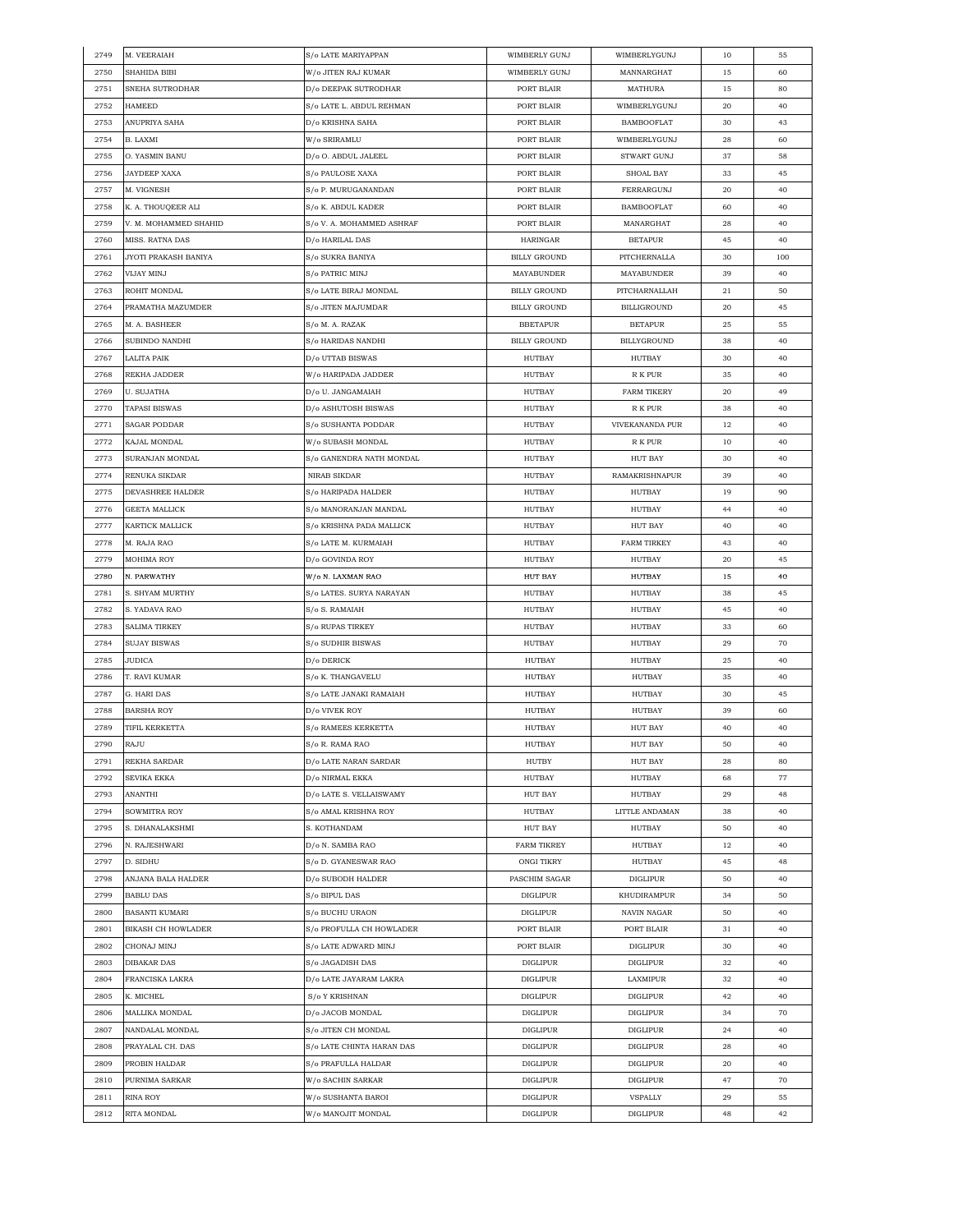| 2749 | M. VEERAIAH               | S/o LATE MARIYAPPAN                 | WIMBERLY GUNJ       | WIMBERLYGUNJ          | 10 | 55  |
|------|---------------------------|-------------------------------------|---------------------|-----------------------|----|-----|
| 2750 | SHAHIDA BIBI              | W/o JITEN RAJ KUMAR                 | WIMBERLY GUNJ       | MANNARGHAT            | 15 | 60  |
| 2751 | SNEHA SUTRODHAR           | D/o DEEPAK SUTRODHAR                | PORT BLAIR          | MATHURA               | 15 | 80  |
| 2752 | <b>HAMEED</b>             | S/o LATE L. ABDUL REHMAN            | PORT BLAIR          | WIMBERLYGUNJ          | 20 | 40  |
| 2753 | ANUPRIYA SAHA             | D/o KRISHNA SAHA                    | PORT BLAIR          | BAMBOOFLAT            | 30 | 43  |
| 2754 | <b>B. LAXMI</b>           | W/o SRIRAMLU                        | PORT BLAIR          | WIMBERLYGUNJ          | 28 | 60  |
| 2755 | O. YASMIN BANU            | D/o O. ABDUL JALEEL                 | PORT BLAIR          | STWART GUNJ           | 37 | 58  |
| 2756 | JAYDEEP XAXA              | S/o PAULOSE XAXA                    | PORT BLAIR          | SHOAL BAY             | 33 | 45  |
| 2757 | M. VIGNESH                | S/o P. MURUGANANDAN                 | PORT BLAIR          | FERRARGUNJ            | 20 | 40  |
| 2758 | K. A. THOUQEER ALI        | S/o K. ABDUL KADER                  | PORT BLAIR          | <b>BAMBOOFLAT</b>     | 60 | 40  |
|      |                           | S/o V. A. MOHAMMED ASHRAF           |                     |                       |    |     |
| 2759 | V. M. MOHAMMED SHAHID     |                                     | PORT BLAIR          | MANARGHAT             | 28 | 40  |
| 2760 | MISS. RATNA DAS           | D/o HARILAL DAS                     | HARINGAR            | <b>BETAPUR</b>        | 45 | 40  |
| 2761 | JYOTI PRAKASH BANIYA      | S/o SUKRA BANIYA                    | <b>BILLY GROUND</b> | PITCHERNALLA          | 30 | 100 |
| 2762 | VIJAY MINJ                | S/o PATRIC MINJ                     | MAYABUNDER          | MAYABUNDER            | 39 | 40  |
| 2763 | ROHIT MONDAL              | S/o LATE BIRAJ MONDAL               | <b>BILLY GROUND</b> | PITCHARNALLAH         | 21 | 50  |
| 2764 | PRAMATHA MAZUMDER         | S/o JITEN MAJUMDAR                  | <b>BILLY GROUND</b> | <b>BILLIGROUND</b>    | 20 | 45  |
| 2765 | M. A. BASHEER             | S/o M. A. RAZAK                     | <b>BBETAPUR</b>     | <b>BETAPUR</b>        | 25 | 55  |
| 2766 | SUBINDO NANDHI            | S/o HARIDAS NANDHI                  | <b>BILLY GROUND</b> | <b>BILLYGROUND</b>    | 38 | 40  |
| 2767 | LALITA PAIK               | D/o UTTAB BISWAS                    | HUTBAY              | HUTBAY                | 30 | 40  |
| 2768 | REKHA JADDER              | W/o HARIPADA JADDER                 | HUTBAY              | R K PUR               | 35 | 40  |
| 2769 | <b>U. SUJATHA</b>         | D/o U. JANGAMAIAH                   | HUTBAY              | <b>FARM TIKERY</b>    | 20 | 49  |
| 2770 | TAPASI BISWAS             | D/o ASHUTOSH BISWAS                 | HUTBAY              | R K PUR               | 38 | 40  |
| 2771 | SAGAR PODDAR              | S/o SUSHANTA PODDAR                 | <b>HUTBAY</b>       | VIVEKANANDA PUR       | 12 | 40  |
| 2772 | KAJAL MONDAL              | W/o SUBASH MONDAL                   | HUTBAY              | R K PUR               | 10 | 40  |
| 2773 | SURANJAN MONDAL           | S/o GANENDRA NATH MONDAL            | HUTBAY              | HUT BAY               | 30 | 40  |
| 2774 | RENUKA SIKDAR             | NIRAB SIKDAR                        | HUTBAY              | <b>RAMAKRISHNAPUR</b> | 39 | 40  |
| 2775 | DEVASHREE HALDER          | S/o HARIPADA HALDER                 | HUTBAY              | HUTBAY                | 19 | 90  |
| 2776 | GEETA MALLICK             | S/o MANORANJAN MANDAL               | <b>HUTBAY</b>       | <b>HUTBAY</b>         | 44 | 40  |
| 2777 | KARTICK MALLICK           | S/o KRISHNA PADA MALLICK            | HUTBAY              | <b>HUT BAY</b>        | 40 | 40  |
| 2778 | M. RAJA RAO               | S/o LATE M. KURMAIAH                | HUTBAY              | <b>FARM TIRKEY</b>    | 43 | 40  |
| 2779 | <b>MOHIMA ROY</b>         | D/o GOVINDA ROY                     | HUTBAY              | HUTBAY                | 20 |     |
|      |                           |                                     |                     |                       |    | 45  |
| 2780 | N. PARWATHY               | W/o N. LAXMAN RAO                   | <b>HUT BAY</b>      | HUTBAY                | 15 | 40  |
| 2781 | S. SHYAM MURTHY           | S/o LATES. SURYA NARAYAN            | <b>HUTBAY</b>       | HUTBAY                | 38 | 45  |
| 2782 | S. YADAVA RAO             | S/o S. RAMAIAH                      | HUTBAY              | HUTBAY                | 45 | 40  |
| 2783 | <b>SALIMA TIRKEY</b>      | <b>S/o RUPAS TIRKEY</b>             | HUTBAY              | HUTBAY                | 33 | 60  |
| 2784 | <b>SUJAY BISWAS</b>       | S/o SUDHIR BISWAS                   | HUTBAY              | HUTBAY                | 29 | 70  |
| 2785 | JUDICA                    | D/o DERICK                          | HUTBAY              | HUTBAY                | 25 | 40  |
| 2786 | T. RAVI KUMAR             | S/o K. THANGAVELU                   | HUTBAY              | HUTBAY                | 35 | 40  |
| 2787 | G. HARI DAS               | S/o LATE JANAKI RAMAIAH             | HUTBAY              | HUTBAY                | 30 | 45  |
| 2788 | <b>BARSHA ROY</b>         | D/o VIVEK ROY                       | HUTBAY              | <b>HUTBAY</b>         | 39 | 60  |
| 2789 | TIFIL KERKETTA            | <b>S/o RAMEES KERKETTA</b>          | HUTBAY              | HUT BAY               | 40 | 40  |
| 2790 | <b>RAJU</b>               | $\mathrm{S}/\mathrm{o}$ R. RAMA RAO | <b>HUTBAY</b>       | <b>HUT BAY</b>        | 50 | 40  |
| 2791 | REKHA SARDAR              | D/o LATE NARAN SARDAR               | HUTBY               | HUT BAY               | 28 | 80  |
| 2792 | <b>SEVIKA EKKA</b>        | D/o NIRMAL EKKA                     | HUTBAY              | HUTBAY                | 68 | 77  |
| 2793 | ANANTHI                   | D/o LATE S. VELLAISWAMY             | HUT BAY             | HUTBAY                | 29 | 48  |
| 2794 | SOWMITRA ROY              | S/o AMAL KRISHNA ROY                | HUTBAY              | LITTLE ANDAMAN        | 38 | 40  |
| 2795 | S. DHANALAKSHMI           | S. KOTHANDAM                        | <b>HUT BAY</b>      | HUTBAY                | 50 | 40  |
| 2796 | N. RAJESHWARI             | D/o N. SAMBA RAO                    | <b>FARM TIKREY</b>  | HUTBAY                | 12 | 40  |
| 2797 | D. SIDHU                  | S/o D. GYANESWAR RAO                | ONGI TIKRY          | HUTBAY                | 45 | 48  |
| 2798 | ANJANA BALA HALDER        | D/o SUBODH HALDER                   | PASCHIM SAGAR       | <b>DIGLIPUR</b>       | 50 | 40  |
| 2799 | <b>BABLU DAS</b>          | S/o BIPUL DAS                       | <b>DIGLIPUR</b>     | KHUDIRAMPUR           | 34 | 50  |
| 2800 | <b>BASANTI KUMARI</b>     | S/o BUCHU URAON                     | <b>DIGLIPUR</b>     | NAVIN NAGAR           | 50 | 40  |
| 2801 | <b>BIKASH CH HOWLADER</b> | S/o PROFULLA CH HOWLADER            | PORT BLAIR          | PORT BLAIR            | 31 | 40  |
| 2802 | CHONAJ MINJ               | S/o LATE ADWARD MINJ                | PORT BLAIR          | <b>DIGLIPUR</b>       | 30 | 40  |
|      | DIBAKAR DAS               | S/o JAGADISH DAS                    |                     | <b>DIGLIPUR</b>       |    | 40  |
| 2803 |                           |                                     | DIGLIPUR            |                       | 32 |     |
| 2804 | FRANCISKA LAKRA           | D/o LATE JAYARAM LAKRA              | <b>DIGLIPUR</b>     | LAXMIPUR              | 32 | 40  |
| 2805 | K. MICHEL                 | S/o Y KRISHNAN                      | <b>DIGLIPUR</b>     | <b>DIGLIPUR</b>       | 42 | 40  |
| 2806 | MALLIKA MONDAL            | D/o JACOB MONDAL                    | <b>DIGLIPUR</b>     | <b>DIGLIPUR</b>       | 34 | 70  |
| 2807 | NANDALAL MONDAL           | S/o JITEN CH MONDAL                 | DIGLIPUR            | DIGLIPUR              | 24 | 40  |
| 2808 | PRAYALAL CH. DAS          | S/o LATE CHINTA HARAN DAS           | DIGLIPUR            | <b>DIGLIPUR</b>       | 28 | 40  |
| 2809 | PROBIN HALDAR             | S/o PRAFULLA HALDAR                 | <b>DIGLIPUR</b>     | DIGLIPUR              | 20 | 40  |
| 2810 | PURNIMA SARKAR            | W/o SACHIN SARKAR                   | <b>DIGLIPUR</b>     | <b>DIGLIPUR</b>       | 47 | 70  |
| 2811 | RINA ROY                  | W/o SUSHANTA BAROI                  | <b>DIGLIPUR</b>     | <b>VSPALLY</b>        | 29 | 55  |
| 2812 | RITA MONDAL               | W/o MANOJIT MONDAL                  | <b>DIGLIPUR</b>     | <b>DIGLIPUR</b>       | 48 | 42  |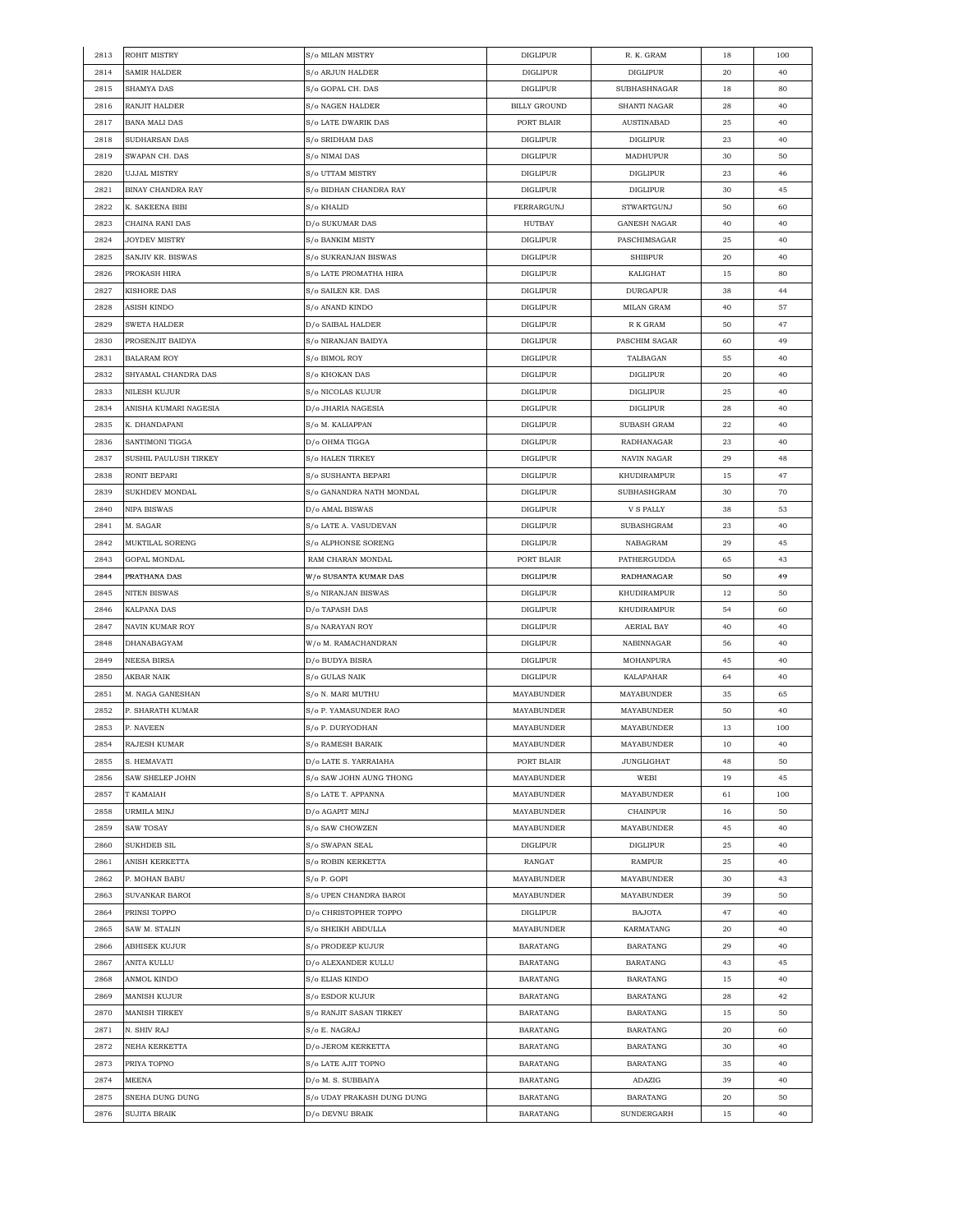| 2813         | <b>ROHIT MISTRY</b>                    | S/o MILAN MISTRY           | <b>DIGLIPUR</b>               | R. K. GRAM                    | 18       | 100 |
|--------------|----------------------------------------|----------------------------|-------------------------------|-------------------------------|----------|-----|
| 2814         | <b>SAMIR HALDER</b>                    | S/o ARJUN HALDER           | <b>DIGLIPUR</b>               | <b>DIGLIPUR</b>               | 20       | 40  |
| 2815         | SHAMYA DAS                             | S/o GOPAL CH. DAS          | <b>DIGLIPUR</b>               | <b>SUBHASHNAGAR</b>           | 18       | 80  |
| 2816         | RANJIT HALDER                          | S/o NAGEN HALDER           | <b>BILLY GROUND</b>           | SHANTI NAGAR                  | 28       | 40  |
| 2817         | <b>BANA MALI DAS</b>                   | S/o LATE DWARIK DAS        | PORT BLAIR                    | AUSTINABAD                    | 25       | 40  |
| 2818         | SUDHARSAN DAS                          | S/o SRIDHAM DAS            | <b>DIGLIPUR</b>               | <b>DIGLIPUR</b>               | 23       | 40  |
| 2819         | SWAPAN CH. DAS                         | S/o NIMAI DAS              | <b>DIGLIPUR</b>               | MADHUPUR                      | 30       | 50  |
| 2820         | <b>UJJAL MISTRY</b>                    | S/o UTTAM MISTRY           | <b>DIGLIPUR</b>               | <b>DIGLIPUR</b>               | 23       | 46  |
| 2821         | BINAY CHANDRA RAY                      | S/o BIDHAN CHANDRA RAY     | <b>DIGLIPUR</b>               | <b>DIGLIPUR</b>               | 30       | 45  |
| 2822         | K. SAKEENA BIBI                        | S/o KHALID                 | FERRARGUNJ                    | <b>STWARTGUNJ</b>             | 50       | 60  |
|              |                                        |                            |                               |                               |          |     |
| 2823         | CHAINA RANI DAS                        | D/o SUKUMAR DAS            | HUTBAY                        | <b>GANESH NAGAR</b>           | 40       | 40  |
| 2824         | <b>JOYDEV MISTRY</b>                   | S/o BANKIM MISTY           | <b>DIGLIPUR</b>               | PASCHIMSAGAR                  | 25       | 40  |
| 2825         | SANJIV KR. BISWAS                      | S/o SUKRANJAN BISWAS       | <b>DIGLIPUR</b>               | <b>SHIBPUR</b>                | 20       | 40  |
| 2826         | PROKASH HIRA                           | S/o LATE PROMATHA HIRA     | <b>DIGLIPUR</b>               | KALIGHAT                      | 15       | 80  |
| 2827         | KISHORE DAS                            | S/o SAILEN KR. DAS         | <b>DIGLIPUR</b>               | DURGAPUR                      | 38       | 44  |
| 2828         | ASISH KINDO                            | S/o ANAND KINDO            | <b>DIGLIPUR</b>               | MILAN GRAM                    | 40       | 57  |
| 2829         | SWETA HALDER                           | D/o SAIBAL HALDER          | <b>DIGLIPUR</b>               | R K GRAM                      | 50       | 47  |
| 2830         | PROSENJIT BAIDYA                       | S/o NIRANJAN BAIDYA        | <b>DIGLIPUR</b>               | PASCHIM SAGAR                 | 60       | 49  |
| 2831         | <b>BALARAM ROY</b>                     | S/o BIMOL ROY              | <b>DIGLIPUR</b>               | TALBAGAN                      | 55       | 40  |
| 2832         | SHYAMAL CHANDRA DAS                    | S/o KHOKAN DAS             | DIGLIPUR                      | DIGLIPUR                      | 20       | 40  |
| 2833         | NILESH KUJUR                           | S/o NICOLAS KUJUR          | <b>DIGLIPUR</b>               | <b>DIGLIPUR</b>               | 25       | 40  |
| 2834         | ANISHA KUMARI NAGESIA                  | D/o JHARIA NAGESIA         | <b>DIGLIPUR</b>               | <b>DIGLIPUR</b>               | 28       | 40  |
| 2835         | K. DHANDAPANI                          | S/o M. KALIAPPAN           | <b>DIGLIPUR</b>               | SUBASH GRAM                   | 22       | 40  |
| 2836         | SANTIMONI TIGGA                        | D/o OHMA TIGGA             | <b>DIGLIPUR</b>               | RADHANAGAR                    | 23       | 40  |
| 2837         | SUSHIL PAULUSH TIRKEY                  | <b>S/o HALEN TIRKEY</b>    | <b>DIGLIPUR</b>               | NAVIN NAGAR                   | 29       | 48  |
| 2838         | RONIT BEPARI                           | S/o SUSHANTA BEPARI        | <b>DIGLIPUR</b>               | KHUDIRAMPUR                   | 15       | 47  |
| 2839         | SUKHDEV MONDAL                         | S/o GANANDRA NATH MONDAL   | <b>DIGLIPUR</b>               | SUBHASHGRAM                   | 30       | 70  |
|              |                                        |                            |                               |                               |          |     |
| 2840         | NIPA BISWAS                            | D/o AMAL BISWAS            | <b>DIGLIPUR</b>               | <b>V S PALLY</b>              | 38       | 53  |
| 2841         | M. SAGAR                               | S/o LATE A. VASUDEVAN      | <b>DIGLIPUR</b>               | SUBASHGRAM                    | 23       | 40  |
| 2842         | MUKTILAL SORENG                        | S/o ALPHONSE SORENG        | <b>DIGLIPUR</b>               | NABAGRAM                      | 29       | 45  |
| 2843         | GOPAL MONDAL                           | RAM CHARAN MONDAL          | PORT BLAIR                    | PATHERGUDDA                   | 65       | 43  |
| 2844         | PRATHANA DAS                           | W/o SUSANTA KUMAR DAS      | <b>DIGLIPUR</b>               | RADHANAGAR                    | 50       | 49  |
| 2845         | <b>NITEN BISWAS</b>                    | S/o NIRANJAN BISWAS        | <b>DIGLIPUR</b>               | KHUDIRAMPUR                   | 12       | 50  |
| 2846         | KALPANA DAS                            | D/o TAPASH DAS             | <b>DIGLIPUR</b>               | KHUDIRAMPUR                   | 54       | 60  |
| 2847         | NAVIN KUMAR ROY                        | S/o NARAYAN ROY            | DIGLIPUR                      | AERIAL BAY                    | 40       | 40  |
| 2848         | DHANABAGYAM                            | W/o M. RAMACHANDRAN        | <b>DIGLIPUR</b>               | NABINNAGAR                    | 56       | 40  |
| 2849         | <b>NEESA BIRSA</b>                     | D/o BUDYA BISRA            | <b>DIGLIPUR</b>               | MOHANPURA                     | 45       | 40  |
| 2850         | AKBAR NAIK                             | S/o GULAS NAIK             | <b>DIGLIPUR</b>               | KALAPAHAR                     | 64       | 40  |
| 2851         | M. NAGA GANESHAN                       | S/o N. MARI MUTHU          | MAYABUNDER                    | MAYABUNDER                    | 35       | 65  |
| 2852         | P. SHARATH KUMAR                       | S/o P. YAMASUNDER RAO      | <b>MAYABUNDER</b>             | MAYABUNDER                    | 50       | 40  |
| 2853         | P. NAVEEN                              | S/o P. DURYODHAN           | MAYABUNDER                    | MAYABUNDER                    | 13       | 100 |
| 2854         | <b>RAJESH KUMAR</b>                    | S/o RAMESH BARAIK          | <b>MAYABUNDER</b>             | <b>MAYABUNDER</b>             | 10       | 40  |
| 2855         | S. HEMAVATI                            | D/o LATE S. YARRAIAHA      | PORT BLAIR                    | <b>JUNGLIGHAT</b>             | 48       | 50  |
| 2856         | SAW SHELEP JOHN                        | S/o SAW JOHN AUNG THONG    | MAYABUNDER                    | WEBI                          | 19       | 45  |
| 2857         | T KAMAIAH                              | S/o LATE T. APPANNA        | <b>MAYABUNDER</b>             | MAYABUNDER                    | 61       | 100 |
| 2858         | URMILA MINJ                            | D/o AGAPIT MINJ            | MAYABUNDER                    | CHAINPUR                      | 16       | 50  |
|              |                                        | S/o SAW CHOWZEN            |                               |                               |          | 40  |
| 2859<br>2860 | <b>SAW TOSAY</b><br><b>SUKHDEB SIL</b> | S/o SWAPAN SEAL            | MAYABUNDER<br><b>DIGLIPUR</b> | MAYABUNDER<br><b>DIGLIPUR</b> | 45<br>25 | 40  |
|              |                                        |                            |                               |                               |          |     |
| 2861         | ANISH KERKETTA                         | S/o ROBIN KERKETTA         | RANGAT                        | RAMPUR                        | 25       | 40  |
| 2862         | P. MOHAN BABU                          | S/o P. GOPI                | MAYABUNDER                    | <b>MAYABUNDER</b>             | 30       | 43  |
| 2863         | SUVANKAR BAROI                         | S/o UPEN CHANDRA BAROI     | MAYABUNDER                    | MAYABUNDER                    | 39       | 50  |
| 2864         | PRINSI TOPPO                           | D/o CHRISTOPHER TOPPO      | <b>DIGLIPUR</b>               | <b>BAJOTA</b>                 | 47       | 40  |
| 2865         | SAW M. STALIN                          | S/o SHEIKH ABDULLA         | MAYABUNDER                    | KARMATANG                     | 20       | 40  |
| 2866         | ABHISEK KUJUR                          | S/o PRODEEP KUJUR          | <b>BARATANG</b>               | <b>BARATANG</b>               | 29       | 40  |
| 2867         | ANITA KULLU                            | D/o ALEXANDER KULLU        | BARATANG                      | <b>BARATANG</b>               | 43       | 45  |
| 2868         | ANMOL KINDO                            | S/o ELIAS KINDO            | <b>BARATANG</b>               | <b>BARATANG</b>               | 15       | 40  |
| 2869         | <b>MANISH KUJUR</b>                    | S/o ESDOR KUJUR            | <b>BARATANG</b>               | <b>BARATANG</b>               | 28       | 42  |
| 2870         | <b>MANISH TIRKEY</b>                   | S/o RANJIT SASAN TIRKEY    | <b>BARATANG</b>               | <b>BARATANG</b>               | 15       | 50  |
| 2871         | N. SHIV RAJ                            | S/o E. NAGRAJ              | BARATANG                      | BARATANG                      | 20       | 60  |
| 2872         | NEHA KERKETTA                          | D/o JEROM KERKETTA         | BARATANG                      | BARATANG                      | 30       | 40  |
| 2873         | PRIYA TOPNO                            | S/o LATE AJIT TOPNO        | <b>BARATANG</b>               | <b>BARATANG</b>               | 35       | 40  |
| 2874         | MEENA                                  | D/o M. S. SUBBAIYA         | <b>BARATANG</b>               | ADAZIG                        | 39       | 40  |
| 2875         | SNEHA DUNG DUNG                        | S/o UDAY PRAKASH DUNG DUNG | <b>BARATANG</b>               | <b>BARATANG</b>               | 20       | 50  |
|              |                                        |                            |                               |                               |          |     |
| 2876         | SUJITA BRAIK                           | D/o DEVNU BRAIK            | <b>BARATANG</b>               | SUNDERGARH                    | 15       | 40  |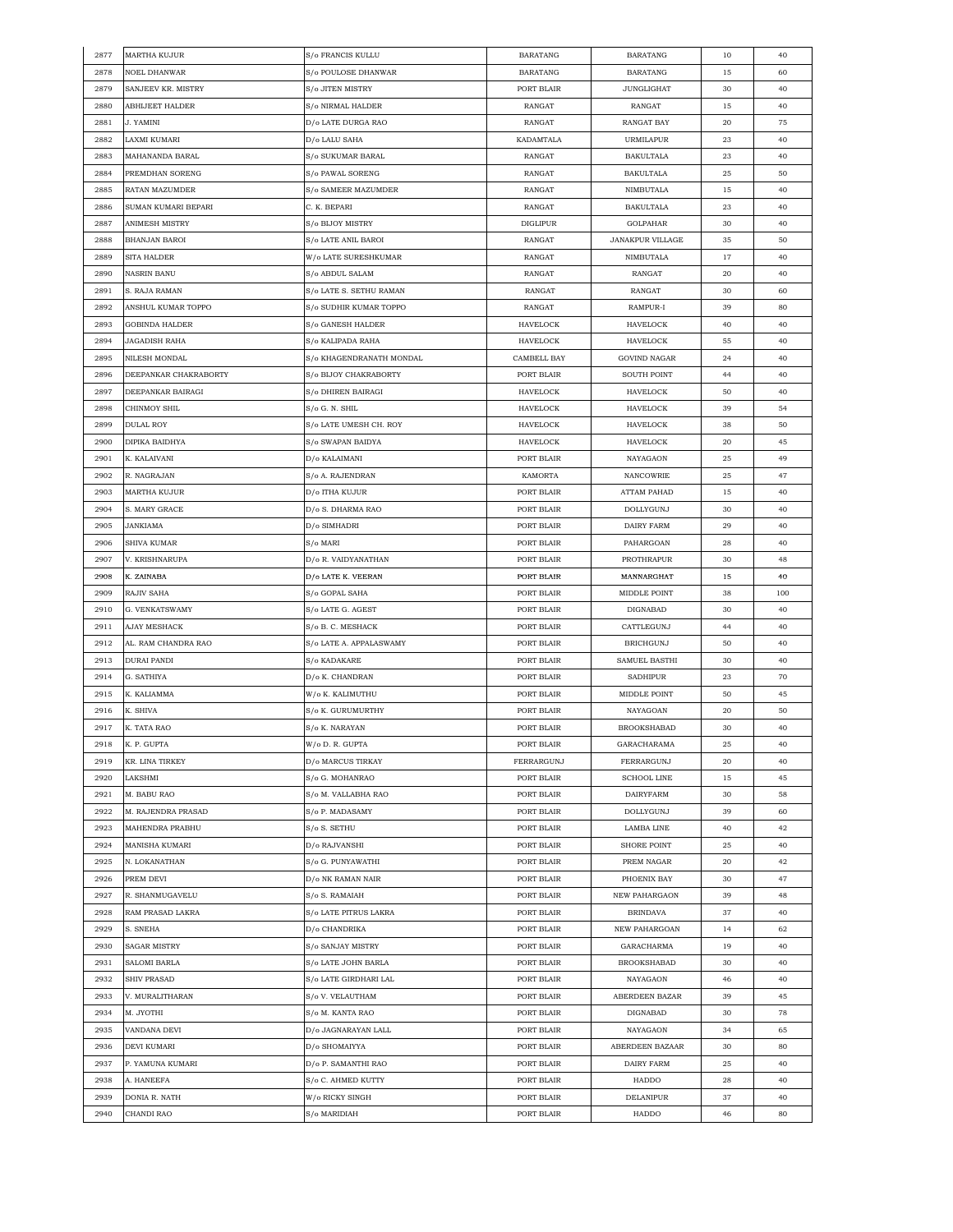| 2877 | <b>MARTHA KUJUR</b>    | S/o FRANCIS KULLU        | <b>BARATANG</b>    | <b>BARATANG</b>         | 10 | 40  |
|------|------------------------|--------------------------|--------------------|-------------------------|----|-----|
| 2878 | NOEL DHANWAR           | S/o POULOSE DHANWAR      | <b>BARATANG</b>    | <b>BARATANG</b>         | 15 | 60  |
| 2879 | SANJEEV KR. MISTRY     | S/o JITEN MISTRY         | PORT BLAIR         | <b>JUNGLIGHAT</b>       | 30 | 40  |
| 2880 | <b>ABHIJEET HALDER</b> | S/o NIRMAL HALDER        | RANGAT             | RANGAT                  | 15 | 40  |
| 2881 | J. YAMINI              | D/o LATE DURGA RAO       | RANGAT             | RANGAT BAY              | 20 | 75  |
| 2882 | LAXMI KUMARI           | D/o LALU SAHA            | KADAMTALA          | <b>URMILAPUR</b>        | 23 | 40  |
| 2883 | MAHANANDA BARAL        | S/o SUKUMAR BARAL        | RANGAT             | <b>BAKULTALA</b>        | 23 | 40  |
| 2884 | PREMDHAN SORENG        | S/o PAWAL SORENG         | RANGAT             | <b>BAKULTALA</b>        | 25 | 50  |
| 2885 | RATAN MAZUMDER         | S/o SAMEER MAZUMDER      | RANGAT             | NIMBUTALA               | 15 | 40  |
|      |                        |                          |                    |                         |    |     |
| 2886 | SUMAN KUMARI BEPARI    | C. K. BEPARI             | RANGAT             | <b>BAKULTALA</b>        | 23 | 40  |
| 2887 | ANIMESH MISTRY         | S/o BIJOY MISTRY         | <b>DIGLIPUR</b>    | GOLPAHAR                | 30 | 40  |
| 2888 | BHANJAN BAROI          | S/o LATE ANIL BAROI      | RANGAT             | <b>JANAKPUR VILLAGE</b> | 35 | 50  |
| 2889 | SITA HALDER            | W/o LATE SURESHKUMAR     | RANGAT             | NIMBUTALA               | 17 | 40  |
| 2890 | <b>NASRIN BANU</b>     | S/o ABDUL SALAM          | RANGAT             | RANGAT                  | 20 | 40  |
| 2891 | S. RAJA RAMAN          | S/o LATE S. SETHU RAMAN  | RANGAT             | RANGAT                  | 30 | 60  |
| 2892 | ANSHUL KUMAR TOPPO     | S/o SUDHIR KUMAR TOPPO   | RANGAT             | RAMPUR-I                | 39 | 80  |
| 2893 | GOBINDA HALDER         | S/o GANESH HALDER        | HAVELOCK           | HAVELOCK                | 40 | 40  |
| 2894 | <b>JAGADISH RAHA</b>   | S/o KALIPADA RAHA        | HAVELOCK           | HAVELOCK                | 55 | 40  |
| 2895 | <b>NILESH MONDAL</b>   | S/o KHAGENDRANATH MONDAL | <b>CAMBELL BAY</b> | <b>GOVIND NAGAR</b>     | 24 | 40  |
| 2896 | DEEPANKAR CHAKRABORTY  | S/o BIJOY CHAKRABORTY    | PORT BLAIR         | SOUTH POINT             | 44 | 40  |
| 2897 | DEEPANKAR BAIRAGI      | S/o DHIREN BAIRAGI       | HAVELOCK           | HAVELOCK                | 50 | 40  |
| 2898 | CHINMOY SHIL           | S/o G. N. SHIL           | HAVELOCK           | HAVELOCK                | 39 | 54  |
| 2899 | <b>DULAL ROY</b>       | S/o LATE UMESH CH. ROY   | HAVELOCK           | <b>HAVELOCK</b>         | 38 | 50  |
| 2900 | DIPIKA BAIDHYA         | S/o SWAPAN BAIDYA        | <b>HAVELOCK</b>    | <b>HAVELOCK</b>         | 20 | 45  |
|      |                        |                          |                    |                         |    |     |
| 2901 | K. KALAIVANI           | D/o KALAIMANI            | PORT BLAIR         | NAYAGAON                | 25 | 49  |
| 2902 | R. NAGRAJAN            | S/o A. RAJENDRAN         | KAMORTA            | NANCOWRIE               | 25 | 47  |
| 2903 | <b>MARTHA KUJUR</b>    | D/o ITHA KUJUR           | PORT BLAIR         | ATTAM PAHAD             | 15 | 40  |
| 2904 | S. MARY GRACE          | D/o S. DHARMA RAO        | PORT BLAIR         | DOLLYGUNJ               | 30 | 40  |
| 2905 | JANKIAMA               | D/o SIMHADRI             | PORT BLAIR         | DAIRY FARM              | 29 | 40  |
| 2906 | SHIVA KUMAR            | S/o MARI                 | PORT BLAIR         | PAHARGOAN               | 28 | 40  |
| 2907 | V. KRISHNARUPA         | D/o R. VAIDYANATHAN      | PORT BLAIR         | PROTHRAPUR              | 30 | 48  |
| 2908 | K. ZAINABA             | D/o LATE K. VEERAN       | PORT BLAIR         | MANNARGHAT              | 15 | 40  |
| 2909 | RAJIV SAHA             | S/o GOPAL SAHA           | PORT BLAIR         | MIDDLE POINT            | 38 | 100 |
| 2910 | G. VENKATSWAMY         | S/o LATE G. AGEST        | PORT BLAIR         | DIGNABAD                | 30 | 40  |
| 2911 | <b>AJAY MESHACK</b>    | S/o B. C. MESHACK        | PORT BLAIR         | CATTLEGUNJ              | 44 | 40  |
| 2912 | AL. RAM CHANDRA RAO    | S/o LATE A. APPALASWAMY  | PORT BLAIR         | <b>BRICHGUNJ</b>        | 50 | 40  |
| 2913 | <b>DURAI PANDI</b>     | S/o KADAKARE             | PORT BLAIR         | SAMUEL BASTHI           | 30 | 40  |
| 2914 | G. SATHIYA             | D/o K. CHANDRAN          | PORT BLAIR         | <b>SADHIPUR</b>         | 23 | 70  |
| 2915 | K. KALIAMMA            | W/o K. KALIMUTHU         | PORT BLAIR         | MIDDLE POINT            | 50 | 45  |
| 2916 | K. SHIVA               | S/o K. GURUMURTHY        | PORT BLAIR         | NAYAGOAN                | 20 | 50  |
| 2917 | K. TATA RAO            | S/o K. NARAYAN           | PORT BLAIR         | <b>BROOKSHABAD</b>      | 30 | 40  |
|      |                        |                          |                    | <b>GARACHARAMA</b>      |    |     |
| 2918 | K. P. GUPTA            | W/o D. R. GUPTA          | PORT BLAIR         |                         | 25 | 40  |
| 2919 | KR. LINA TIRKEY        | D/o MARCUS TIRKAY        | FERRARGUNJ         | FERRARGUNJ              | 20 | 40  |
| 2920 | LAKSHMI                | S/o G. MOHANRAO          | PORT BLAIR         | <b>SCHOOL LINE</b>      | 15 | 45  |
| 2921 | M. BABU RAO            | S/o M. VALLABHA RAO      | PORT BLAIR         | <b>DAIRYFARM</b>        | 30 | 58  |
| 2922 | M. RAJENDRA PRASAD     | S/o P. MADASAMY          | PORT BLAIR         | <b>DOLLYGUNJ</b>        | 39 | 60  |
| 2923 | MAHENDRA PRABHU        | S/o S. SETHU             | PORT BLAIR         | LAMBA LINE              | 40 | 42  |
| 2924 | MANISHA KUMARI         | D/o RAJVANSHI            | PORT BLAIR         | SHORE POINT             | 25 | 40  |
| 2925 | N. LOKANATHAN          | S/o G. PUNYAWATHI        | PORT BLAIR         | PREM NAGAR              | 20 | 42  |
| 2926 | PREM DEVI              | D/o NK RAMAN NAIR        | PORT BLAIR         | PHOENIX BAY             | 30 | 47  |
| 2927 | R. SHANMUGAVELU        | S/o S. RAMAIAH           | PORT BLAIR         | NEW PAHARGAON           | 39 | 48  |
| 2928 | RAM PRASAD LAKRA       | S/o LATE PITRUS LAKRA    | PORT BLAIR         | <b>BRINDAVA</b>         | 37 | 40  |
| 2929 | S. SNEHA               | D/o CHANDRIKA            | PORT BLAIR         | NEW PAHARGOAN           | 14 | 62  |
| 2930 | <b>SAGAR MISTRY</b>    | S/o SANJAY MISTRY        | PORT BLAIR         | GARACHARMA              | 19 | 40  |
| 2931 | SALOMI BARLA           | S/o LATE JOHN BARLA      | PORT BLAIR         | <b>BROOKSHABAD</b>      | 30 | 40  |
| 2932 | SHIV PRASAD            | S/o LATE GIRDHARI LAL    | PORT BLAIR         | NAYAGAON                | 46 | 40  |
|      |                        |                          |                    |                         |    |     |
| 2933 | V. MURALITHARAN        | S/o V. VELAUTHAM         | PORT BLAIR         | ABERDEEN BAZAR          | 39 | 45  |
| 2934 | M. JYOTHI              | S/o M. KANTA RAO         | PORT BLAIR         | DIGNABAD                | 30 | 78  |
| 2935 | VANDANA DEVI           | D/o JAGNARAYAN LALL      | PORT BLAIR         | NAYAGAON                | 34 | 65  |
| 2936 | <b>DEVI KUMARI</b>     | D/o SHOMAIYYA            | PORT BLAIR         | ABERDEEN BAZAAR         | 30 | 80  |
| 2937 | P. YAMUNA KUMARI       | D/o P. SAMANTHI RAO      | PORT BLAIR         | DAIRY FARM              | 25 | 40  |
| 2938 | A. HANEEFA             | S/o C. AHMED KUTTY       | PORT BLAIR         | HADDO                   | 28 | 40  |
| 2939 | DONIA R. NATH          | W/o RICKY SINGH          | PORT BLAIR         | DELANIPUR               | 37 | 40  |
| 2940 | CHANDI RAO             | S/o MARIDIAH             | PORT BLAIR         | HADDO                   | 46 | 80  |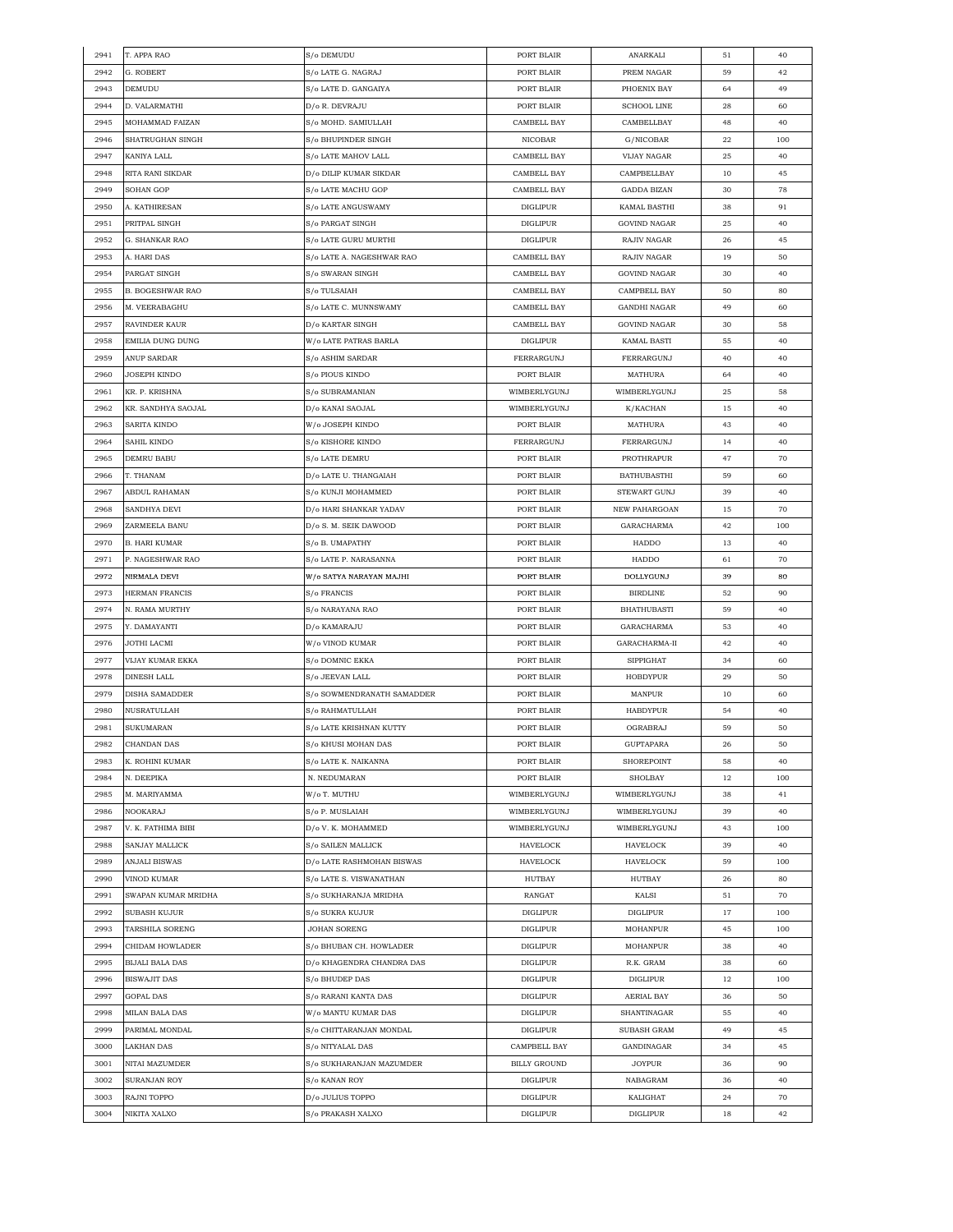| 2941 | T. APPA RAO             | S/o DEMUDU                 | PORT BLAIR          | ANARKALI            | 51          | 40  |
|------|-------------------------|----------------------------|---------------------|---------------------|-------------|-----|
| 2942 | G. ROBERT               | S/o LATE G. NAGRAJ         | PORT BLAIR          | PREM NAGAR          | 59          | 42  |
| 2943 | DEMUDU                  | S/o LATE D. GANGAIYA       | PORT BLAIR          | PHOENIX BAY         | 64          | 49  |
| 2944 | D. VALARMATHI           | D/o R. DEVRAJU             | PORT BLAIR          | SCHOOL LINE         | 28          | 60  |
| 2945 | MOHAMMAD FAIZAN         | S/o MOHD. SAMIULLAH        | CAMBELL BAY         | CAMBELLBAY          | 48          | 40  |
| 2946 | SHATRUGHAN SINGH        | S/o BHUPINDER SINGH        | <b>NICOBAR</b>      | G/NICOBAR           | 22          | 100 |
| 2947 | KANIYA LALL             | S/o LATE MAHOV LALL        | <b>CAMBELL BAY</b>  | <b>VIJAY NAGAR</b>  | 25          | 40  |
| 2948 | RITA RANI SIKDAR        | D/o DILIP KUMAR SIKDAR     | CAMBELL BAY         | CAMPBELLBAY         | 10          | 45  |
| 2949 | SOHAN GOP               | S/o LATE MACHU GOP         | CAMBELL BAY         | GADDA BIZAN         | 30          | 78  |
| 2950 | A. KATHIRESAN           | S/o LATE ANGUSWAMY         | <b>DIGLIPUR</b>     | KAMAL BASTHI        | 38          | 91  |
| 2951 | PRITPAL SINGH           | S/o PARGAT SINGH           | <b>DIGLIPUR</b>     | <b>GOVIND NAGAR</b> | 25          | 40  |
| 2952 | G. SHANKAR RAO          | S/o LATE GURU MURTHI       | <b>DIGLIPUR</b>     | RAJIV NAGAR         | 26          | 45  |
| 2953 | A. HARI DAS             | S/o LATE A. NAGESHWAR RAO  | CAMBELL BAY         | RAJIV NAGAR         | 19          | 50  |
| 2954 | PARGAT SINGH            | S/o SWARAN SINGH           | CAMBELL BAY         | <b>GOVIND NAGAR</b> | 30          | 40  |
| 2955 | <b>B. BOGESHWAR RAO</b> | S/o TULSAIAH               | CAMBELL BAY         | CAMPBELL BAY        | 50          | 80  |
| 2956 | M. VEERABAGHU           | S/o LATE C. MUNNSWAMY      | CAMBELL BAY         | <b>GANDHI NAGAR</b> | 49          | 60  |
| 2957 | RAVINDER KAUR           | D/o KARTAR SINGH           | CAMBELL BAY         | <b>GOVIND NAGAR</b> | 30          | 58  |
| 2958 | EMILIA DUNG DUNG        | W/o LATE PATRAS BARLA      | DIGLIPUR            | KAMAL BASTI         | 55          | 40  |
| 2959 |                         | S/o ASHIM SARDAR           | FERRARGUNJ          |                     | 40          | 40  |
|      | ANUP SARDAR             |                            |                     | FERRARGUNJ          |             |     |
| 2960 | JOSEPH KINDO            | S/o PIOUS KINDO            | PORT BLAIR          | MATHURA             | 64          | 40  |
| 2961 | KR. P. KRISHNA          | S/o SUBRAMANIAN            | WIMBERLYGUNJ        | WIMBERLYGUNJ        | 25          | 58  |
| 2962 | KR. SANDHYA SAOJAL      | D/o KANAI SAOJAL           | WIMBERLYGUNJ        | K/KACHAN            | 15          | 40  |
| 2963 | SARITA KINDO            | W/o JOSEPH KINDO           | PORT BLAIR          | MATHURA             | 43          | 40  |
| 2964 | SAHIL KINDO             | S/o KISHORE KINDO          | FERRARGUNJ          | FERRARGUNJ          | 14          | 40  |
| 2965 | <b>DEMRU BABU</b>       | S/o LATE DEMRU             | PORT BLAIR          | PROTHRAPUR          | 47          | 70  |
| 2966 | T. THANAM               | D/o LATE U. THANGAIAH      | PORT BLAIR          | <b>BATHUBASTHI</b>  | 59          | 60  |
| 2967 | ABDUL RAHAMAN           | S/o KUNJI MOHAMMED         | PORT BLAIR          | STEWART GUNJ        | 39          | 40  |
| 2968 | SANDHYA DEVI            | D/o HARI SHANKAR YADAV     | PORT BLAIR          | NEW PAHARGOAN       | 15          | 70  |
| 2969 | ZARMEELA BANU           | D/o S. M. SEIK DAWOOD      | PORT BLAIR          | GARACHARMA          | 42          | 100 |
| 2970 | <b>B. HARI KUMAR</b>    | S/o B. UMAPATHY            | PORT BLAIR          | HADDO               | 13          | 40  |
| 2971 | P. NAGESHWAR RAO        | S/o LATE P. NARASANNA      | PORT BLAIR          | HADDO               | 61          | 70  |
| 2972 | NIRMALA DEVI            | W/o SATYA NARAYAN MAJHI    | PORT BLAIR          | DOLLYGUNJ           | 39          | 80  |
| 2973 | HERMAN FRANCIS          | S/o FRANCIS                | PORT BLAIR          | <b>BIRDLINE</b>     | 52          | 90  |
| 2974 | N. RAMA MURTHY          | S/o NARAYANA RAO           | PORT BLAIR          | <b>BHATHUBASTI</b>  | 59          | 40  |
| 2975 | Y. DAMAYANTI            | D/o KAMARAJU               | PORT BLAIR          | GARACHARMA          | 53          | 40  |
| 2976 | JOTHI LACMI             | W/o VINOD KUMAR            | PORT BLAIR          | GARACHARMA-II       | 42          | 40  |
| 2977 | VIJAY KUMAR EKKA        | S/o DOMNIC EKKA            | PORT BLAIR          | <b>SIPPIGHAT</b>    | 34          | 60  |
| 2978 | DINESH LALL             | S/o JEEVAN LALL            | PORT BLAIR          | HOBDYPUR            | 29          | 50  |
| 2979 | <b>DISHA SAMADDER</b>   | S/o SOWMENDRANATH SAMADDER | PORT BLAIR          | MANPUR              | 10          | 60  |
| 2980 | NUSRATULLAH             | S/o RAHMATULLAH            | PORT BLAIR          | HABDYPUR            | 54          | 40  |
| 2981 | <b>SUKUMARAN</b>        | S/o LATE KRISHNAN KUTTY    | PORT BLAIR          | <b>OGRABRAJ</b>     | 59          | 50  |
| 2982 | CHANDAN DAS             | S/o KHUSI MOHAN DAS        | PORT BLAIR          | GUPTAPARA           | $\sqrt{26}$ | 50  |
| 2983 | K. ROHINI KUMAR         | S/o LATE K. NAIKANNA       | PORT BLAIR          | SHOREPOINT          | 58          | 40  |
| 2984 | N. DEEPIKA              | N. NEDUMARAN               | PORT BLAIR          | SHOLBAY             | 12          | 100 |
| 2985 | M. MARIYAMMA            | W/o T. MUTHU               | WIMBERLYGUNJ        | WIMBERLYGUNJ        | 38          | 41  |
| 2986 | NOOKARAJ                | S/o P. MUSLAIAH            | WIMBERLYGUNJ        | WIMBERLYGUNJ        | 39          | 40  |
| 2987 | V. K. FATHIMA BIBI      | D/o V. K. MOHAMMED         | WIMBERLYGUNJ        | WIMBERLYGUNJ        | 43          | 100 |
| 2988 | SANJAY MALLICK          | S/o SAILEN MALLICK         | HAVELOCK            | HAVELOCK            | 39          | 40  |
| 2989 | ANJALI BISWAS           | D/o LATE RASHMOHAN BISWAS  | HAVELOCK            | HAVELOCK            | 59          | 100 |
| 2990 | VINOD KUMAR             | S/o LATE S. VISWANATHAN    | HUTBAY              | HUTBAY              | 26          | 80  |
| 2991 | SWAPAN KUMAR MRIDHA     | S/o SUKHARANJA MRIDHA      | RANGAT              | KALSI               | 51          | 70  |
| 2992 | SUBASH KUJUR            | S/o SUKRA KUJUR            | <b>DIGLIPUR</b>     | <b>DIGLIPUR</b>     | 17          | 100 |
| 2993 | TARSHILA SORENG         | JOHAN SORENG               | <b>DIGLIPUR</b>     | MOHANPUR            | 45          | 100 |
| 2994 | CHIDAM HOWLADER         | S/o BHUBAN CH. HOWLADER    | DIGLIPUR            | MOHANPUR            | 38          | 40  |
| 2995 | <b>BIJALI BALA DAS</b>  | D/o KHAGENDRA CHANDRA DAS  | <b>DIGLIPUR</b>     | R.K. GRAM           | 38          | 60  |
| 2996 | <b>BISWAJIT DAS</b>     | S/o BHUDEP DAS             | <b>DIGLIPUR</b>     | DIGLIPUR            | 12          | 100 |
| 2997 | GOPAL DAS               | S/o RARANI KANTA DAS       | <b>DIGLIPUR</b>     | AERIAL BAY          | 36          | 50  |
| 2998 | MILAN BALA DAS          | W/o MANTU KUMAR DAS        | DIGLIPUR            | SHANTINAGAR         | 55          | 40  |
| 2999 | PARIMAL MONDAL          | S/o CHITTARANJAN MONDAL    | DIGLIPUR            | SUBASH GRAM         | 49          | 45  |
| 3000 | <b>LAKHAN DAS</b>       | S/o NITYALAL DAS           | CAMPBELL BAY        | GANDINAGAR          | 34          | 45  |
| 3001 | NITAI MAZUMDER          | S/o SUKHARANJAN MAZUMDER   | <b>BILLY GROUND</b> | <b>JOYPUR</b>       | 36          | 90  |
| 3002 | SURANJAN ROY            | S/o KANAN ROY              | <b>DIGLIPUR</b>     | NABAGRAM            | 36          | 40  |
| 3003 | RAJNI TOPPO             | D/o JULIUS TOPPO           | <b>DIGLIPUR</b>     | KALIGHAT            | 24          | 70  |
| 3004 | NIKITA XALXO            | S/o PRAKASH XALXO          | <b>DIGLIPUR</b>     | DIGLIPUR            | 18          | 42  |
|      |                         |                            |                     |                     |             |     |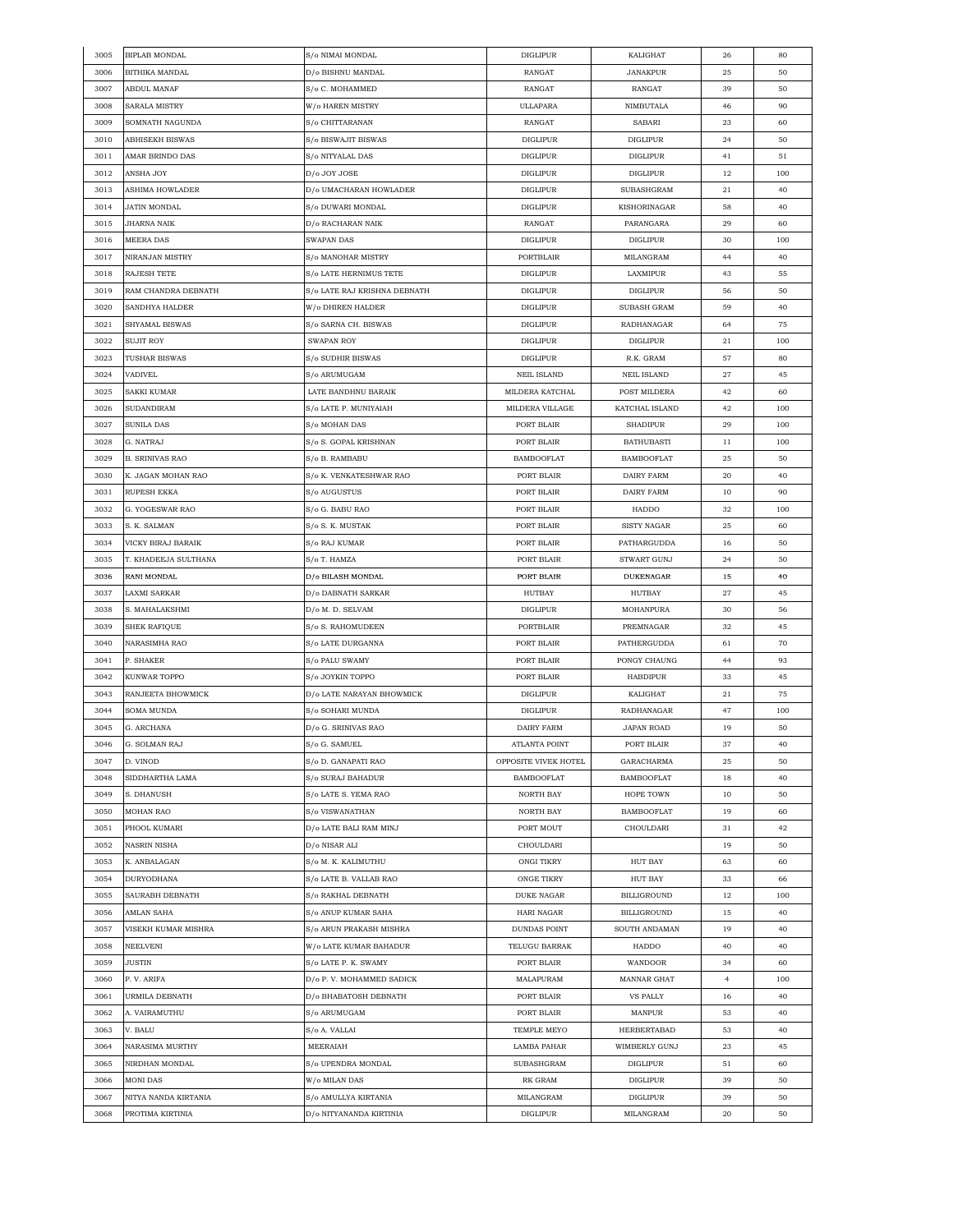| 3005 | <b>BIPLAB MONDAL</b>   | S/o NIMAI MONDAL                  | <b>DIGLIPUR</b>      | KALIGHAT           | 26             | 80       |
|------|------------------------|-----------------------------------|----------------------|--------------------|----------------|----------|
| 3006 | BITHIKA MANDAL         | D/o BISHNU MANDAL                 | RANGAT               | <b>JANAKPUR</b>    | 25             | 50       |
| 3007 | <b>ABDUL MANAF</b>     | S/o C. MOHAMMED                   | RANGAT               | RANGAT             | 39             | 50       |
| 3008 | SARALA MISTRY          | W/o HAREN MISTRY                  | ULLAPARA             | NIMBUTALA          | 46             | 90       |
| 3009 | SOMNATH NAGUNDA        | S/o CHITTARANAN                   | RANGAT               | SABARI             | 23             | 60       |
| 3010 | ABHISEKH BISWAS        | S/o BISWAJIT BISWAS               | <b>DIGLIPUR</b>      | <b>DIGLIPUR</b>    | 24             | 50       |
| 3011 | AMAR BRINDO DAS        | S/o NITYALAL DAS                  | <b>DIGLIPUR</b>      | <b>DIGLIPUR</b>    | 41             | 51       |
| 3012 | ANSHA JOY              | D/o JOY JOSE                      | <b>DIGLIPUR</b>      | <b>DIGLIPUR</b>    | 12             | 100      |
| 3013 | ASHIMA HOWLADER        | D/o UMACHARAN HOWLADER            | <b>DIGLIPUR</b>      | SUBASHGRAM         | 21             | 40       |
| 3014 | JATIN MONDAL           | S/o DUWARI MONDAL                 | DIGLIPUR             | KISHORINAGAR       | 58             | 40       |
| 3015 | JHARNA NAIK            | D/o RACHARAN NAIK                 | RANGAT               | PARANGARA          | 29             |          |
|      |                        |                                   |                      |                    |                | 60       |
| 3016 | MEERA DAS              | SWAPAN DAS                        | <b>DIGLIPUR</b>      | <b>DIGLIPUR</b>    | 30             | 100      |
| 3017 | NIRANJAN MISTRY        | S/o MANOHAR MISTRY                | PORTBLAIR            | MILANGRAM          | 44             | 40       |
| 3018 | RAJESH TETE            | S/o LATE HERNIMUS TETE            | <b>DIGLIPUR</b>      | LAXMIPUR           | 43             | 55       |
| 3019 | RAM CHANDRA DEBNATH    | S/o LATE RAJ KRISHNA DEBNATH      | DIGLIPUR             | DIGLIPUR           | 56             | 50       |
| 3020 | SANDHYA HALDER         | W/o DHIREN HALDER                 | <b>DIGLIPUR</b>      | SUBASH GRAM        | 59             | 40       |
| 3021 | SHYAMAL BISWAS         | S/o SARNA CH. BISWAS              | <b>DIGLIPUR</b>      | RADHANAGAR         | 64             | 75       |
| 3022 | <b>SUJIT ROY</b>       | <b>SWAPAN ROY</b>                 | <b>DIGLIPUR</b>      | <b>DIGLIPUR</b>    | 21             | 100      |
| 3023 | TUSHAR BISWAS          | S/o SUDHIR BISWAS                 | <b>DIGLIPUR</b>      | R.K. GRAM          | 57             | 80       |
| 3024 | <b>VADIVEL</b>         | S/o ARUMUGAM                      | <b>NEIL ISLAND</b>   | <b>NEIL ISLAND</b> | 27             | 45       |
| 3025 | SAKKI KUMAR            | LATE BANDHNU BARAIK               | MILDERA KATCHAL      | POST MILDERA       | 42             | 60       |
| 3026 | SUDANDIRAM             | S/o LATE P. MUNIYAIAH             | MILDERA VILLAGE      | KATCHAL ISLAND     | 42             | 100      |
| 3027 | SUNILA DAS             | S/o MOHAN DAS                     | PORT BLAIR           | <b>SHADIPUR</b>    | 29             | 100      |
| 3028 | G. NATRAJ              | S/o S. GOPAL KRISHNAN             | PORT BLAIR           | <b>BATHUBASTI</b>  | 11             | 100      |
| 3029 | <b>B. SRINIVAS RAO</b> | S/o B. RAMBABU                    | <b>BAMBOOFLAT</b>    | <b>BAMBOOFLAT</b>  | 25             | 50       |
| 3030 | K. JAGAN MOHAN RAO     | S/o K. VENKATESHWAR RAO           | PORT BLAIR           | DAIRY FARM         | 20             | 40       |
| 3031 | RUPESH EKKA            | S/o AUGUSTUS                      | PORT BLAIR           | DAIRY FARM         | 10             | 90       |
| 3032 | G. YOGESWAR RAO        | S/o G. BABU RAO                   | PORT BLAIR           | HADDO              | 32             | 100      |
| 3033 | S. K. SALMAN           | S/o S. K. MUSTAK                  | PORT BLAIR           | <b>SISTY NAGAR</b> | 25             | 60       |
| 3034 | VICKY BIRAJ BARAIK     | S/o RAJ KUMAR                     | PORT BLAIR           | PATHARGUDDA        | 16             | 50       |
| 3035 | T. KHADEEJA SULTHANA   |                                   | PORT BLAIR           | STWART GUNJ        | 24             |          |
|      |                        | S/o T. HAMZA                      |                      |                    |                | 50<br>40 |
| 3036 | RANI MONDAL            | D/o BILASH MONDAL                 | PORT BLAIR           | <b>DUKENAGAR</b>   | 15             |          |
| 3037 | LAXMI SARKAR           | D/o DABNATH SARKAR                | <b>HUTBAY</b>        | HUTBAY             | 27             | 45       |
| 3038 | S. MAHALAKSHMI         | D/o M. D. SELVAM                  | <b>DIGLIPUR</b>      | MOHANPURA          | 30             | 56       |
| 3039 | SHEK RAFIQUE           | S/o S. RAHOMUDEEN                 | PORTBLAIR            | PREMNAGAR          | 32             | 45       |
| 3040 | NARASIMHA RAO          | S/o LATE DURGANNA                 | PORT BLAIR           | PATHERGUDDA        | 61             | 70       |
| 3041 | P. SHAKER              | S/o PALU SWAMY                    | PORT BLAIR           | PONGY CHAUNG       | 44             | 93       |
| 3042 | KUNWAR TOPPO           | S/o JOYKIN TOPPO                  | PORT BLAIR           | HABDIPUR           | 33             | 45       |
| 3043 | RANJEETA BHOWMICK      | D/o LATE NARAYAN BHOWMICK         | DIGLIPUR             | KALIGHAT           | 21             | 75       |
| 3044 | SOMA MUNDA             | S/o SOHARI MUNDA                  | <b>DIGLIPUR</b>      | RADHANAGAR         | 47             | 100      |
| 3045 | G. ARCHANA             | D/o G. SRINIVAS RAO               | DAIRY FARM           | <b>JAPAN ROAD</b>  | 19             | 50       |
| 3046 | G. SOLMAN RAJ          | $\mathrm{S}/\mathrm{o}$ G. SAMUEL | ATLANTA POINT        | PORT BLAIR         | 37             | 40       |
| 3047 | D. VINOD               | S/o D. GANAPATI RAO               | OPPOSITE VIVEK HOTEL | GARACHARMA         | 25             | 50       |
| 3048 | SIDDHARTHA LAMA        | S/o SURAJ BAHADUR                 | <b>BAMBOOFLAT</b>    | <b>BAMBOOFLAT</b>  | 18             | 40       |
| 3049 | S. DHANUSH             | S/o LATE S. YEMA RAO              | NORTH BAY            | HOPE TOWN          | 10             | 50       |
| 3050 | MOHAN RAO              | S/o VISWANATHAN                   | NORTH BAY            | <b>BAMBOOFLAT</b>  | 19             | 60       |
| 3051 | PHOOL KUMARI           | D/o LATE BALI RAM MINJ            | PORT MOUT            | CHOULDARI          | 31             | 42       |
| 3052 | NASRIN NISHA           | D/o NISAR ALI                     | CHOULDARI            |                    | 19             | 50       |
| 3053 | K. ANBALAGAN           | S/o M. K. KALIMUTHU               | ONGI TIKRY           | HUT BAY            | 63             | 60       |
| 3054 | DURYODHANA             | S/o LATE B. VALLAB RAO            | ONGE TIKRY           | HUT BAY            | 33             | 66       |
| 3055 | SAURABH DEBNATH        | S/o RAKHAL DEBNATH                | <b>DUKE NAGAR</b>    | <b>BILLIGROUND</b> | 12             | 100      |
| 3056 | AMLAN SAHA             | S/o ANUP KUMAR SAHA               | HARI NAGAR           | BILLIGROUND        | 15             | 40       |
| 3057 | VISEKH KUMAR MISHRA    | S/o ARUN PRAKASH MISHRA           | DUNDAS POINT         | SOUTH ANDAMAN      | 19             | 40       |
| 3058 | NEELVENI               | W/o LATE KUMAR BAHADUR            | TELUGU BARRAK        | HADDO              | 40             | 40       |
| 3059 | JUSTIN                 | S/o LATE P. K. SWAMY              | PORT BLAIR           | WANDOOR            | 34             | 60       |
|      |                        |                                   |                      |                    |                |          |
| 3060 | P.V. ARIFA             | D/o P.V. MOHAMMED SADICK          | MALAPURAM            | MANNAR GHAT        | $\overline{4}$ | 100      |
| 3061 | URMILA DEBNATH         | D/o BHABATOSH DEBNATH             | PORT BLAIR           | <b>VS PALLY</b>    | 16             | 40       |
| 3062 | A. VAIRAMUTHU          | S/o ARUMUGAM                      | PORT BLAIR           | MANPUR             | 53             | 40       |
| 3063 | V. BALU                | S/o A. VALLAI                     | TEMPLE MEYO          | HERBERTABAD        | 53             | 40       |
| 3064 | NARASIMA MURTHY        | MEERAIAH                          | LAMBA PAHAR          | WIMBERLY GUNJ      | 23             | 45       |
| 3065 | NIRDHAN MONDAL         | S/o UPENDRA MONDAL                | SUBASHGRAM           | DIGLIPUR           | 51             | 60       |
| 3066 | MONI DAS               | W/o MILAN DAS                     | RK GRAM              | <b>DIGLIPUR</b>    | 39             | 50       |
| 3067 | NITYA NANDA KIRTANIA   | S/o AMULLYA KIRTANIA              | MILANGRAM            | DIGLIPUR           | 39             | 50       |
| 3068 | PROTIMA KIRTINIA       | D/o NITYANANDA KIRTINIA           | <b>DIGLIPUR</b>      | MILANGRAM          | 20             | 50       |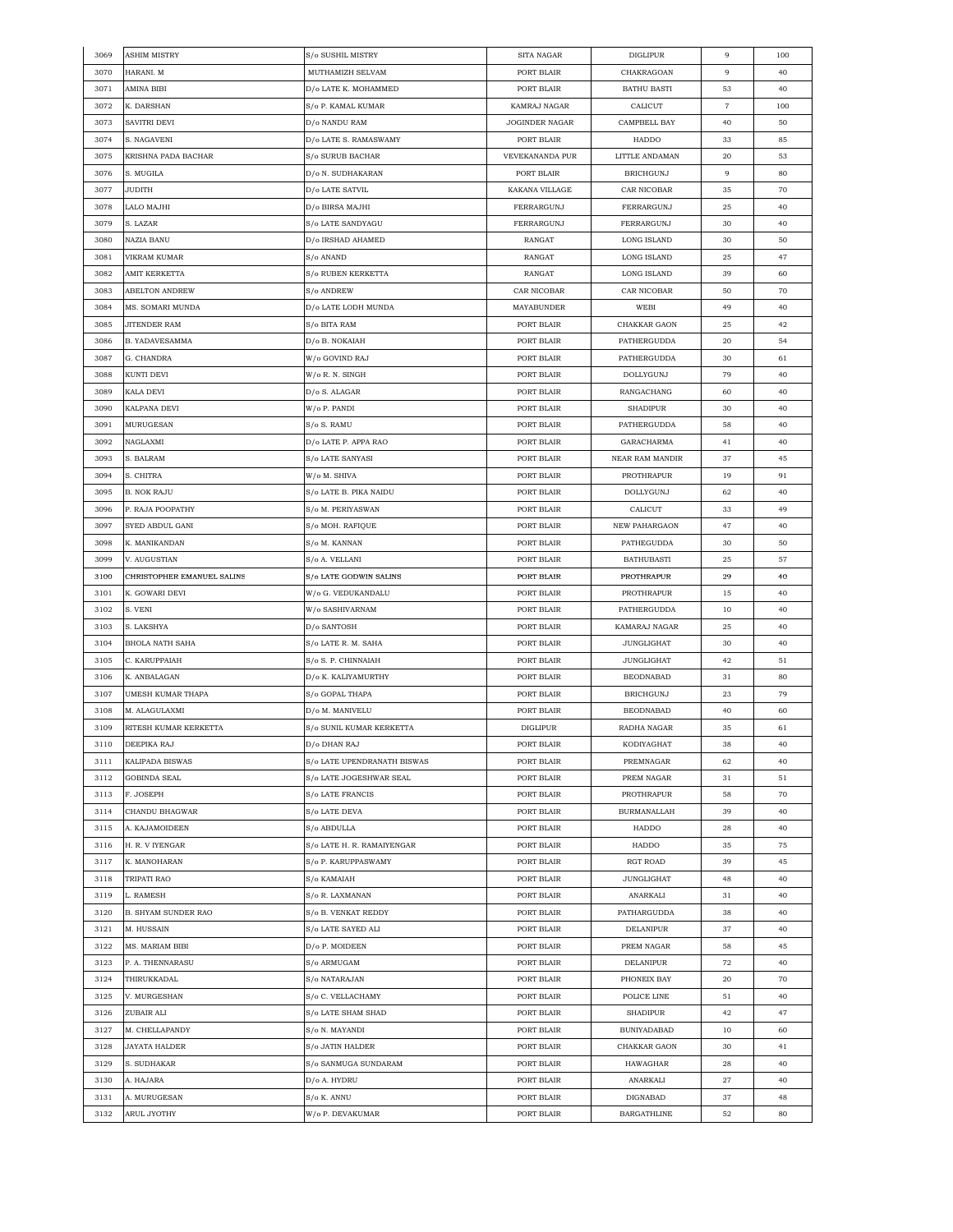| 3069 | ASHIM MISTRY               | S/o SUSHIL MISTRY           | SITA NAGAR            | <b>DIGLIPUR</b>        | $\,9$          | 100      |
|------|----------------------------|-----------------------------|-----------------------|------------------------|----------------|----------|
| 3070 | HARANI. M                  | MUTHAMIZH SELVAM            | PORT BLAIR            | CHAKRAGOAN             | 9              | 40       |
| 3071 | AMINA BIBI                 | D/o LATE K. MOHAMMED        | PORT BLAIR            | <b>BATHU BASTI</b>     | 53             | 40       |
| 3072 | K. DARSHAN                 | S/o P. KAMAL KUMAR          | KAMRAJ NAGAR          | CALICUT                | $\overline{7}$ | 100      |
| 3073 | SAVITRI DEVI               | D/o NANDU RAM               | <b>JOGINDER NAGAR</b> | CAMPBELL BAY           | 40             | 50       |
| 3074 | S. NAGAVENI                | D/o LATE S. RAMASWAMY       | PORT BLAIR            | HADDO                  | 33             | 85       |
| 3075 | KRISHNA PADA BACHAR        | S/o SURUB BACHAR            | VEVEKANANDA PUR       | LITTLE ANDAMAN         | 20             | 53       |
| 3076 | S. MUGILA                  | D/o N. SUDHAKARAN           | PORT BLAIR            | <b>BRICHGUNJ</b>       | 9              | 80       |
| 3077 | <b>JUDITH</b>              | D/o LATE SATVIL             | KAKANA VILLAGE        | CAR NICOBAR            | 35             | 70       |
| 3078 | LALO MAJHI                 |                             | FERRARGUNJ            | FERRARGUNJ             |                | 40       |
|      |                            | D/o BIRSA MAJHI             |                       |                        | 25             |          |
| 3079 | S. LAZAR                   | S/o LATE SANDYAGU           | FERRARGUNJ            | FERRARGUNJ             | 30             | 40       |
| 3080 | NAZIA BANU                 | D/o IRSHAD AHAMED           | RANGAT                | LONG ISLAND            | 30             | 50       |
| 3081 | VIKRAM KUMAR               | S/o ANAND                   | RANGAT                | <b>LONG ISLAND</b>     | 25             | 47       |
| 3082 | AMIT KERKETTA              | S/o RUBEN KERKETTA          | RANGAT                | LONG ISLAND            | 39             | 60       |
| 3083 | ABELTON ANDREW             | S/o ANDREW                  | CAR NICOBAR           | CAR NICOBAR            | 50             | 70       |
| 3084 | MS. SOMARI MUNDA           | D/o LATE LODH MUNDA         | MAYABUNDER            | WEBI                   | 49             | 40       |
| 3085 | <b>JITENDER RAM</b>        | S/o BITA RAM                | PORT BLAIR            | CHAKKAR GAON           | 25             | 42       |
| 3086 | B. YADAVESAMMA             | D/o B. NOKAIAH              | PORT BLAIR            | PATHERGUDDA            | 20             | 54       |
| 3087 | G. CHANDRA                 | W/o GOVIND RAJ              | PORT BLAIR            | PATHERGUDDA            | 30             | 61       |
| 3088 | KUNTI DEVI                 | W/o R. N. SINGH             | PORT BLAIR            | <b>DOLLYGUNJ</b>       | 79             | 40       |
| 3089 | KALA DEVI                  | D/o S. ALAGAR               | PORT BLAIR            | RANGACHANG             | 60             | 40       |
| 3090 | KALPANA DEVI               | W/o P. PANDI                | PORT BLAIR            | <b>SHADIPUR</b>        | 30             | 40       |
| 3091 | MURUGESAN                  | S/o S. RAMU                 | PORT BLAIR            | PATHERGUDDA            | 58             | 40       |
| 3092 | NAGLAXMI                   | D/o LATE P. APPA RAO        | PORT BLAIR            | GARACHARMA             | 41             | 40       |
| 3093 | S. BALRAM                  | S/o LATE SANYASI            | PORT BLAIR            | <b>NEAR RAM MANDIR</b> | 37             | 45       |
| 3094 | S. CHITRA                  | W/o M. SHIVA                | PORT BLAIR            | PROTHRAPUR             | 19             | 91       |
|      |                            | S/o LATE B. PIKA NAIDU      |                       |                        |                |          |
| 3095 | B. NOK RAJU                |                             | PORT BLAIR            | DOLLYGUNJ              | 62             | 40       |
| 3096 | P. RAJA POOPATHY           | S/o M. PERIYASWAN           | PORT BLAIR            | CALICUT                | 33             | 49       |
| 3097 | SYED ABDUL GANI            | S/o MOH. RAFIQUE            | PORT BLAIR            | <b>NEW PAHARGAON</b>   | 47             | 40       |
| 3098 | K. MANIKANDAN              | S/o M. KANNAN               | PORT BLAIR            | PATHEGUDDA             | 30             | 50       |
| 3099 | V. AUGUSTIAN               | S/o A. VELLANI              | PORT BLAIR            | <b>BATHUBASTI</b>      | 25             | 57       |
| 3100 | CHRISTOPHER EMANUEL SALINS | S/o LATE GODWIN SALINS      | PORT BLAIR            | PROTHRAPUR             | 29             | 40       |
| 3101 | K. GOWARI DEVI             | W/o G. VEDUKANDALU          | PORT BLAIR            | PROTHRAPUR             | 15             | 40       |
| 3102 | S. VENI                    | W/o SASHIVARNAM             | PORT BLAIR            | PATHERGUDDA            | 10             | 40       |
| 3103 | S. LAKSHYA                 | D/o SANTOSH                 | PORT BLAIR            | KAMARAJ NAGAR          | 25             | 40       |
| 3104 | BHOLA NATH SAHA            | S/o LATE R. M. SAHA         | PORT BLAIR            | JUNGLIGHAT             | 30             | 40       |
| 3105 | C. KARUPPAIAH              | S/o S. P. CHINNAIAH         | PORT BLAIR            | <b>JUNGLIGHAT</b>      | 42             | 51       |
| 3106 | K. ANBALAGAN               | D/o K. KALIYAMURTHY         | PORT BLAIR            | <b>BEODNABAD</b>       | 31             | 80       |
| 3107 | UMESH KUMAR THAPA          | S/o GOPAL THAPA             | PORT BLAIR            | <b>BRICHGUNJ</b>       | 23             | 79       |
| 3108 | M. ALAGULAXMI              | D/o M. MANIVELU             | PORT BLAIR            | <b>BEODNABAD</b>       | 40             | 60       |
| 3109 | RITESH KUMAR KERKETTA      | S/o SUNIL KUMAR KERKETTA    | <b>DIGLIPUR</b>       | RADHA NAGAR            | 35             | 61       |
| 3110 | DEEPIKA RAJ                | D/o DHAN RAJ                | PORT BLAIR            | KODIYAGHAT             | 38             | 40       |
| 3111 | KALIPADA BISWAS            | S/o LATE UPENDRANATH BISWAS | PORT BLAIR            | PREMNAGAR              | 62             | 40       |
| 3112 | GOBINDA SEAL               | S/o LATE JOGESHWAR SEAL     | PORT BLAIR            | PREM NAGAR             | 31             | 51       |
| 3113 | F. JOSEPH                  | S/o LATE FRANCIS            | PORT BLAIR            | PROTHRAPUR             | 58             | 70       |
| 3114 | CHANDU BHAGWAR             | S/o LATE DEVA               | PORT BLAIR            | BURMANALLAH            | 39             | 40       |
| 3115 | A. KAJAMOIDEEN             | S/o ABDULLA                 | PORT BLAIR            | HADDO                  | 28             |          |
| 3116 | H. R. V IYENGAR            | S/o LATE H. R. RAMAIYENGAR  | PORT BLAIR            | HADDO                  |                | 40<br>75 |
|      |                            |                             |                       |                        | 35             |          |
| 3117 | K. MANOHARAN               | S/o P. KARUPPASWAMY         | PORT BLAIR            | <b>RGT ROAD</b>        | 39             | 45       |
| 3118 | TRIPATI RAO                | S/o KAMAIAH                 | PORT BLAIR            | JUNGLIGHAT             | 48             | 40       |
| 3119 | L. RAMESH                  | S/o R. LAXMANAN             | PORT BLAIR            | ANARKALI               | 31             | 40       |
| 3120 | <b>B. SHYAM SUNDER RAO</b> | S/o B. VENKAT REDDY         | PORT BLAIR            | PATHARGUDDA            | 38             | 40       |
| 3121 | M. HUSSAIN                 | S/o LATE SAYED ALI          | PORT BLAIR            | DELANIPUR              | 37             | 40       |
| 3122 | MS. MARIAM BIBI            | D/o P. MOIDEEN              | PORT BLAIR            | PREM NAGAR             | 58             | 45       |
| 3123 | P. A. THENNARASU           | S/o ARMUGAM                 | PORT BLAIR            | DELANIPUR              | 72             | 40       |
| 3124 | THIRUKKADAL                | S/o NATARAJAN               | PORT BLAIR            | PHONEIX BAY            | 20             | 70       |
| 3125 | V. MURGESHAN               | S/o C. VELLACHAMY           | PORT BLAIR            | POLICE LINE            | 51             | 40       |
| 3126 | ZUBAIR ALI                 | S/o LATE SHAM SHAD          | PORT BLAIR            | SHADIPUR               | 42             | 47       |
| 3127 | M. CHELLAPANDY             | S/o N. MAYANDI              | PORT BLAIR            | <b>BUNIYADABAD</b>     | 10             | 60       |
| 3128 | JAYATA HALDER              | S/o JATIN HALDER            | PORT BLAIR            | CHAKKAR GAON           | 30             | 41       |
| 3129 | S. SUDHAKAR                | S/o SANMUGA SUNDARAM        | PORT BLAIR            | HAWAGHAR               | 28             | 40       |
| 3130 | A. HAJARA                  | D/o A. HYDRU                | PORT BLAIR            | ${\bf ANARKALI}$       | 27             | 40       |
| 3131 | A. MURUGESAN               | S/o K. ANNU                 | PORT BLAIR            | DIGNABAD               | 37             | 48       |
|      |                            | W/o P. DEVAKUMAR            |                       |                        |                | 80       |
| 3132 | ARUL JYOTHY                |                             | PORT BLAIR            | <b>BARGATHLINE</b>     | 52             |          |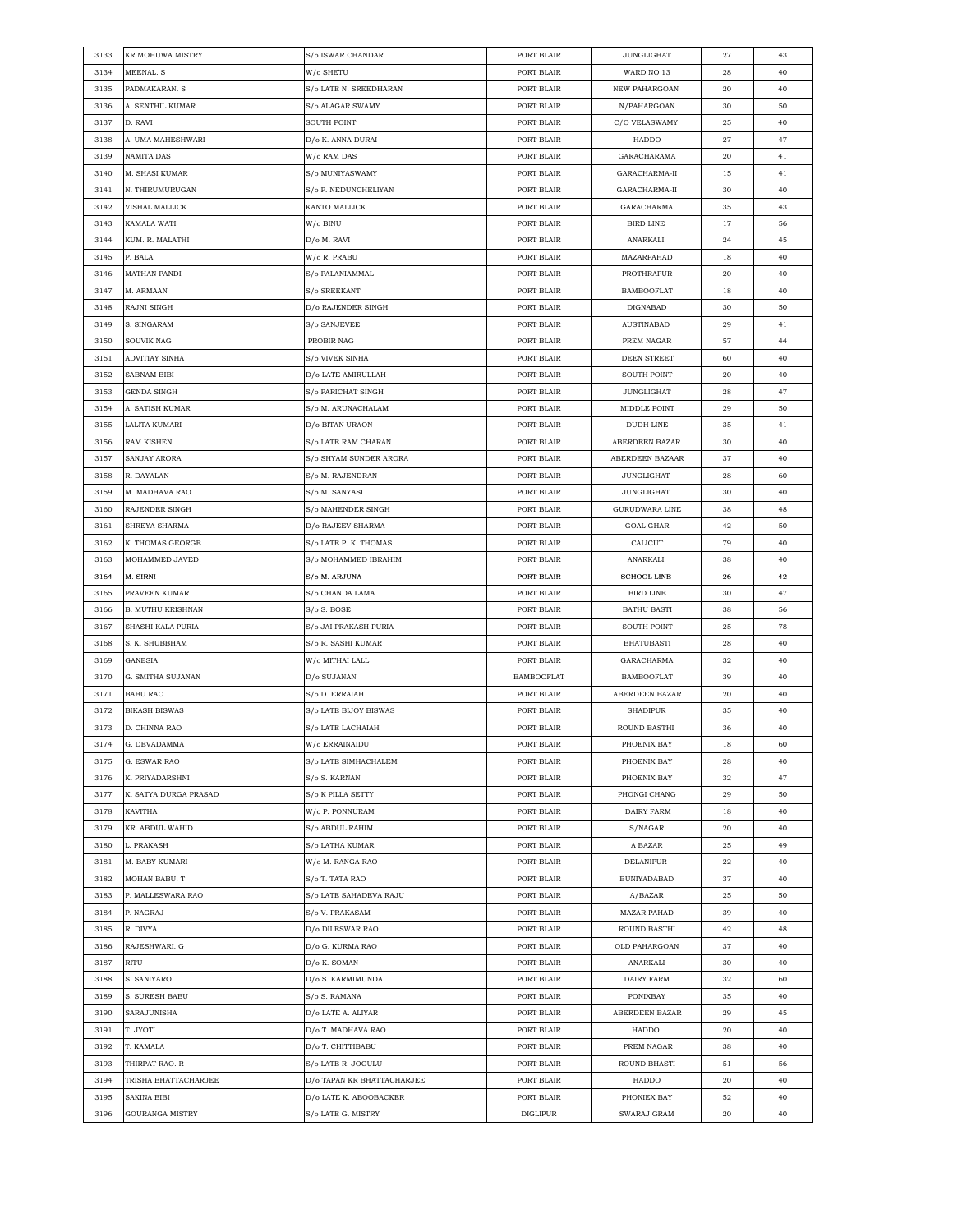| 3133 | KR MOHUWA MISTRY      | S/o ISWAR CHANDAR                      | PORT BLAIR        | <b>JUNGLIGHAT</b>     | 27 | 43 |
|------|-----------------------|----------------------------------------|-------------------|-----------------------|----|----|
| 3134 | MEENAL. S             | W/o SHETU                              | PORT BLAIR        | WARD NO 13            | 28 | 40 |
| 3135 | PADMAKARAN. S         | S/o LATE N. SREEDHARAN                 | PORT BLAIR        | NEW PAHARGOAN         | 20 | 40 |
| 3136 | A. SENTHIL KUMAR      | S/o ALAGAR SWAMY                       | PORT BLAIR        | N/PAHARGOAN           | 30 | 50 |
| 3137 | D. RAVI               | SOUTH POINT                            | PORT BLAIR        | C/O VELASWAMY         | 25 | 40 |
| 3138 | A. UMA MAHESHWARI     | D/o K. ANNA DURAI                      | PORT BLAIR        | HADDO                 | 27 | 47 |
| 3139 | NAMITA DAS            | W/o RAM DAS                            | PORT BLAIR        | GARACHARAMA           | 20 | 41 |
| 3140 | M. SHASI KUMAR        | S/o MUNIYASWAMY                        | PORT BLAIR        | GARACHARMA-II         | 15 | 41 |
| 3141 | N. THIRUMURUGAN       | S/o P. NEDUNCHELIYAN                   | PORT BLAIR        | GARACHARMA-II         | 30 | 40 |
|      |                       |                                        |                   |                       |    |    |
| 3142 | VISHAL MALLICK        | KANTO MALLICK                          | PORT BLAIR        | GARACHARMA            | 35 | 43 |
| 3143 | KAMALA WATI           | W/o BINU                               | PORT BLAIR        | <b>BIRD LINE</b>      | 17 | 56 |
| 3144 | KUM. R. MALATHI       | D/o M. RAVI                            | PORT BLAIR        | ANARKALI              | 24 | 45 |
| 3145 | P. BALA               | W/o R. PRABU                           | PORT BLAIR        | MAZARPAHAD            | 18 | 40 |
| 3146 | MATHAN PANDI          | S/o PALANIAMMAL                        | PORT BLAIR        | PROTHRAPUR            | 20 | 40 |
| 3147 | M. ARMAAN             | S/o SREEKANT                           | PORT BLAIR        | <b>BAMBOOFLAT</b>     | 18 | 40 |
| 3148 | RAJNI SINGH           | D/o RAJENDER SINGH                     | PORT BLAIR        | DIGNABAD              | 30 | 50 |
| 3149 | S. SINGARAM           | S/o SANJEVEE                           | PORT BLAIR        | <b>AUSTINABAD</b>     | 29 | 41 |
| 3150 | SOUVIK NAG            | PROBIR NAG                             | PORT BLAIR        | PREM NAGAR            | 57 | 44 |
| 3151 | ADVITIAY SINHA        | S/o VIVEK SINHA                        | PORT BLAIR        | <b>DEEN STREET</b>    | 60 | 40 |
| 3152 | SABNAM BIBI           | D/o LATE AMIRULLAH                     | PORT BLAIR        | SOUTH POINT           | 20 | 40 |
| 3153 | GENDA SINGH           | S/o PARICHAT SINGH                     | PORT BLAIR        | JUNGLIGHAT            | 28 | 47 |
| 3154 | A. SATISH KUMAR       | S/o M. ARUNACHALAM                     | PORT BLAIR        | MIDDLE POINT          | 29 | 50 |
| 3155 | LALITA KUMARI         | D/o BITAN URAON                        | PORT BLAIR        | <b>DUDH LINE</b>      | 35 | 41 |
| 3156 | RAM KISHEN            | S/o LATE RAM CHARAN                    | PORT BLAIR        | ABERDEEN BAZAR        | 30 | 40 |
| 3157 |                       | S/o SHYAM SUNDER ARORA                 | PORT BLAIR        | ABERDEEN BAZAAR       | 37 | 40 |
|      | SANJAY ARORA          |                                        |                   |                       |    |    |
| 3158 | R. DAYALAN            | S/o M. RAJENDRAN                       | PORT BLAIR        | JUNGLIGHAT            | 28 | 60 |
| 3159 | M. MADHAVA RAO        | S/o M. SANYASI                         | PORT BLAIR        | <b>JUNGLIGHAT</b>     | 30 | 40 |
| 3160 | RAJENDER SINGH        | S/o MAHENDER SINGH                     | PORT BLAIR        | <b>GURUDWARA LINE</b> | 38 | 48 |
| 3161 | SHREYA SHARMA         | D/o RAJEEV SHARMA                      | PORT BLAIR        | <b>GOAL GHAR</b>      | 42 | 50 |
| 3162 | K. THOMAS GEORGE      | S/o LATE P. K. THOMAS                  | PORT BLAIR        | CALICUT               | 79 | 40 |
| 3163 | MOHAMMED JAVED        | S/o MOHAMMED IBRAHIM                   | PORT BLAIR        | ANARKALI              | 38 | 40 |
| 3164 | M. SIRNI              | S/o M. ARJUNA                          | PORT BLAIR        | <b>SCHOOL LINE</b>    | 26 | 42 |
| 3165 | PRAVEEN KUMAR         | S/o CHANDA LAMA                        | PORT BLAIR        | <b>BIRD LINE</b>      | 30 | 47 |
| 3166 | B. MUTHU KRISHNAN     | S/o S. BOSE                            | PORT BLAIR        | <b>BATHU BASTI</b>    | 38 | 56 |
| 3167 | SHASHI KALA PURIA     | S/o JAI PRAKASH PURIA                  | PORT BLAIR        | SOUTH POINT           | 25 | 78 |
| 3168 | S. K. SHUBBHAM        | S/o R. SASHI KUMAR                     | PORT BLAIR        | <b>BHATUBASTI</b>     | 28 | 40 |
| 3169 | GANESIA               | W/o MITHAI LALL                        | PORT BLAIR        | GARACHARMA            | 32 | 40 |
| 3170 | G. SMITHA SUJANAN     | D/o SUJANAN                            | <b>BAMBOOFLAT</b> | <b>BAMBOOFLAT</b>     | 39 | 40 |
| 3171 | <b>BABU RAO</b>       | S/o D. ERRAIAH                         | PORT BLAIR        | <b>ABERDEEN BAZAR</b> | 20 | 40 |
| 3172 | <b>BIKASH BISWAS</b>  | S/o LATE BIJOY BISWAS                  | PORT BLAIR        | <b>SHADIPUR</b>       | 35 | 40 |
| 3173 | D. CHINNA RAO         | S/o LATE LACHAIAH                      | PORT BLAIR        | ROUND BASTHI          | 36 | 40 |
| 3174 | G. DEVADAMMA          |                                        | PORT BLAIR        | PHOENIX BAY           | 18 | 60 |
| 3175 | G. ESWAR RAO          | W/o ERRAINAIDU<br>S/o LATE SIMHACHALEM | PORT BLAIR        | PHOENIX BAY           | 28 |    |
|      |                       |                                        |                   |                       |    | 40 |
| 3176 | K. PRIYADARSHNI       | S/o S. KARNAN                          | PORT BLAIR        | PHOENIX BAY           | 32 | 47 |
| 3177 | K. SATYA DURGA PRASAD | S/o K PILLA SETTY                      | PORT BLAIR        | PHONGI CHANG          | 29 | 50 |
| 3178 | KAVITHA               | W/o P. PONNURAM                        | PORT BLAIR        | DAIRY FARM            | 18 | 40 |
| 3179 | KR. ABDUL WAHID       | S/o ABDUL RAHIM                        | PORT BLAIR        | S/NAGAR               | 20 | 40 |
| 3180 | L. PRAKASH            | S/o LATHA KUMAR                        | PORT BLAIR        | A BAZAR               | 25 | 49 |
| 3181 | M. BABY KUMARI        | W/o M. RANGA RAO                       | PORT BLAIR        | DELANIPUR             | 22 | 40 |
| 3182 | MOHAN BABU. T         | S/o T. TATA RAO                        | PORT BLAIR        | <b>BUNIYADABAD</b>    | 37 | 40 |
| 3183 | P. MALLESWARA RAO     | S/o LATE SAHADEVA RAJU                 | PORT BLAIR        | A/BAZAR               | 25 | 50 |
| 3184 | P. NAGRAJ             | S/o V. PRAKASAM                        | PORT BLAIR        | <b>MAZAR PAHAD</b>    | 39 | 40 |
| 3185 | R. DIVYA              | D/o DILESWAR RAO                       | PORT BLAIR        | ROUND BASTHI          | 42 | 48 |
| 3186 | RAJESHWARI. G         | D/o G. KURMA RAO                       | PORT BLAIR        | OLD PAHARGOAN         | 37 | 40 |
| 3187 | RITU                  | D/o K. SOMAN                           | PORT BLAIR        | ANARKALI              | 30 | 40 |
| 3188 | S. SANIYARO           | D/o S. KARMIMUNDA                      | PORT BLAIR        | DAIRY FARM            | 32 | 60 |
| 3189 | S. SURESH BABU        | S/o S. RAMANA                          | PORT BLAIR        | PONIXBAY              | 35 | 40 |
| 3190 | SARAJUNISHA           | D/o LATE A. ALIYAR                     | PORT BLAIR        | ABERDEEN BAZAR        | 29 | 45 |
|      |                       |                                        |                   |                       |    |    |
| 3191 | T. JYOTI              | D/o T. MADHAVA RAO                     | PORT BLAIR        | HADDO                 | 20 | 40 |
| 3192 | T. KAMALA             | D/o T. CHITTIBABU                      | PORT BLAIR        | PREM NAGAR            | 38 | 40 |
| 3193 | THIRPAT RAO. R        | S/o LATE R. JOGULU                     | PORT BLAIR        | ROUND BHASTI          | 51 | 56 |
| 3194 | TRISHA BHATTACHARJEE  | D/o TAPAN KR BHATTACHARJEE             | PORT BLAIR        | HADDO                 | 20 | 40 |
| 3195 | SAKINA BIBI           | D/o LATE K. ABOOBACKER                 | PORT BLAIR        | PHONIEX BAY           | 52 | 40 |
| 3196 | GOURANGA MISTRY       | S/o LATE G. MISTRY                     | <b>DIGLIPUR</b>   | SWARAJ GRAM           | 20 | 40 |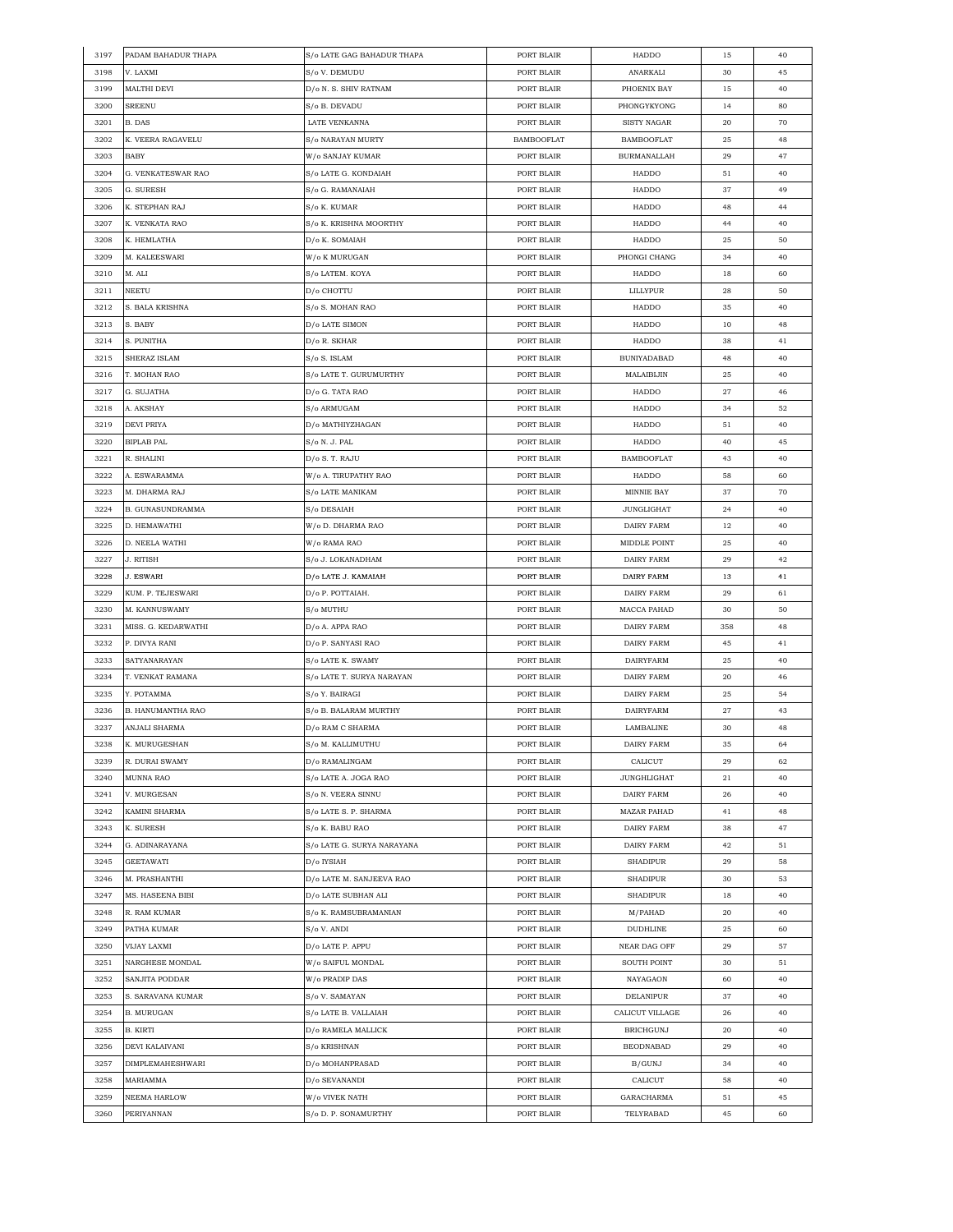| 3197 | PADAM BAHADUR THAPA      | S/o LATE GAG BAHADUR THAPA | PORT BLAIR        | HADDO              | 15  | 40 |
|------|--------------------------|----------------------------|-------------------|--------------------|-----|----|
| 3198 | V. LAXMI                 | S/o V. DEMUDU              | PORT BLAIR        | ANARKALI           | 30  | 45 |
| 3199 | MALTHI DEVI              | D/o N. S. SHIV RATNAM      | PORT BLAIR        | PHOENIX BAY        | 15  | 40 |
| 3200 | SREENU                   | S/o B. DEVADU              | PORT BLAIR        | PHONGYKYONG        | 14  | 80 |
| 3201 | B. DAS                   | LATE VENKANNA              | PORT BLAIR        | SISTY NAGAR        | 20  | 70 |
| 3202 | K. VEERA RAGAVELU        | S/o NARAYAN MURTY          | <b>BAMBOOFLAT</b> | <b>BAMBOOFLAT</b>  | 25  | 48 |
| 3203 | <b>BABY</b>              | W/o SANJAY KUMAR           | PORT BLAIR        | <b>BURMANALLAH</b> | 29  | 47 |
| 3204 | G. VENKATESWAR RAO       | S/o LATE G. KONDAIAH       | PORT BLAIR        | HADDO              | 51  | 40 |
| 3205 | G. SURESH                | S/o G. RAMANAIAH           | PORT BLAIR        | HADDO              | 37  | 49 |
| 3206 | K. STEPHAN RAJ           | S/o K. KUMAR               | PORT BLAIR        | HADDO              | 48  | 44 |
| 3207 | K. VENKATA RAO           | S/o K. KRISHNA MOORTHY     | PORT BLAIR        | HADDO              | 44  | 40 |
|      |                          |                            |                   |                    |     |    |
| 3208 | K. HEMLATHA              | D/o K. SOMAIAH             | PORT BLAIR        | HADDO              | 25  | 50 |
| 3209 | M. KALEESWARI            | W/o K MURUGAN              | PORT BLAIR        | PHONGI CHANG       | 34  | 40 |
| 3210 | M. ALI                   | S/o LATEM. KOYA            | PORT BLAIR        | HADDO              | 18  | 60 |
| 3211 | <b>NEETU</b>             | D/o CHOTTU                 | PORT BLAIR        | LILLYPUR           | 28  | 50 |
| 3212 | S. BALA KRISHNA          | S/o S. MOHAN RAO           | PORT BLAIR        | HADDO              | 35  | 40 |
| 3213 | S. BABY                  | D/o LATE SIMON             | PORT BLAIR        | HADDO              | 10  | 48 |
| 3214 | S. PUNITHA               | D/o R. SKHAR               | PORT BLAIR        | HADDO              | 38  | 41 |
| 3215 | SHERAZ ISLAM             | S/o S. ISLAM               | PORT BLAIR        | <b>BUNIYADABAD</b> | 48  | 40 |
| 3216 | T. MOHAN RAO             | S/o LATE T. GURUMURTHY     | PORT BLAIR        | MALAIBIJIN         | 25  | 40 |
| 3217 | G. SUJATHA               | D/o G. TATA RAO            | PORT BLAIR        | HADDO              | 27  | 46 |
| 3218 | A. AKSHAY                | S/o ARMUGAM                | PORT BLAIR        | HADDO              | 34  | 52 |
| 3219 | <b>DEVI PRIYA</b>        | D/o MATHIYZHAGAN           | PORT BLAIR        | HADDO              | 51  | 40 |
| 3220 | <b>BIPLAB PAL</b>        | S/o N. J. PAL              | PORT BLAIR        | HADDO              | 40  | 45 |
| 3221 | R. SHALINI               | D/o S. T. RAJU             | PORT BLAIR        | <b>BAMBOOFLAT</b>  | 43  | 40 |
| 3222 | A. ESWARAMMA             | W/o A. TIRUPATHY RAO       | PORT BLAIR        | HADDO              | 58  | 60 |
| 3223 | M. DHARMA RAJ            | S/o LATE MANIKAM           | PORT BLAIR        | MINNIE BAY         | 37  | 70 |
| 3224 | <b>B. GUNASUNDRAMMA</b>  | S/o DESAIAH                | PORT BLAIR        | <b>JUNGLIGHAT</b>  | 24  | 40 |
| 3225 | D. HEMAWATHI             | W/o D. DHARMA RAO          | PORT BLAIR        | DAIRY FARM         | 12  | 40 |
| 3226 | D. NEELA WATHI           | W/o RAMA RAO               | PORT BLAIR        | MIDDLE POINT       | 25  | 40 |
| 3227 | J. RITISH                | S/o J. LOKANADHAM          | PORT BLAIR        | DAIRY FARM         | 29  | 42 |
| 3228 | <b>J. ESWARI</b>         | D/o LATE J. KAMAIAH        | PORT BLAIR        | DAIRY FARM         | 13  | 41 |
| 3229 | KUM. P. TEJESWARI        | D/o P. POTTAIAH.           | PORT BLAIR        | DAIRY FARM         | 29  | 61 |
|      |                          |                            |                   |                    |     |    |
| 3230 | M. KANNUSWAMY            | S/o MUTHU                  | PORT BLAIR        | MACCA PAHAD        | 30  | 50 |
| 3231 | MISS. G. KEDARWATHI      | D/o A. APPA RAO            | PORT BLAIR        | DAIRY FARM         | 358 | 48 |
| 3232 | P. DIVYA RANI            | D/o P. SANYASI RAO         | PORT BLAIR        | DAIRY FARM         | 45  | 41 |
| 3233 | SATYANARAYAN             | S/o LATE K. SWAMY          | PORT BLAIR        | <b>DAIRYFARM</b>   | 25  | 40 |
| 3234 | T. VENKAT RAMANA         | S/o LATE T. SURYA NARAYAN  | PORT BLAIR        | DAIRY FARM         | 20  | 46 |
| 3235 | Y. POTAMMA               | S/o Y. BAIRAGI             | PORT BLAIR        | DAIRY FARM         | 25  | 54 |
| 3236 | <b>B. HANUMANTHA RAO</b> | S/o B. BALARAM MURTHY      | PORT BLAIR        | <b>DAIRYFARM</b>   | 27  | 43 |
| 3237 | ANJALI SHARMA            | D/o RAM C SHARMA           | PORT BLAIR        | LAMBALINE          | 30  | 48 |
| 3238 | K. MURUGESHAN            | S/o M. KALLIMUTHU          | PORT BLAIR        | DAIRY FARM         | 35  | 64 |
| 3239 | R. DURAI SWAMY           | D/o RAMALINGAM             | PORT BLAIR        | CALICUT            | 29  | 62 |
| 3240 | MUNNA RAO                | S/o LATE A. JOGA RAO       | PORT BLAIR        | JUNGHLIGHAT        | 21  | 40 |
| 3241 | V. MURGESAN              | S/o N. VEERA SINNU         | PORT BLAIR        | DAIRY FARM         | 26  | 40 |
| 3242 | KAMINI SHARMA            | S/o LATE S. P. SHARMA      | PORT BLAIR        | <b>MAZAR PAHAD</b> | 41  | 48 |
| 3243 | <b>K. SURESH</b>         | S/o K. BABU RAO            | PORT BLAIR        | DAIRY FARM         | 38  | 47 |
| 3244 | G. ADINARAYANA           | S/o LATE G. SURYA NARAYANA | PORT BLAIR        | DAIRY FARM         | 42  | 51 |
| 3245 | <b>GEETAWATI</b>         | D/o IYSIAH                 | PORT BLAIR        | <b>SHADIPUR</b>    | 29  | 58 |
| 3246 | M. PRASHANTHI            | D/o LATE M. SANJEEVA RAO   | PORT BLAIR        | <b>SHADIPUR</b>    | 30  | 53 |
| 3247 | MS. HASEENA BIBI         | D/o LATE SUBHAN ALI        | PORT BLAIR        | <b>SHADIPUR</b>    | 18  | 40 |
| 3248 | R. RAM KUMAR             | S/o K. RAMSUBRAMANIAN      | PORT BLAIR        | M/PAHAD            | 20  | 40 |
| 3249 | PATHA KUMAR              | S/o V. ANDI                | PORT BLAIR        | <b>DUDHLINE</b>    | 25  | 60 |
| 3250 | <b>VIJAY LAXMI</b>       | D/o LATE P. APPU           | PORT BLAIR        | NEAR DAG OFF       | 29  | 57 |
| 3251 | NARGHESE MONDAL          | W/o SAIFUL MONDAL          | PORT BLAIR        | SOUTH POINT        | 30  | 51 |
| 3252 | SANJITA PODDAR           | W/o PRADIP DAS             | PORT BLAIR        | NAYAGAON           | 60  | 40 |
|      |                          |                            |                   |                    |     |    |
| 3253 | S. SARAVANA KUMAR        | S/o V. SAMAYAN             | PORT BLAIR        | <b>DELANIPUR</b>   | 37  | 40 |
| 3254 | <b>B. MURUGAN</b>        | S/o LATE B. VALLAIAH       | PORT BLAIR        | CALICUT VILLAGE    | 26  | 40 |
| 3255 | B. KIRTI                 | D/o RAMELA MALLICK         | PORT BLAIR        | <b>BRICHGUNJ</b>   | 20  | 40 |
| 3256 | DEVI KALAIVANI           | S/o KRISHNAN               | PORT BLAIR        | <b>BEODNABAD</b>   | 29  | 40 |
| 3257 | DIMPLEMAHESHWARI         | D/o MOHANPRASAD            | PORT BLAIR        | B/GUNJ             | 34  | 40 |
| 3258 | MARIAMMA                 | D/o SEVANANDI              | PORT BLAIR        | CALICUT            | 58  | 40 |
| 3259 | NEEMA HARLOW             | W/o VIVEK NATH             | PORT BLAIR        | GARACHARMA         | 51  | 45 |
| 3260 | PERIYANNAN               | S/o D. P. SONAMURTHY       | PORT BLAIR        | TELYRABAD          | 45  | 60 |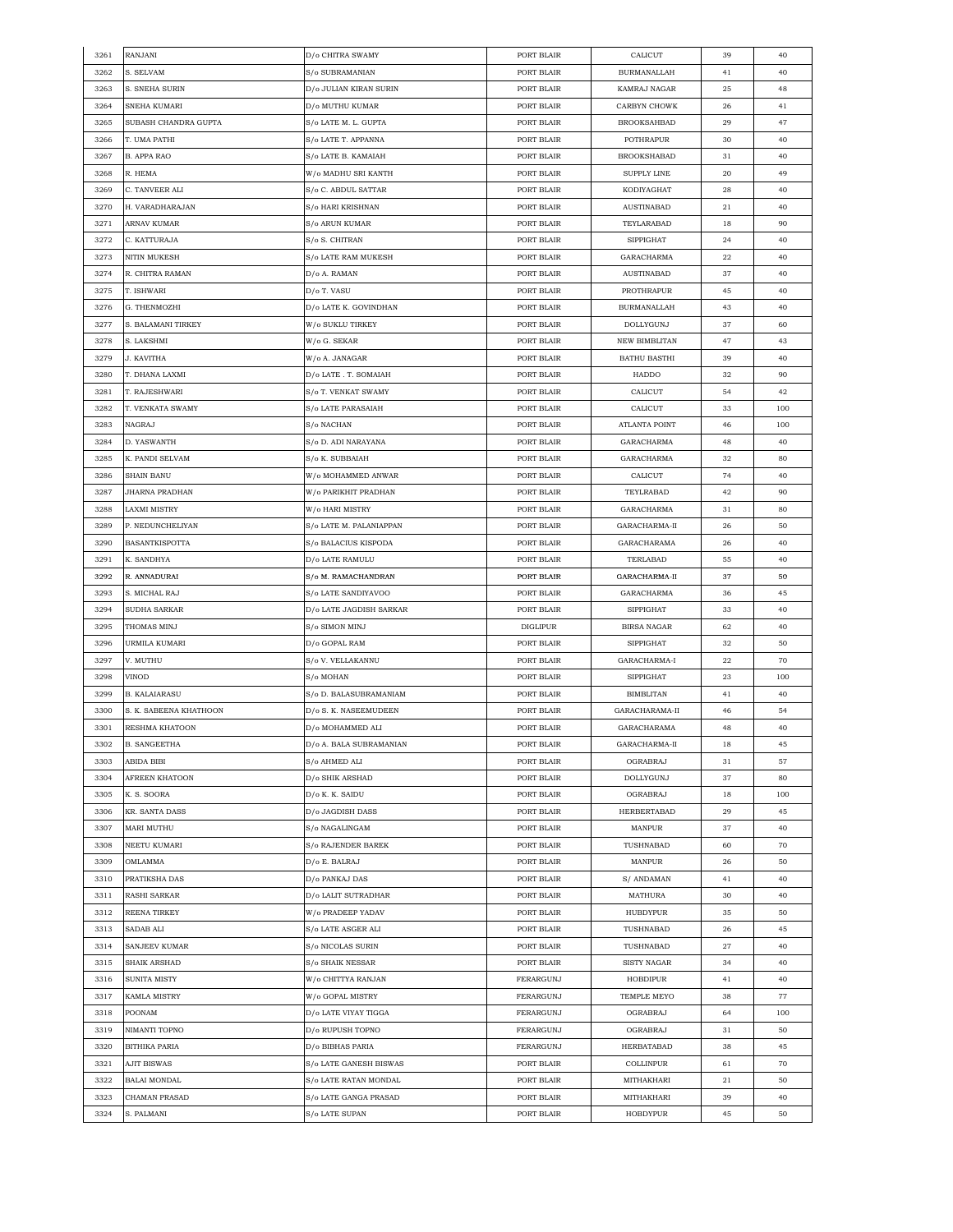| 3261 | RANJANI                             | D/o CHITRA SWAMY                   | PORT BLAIR               | CALICUT              | 39 | 40  |
|------|-------------------------------------|------------------------------------|--------------------------|----------------------|----|-----|
| 3262 | S. SELVAM                           | S/o SUBRAMANIAN                    | PORT BLAIR               | <b>BURMANALLAH</b>   | 41 | 40  |
| 3263 | S. SNEHA SURIN                      | D/o JULIAN KIRAN SURIN             | PORT BLAIR               | KAMRAJ NAGAR         | 25 | 48  |
| 3264 | SNEHA KUMARI                        | D/o MUTHU KUMAR                    | PORT BLAIR               | CARBYN CHOWK         | 26 | 41  |
| 3265 | SUBASH CHANDRA GUPTA                | S/o LATE M. L. GUPTA               | PORT BLAIR               | <b>BROOKSAHBAD</b>   | 29 | 47  |
| 3266 | T. UMA PATHI                        | S/o LATE T. APPANNA                | PORT BLAIR               | POTHRAPUR            | 30 | 40  |
| 3267 | <b>B. APPA RAO</b>                  | S/o LATE B. KAMAIAH                | PORT BLAIR               | <b>BROOKSHABAD</b>   | 31 | 40  |
| 3268 | R. HEMA                             | W/o MADHU SRI KANTH                | PORT BLAIR               | SUPPLY LINE          | 20 | 49  |
| 3269 | C. TANVEER ALI                      | S/o C. ABDUL SATTAR                | PORT BLAIR               | KODIYAGHAT           | 28 | 40  |
| 3270 | H. VARADHARAJAN                     | S/o HARI KRISHNAN                  | PORT BLAIR               | AUSTINABAD           | 21 | 40  |
| 3271 | ARNAV KUMAR                         | <b>S/o ARUN KUMAR</b>              | PORT BLAIR               | TEYLARABAD           |    | 90  |
|      |                                     |                                    |                          |                      | 18 |     |
| 3272 | C. KATTURAJA<br><b>NITIN MUKESH</b> | S/o S. CHITRAN                     | PORT BLAIR<br>PORT BLAIR | <b>SIPPIGHAT</b>     | 24 | 40  |
| 3273 |                                     | S/o LATE RAM MUKESH                |                          | GARACHARMA           | 22 | 40  |
| 3274 | R. CHITRA RAMAN                     | D/o A. RAMAN                       | PORT BLAIR               | AUSTINABAD           | 37 | 40  |
| 3275 | T. ISHWARI                          | D/o T. VASU                        | PORT BLAIR               | PROTHRAPUR           | 45 | 40  |
| 3276 | G. THENMOZHI                        | D/o LATE K. GOVINDHAN              | PORT BLAIR               | <b>BURMANALLAH</b>   | 43 | 40  |
| 3277 | S. BALAMANI TIRKEY                  | W/o SUKLU TIRKEY                   | PORT BLAIR               | DOLLYGUNJ            | 37 | 60  |
| 3278 | S. LAKSHMI                          | W/o G. SEKAR                       | PORT BLAIR               | <b>NEW BIMBLITAN</b> | 47 | 43  |
| 3279 | J. KAVITHA                          | W/o A. JANAGAR                     | PORT BLAIR               | <b>BATHU BASTHI</b>  | 39 | 40  |
| 3280 | T. DHANA LAXMI                      | D/o LATE . T. SOMAIAH              | PORT BLAIR               | HADDO                | 32 | 90  |
| 3281 | T. RAJESHWARI                       | S/o T. VENKAT SWAMY                | PORT BLAIR               | CALICUT              | 54 | 42  |
| 3282 | T. VENKATA SWAMY                    | S/o LATE PARASAIAH                 | PORT BLAIR               | CALICUT              | 33 | 100 |
| 3283 | NAGRAJ                              | S/o NACHAN                         | PORT BLAIR               | ATLANTA POINT        | 46 | 100 |
| 3284 | D. YASWANTH                         | S/o D. ADI NARAYANA                | PORT BLAIR               | GARACHARMA           | 48 | 40  |
| 3285 | K. PANDI SELVAM                     | S/o K. SUBBAIAH                    | PORT BLAIR               | GARACHARMA           | 32 | 80  |
| 3286 | SHAIN BANU                          | W/o MOHAMMED ANWAR                 | PORT BLAIR               | CALICUT              | 74 | 40  |
| 3287 | JHARNA PRADHAN                      | W/o PARIKHIT PRADHAN               | PORT BLAIR               | TEYLRABAD            | 42 | 90  |
| 3288 | LAXMI MISTRY                        | W/o HARI MISTRY                    | PORT BLAIR               | GARACHARMA           | 31 | 80  |
| 3289 | P. NEDUNCHELIYAN                    | S/o LATE M. PALANIAPPAN            | PORT BLAIR               | GARACHARMA-II        | 26 | 50  |
| 3290 | <b>BASANTKISPOTTA</b>               | S/o BALACIUS KISPODA               | PORT BLAIR               | GARACHARAMA          | 26 | 40  |
|      |                                     |                                    |                          |                      |    |     |
| 3291 | K. SANDHYA                          | D/o LATE RAMULU                    | PORT BLAIR               | TERLABAD             | 55 | 40  |
| 3292 | R. ANNADURAI                        | S/o M. RAMACHANDRAN                | PORT BLAIR               | GARACHARMA-II        | 37 | 50  |
| 3293 | S. MICHAL RAJ                       | S/o LATE SANDIYAVOO                | PORT BLAIR               | GARACHARMA           | 36 | 45  |
| 3294 | SUDHA SARKAR                        | D/o LATE JAGDISH SARKAR            | PORT BLAIR               | SIPPIGHAT            | 33 | 40  |
| 3295 | THOMAS MINJ                         | S/o SIMON MINJ                     | DIGLIPUR                 | BIRSA NAGAR          | 62 | 40  |
| 3296 | URMILA KUMARI                       | D/o GOPAL RAM                      | PORT BLAIR               | SIPPIGHAT            | 32 | 50  |
| 3297 | V. MUTHU                            | S/o V. VELLAKANNU                  | PORT BLAIR               | GARACHARMA-I         | 22 | 70  |
| 3298 | VINOD                               | S/o MOHAN                          | PORT BLAIR               | SIPPIGHAT            | 23 | 100 |
| 3299 | <b>B. KALAIARASU</b>                | S/o D. BALASUBRAMANIAM             | PORT BLAIR               | <b>BIMBLITAN</b>     | 41 | 40  |
| 3300 | S. K. SABEENA KHATHOON              | D/o S. K. NASEEMUDEEN              | PORT BLAIR               | GARACHARAMA-II       | 46 | 54  |
| 3301 | RESHMA KHATOON                      | D/o MOHAMMED ALI                   | PORT BLAIR               | GARACHARAMA          | 48 | 40  |
| 3302 | <b>B. SANGEETHA</b>                 | $D/\mathrm{o}$ A. BALA SUBRAMANIAN | PORT BLAIR               | GARACHARMA-II        | 18 | 45  |
| 3303 | ABIDA BIBI                          | S/o AHMED ALI                      | PORT BLAIR               | OGRABRAJ             | 31 | 57  |
| 3304 | AFREEN KHATOON                      | D/o SHIK ARSHAD                    | PORT BLAIR               | DOLLYGUNJ            | 37 | 80  |
| 3305 | K. S. SOORA                         | D/o K. K. SAIDU                    | PORT BLAIR               | OGRABRAJ             | 18 | 100 |
| 3306 | KR. SANTA DASS                      | D/o JAGDISH DASS                   | PORT BLAIR               | HERBERTABAD          | 29 | 45  |
| 3307 | MARI MUTHU                          | S/o NAGALINGAM                     | PORT BLAIR               | MANPUR               | 37 | 40  |
| 3308 | NEETU KUMARI                        | <b>S/o RAJENDER BAREK</b>          | PORT BLAIR               | TUSHNABAD            | 60 | 70  |
| 3309 | OMLAMMA                             | D/o E. BALRAJ                      | PORT BLAIR               | MANPUR               | 26 | 50  |
| 3310 | PRATIKSHA DAS                       | D/o PANKAJ DAS                     | PORT BLAIR               | S/ ANDAMAN           | 41 | 40  |
| 3311 | RASHI SARKAR                        | D/o LALIT SUTRADHAR                | PORT BLAIR               | MATHURA              | 30 | 40  |
| 3312 | REENA TIRKEY                        | W/o PRADEEP YADAV                  | PORT BLAIR               | HUBDYPUR             | 35 | 50  |
| 3313 | SADAB ALI                           | S/o LATE ASGER ALI                 | PORT BLAIR               | TUSHNABAD            | 26 | 45  |
| 3314 | SANJEEV KUMAR                       | S/o NICOLAS SURIN                  | PORT BLAIR               | TUSHNABAD            | 27 | 40  |
|      |                                     |                                    |                          |                      |    |     |
| 3315 | SHAIK ARSHAD                        | S/o SHAIK NESSAR                   | PORT BLAIR               | SISTY NAGAR          | 34 | 40  |
| 3316 | SUNITA MISTY                        | W/o CHITTYA RANJAN                 | FERARGUNJ                | HOBDIPUR             | 41 | 40  |
| 3317 | KAMLA MISTRY                        | W/o GOPAL MISTRY                   | FERARGUNJ                | TEMPLE MEYO          | 38 | 77  |
| 3318 | POONAM                              | D/o LATE VIYAY TIGGA               | FERARGUNJ                | OGRABRAJ             | 64 | 100 |
| 3319 | NIMANTI TOPNO                       | D/o RUPUSH TOPNO                   | FERARGUNJ                | OGRABRAJ             | 31 | 50  |
| 3320 | BITHIKA PARIA                       | D/o BIBHAS PARIA                   | FERARGUNJ                | HERBATABAD           | 38 | 45  |
| 3321 | AJIT BISWAS                         | S/o LATE GANESH BISWAS             | PORT BLAIR               | COLLINPUR            | 61 | 70  |
| 3322 | BALAI MONDAL                        | S/o LATE RATAN MONDAL              | PORT BLAIR               | MITHAKHARI           | 21 | 50  |
| 3323 | CHAMAN PRASAD                       | S/o LATE GANGA PRASAD              | PORT BLAIR               | MITHAKHARI           | 39 | 40  |
| 3324 | S. PALMANI                          | S/o LATE SUPAN                     | PORT BLAIR               | HOBDYPUR             | 45 | 50  |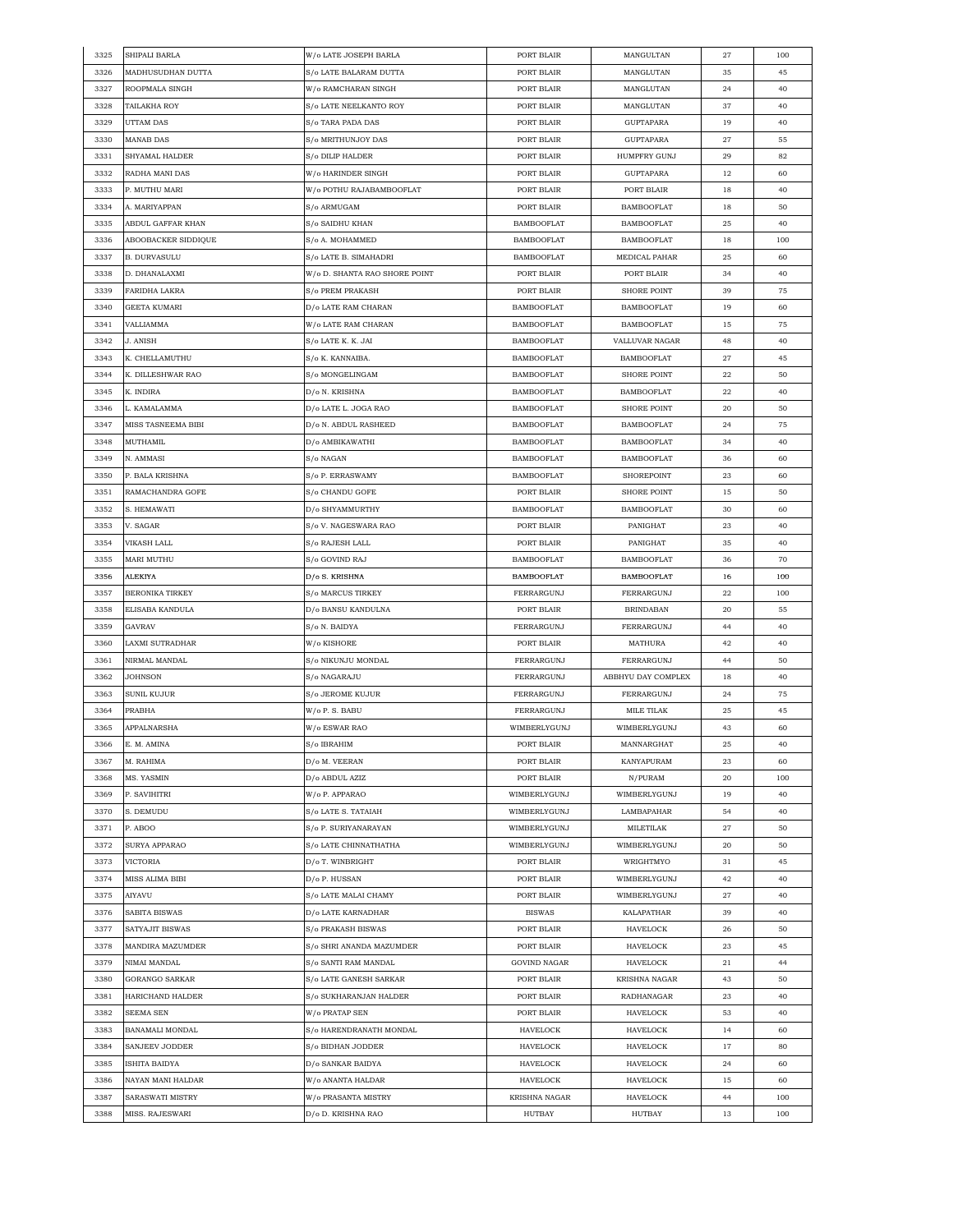| 3325         | SHIPALI BARLA                    | W/o LATE JOSEPH BARLA                    | PORT BLAIR                  | MANGULTAN           | 27       | 100      |
|--------------|----------------------------------|------------------------------------------|-----------------------------|---------------------|----------|----------|
| 3326         | MADHUSUDHAN DUTTA                | S/o LATE BALARAM DUTTA                   | PORT BLAIR                  | MANGLUTAN           | 35       | 45       |
| 3327         | ROOPMALA SINGH                   | W/o RAMCHARAN SINGH                      | PORT BLAIR                  | MANGLUTAN           | 24       | 40       |
| 3328         | TAILAKHA ROY                     | S/o LATE NEELKANTO ROY                   | PORT BLAIR                  | MANGLUTAN           | 37       | 40       |
| 3329         | UTTAM DAS                        | S/o TARA PADA DAS                        | PORT BLAIR                  | <b>GUPTAPARA</b>    | 19       | 40       |
| 3330         | MANAB DAS                        | S/o MRITHUNJOY DAS                       | PORT BLAIR                  | <b>GUPTAPARA</b>    | 27       | 55       |
| 3331         | SHYAMAL HALDER                   | S/o DILIP HALDER                         | PORT BLAIR                  | <b>HUMPFRY GUNJ</b> | 29       | 82       |
| 3332         | RADHA MANI DAS                   | W/o HARINDER SINGH                       | PORT BLAIR                  | <b>GUPTAPARA</b>    | 12       | 60       |
| 3333         | P. MUTHU MARI                    | W/o POTHU RAJABAMBOOFLAT                 | PORT BLAIR                  | PORT BLAIR          | 18       | 40       |
| 3334         | A. MARIYAPPAN                    | S/o ARMUGAM                              | PORT BLAIR                  | <b>BAMBOOFLAT</b>   | 18       | 50       |
| 3335         | ABDUL GAFFAR KHAN                | S/o SAIDHU KHAN                          | <b>BAMBOOFLAT</b>           | <b>BAMBOOFLAT</b>   | 25       | 40       |
| 3336         | ABOOBACKER SIDDIQUE              | S/o A. MOHAMMED                          | <b>BAMBOOFLAT</b>           | <b>BAMBOOFLAT</b>   | 18       | 100      |
| 3337         | B. DURVASULU                     | S/o LATE B. SIMAHADRI                    | <b>BAMBOOFLAT</b>           | MEDICAL PAHAR       | 25       | 60       |
| 3338         | D. DHANALAXMI                    | W/o D. SHANTA RAO SHORE POINT            | PORT BLAIR                  | PORT BLAIR          | 34       | 40       |
| 3339         | FARIDHA LAKRA                    | S/o PREM PRAKASH                         | PORT BLAIR                  | <b>SHORE POINT</b>  | 39       | 75       |
|              |                                  |                                          |                             |                     |          |          |
| 3340         | GEETA KUMARI                     | D/o LATE RAM CHARAN                      | <b>BAMBOOFLAT</b>           | <b>BAMBOOFLAT</b>   | 19       | 60       |
| 3341         | VALLIAMMA                        | W/o LATE RAM CHARAN                      | <b>BAMBOOFLAT</b>           | <b>BAMBOOFLAT</b>   | 15       | 75       |
| 3342         | J. ANISH                         | S/o LATE K. K. JAI                       | <b>BAMBOOFLAT</b>           | VALLUVAR NAGAR      | 48       | 40       |
| 3343         | K. CHELLAMUTHU                   | S/o K. KANNAIBA.                         | <b>BAMBOOFLAT</b>           | <b>BAMBOOFLAT</b>   | 27       | 45       |
| 3344         | K. DILLESHWAR RAO                | S/o MONGELINGAM                          | <b>BAMBOOFLAT</b>           | <b>SHORE POINT</b>  | 22       | 50       |
| 3345         | K. INDIRA                        | D/o N. KRISHNA                           | <b>BAMBOOFLAT</b>           | <b>BAMBOOFLAT</b>   | 22       | 40       |
| 3346         | L. KAMALAMMA                     | D/o LATE L. JOGA RAO                     | <b>BAMBOOFLAT</b>           | <b>SHORE POINT</b>  | 20       | 50       |
| 3347         | MISS TASNEEMA BIBI               | D/o N. ABDUL RASHEED                     | <b>BAMBOOFLAT</b>           | <b>BAMBOOFLAT</b>   | 24       | 75       |
| 3348         | MUTHAMIL                         | D/o AMBIKAWATHI                          | <b>BAMBOOFLAT</b>           | <b>BAMBOOFLAT</b>   | 34       | 40       |
| 3349         | N. AMMASI                        | S/o NAGAN                                | <b>BAMBOOFLAT</b>           | <b>BAMBOOFLAT</b>   | 36       | 60       |
| 3350         | P. BALA KRISHNA                  | S/o P. ERRASWAMY                         | <b>BAMBOOFLAT</b>           | SHOREPOINT          | 23       | 60       |
| 3351         | RAMACHANDRA GOFE                 | S/o CHANDU GOFE                          | PORT BLAIR                  | <b>SHORE POINT</b>  | 15       | 50       |
| 3352         | S. HEMAWATI                      | D/o SHYAMMURTHY                          | BAMBOOFLAT                  | <b>BAMBOOFLAT</b>   | 30       | 60       |
| 3353         | V. SAGAR                         | S/o V. NAGESWARA RAO                     | PORT BLAIR                  | PANIGHAT            | 23       | 40       |
| 3354         | VIKASH LALL                      | S/o RAJESH LALL                          | PORT BLAIR                  | PANIGHAT            | 35       | 40       |
| 3355         | MARI MUTHU                       | S/o GOVIND RAJ                           | <b>BAMBOOFLAT</b>           | <b>BAMBOOFLAT</b>   | 36       | 70       |
| 3356         | ALEKIYA                          | D/o S. KRISHNA                           | <b>BAMBOOFLAT</b>           | <b>BAMBOOFLAT</b>   | 16       | 100      |
| 3357         | BERONIKA TIRKEY                  | S/o MARCUS TIRKEY                        | FERRARGUNJ                  | FERRARGUNJ          | 22       | 100      |
| 3358         | ELISABA KANDULA                  | D/o BANSU KANDULNA                       | PORT BLAIR                  | <b>BRINDABAN</b>    | 20       | 55       |
| 3359         | GAVRAV                           | S/o N. BAIDYA                            | FERRARGUNJ                  | FERRARGUNJ          | 44       | 40       |
| 3360         | LAXMI SUTRADHAR                  | W/o KISHORE                              | PORT BLAIR                  | MATHURA             | 42       | 40       |
| 3361         | NIRMAL MANDAL                    | S/o NIKUNJU MONDAL                       | FERRARGUNJ                  | FERRARGUNJ          | 44       | 50       |
| 3362         | JOHNSON                          | S/o NAGARAJU                             | FERRARGUNJ                  | ABBHYU DAY COMPLEX  | 18       | 40       |
| 3363         | SUNIL KUJUR                      | S/o JEROME KUJUR                         | FERRARGUNJ                  | FERRARGUNJ          | 24       | 75       |
| 3364         | PRABHA                           | W/o P. S. BABU                           | FERRARGUNJ                  | MILE TILAK          | 25       | 45       |
| 3365         | APPALNARSHA                      | W/o ESWAR RAO                            | WIMBERLYGUNJ                | WIMBERLYGUNJ        | 43       | 60       |
| 3366         | E. M. AMINA                      | S/o IBRAHIM                              | PORT BLAIR                  | MANNARGHAT          | $\bf 25$ | 40       |
| 3367         | M. RAHIMA                        | D/o M. VEERAN                            | PORT BLAIR                  | KANYAPURAM          | 23       | 60       |
| 3368         | MS. YASMIN                       | D/o ABDUL AZIZ                           | PORT BLAIR                  | N/PURAM             | 20       | 100      |
| 3369         | P. SAVIHITRI                     | W/o P. APPARAO                           | WIMBERLYGUNJ                | WIMBERLYGUNJ        | 19       | 40       |
| 3370         | S. DEMUDU                        | S/o LATE S. TATAIAH                      | WIMBERLYGUNJ                | LAMBAPAHAR          | 54       | 40       |
| 3371         | P. ABOO                          | S/o P. SURIYANARAYAN                     | WIMBERLYGUNJ                | MILETILAK           | 27       | 50       |
| 3372         | SURYA APPARAO                    | S/o LATE CHINNATHATHA                    | WIMBERLYGUNJ                | WIMBERLYGUNJ        | 20       | 50       |
| 3373         | VICTORIA                         | D/o T. WINBRIGHT                         | PORT BLAIR                  | WRIGHTMYO           | 31       | 45       |
| 3374         | MISS ALIMA BIBI                  | D/o P. HUSSAN                            | PORT BLAIR                  | WIMBERLYGUNJ        | 42       | 40       |
| 3375         | AIYAVU                           |                                          | PORT BLAIR                  | WIMBERLYGUNJ        | 27       | 40       |
|              |                                  | S/o LATE MALAI CHAMY                     |                             |                     |          |          |
| 3376<br>3377 | SABITA BISWAS<br>SATYAJIT BISWAS | D/o LATE KARNADHAR<br>S/o PRAKASH BISWAS | <b>BISWAS</b><br>PORT BLAIR | KALAPATHAR          | 39       | 40<br>50 |
|              |                                  |                                          |                             | HAVELOCK            | 26       |          |
| 3378         | MANDIRA MAZUMDER                 | S/o SHRI ANANDA MAZUMDER                 | PORT BLAIR                  | HAVELOCK            | 23       | 45       |
| 3379         | NIMAI MANDAL                     | S/o SANTI RAM MANDAL                     | <b>GOVIND NAGAR</b>         | HAVELOCK            | 21       | 44       |
| 3380         | GORANGO SARKAR                   | S/o LATE GANESH SARKAR                   | PORT BLAIR                  | KRISHNA NAGAR       | 43       | 50       |
| 3381         | HARICHAND HALDER                 | S/o SUKHARANJAN HALDER                   | PORT BLAIR                  | RADHANAGAR          | 23       | 40       |
| 3382         | SEEMA SEN                        | W/o PRATAP SEN                           | PORT BLAIR                  | HAVELOCK            | 53       | 40       |
| 3383         | BANAMALI MONDAL                  | S/o HARENDRANATH MONDAL                  | HAVELOCK                    | HAVELOCK            | 14       | 60       |
| 3384         | SANJEEV JODDER                   | S/o BIDHAN JODDER                        | HAVELOCK                    | HAVELOCK            | 17       | 80       |
| 3385         | ISHITA BAIDYA                    | D/o SANKAR BAIDYA                        | HAVELOCK                    | HAVELOCK            | 24       | 60       |
| 3386         | NAYAN MANI HALDAR                | W/o ANANTA HALDAR                        | HAVELOCK                    | HAVELOCK            | 15       | 60       |
| 3387         | SARASWATI MISTRY                 | W/o PRASANTA MISTRY                      | KRISHNA NAGAR               | HAVELOCK            | 44       | 100      |
| 3388         | MISS. RAJESWARI                  | D/o D. KRISHNA RAO                       | HUTBAY                      | HUTBAY              | 13       | 100      |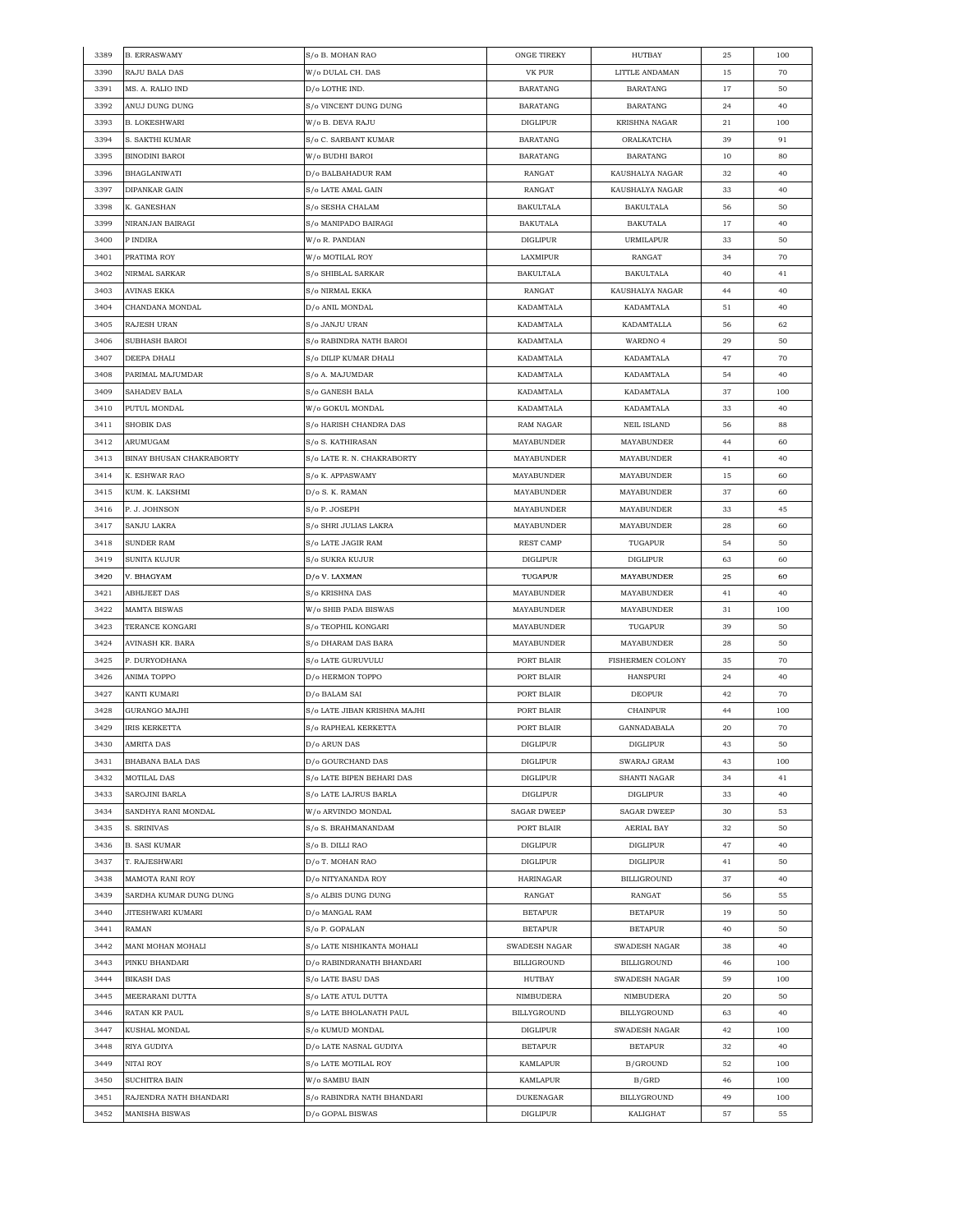| 3389 | <b>B. ERRASWAMY</b>      | S/o B. MOHAN RAO             | ONGE TIREKY        | HUTBAY               | 25 | 100 |
|------|--------------------------|------------------------------|--------------------|----------------------|----|-----|
| 3390 | RAJU BALA DAS            | W/o DULAL CH. DAS            | <b>VK PUR</b>      | LITTLE ANDAMAN       | 15 | 70  |
| 3391 | MS. A. RALIO IND         | D/o LOTHE IND.               | <b>BARATANG</b>    | <b>BARATANG</b>      | 17 | 50  |
| 3392 | ANUJ DUNG DUNG           | S/o VINCENT DUNG DUNG        | BARATANG           | BARATANG             | 24 | 40  |
| 3393 | B. LOKESHWARI            | W/o B. DEVA RAJU             | DIGLIPUR           | <b>KRISHNA NAGAR</b> | 21 | 100 |
| 3394 | S. SAKTHI KUMAR          | S/o C. SARBANT KUMAR         | <b>BARATANG</b>    | ORALKATCHA           | 39 | 91  |
| 3395 | <b>BINODINI BAROI</b>    | W/o BUDHI BAROI              | <b>BARATANG</b>    | <b>BARATANG</b>      | 10 | 80  |
| 3396 | BHAGLANIWATI             | D/o BALBAHADUR RAM           | RANGAT             | KAUSHALYA NAGAR      | 32 | 40  |
| 3397 | DIPANKAR GAIN            | S/o LATE AMAL GAIN           | RANGAT             | KAUSHALYA NAGAR      | 33 | 40  |
| 3398 | K. GANESHAN              | S/o SESHA CHALAM             | BAKULTALA          | BAKULTALA            | 56 | 50  |
| 3399 | NIRANJAN BAIRAGI         | S/o MANIPADO BAIRAGI         | <b>BAKUTALA</b>    | <b>BAKUTALA</b>      | 17 | 40  |
|      |                          |                              |                    |                      |    |     |
| 3400 | P INDIRA                 | W/o R. PANDIAN               | <b>DIGLIPUR</b>    | <b>URMILAPUR</b>     | 33 | 50  |
| 3401 | PRATIMA ROY              | W/o MOTILAL ROY              | LAXMIPUR           | RANGAT               | 34 | 70  |
| 3402 | NIRMAL SARKAR            | S/o SHIBLAL SARKAR           | BAKULTALA          | <b>BAKULTALA</b>     | 40 | 41  |
| 3403 | AVINAS EKKA              | S/o NIRMAL EKKA              | RANGAT             | KAUSHALYA NAGAR      | 44 | 40  |
| 3404 | CHANDANA MONDAL          | D/o ANIL MONDAL              | KADAMTALA          | KADAMTALA            | 51 | 40  |
| 3405 | RAJESH URAN              | S/o JANJU URAN               | KADAMTALA          | KADAMTALLA           | 56 | 62  |
| 3406 | SUBHASH BAROI            | S/o RABINDRA NATH BAROI      | KADAMTALA          | WARDNO 4             | 29 | 50  |
| 3407 | DEEPA DHALI              | S/o DILIP KUMAR DHALI        | KADAMTALA          | KADAMTALA            | 47 | 70  |
| 3408 | PARIMAL MAJUMDAR         | S/o A. MAJUMDAR              | KADAMTALA          | KADAMTALA            | 54 | 40  |
| 3409 | SAHADEV BALA             | S/o GANESH BALA              | KADAMTALA          | KADAMTALA            | 37 | 100 |
| 3410 | PUTUL MONDAL             | W/o GOKUL MONDAL             | KADAMTALA          | KADAMTALA            | 33 | 40  |
| 3411 | <b>SHOBIK DAS</b>        | S/o HARISH CHANDRA DAS       | RAM NAGAR          | <b>NEIL ISLAND</b>   | 56 | 88  |
| 3412 | ARUMUGAM                 | S/o S. KATHIRASAN            | MAYABUNDER         | MAYABUNDER           | 44 | 60  |
| 3413 | BINAY BHUSAN CHAKRABORTY | S/o LATE R. N. CHAKRABORTY   | MAYABUNDER         | MAYABUNDER           | 41 | 40  |
| 3414 | K. ESHWAR RAO            | S/o K. APPASWAMY             | MAYABUNDER         | <b>MAYABUNDER</b>    | 15 | 60  |
| 3415 | KUM. K. LAKSHMI          | D/o S. K. RAMAN              | <b>MAYABUNDER</b>  | MAYABUNDER           | 37 | 60  |
| 3416 | P. J. JOHNSON            | S/o P. JOSEPH                | MAYABUNDER         | MAYABUNDER           | 33 | 45  |
|      |                          |                              |                    |                      |    |     |
| 3417 | SANJU LAKRA              | S/o SHRI JULIAS LAKRA        | MAYABUNDER         | MAYABUNDER           | 28 | 60  |
| 3418 | SUNDER RAM               | S/o LATE JAGIR RAM           | <b>REST CAMP</b>   | TUGAPUR              | 54 | 50  |
| 3419 | SUNITA KUJUR             | S/o SUKRA KUJUR              | <b>DIGLIPUR</b>    | <b>DIGLIPUR</b>      | 63 | 60  |
| 3420 | V. BHAGYAM               | D/o V. LAXMAN                | TUGAPUR            | <b>MAYABUNDER</b>    | 25 | 60  |
| 3421 | <b>ABHIJEET DAS</b>      | S/o KRISHNA DAS              | MAYABUNDER         | MAYABUNDER           | 41 | 40  |
| 3422 | MAMTA BISWAS             | W/o SHIB PADA BISWAS         | MAYABUNDER         | MAYABUNDER           | 31 | 100 |
| 3423 | TERANCE KONGARI          | S/o TEOPHIL KONGARI          | MAYABUNDER         | TUGAPUR              | 39 | 50  |
| 3424 | AVINASH KR. BARA         | S/o DHARAM DAS BARA          | MAYABUNDER         | MAYABUNDER           | 28 | 50  |
| 3425 | P. DURYODHANA            | S/o LATE GURUVULU            | PORT BLAIR         | FISHERMEN COLONY     | 35 | 70  |
| 3426 | ANIMA TOPPO              | D/o HERMON TOPPO             | PORT BLAIR         | <b>HANSPURI</b>      | 24 | 40  |
| 3427 | KANTI KUMARI             | D/o BALAM SAI                | PORT BLAIR         | DEOPUR               | 42 | 70  |
| 3428 | GURANGO MAJHI            | S/o LATE JIBAN KRISHNA MAJHI | PORT BLAIR         | CHAINPUR             | 44 | 100 |
| 3429 | IRIS KERKETTA            | S/o RAPHEAL KERKETTA         | PORT BLAIR         | GANNADABALA          | 20 | 70  |
| 3430 | AMRITA DAS               | D/o ARUN DAS                 | <b>DIGLIPUR</b>    | <b>DIGLIPUR</b>      | 43 | 50  |
| 3431 | BHABANA BALA DAS         | D/o GOURCHAND DAS            | DIGLIPUR           | SWARAJ GRAM          | 43 | 100 |
| 3432 | MOTILAL DAS              | S/o LATE BIPEN BEHARI DAS    | DIGLIPUR           | SHANTI NAGAR         | 34 | 41  |
| 3433 | SAROJINI BARLA           | S/o LATE LAJRUS BARLA        | DIGLIPUR           | DIGLIPUR             | 33 | 40  |
| 3434 | SANDHYA RANI MONDAL      | W/o ARVINDO MONDAL           | <b>SAGAR DWEEP</b> | <b>SAGAR DWEEP</b>   | 30 | 53  |
| 3435 | S. SRINIVAS              | S/o S. BRAHMANANDAM          | PORT BLAIR         | <b>AERIAL BAY</b>    | 32 | 50  |
| 3436 | <b>B. SASI KUMAR</b>     | S/o B. DILLI RAO             | <b>DIGLIPUR</b>    | <b>DIGLIPUR</b>      | 47 | 40  |
| 3437 | T. RAJESHWARI            | D/o T. MOHAN RAO             | <b>DIGLIPUR</b>    | DIGLIPUR             |    | 50  |
|      |                          | D/o NITYANANDA ROY           |                    |                      | 41 |     |
| 3438 | MAMOTA RANI ROY          |                              | HARINAGAR          | BILLIGROUND          | 37 | 40  |
| 3439 | SARDHA KUMAR DUNG DUNG   | S/o ALBIS DUNG DUNG          | RANGAT             | RANGAT               | 56 | 55  |
| 3440 | JITESHWARI KUMARI        | D/o MANGAL RAM               | <b>BETAPUR</b>     | <b>BETAPUR</b>       | 19 | 50  |
| 3441 | RAMAN                    | S/o P. GOPALAN               | <b>BETAPUR</b>     | <b>BETAPUR</b>       | 40 | 50  |
| 3442 | MANI MOHAN MOHALI        | S/o LATE NISHIKANTA MOHALI   | SWADESH NAGAR      | SWADESH NAGAR        | 38 | 40  |
| 3443 | PINKU BHANDARI           | D/o RABINDRANATH BHANDARI    | <b>BILLIGROUND</b> | BILLIGROUND          | 46 | 100 |
| 3444 | BIKASH DAS               | S/o LATE BASU DAS            | HUTBAY             | SWADESH NAGAR        | 59 | 100 |
| 3445 | MEERARANI DUTTA          | S/o LATE ATUL DUTTA          | <b>NIMBUDERA</b>   | NIMBUDERA            | 20 | 50  |
| 3446 | RATAN KR PAUL            | S/o LATE BHOLANATH PAUL      | BILLYGROUND        | BILLYGROUND          | 63 | 40  |
| 3447 | KUSHAL MONDAL            | S/o KUMUD MONDAL             | $\rm DIGLIPUR$     | SWADESH NAGAR        | 42 | 100 |
| 3448 | RIYA GUDIYA              | D/o LATE NASNAL GUDIYA       | <b>BETAPUR</b>     | <b>BETAPUR</b>       | 32 | 40  |
| 3449 | NITAI ROY                | S/o LATE MOTILAL ROY         | KAMLAPUR           | B/GROUND             | 52 | 100 |
| 3450 | SUCHITRA BAIN            | W/o SAMBU BAIN               | KAMLAPUR           | B/GRD                | 46 | 100 |
| 3451 | RAJENDRA NATH BHANDARI   | S/o RABINDRA NATH BHANDARI   | <b>DUKENAGAR</b>   | BILLYGROUND          | 49 | 100 |
| 3452 | <b>MANISHA BISWAS</b>    | D/o GOPAL BISWAS             | <b>DIGLIPUR</b>    | KALIGHAT             | 57 | 55  |
|      |                          |                              |                    |                      |    |     |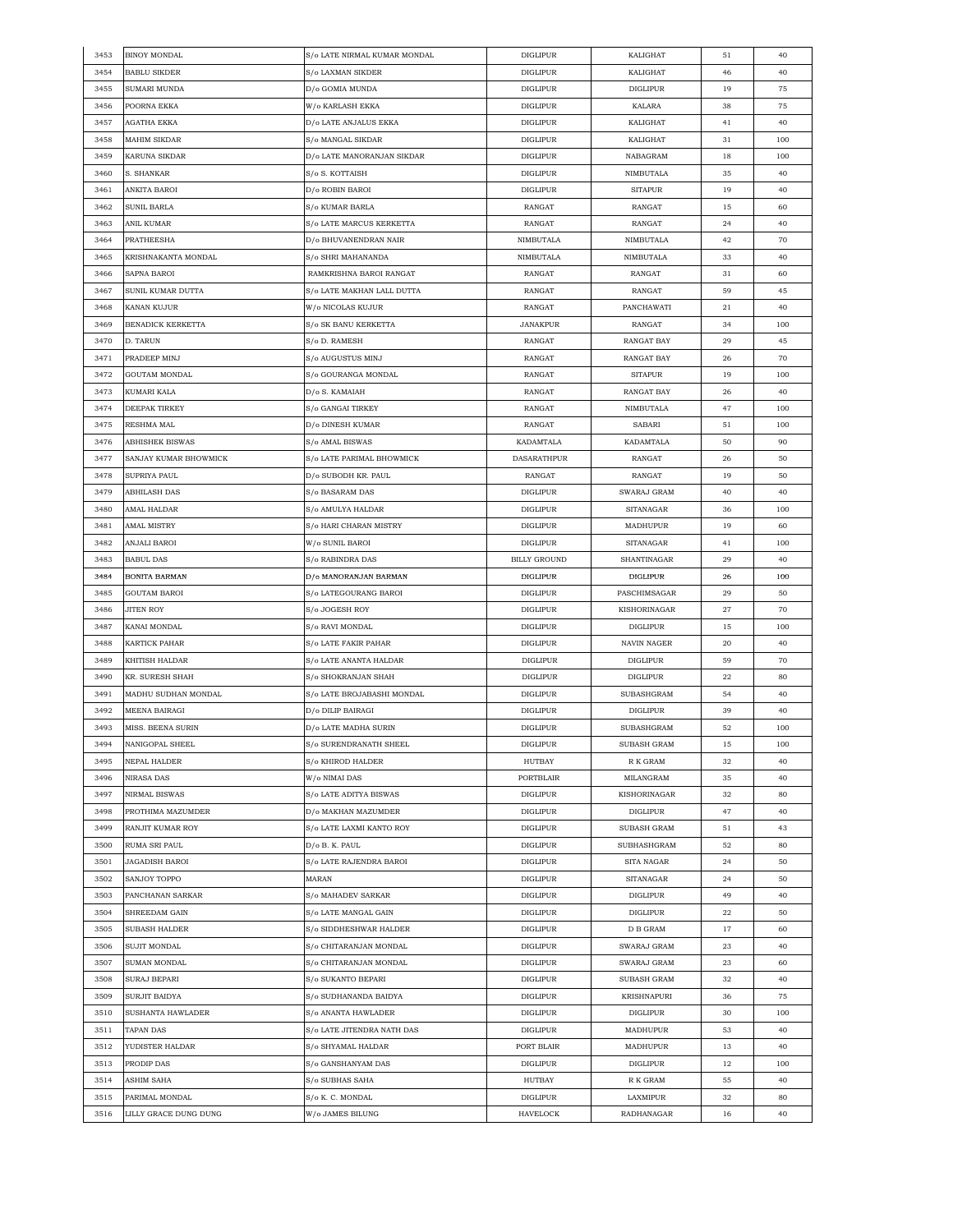| 3453 | <b>BINOY MONDAL</b>               | S/o LATE NIRMAL KUMAR MONDAL | <b>DIGLIPUR</b>     | KALIGHAT                   | 51 | 40  |
|------|-----------------------------------|------------------------------|---------------------|----------------------------|----|-----|
| 3454 | <b>BABLU SIKDER</b>               | S/o LAXMAN SIKDER            | <b>DIGLIPUR</b>     | KALIGHAT                   | 46 | 40  |
| 3455 | SUMARI MUNDA                      | D/o GOMIA MUNDA              | <b>DIGLIPUR</b>     | <b>DIGLIPUR</b>            | 19 | 75  |
| 3456 | POORNA EKKA                       | W/o KARLASH EKKA             | <b>DIGLIPUR</b>     | KALARA                     | 38 | 75  |
| 3457 | AGATHA EKKA                       | D/o LATE ANJALUS EKKA        | <b>DIGLIPUR</b>     | KALIGHAT                   | 41 | 40  |
| 3458 | MAHIM SIKDAR                      | S/o MANGAL SIKDAR            | <b>DIGLIPUR</b>     | KALIGHAT                   | 31 | 100 |
| 3459 | KARUNA SIKDAR                     | D/o LATE MANORANJAN SIKDAR   | <b>DIGLIPUR</b>     | NABAGRAM                   | 18 | 100 |
| 3460 | S. SHANKAR                        | S/o S. KOTTAISH              | <b>DIGLIPUR</b>     | NIMBUTALA                  | 35 | 40  |
| 3461 | ANKITA BAROI                      | D/o ROBIN BAROI              | <b>DIGLIPUR</b>     | <b>SITAPUR</b>             | 19 | 40  |
| 3462 | SUNIL BARLA                       | S/o KUMAR BARLA              | RANGAT              | RANGAT                     | 15 | 60  |
| 3463 | ANIL KUMAR                        | S/o LATE MARCUS KERKETTA     | RANGAT              | RANGAT                     | 24 | 40  |
|      |                                   |                              | NIMBUTALA           |                            |    |     |
| 3464 | PRATHEESHA<br>KRISHNAKANTA MONDAL | D/o BHUVANENDRAN NAIR        | NIMBUTALA           | NIMBUTALA                  | 42 | 70  |
| 3465 |                                   | S/o SHRI MAHANANDA           |                     | NIMBUTALA                  | 33 | 40  |
| 3466 | SAPNA BAROI                       | RAMKRISHNA BAROI RANGAT      | RANGAT              | RANGAT                     | 31 | 60  |
| 3467 | SUNIL KUMAR DUTTA                 | S/o LATE MAKHAN LALL DUTTA   | RANGAT              | RANGAT                     | 59 | 45  |
| 3468 | KANAN KUJUR                       | W/o NICOLAS KUJUR            | RANGAT              | PANCHAWATI                 | 21 | 40  |
| 3469 | BENADICK KERKETTA                 | S/o SK BANU KERKETTA         | <b>JANAKPUR</b>     | RANGAT                     | 34 | 100 |
| 3470 | D. TARUN                          | S/o D. RAMESH                | RANGAT              | RANGAT BAY                 | 29 | 45  |
| 3471 | PRADEEP MINJ                      | S/o AUGUSTUS MINJ            | RANGAT              | RANGAT BAY                 | 26 | 70  |
| 3472 | GOUTAM MONDAL                     | S/o GOURANGA MONDAL          | RANGAT              | <b>SITAPUR</b>             | 19 | 100 |
| 3473 | KUMARI KALA                       | D/o S. KAMAIAH               | RANGAT              | <b>RANGAT BAY</b>          | 26 | 40  |
| 3474 | DEEPAK TIRKEY                     | S/o GANGAI TIRKEY            | RANGAT              | NIMBUTALA                  | 47 | 100 |
| 3475 | RESHMA MAL                        | D/o DINESH KUMAR             | RANGAT              | SABARI                     | 51 | 100 |
| 3476 | <b>ABHISHEK BISWAS</b>            | S/o AMAL BISWAS              | <b>KADAMTALA</b>    | KADAMTALA                  | 50 | 90  |
| 3477 | SANJAY KUMAR BHOWMICK             | S/o LATE PARIMAL BHOWMICK    | <b>DASARATHPUR</b>  | RANGAT                     | 26 | 50  |
| 3478 | SUPRIYA PAUL                      | D/0 SUBODH KR. PAUL          | RANGAT              | RANGAT                     | 19 | 50  |
| 3479 | ABHILASH DAS                      | S/o BASARAM DAS              | <b>DIGLIPUR</b>     | SWARAJ GRAM                | 40 | 40  |
| 3480 | AMAL HALDAR                       | S/o AMULYA HALDAR            | <b>DIGLIPUR</b>     | <b>SITANAGAR</b>           | 36 | 100 |
| 3481 | AMAL MISTRY                       | S/o HARI CHARAN MISTRY       | <b>DIGLIPUR</b>     | MADHUPUR                   | 19 | 60  |
| 3482 | ANJALI BAROI                      | W/o SUNIL BAROI              | <b>DIGLIPUR</b>     | <b>SITANAGAR</b>           | 41 | 100 |
| 3483 | <b>BABUL DAS</b>                  | S/o RABINDRA DAS             | <b>BILLY GROUND</b> | SHANTINAGAR                | 29 | 40  |
| 3484 | BONITA BARMAN                     | D/o MANORANJAN BARMAN        | <b>DIGLIPUR</b>     | <b>DIGLIPUR</b>            | 26 | 100 |
| 3485 | GOUTAM BAROI                      | S/o LATEGOURANG BAROI        | <b>DIGLIPUR</b>     | PASCHIMSAGAR               | 29 | 50  |
| 3486 | <b>JITEN ROY</b>                  | S/o JOGESH ROY               | <b>DIGLIPUR</b>     | KISHORINAGAR               | 27 | 70  |
| 3487 | KANAI MONDAL                      | S/o RAVI MONDAL              | <b>DIGLIPUR</b>     | DIGLIPUR                   | 15 | 100 |
| 3488 | KARTICK PAHAR                     | S/o LATE FAKIR PAHAR         | <b>DIGLIPUR</b>     | NAVIN NAGER                | 20 | 40  |
| 3489 | KHITISH HALDAR                    | S/o LATE ANANTA HALDAR       | <b>DIGLIPUR</b>     | <b>DIGLIPUR</b>            | 59 | 70  |
| 3490 | KR. SURESH SHAH                   | S/o SHOKRANJAN SHAH          | <b>DIGLIPUR</b>     | <b>DIGLIPUR</b>            | 22 | 80  |
| 3491 | MADHU SUDHAN MONDAL               | S/o LATE BROJABASHI MONDAL   | <b>DIGLIPUR</b>     | SUBASHGRAM                 | 54 | 40  |
| 3492 | MEENA BAIRAGI                     | D/o DILIP BAIRAGI            | <b>DIGLIPUR</b>     | DIGLIPUR                   | 39 | 40  |
|      |                                   | D/o LATE MADHA SURIN         |                     |                            |    | 100 |
| 3493 | MISS. BEENA SURIN                 |                              | <b>DIGLIPUR</b>     | SUBASHGRAM                 | 52 |     |
| 3494 | NANIGOPAL SHEEL                   | S/o SURENDRANATH SHEEL       | <b>DIGLIPUR</b>     | SUBASH GRAM                | 15 | 100 |
| 3495 | NEPAL HALDER                      | S/o KHIROD HALDER            | HUTBAY              | R K GRAM                   | 32 | 40  |
| 3496 | NIRASA DAS                        | W/o NIMAI DAS                | PORTBLAIR           | MILANGRAM                  | 35 | 40  |
| 3497 | NIRMAL BISWAS                     | S/o LATE ADITYA BISWAS       | <b>DIGLIPUR</b>     | KISHORINAGAR               | 32 | 80  |
| 3498 | PROTHIMA MAZUMDER                 | D/o MAKHAN MAZUMDER          | <b>DIGLIPUR</b>     | DIGLIPUR                   | 47 | 40  |
| 3499 | RANJIT KUMAR ROY                  | S/o LATE LAXMI KANTO ROY     | <b>DIGLIPUR</b>     | SUBASH GRAM                | 51 | 43  |
| 3500 | RUMA SRI PAUL                     | D/o B. K. PAUL               | <b>DIGLIPUR</b>     | SUBHASHGRAM                | 52 | 80  |
| 3501 | <b>JAGADISH BAROI</b>             | S/o LATE RAJENDRA BAROI      | <b>DIGLIPUR</b>     | SITA NAGAR                 | 24 | 50  |
| 3502 | SANJOY TOPPO                      | MARAN                        | <b>DIGLIPUR</b>     | $\operatorname{SITANAGAR}$ | 24 | 50  |
| 3503 | PANCHANAN SARKAR                  | S/o MAHADEV SARKAR           | <b>DIGLIPUR</b>     | DIGLIPUR                   | 49 | 40  |
| 3504 | SHREEDAM GAIN                     | S/o LATE MANGAL GAIN         | <b>DIGLIPUR</b>     | DIGLIPUR                   | 22 | 50  |
| 3505 | SUBASH HALDER                     | S/o SIDDHESHWAR HALDER       | <b>DIGLIPUR</b>     | D B GRAM                   | 17 | 60  |
| 3506 | <b>SUJIT MONDAL</b>               | S/o CHITARANJAN MONDAL       | <b>DIGLIPUR</b>     | SWARAJ GRAM                | 23 | 40  |
| 3507 | SUMAN MONDAL                      | S/o CHITARANJAN MONDAL       | <b>DIGLIPUR</b>     | SWARAJ GRAM                | 23 | 60  |
| 3508 | SURAJ BEPARI                      | S/o SUKANTO BEPARI           | <b>DIGLIPUR</b>     | SUBASH GRAM                | 32 | 40  |
| 3509 | SURJIT BAIDYA                     | S/o SUDHANANDA BAIDYA        | <b>DIGLIPUR</b>     | <b>KRISHNAPURI</b>         | 36 | 75  |
| 3510 | SUSHANTA HAWLADER                 | S/o ANANTA HAWLADER          | DIGLIPUR            | DIGLIPUR                   | 30 | 100 |
| 3511 | TAPAN DAS                         | S/o LATE JITENDRA NATH DAS   | <b>DIGLIPUR</b>     | MADHUPUR                   | 53 | 40  |
| 3512 | YUDISTER HALDAR                   | S/o SHYAMAL HALDAR           | PORT BLAIR          | MADHUPUR                   | 13 | 40  |
| 3513 | PRODIP DAS                        | S/o GANSHANYAM DAS           | <b>DIGLIPUR</b>     | <b>DIGLIPUR</b>            | 12 | 100 |
| 3514 | ASHIM SAHA                        | S/o SUBHAS SAHA              | HUTBAY              | R K GRAM                   | 55 | 40  |
| 3515 | PARIMAL MONDAL                    | S/o K. C. MONDAL             | DIGLIPUR            | LAXMIPUR                   | 32 | 80  |
| 3516 | LILLY GRACE DUNG DUNG             | W/o JAMES BILUNG             | HAVELOCK            | RADHANAGAR                 | 16 | 40  |
|      |                                   |                              |                     |                            |    |     |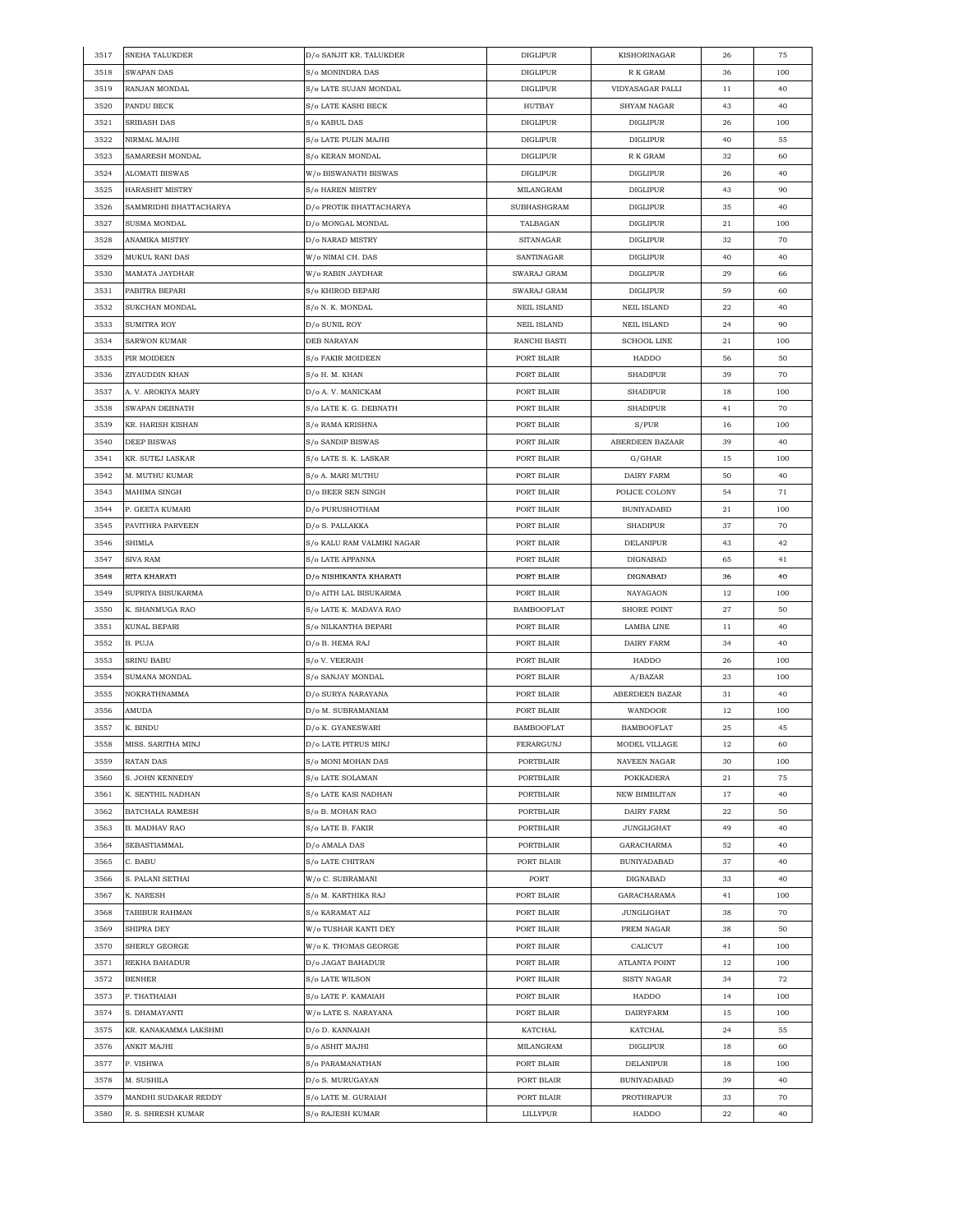| 3517 | SNEHA TALUKDER         | D/o SANJIT KR. TALUKDER    | <b>DIGLIPUR</b>    | KISHORINAGAR         | 26 | 75  |
|------|------------------------|----------------------------|--------------------|----------------------|----|-----|
| 3518 | SWAPAN DAS             | S/o MONINDRA DAS           | <b>DIGLIPUR</b>    | R K GRAM             | 36 | 100 |
| 3519 | RANJAN MONDAL          | S/o LATE SUJAN MONDAL      | <b>DIGLIPUR</b>    | VIDYASAGAR PALLI     | 11 | 40  |
| 3520 | PANDU BECK             | S/o LATE KASHI BECK        | HUTBAY             | <b>SHYAM NAGAR</b>   | 43 | 40  |
| 3521 | SRIBASH DAS            | S/o KABUL DAS              | <b>DIGLIPUR</b>    | <b>DIGLIPUR</b>      | 26 | 100 |
| 3522 | NIRMAL MAJHI           | S/o LATE PULIN MAJHI       | <b>DIGLIPUR</b>    | DIGLIPUR             | 40 | 55  |
| 3523 | SAMARESH MONDAL        | S/o KERAN MONDAL           | <b>DIGLIPUR</b>    | R K GRAM             | 32 | 60  |
| 3524 | ALOMATI BISWAS         | W/o BISWANATH BISWAS       | <b>DIGLIPUR</b>    | <b>DIGLIPUR</b>      | 26 | 40  |
| 3525 | <b>HARASHIT MISTRY</b> | S/o HAREN MISTRY           | MILANGRAM          | <b>DIGLIPUR</b>      | 43 | 90  |
|      |                        |                            |                    |                      |    |     |
| 3526 | SAMMRIDHI BHATTACHARYA | D/o PROTIK BHATTACHARYA    | SUBHASHGRAM        | <b>DIGLIPUR</b>      | 35 | 40  |
| 3527 | SUSMA MONDAL           | D/0 MONGAL MONDAL          | TALBAGAN           | <b>DIGLIPUR</b>      | 21 | 100 |
| 3528 | ANAMIKA MISTRY         | D/o NARAD MISTRY           | SITANAGAR          | <b>DIGLIPUR</b>      | 32 | 70  |
| 3529 | MUKUL RANI DAS         | W/o NIMAI CH. DAS          | SANTINAGAR         | <b>DIGLIPUR</b>      | 40 | 40  |
| 3530 | MAMATA JAYDHAR         | W/o RABIN JAYDHAR          | SWARAJ GRAM        | <b>DIGLIPUR</b>      | 29 | 66  |
| 3531 | PABITRA BEPARI         | S/o KHIROD BEPARI          | SWARAJ GRAM        | DIGLIPUR             | 59 | 60  |
| 3532 | SUKCHAN MONDAL         | S/o N. K. MONDAL           | <b>NEIL ISLAND</b> | <b>NEIL ISLAND</b>   | 22 | 40  |
| 3533 | SUMITRA ROY            | D/o SUNIL ROY              | <b>NEIL ISLAND</b> | <b>NEIL ISLAND</b>   | 24 | 90  |
| 3534 | SARWON KUMAR           | DEB NARAYAN                | RANCHI BASTI       | <b>SCHOOL LINE</b>   | 21 | 100 |
| 3535 | PIR MOIDEEN            | <b>S/o FAKIR MOIDEEN</b>   | PORT BLAIR         | <b>HADDO</b>         | 56 | 50  |
| 3536 | ZIYAUDDIN KHAN         | S/o H. M. KHAN             | PORT BLAIR         | SHADIPUR             | 39 | 70  |
| 3537 | A. V. AROKIYA MARY     | D/o A.V. MANICKAM          | PORT BLAIR         | <b>SHADIPUR</b>      | 18 | 100 |
| 3538 | SWAPAN DEBNATH         | S/o LATE K. G. DEBNATH     | PORT BLAIR         | <b>SHADIPUR</b>      | 41 | 70  |
| 3539 | KR. HARISH KISHAN      | S/o RAMA KRISHNA           | PORT BLAIR         | S/PUR                | 16 | 100 |
| 3540 | <b>DEEP BISWAS</b>     | S/o SANDIP BISWAS          | PORT BLAIR         | ABERDEEN BAZAAR      | 39 | 40  |
| 3541 | KR. SUTEJ LASKAR       | S/o LATE S. K. LASKAR      | PORT BLAIR         | G/GHAR               | 15 | 100 |
|      |                        |                            |                    |                      |    |     |
| 3542 | M. MUTHU KUMAR         | S/o A. MARI MUTHU          | PORT BLAIR         | <b>DAIRY FARM</b>    | 50 | 40  |
| 3543 | MAHIMA SINGH           | D/o BEER SEN SINGH         | PORT BLAIR         | POLICE COLONY        | 54 | 71  |
| 3544 | P. GEETA KUMARI        | D/o PURUSHOTHAM            | PORT BLAIR         | <b>BUNIYADABD</b>    | 21 | 100 |
| 3545 | PAVITHRA PARVEEN       | D/o S. PALLAKKA            | PORT BLAIR         | <b>SHADIPUR</b>      | 37 | 70  |
| 3546 | SHIMLA                 | S/o KALU RAM VALMIKI NAGAR | PORT BLAIR         | DELANIPUR            | 43 | 42  |
| 3547 | SIVA RAM               | S/o LATE APPANNA           | PORT BLAIR         | DIGNABAD             | 65 | 41  |
| 3548 | RITA KHARATI           | D/o NISHIKANTA KHARATI     | PORT BLAIR         | DIGNABAD             | 36 | 40  |
| 3549 | SUPRIYA BISUKARMA      | D/o AITH LAL BISUKARMA     | PORT BLAIR         | NAYAGAON             | 12 | 100 |
| 3550 | K. SHANMUGA RAO        | S/o LATE K. MADAVA RAO     | <b>BAMBOOFLAT</b>  | <b>SHORE POINT</b>   | 27 | 50  |
| 3551 | KUNAL BEPARI           | S/o NILKANTHA BEPARI       | PORT BLAIR         | LAMBA LINE           | 11 | 40  |
| 3552 | B. PUJA                | D/o B. HEMA RAJ            | PORT BLAIR         | DAIRY FARM           | 34 | 40  |
| 3553 | SRINU BABU             | S/o V. VEERAIH             | PORT BLAIR         | <b>HADDO</b>         | 26 | 100 |
| 3554 | SUMANA MONDAL          | S/o SANJAY MONDAL          | PORT BLAIR         | A/BAZAR              | 23 | 100 |
| 3555 | NOKRATHNAMMA           | D/o SURYA NARAYANA         | PORT BLAIR         | ABERDEEN BAZAR       | 31 | 40  |
| 3556 | AMUDA                  | D/o M. SUBRAMANIAM         | PORT BLAIR         | WANDOOR              | 12 | 100 |
| 3557 | K. BINDU               | D/o K. GYANESWARI          | <b>BAMBOOFLAT</b>  | <b>BAMBOOFLAT</b>    | 25 | 45  |
| 3558 | MISS. SARITHA MINJ     | D/o LATE PITRUS MINJ       | <b>FERARGUNJ</b>   | MODEL VILLAGE        | 12 | 60  |
|      |                        |                            |                    |                      |    |     |
| 3559 | RATAN DAS              | S/o MONI MOHAN DAS         | PORTBLAIR          | NAVEEN NAGAR         | 30 | 100 |
| 3560 | S. JOHN KENNEDY        | S/o LATE SOLAMAN           | PORTBLAIR          | POKKADERA            | 21 | 75  |
| 3561 | K. SENTHIL NADHAN      | S/o LATE KASI NADHAN       | PORTBLAIR          | <b>NEW BIMBLITAN</b> | 17 | 40  |
| 3562 | BATCHALA RAMESH        | S/o B. MOHAN RAO           | PORTBLAIR          | DAIRY FARM           | 22 | 50  |
| 3563 | B. MADHAV RAO          | S/o LATE B. FAKIR          | PORTBLAIR          | <b>JUNGLIGHAT</b>    | 49 | 40  |
| 3564 | SEBASTIAMMAL           | D/o AMALA DAS              | PORTBLAIR          | GARACHARMA           | 52 | 40  |
| 3565 | C. BABU                | S/o LATE CHITRAN           | PORT BLAIR         | <b>BUNIYADABAD</b>   | 37 | 40  |
| 3566 | S. PALANI SETHAI       | W/o C. SUBRAMANI           | PORT               | DIGNABAD             | 33 | 40  |
| 3567 | K. NARESH              | S/o M. KARTHIKA RAJ        | PORT BLAIR         | GARACHARAMA          | 41 | 100 |
| 3568 | TABIBUR RAHMAN         | S/o KARAMAT ALI            | PORT BLAIR         | <b>JUNGLIGHAT</b>    | 38 | 70  |
| 3569 | SHIPRA DEY             | W/o TUSHAR KANTI DEY       | PORT BLAIR         | PREM NAGAR           | 38 | 50  |
| 3570 | SHERLY GEORGE          | W/o K. THOMAS GEORGE       | PORT BLAIR         | CALICUT              | 41 | 100 |
| 3571 | REKHA BAHADUR          | D/o JAGAT BAHADUR          | PORT BLAIR         | ATLANTA POINT        | 12 | 100 |
| 3572 | BENHER                 | S/o LATE WILSON            | PORT BLAIR         | SISTY NAGAR          | 34 | 72  |
|      |                        |                            |                    |                      |    |     |
| 3573 | Р. ТНАТНАІАН           | S/o LATE P. KAMAIAH        | PORT BLAIR         | HADDO                | 14 | 100 |
| 3574 | S. DHAMAYANTI          | W/o LATE S. NARAYANA       | PORT BLAIR         | DAIRYFARM            | 15 | 100 |
| 3575 | KR. KANAKAMMA LAKSHMI  | D/o D. KANNAIAH            | KATCHAL            | KATCHAL              | 24 | 55  |
| 3576 | ANKIT MAJHI            | S/o ASHIT MAJHI            | MILANGRAM          | DIGLIPUR             | 18 | 60  |
| 3577 | P. VISHWA              | S/o PARAMANATHAN           | PORT BLAIR         | DELANIPUR            | 18 | 100 |
| 3578 | M. SUSHILA             | D/o S. MURUGAYAN           | PORT BLAIR         | <b>BUNIYADABAD</b>   | 39 | 40  |
| 3579 | MANDHI SUDAKAR REDDY   | S/o LATE M. GURAIAH        | PORT BLAIR         | PROTHRAPUR           | 33 | 70  |
| 3580 | R. S. SHRESH KUMAR     | S/o RAJESH KUMAR           | LILLYPUR           | HADDO                | 22 | 40  |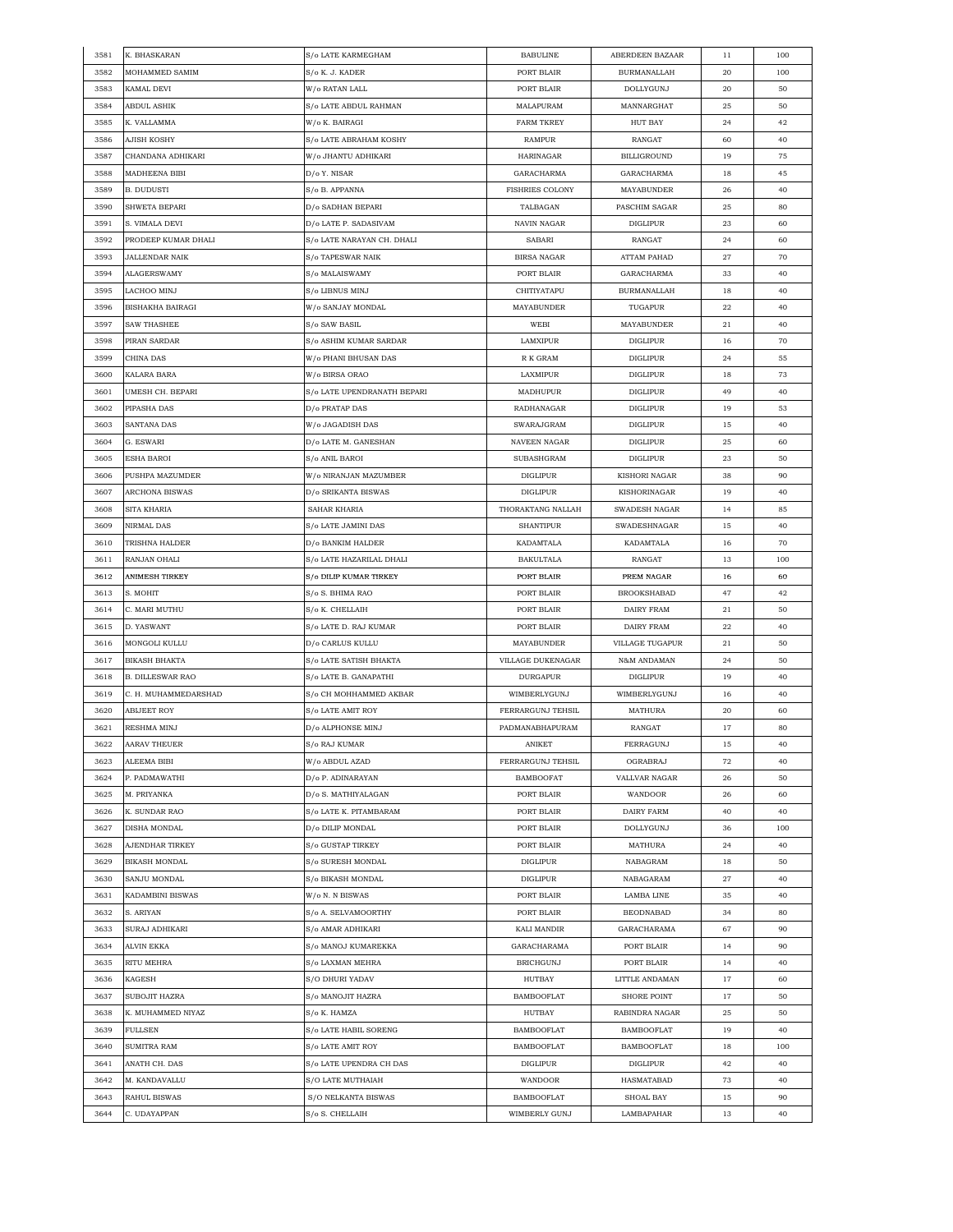| 3581 | K. BHASKARAN            | S/o LATE KARMEGHAM          | <b>BABULINE</b>        | ABERDEEN BAZAAR      | 11 | 100 |
|------|-------------------------|-----------------------------|------------------------|----------------------|----|-----|
| 3582 | MOHAMMED SAMIM          | S/o K. J. KADER             | PORT BLAIR             | <b>BURMANALLAH</b>   | 20 | 100 |
| 3583 | KAMAL DEVI              | W/o RATAN LALL              | PORT BLAIR             | <b>DOLLYGUNJ</b>     | 20 | 50  |
| 3584 | ABDUL ASHIK             | S/o LATE ABDUL RAHMAN       | MALAPURAM              | MANNARGHAT           | 25 | 50  |
| 3585 | K. VALLAMMA             | W/o K. BAIRAGI              | <b>FARM TKREY</b>      | HUT BAY              | 24 | 42  |
| 3586 | AJISH KOSHY             | S/o LATE ABRAHAM KOSHY      | <b>RAMPUR</b>          | RANGAT               | 60 | 40  |
| 3587 | CHANDANA ADHIKARI       | W/o JHANTU ADHIKARI         | HARINAGAR              | BILLIGROUND          | 19 | 75  |
| 3588 | MADHEENA BIBI           | D/o Y. NISAR                | GARACHARMA             | GARACHARMA           | 18 | 45  |
| 3589 | B. DUDUSTI              | S/o B. APPANNA              | <b>FISHRIES COLONY</b> | MAYABUNDER           | 26 | 40  |
| 3590 | SHWETA BEPARI           | D/o SADHAN BEPARI           | TALBAGAN               | PASCHIM SAGAR        | 25 | 80  |
| 3591 | S. VIMALA DEVI          | D/o LATE P. SADASIVAM       | NAVIN NAGAR            | <b>DIGLIPUR</b>      | 23 |     |
|      |                         |                             |                        |                      |    | 60  |
| 3592 | PRODEEP KUMAR DHALI     | S/o LATE NARAYAN CH. DHALI  | SABARI                 | RANGAT               | 24 | 60  |
| 3593 | JALLENDAR NAIK          | S/o TAPESWAR NAIK           | <b>BIRSA NAGAR</b>     | <b>ATTAM PAHAD</b>   | 27 | 70  |
| 3594 | ALAGERSWAMY             | S/o MALAISWAMY              | PORT BLAIR             | GARACHARMA           | 33 | 40  |
| 3595 | LACHOO MINJ             | S/o LIBNUS MINJ             | CHITIYATAPU            | <b>BURMANALLAH</b>   | 18 | 40  |
| 3596 | BISHAKHA BAIRAGI        | W/o SANJAY MONDAL           | MAYABUNDER             | TUGAPUR              | 22 | 40  |
| 3597 | <b>SAW THASHEE</b>      | S/o SAW BASIL               | WEBI                   | MAYABUNDER           | 21 | 40  |
| 3598 | PIRAN SARDAR            | S/o ASHIM KUMAR SARDAR      | LAMXIPUR               | <b>DIGLIPUR</b>      | 16 | 70  |
| 3599 | CHINA DAS               | W/o PHANI BHUSAN DAS        | R K GRAM               | <b>DIGLIPUR</b>      | 24 | 55  |
| 3600 | KALARA BARA             | W/o BIRSA ORAO              | LAXMIPUR               | <b>DIGLIPUR</b>      | 18 | 73  |
| 3601 | UMESH CH. BEPARI        | S/o LATE UPENDRANATH BEPARI | MADHUPUR               | <b>DIGLIPUR</b>      | 49 | 40  |
| 3602 | PIPASHA DAS             | D/o PRATAP DAS              | RADHANAGAR             | <b>DIGLIPUR</b>      | 19 | 53  |
| 3603 | <b>SANTANA DAS</b>      | W/o JAGADISH DAS            | SWARAJGRAM             | <b>DIGLIPUR</b>      | 15 | 40  |
| 3604 | G. ESWARI               | D/o LATE M. GANESHAN        | NAVEEN NAGAR           | <b>DIGLIPUR</b>      | 25 | 60  |
| 3605 | ESHA BAROI              | S/o ANIL BAROI              | SUBASHGRAM             | DIGLIPUR             | 23 | 50  |
| 3606 | PUSHPA MAZUMDER         | W/o NIRANJAN MAZUMBER       | <b>DIGLIPUR</b>        | <b>KISHORI NAGAR</b> | 38 | 90  |
| 3607 | <b>ARCHONA BISWAS</b>   | D/o SRIKANTA BISWAS         | <b>DIGLIPUR</b>        | KISHORINAGAR         | 19 | 40  |
|      |                         |                             |                        |                      |    |     |
| 3608 | SITA KHARIA             | SAHAR KHARIA                | THORAKTANG NALLAH      | SWADESH NAGAR        | 14 | 85  |
| 3609 | NIRMAL DAS              | S/o LATE JAMINI DAS         | <b>SHANTIPUR</b>       | SWADESHNAGAR         | 15 | 40  |
| 3610 | TRISHNA HALDER          | D/o BANKIM HALDER           | KADAMTALA              | KADAMTALA            | 16 | 70  |
| 3611 | RANJAN OHALI            | S/o LATE HAZARILAL DHALI    | <b>BAKULTALA</b>       | RANGAT               | 13 | 100 |
| 3612 | ANIMESH TIRKEY          | S/o DILIP KUMAR TIRKEY      | PORT BLAIR             | PREM NAGAR           | 16 | 60  |
| 3613 | S. MOHIT                | S/o S. BHIMA RAO            | PORT BLAIR             | <b>BROOKSHABAD</b>   | 47 | 42  |
| 3614 | C. MARI MUTHU           | S/o K. CHELLAIH             | PORT BLAIR             | DAIRY FRAM           | 21 | 50  |
| 3615 | D. YASWANT              | S/o LATE D. RAJ KUMAR       | PORT BLAIR             | DAIRY FRAM           | 22 | 40  |
| 3616 | MONGOLI KULLU           | D/o CARLUS KULLU            | MAYABUNDER             | VILLAGE TUGAPUR      | 21 | 50  |
| 3617 | <b>BIKASH BHAKTA</b>    | S/o LATE SATISH BHAKTA      | VILLAGE DUKENAGAR      | N&M ANDAMAN          | 24 | 50  |
| 3618 | <b>B. DILLESWAR RAO</b> | S/o LATE B. GANAPATHI       | <b>DURGAPUR</b>        | <b>DIGLIPUR</b>      | 19 | 40  |
| 3619 | C. H. MUHAMMEDARSHAD    | S/o CH MOHHAMMED AKBAR      | WIMBERLYGUNJ           | WIMBERLYGUNJ         | 16 | 40  |
| 3620 | ABIJEET ROY             | S/o LATE AMIT ROY           | FERRARGUNJ TEHSIL      | MATHURA              | 20 | 60  |
| 3621 | RESHMA MINJ             | D/o ALPHONSE MINJ           | PADMANABHAPURAM        | RANGAT               | 17 | 80  |
| 3622 | AARAV THEUER            | S/o RAJ KUMAR               | <b>ANIKET</b>          | FERRAGUNJ            | 15 | 40  |
| 3623 | ALEEMA BIBI             | W/o ABDUL AZAD              | FERRARGUNJ TEHSIL      | OGRABRAJ             | 72 | 40  |
| 3624 | P. PADMAWATHI           | D/o P. ADINARAYAN           | BAMBOOFAT              | VALLVAR NAGAR        | 26 | 50  |
| 3625 | M. PRIYANKA             | D/o S. MATHIYALAGAN         | PORT BLAIR             | WANDOOR              | 26 | 60  |
| 3626 | K. SUNDAR RAO           | S/o LATE K. PITAMBARAM      | PORT BLAIR             | DAIRY FARM           | 40 | 40  |
| 3627 | DISHA MONDAL            | D/o DILIP MONDAL            | PORT BLAIR             | DOLLYGUNJ            | 36 | 100 |
| 3628 | AJENDHAR TIRKEY         |                             | PORT BLAIR             |                      | 24 | 40  |
|      |                         | S/o GUSTAP TIRKEY           |                        | MATHURA              |    |     |
| 3629 | BIKASH MONDAL           | S/o SURESH MONDAL           | <b>DIGLIPUR</b>        | NABAGRAM             | 18 | 50  |
| 3630 | SANJU MONDAL            | S/o BIKASH MONDAL           | DIGLIPUR               | NABAGARAM            | 27 | 40  |
| 3631 | KADAMBINI BISWAS        | W/o N. N BISWAS             | PORT BLAIR             | LAMBA LINE           | 35 | 40  |
| 3632 | S. ARIYAN               | S/o A. SELVAMOORTHY         | PORT BLAIR             | <b>BEODNABAD</b>     | 34 | 80  |
| 3633 | SURAJ ADHIKARI          | S/o AMAR ADHIKARI           | <b>KALI MANDIR</b>     | GARACHARAMA          | 67 | 90  |
| 3634 | ALVIN EKKA              | S/o MANOJ KUMAREKKA         | GARACHARAMA            | PORT BLAIR           | 14 | 90  |
| 3635 | RITU MEHRA              | S/o LAXMAN MEHRA            | <b>BRICHGUNJ</b>       | PORT BLAIR           | 14 | 40  |
| 3636 | KAGESH                  | S/O DHURI YADAV             | HUTBAY                 | LITTLE ANDAMAN       | 17 | 60  |
| 3637 | SUBOJIT HAZRA           | S/o MANOJIT HAZRA           | <b>BAMBOOFLAT</b>      | SHORE POINT          | 17 | 50  |
| 3638 | K. MUHAMMED NIYAZ       | S/o K. HAMZA                | HUTBAY                 | RABINDRA NAGAR       | 25 | 50  |
| 3639 | FULLSEN                 | S/o LATE HABIL SORENG       | <b>BAMBOOFLAT</b>      | <b>BAMBOOFLAT</b>    | 19 | 40  |
| 3640 | SUMITRA RAM             | S/o LATE AMIT ROY           | <b>BAMBOOFLAT</b>      | <b>BAMBOOFLAT</b>    | 18 | 100 |
| 3641 | ANATH CH. DAS           | S/o LATE UPENDRA CH DAS     | <b>DIGLIPUR</b>        | DIGLIPUR             | 42 | 40  |
| 3642 | M. KANDAVALLU           | S/O LATE MUTHAIAH           | WANDOOR                | HASMATABAD           | 73 | 40  |
| 3643 | RAHUL BISWAS            | S/O NELKANTA BISWAS         | <b>BAMBOOFLAT</b>      | SHOAL BAY            | 15 | 90  |
|      |                         | S/o S. CHELLAIH             |                        |                      |    |     |
| 3644 | C. UDAYAPPAN            |                             | WIMBERLY GUNJ          | LAMBAPAHAR           | 13 | 40  |